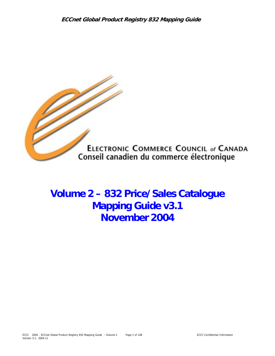

**Volume 2 – 832 Price/Sales Catalogue Mapping Guide v3.1 November 2004**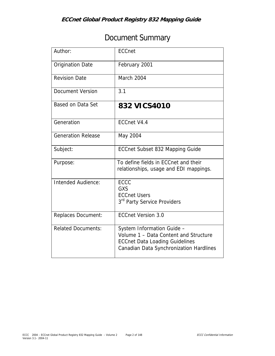# Document Summary

| Author:                   | <b>ECCnet</b>                                                                                                                                           |
|---------------------------|---------------------------------------------------------------------------------------------------------------------------------------------------------|
| <b>Origination Date</b>   | February 2001                                                                                                                                           |
| <b>Revision Date</b>      | March 2004                                                                                                                                              |
| Document Version          | 3.1                                                                                                                                                     |
| Based on Data Set         | 832 VICS4010                                                                                                                                            |
| Generation                | ECCnet V4.4                                                                                                                                             |
| <b>Generation Release</b> | May 2004                                                                                                                                                |
| Subject:                  | ECCnet Subset 832 Mapping Guide                                                                                                                         |
| Purpose:                  | To define fields in ECCnet and their<br>relationships, usage and EDI mappings.                                                                          |
| Intended Audience:        | ECCC<br>GXS<br><b>ECCnet Users</b><br>3 <sup>rd</sup> Party Service Providers                                                                           |
| Replaces Document:        | <b>ECCnet Version 3.0</b>                                                                                                                               |
| <b>Related Documents:</b> | System Information Guide -<br>Volume 1 - Data Content and Structure<br><b>ECCnet Data Loading Guidelines</b><br>Canadian Data Synchronization Hardlines |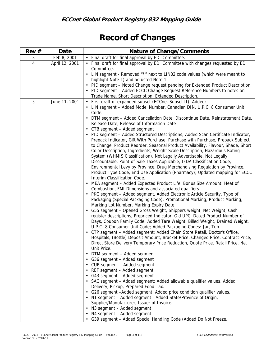# **Record of Changes**

| Rev#           | Date           | Nature of Change/Comments                                                                                             |
|----------------|----------------|-----------------------------------------------------------------------------------------------------------------------|
| 3              | Feb 8, 2001    | • Final draft for final approval by EDI Committee.                                                                    |
| $\overline{4}$ | April 12, 2001 | • Final draft for final approval by EDI Committee with changes requested by EDI<br>Committee.                         |
|                |                | • LIN segment - Removed "*" next to LIN02 code values (which were meant to                                            |
|                |                | highlight Note 1) and adjusted Note 1.                                                                                |
|                |                | PID segment - Noted Change request pending for Extended Product Description.                                          |
|                |                | PID segment - Added ECCC Change Request Reference Numbers to notes on                                                 |
|                |                | Trade Name, Short Description, Extended Description.                                                                  |
| 5              | June 11, 2001  | • First draft of expanded subset (ECCnet Subset II). Added:                                                           |
|                |                | • LIN segment - Added Model Number, Canadian DIN, U.P.C. 8 Consumer Unit                                              |
|                |                | Code.                                                                                                                 |
|                |                | • DTM segment - Added Cancellation Date, Discontinue Date, Reinstatement Date,                                        |
|                |                | Release Date, Release of Information Date                                                                             |
|                |                | CTB segment - Added segment                                                                                           |
|                |                | PID segment - Added Structured Descriptions; Added Scan Certificate Indicator,                                        |
|                |                | Prepack Indicator, Gift With Purchase, Purchase with Purchase, Prepack Subject                                        |
|                |                | to Change, Product Reorder, Seasonal Product Availability, Flavour, Shade, Short                                      |
|                |                | Color Description, Ingredients, Weight Scale Description, Hazardous Rating                                            |
|                |                | System (WHMIS Classification), Not Legally Advertisable, Not Legally                                                  |
|                |                | Discountable, Point-of-Sale Taxes Applicable, IFDA Classification Code,                                               |
|                |                | Environmental Levy by Province, Drug Merchandising Regulation by Province,                                            |
|                |                | Product Type Code, End Use Application (Pharmacy); Updated mapping for ECCC                                           |
|                |                | Interim Classification Code.                                                                                          |
|                |                | MEA segment - Added Expected Product Life, Bonus Size Amount, Heat of                                                 |
|                |                | Combustion, FMI Dimensions and associated qualifiers.                                                                 |
|                |                | PKG segment - Added segment, Added Electronic Article Security, Type of                                               |
|                |                | Packaging (Special Packaging Code), Promotional Marking, Product Marking,<br>Marking Lot Number, Marking Expiry Date. |
|                |                | G55 segment - Opened Gross Weight, Shippers weight, Net Weight, Cash                                                  |
|                |                | register descriptions, Prepriced Indicator, Old UPC, Dated Product Number of                                          |
|                |                | Days, Coupon Family Code; Added Tare Weight, Billed Weight, Drained Weight,                                           |
|                |                | U.P.C.-8 Consumer Unit Code; Added Packaging Codes: Jar, Tub                                                          |
|                |                | CTP segment - Added segment; Added Chain Store Retail, Doctor's Office,                                               |
|                |                | Hospitals, (Bottle) Deposit Amount, Bracket Price, Changed Price, Contract Price,                                     |
|                |                | Direct Store Delivery Temporary Price Reduction, Quote Price, Retail Price, Net                                       |
|                |                | Unit Price.                                                                                                           |
|                |                | DTM segment - Added segment                                                                                           |
|                |                | G36 segment - Added segment                                                                                           |
|                |                | CUR segment - Added segment                                                                                           |
|                |                | REF segment - Added segment                                                                                           |
|                |                | G43 segment - Added segment                                                                                           |
|                |                | • SAC segment - Added segment; Added allowable qualifier values, Added                                                |
|                |                | Delivery, Pickup, Prepared Food Tax.                                                                                  |
|                |                | G26 segment - Added segment. Added price condition qualifier values.                                                  |
|                |                | • N1 segment - Added segment - Added State/Province of Origin,                                                        |
|                |                | Supplier/Manufacturer, Issuer of Invoice.                                                                             |
|                |                | • N3 segment - Added segment                                                                                          |
|                |                | N4 segment - Added segment                                                                                            |
|                |                | G39 segment - Added Special Handling Code (Added Do Not Freeze,                                                       |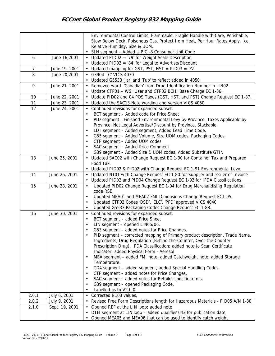|       |                | Environmental Control Limits, Flammable, Fragile Handle with Care, Perishable,                                                        |
|-------|----------------|---------------------------------------------------------------------------------------------------------------------------------------|
|       |                | Stow Below Deck, Poisonous Gas, Protect from Heat, Per Hour Rates Apply, Ice,                                                         |
|       |                | Relative Humidity, Size & UOM.                                                                                                        |
|       |                | • SLN segment - Added U.P.C.-8 Consumer Unit Code                                                                                     |
| 6     | June 16,2001   | • Updated PID02 = '79' for Weight Scale Description                                                                                   |
|       |                | • Updated PID02 = '84' for Legal to Advertise/Discount                                                                                |
| 7     | June 19, 2001  | • Updated mapping for GST, PST, HST = PID03 = 'ZZ'                                                                                    |
| 8     | June 20,2001   | • G3904 'IC' VICS 4030                                                                                                                |
|       |                | • Updated G5533 'Jar' and 'Tub' to reflect added in 4050                                                                              |
| 9     | June 21, 2001  | • Removed word 'Canadian' from Drug Identification Number in LIN02<br>Update CTP01 - WS=User and CTP02 BCH=Base Charge EC 1-86.       |
| 10    | June 22, 2001  | Update PID02 and 04 POS Taxes (GST, HST, and PST) Change Request EC 1-87.                                                             |
| 11    | June 23, 2001  | Updated the SAC13 Note wording and version VICS 4050<br>$\bullet$                                                                     |
| 12    | June 24, 2001  | Continued revisions for expanded subset.<br>$\bullet$                                                                                 |
|       |                | BCT segment - Added code for Price Sheet<br>$\bullet$                                                                                 |
|       |                | PID segment - Finished Environmental Levy by Province, Taxes Applicable by<br>$\bullet$                                               |
|       |                | Province, Not Legal Advertise/Discount by Province, Stackable.                                                                        |
|       |                | LDT segment - Added segment, Added Lead Time Code.<br>٠                                                                               |
|       |                | G55 segment - Added Volume, Size UOM codes, Packaging Codes<br>$\bullet$                                                              |
|       |                | CTP segment - Added UOM codes<br>$\bullet$                                                                                            |
|       |                | SAC segment - Added Price Comment<br>٠<br>G39 segment - Added Size & UOM codes, Added Substitute GTIN                                 |
| 13    | June 25, 2001  | • Updated SAC02 with Change Request EC 1-90 for Container Tax and Prepared                                                            |
|       |                | Food Tax.                                                                                                                             |
|       |                | Updated PID02 & PID02 with Change Request EC 1-91 Environmental Levy.<br>$\bullet$                                                    |
| 14    | June 26, 2001  | Updated N101 with Change Request EC 1-80 for Supplier and Issuer of Invoice                                                           |
|       |                | Updated PID02 and PID04 Change Request EC 1-92 for IFDA Classifications                                                               |
| 15    | June 28, 2001  | Updated PID02 Change Request EC 1-94 for Drug Merchandising Regulation<br>$\bullet$                                                   |
|       |                | code RSE.                                                                                                                             |
|       |                | Updated MEA01 and MEA02 FMI Dimensions Change Request EC1-95.<br>٠<br>Updated CTP02 Codes 'DSD', 'ELC', 'PPD' approved VICS 4040<br>٠ |
|       |                | Updated G5533 Packaging Codes Change Request EC 1-88.                                                                                 |
| 16    | June 30, 2001  | Continued revisions for expanded subset.<br>$\bullet$                                                                                 |
|       |                | BCT segment - added Price Sheet<br>$\bullet$                                                                                          |
|       |                | LIN segment - opened LIN05/06.<br>$\bullet$                                                                                           |
|       |                | G53 segment - added notes for Price Changes.<br>٠                                                                                     |
|       |                | PID segment - corrected mapping of Primary product description, Trade Name,                                                           |
|       |                | Ingredients, Drug Regulation (Behind-the-Counter, Over-the-Counter,                                                                   |
|       |                | Prescription Drug), IFDA Classification; added note to Scan Certificate                                                               |
|       |                | Indicator; added Physical Form - Aerosol                                                                                              |
|       |                | MEA segment - added FMI note, added Catchweight note, added Storage<br>٠                                                              |
|       |                | Temperature.                                                                                                                          |
|       |                | TD4 segment - added segment, added Special Handling Codes.<br>٠                                                                       |
|       |                | CTP segment - added notes for Price Changes.<br>$\bullet$<br>SAC segment - added notes for Retailer-specific terms.<br>$\bullet$      |
|       |                | G39 segment - opened Packaging Code.<br>٠                                                                                             |
|       |                | Labelled as to V2.0.0<br>٠                                                                                                            |
| 2.0.1 | July 6, 2001   | Corrected N103 values.<br>$\bullet$                                                                                                   |
| 2.0.2 | July 9, 2001   | Revised Free Form Descriptions length for Hazardous Materials - PID05 A/N 1-80                                                        |
| 2.1.0 | Sept. 19, 2001 | Opened REF at the LIN loop; added note                                                                                                |
|       |                | DTM segment at LIN loop - added qualifier 043 for publication date                                                                    |
|       |                | Opened MEA05 and MEA06 that can be used to identify catch weight                                                                      |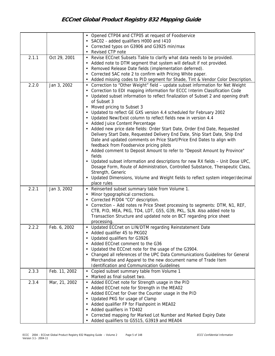|       |               | • Opened CTP04 and CTP05 at request of Foodservice                                                                                                                                                                                                |
|-------|---------------|---------------------------------------------------------------------------------------------------------------------------------------------------------------------------------------------------------------------------------------------------|
|       |               | • SAC02 - added qualifiers H000 and I410                                                                                                                                                                                                          |
|       |               | Corrected typos on G3906 and G3925 min/max                                                                                                                                                                                                        |
|       |               | Revised CTP note                                                                                                                                                                                                                                  |
| 2.1.1 | Oct 29, 2001  | • Revise ECCnet Subsets Table to clarify what data needs to be provided.                                                                                                                                                                          |
|       |               | Added note to DTM segment that system will default if not provided.                                                                                                                                                                               |
|       |               | Removed Release Date fields (implementation deferred).<br>$\bullet$                                                                                                                                                                               |
|       |               | Corrected SAC note 2 to confirm with Pricing White paper.                                                                                                                                                                                         |
|       |               | Added missing codes to PID segment for Shade, Tint & Vendor Color Description.                                                                                                                                                                    |
| 2.2.0 | Jan 3, 2002   | • Correction to "Other Weight" field - update subset information for Net Weight<br>Correction to EDI mapping information for ECCC Interim Classification Code<br>Updated subset information to reflect finalization of Subset 2 and opening draft |
|       |               | of Subset 3                                                                                                                                                                                                                                       |
|       |               | Moved pricing to Subset 3                                                                                                                                                                                                                         |
|       |               | Updated to reflect GE GXS version 4.4 scheduled for February 2002                                                                                                                                                                                 |
|       |               | • Updated New/Exist column to reflect fields new in version 4.4                                                                                                                                                                                   |
|       |               | • Added Juice Content Percentage                                                                                                                                                                                                                  |
|       |               | • Added new price date fields: Order Start Date, Order End Date, Requested                                                                                                                                                                        |
|       |               | Delivery Start Date, Requested Delivery End Date, Ship Start Date, Ship End                                                                                                                                                                       |
|       |               | Date and updated comments on Price Start/Price End Dates to align with                                                                                                                                                                            |
|       |               | feedback from Foodservice pricing pilots                                                                                                                                                                                                          |
|       |               | • Added comment to Deposit Amount to refer to "Deposit Amount by Province"<br>fields                                                                                                                                                              |
|       |               | • Updated subset information and descriptions for new RX fields - Unit Dose UPC,                                                                                                                                                                  |
|       |               | Dosage Form, Route of Administration, Controlled Substance, Therapeutic Class,                                                                                                                                                                    |
|       |               | Strength, Generic                                                                                                                                                                                                                                 |
|       |               | • Updated Dimensions, Volume and Weight fields to reflect system integer/decimal                                                                                                                                                                  |
|       |               | place rules                                                                                                                                                                                                                                       |
| 2.2.1 | Jan 3, 2002   | Reinserted subset summary table from Volume 1.<br>$\bullet$                                                                                                                                                                                       |
|       |               | Minor typographical corrections.                                                                                                                                                                                                                  |
|       |               | Corrected PID04 "CO" description.                                                                                                                                                                                                                 |
|       |               | Correction - Add notes re Price Sheet processing to segments: DTM, N1, REF,                                                                                                                                                                       |
|       |               | CTB, PID, MEA, PKG, TD4, LDT, G55, G39, PKL, SLN. Also added note to                                                                                                                                                                              |
|       |               | Transaction Structure and updated note on BCT regarding price sheet                                                                                                                                                                               |
|       |               | processing.                                                                                                                                                                                                                                       |
| 2.2.2 | Feb. 6, 2002  | • Updated ECCnet on LIN/DTM regarding Reinstatement Date                                                                                                                                                                                          |
|       |               | Added qualifier 45 to PKG02                                                                                                                                                                                                                       |
|       |               | Updated qualifiers for G3926                                                                                                                                                                                                                      |
|       |               | Added ECCnet comment to the G36                                                                                                                                                                                                                   |
|       |               | Updated the ECCnet note for the usage of the G3904.<br>$\bullet$                                                                                                                                                                                  |
|       |               | Changed all references of the UPC Data Communications Guidelines for General                                                                                                                                                                      |
|       |               | Merchandise and Apparel to the new document name of Trade Item                                                                                                                                                                                    |
|       |               | Identification and Communication Guidelines                                                                                                                                                                                                       |
| 2.3.3 | Feb. 11, 2002 | • Copied subset summary table from Volume 1                                                                                                                                                                                                       |
|       |               | Marked as final subset two.                                                                                                                                                                                                                       |
| 2.3.4 | Mar, 21, 2002 | • Added ECCnet note for Strength usage in the PID                                                                                                                                                                                                 |
|       |               | • Added ECCnet note for Strength in the MEA02                                                                                                                                                                                                     |
|       |               | Added ECCnet for Over the Counter usage in the PID                                                                                                                                                                                                |
|       |               | Updated PKG for usage of Clamp                                                                                                                                                                                                                    |
|       |               | Added qualifier FP for Flashpoint in MEA02                                                                                                                                                                                                        |
|       |               | Added qualifiers in TD402                                                                                                                                                                                                                         |
|       |               | Corrected mapping for Marked Lot Number and Marked Expiry Date<br>Added qualifiers to G5515, G3919 and MEA04                                                                                                                                      |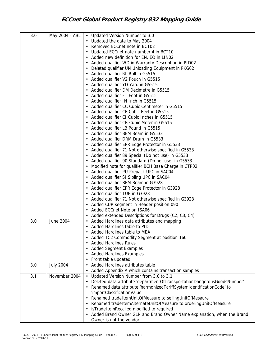| 3.0 | May 2004 - ABL   | • Updated Version Number to 3.0                                         |
|-----|------------------|-------------------------------------------------------------------------|
|     |                  | • Updated the date to May 2004                                          |
|     |                  | Removed ECCnet note in BCT02                                            |
|     |                  | Updated ECCnet note number 4 in BCT10                                   |
|     |                  | Added new definition for EN, EO in LIN02                                |
|     |                  | Added qualifier WD in Warranty Description in PID02                     |
|     |                  | Deleted qualifier UN Unloading Equipment in PKG02                       |
|     |                  | Added qualifier RL Roll in G5515                                        |
|     |                  | Added qualifier V2 Pouch in G5515                                       |
|     |                  |                                                                         |
|     |                  | Added qualifier YD Yard in G5515                                        |
|     |                  | Added qualifier DM Decimetre in G5515                                   |
|     |                  | Added qualifier FT Foot in G5515                                        |
|     |                  | Added qualifier IN Inch in G5515                                        |
|     |                  | Added qualifier CC Cubic Centimeter in G5515                            |
|     |                  | Added qualifier CF Cubic Feet in G5515                                  |
|     |                  | Added qualifier CI Cubic Inches in G5515                                |
|     |                  | Added qualifier CR Cubic Meter in G5515                                 |
|     |                  | Added qualifier LB Pound in G5515                                       |
|     |                  | Added qualifier BEM Beam in G5533                                       |
|     |                  | Added qualifier DRM Drum in G5533                                       |
|     |                  | Added qualifier EPR Edge Protector in G5533                             |
|     |                  | Added qualifier 71 Not otherwise specified in G5533                     |
|     |                  | Added qualifier 89 Special (Do not use) in G5533                        |
|     |                  | Added qualifier 90 Standard (Do not use) in G5533                       |
|     |                  | Modified note for qualifier BCH Base Charge in CTP02                    |
|     |                  | Added qualifier PU Prepack UPC in SAC04                                 |
|     |                  | Added qualifier SI Sibling UPC in SAC04                                 |
|     |                  | Added qualifier BEM Beam in G3928                                       |
|     |                  | Added qualifier EPR Edge Protector in G3928                             |
|     |                  | Added qualifier TUB in G3928                                            |
|     |                  | Added qualifier 71 Not otherwise specified in G3928                     |
|     |                  | Added CUR segment in Header position 090                                |
|     |                  | Added ECCnet Note on ISA06                                              |
|     |                  | Added extended Descriptions for Drugs (C2, C3, C4)                      |
| 3.0 | June 2004        | • Added Hardlines data attributes and mapping                           |
|     |                  | Added Hardlines table to PID                                            |
|     |                  | Added Hardlines table to MEA                                            |
|     |                  | Added TC2 Commodity Segment at position 160                             |
|     |                  | <b>Added Hardlines Rules</b>                                            |
|     |                  | <b>Added Segment Examples</b>                                           |
|     |                  | <b>Added Hardlines Examples</b>                                         |
|     |                  | Front table updated                                                     |
| 3.0 | <b>July 2004</b> | Added Hardlines attributes table                                        |
|     |                  | Added Appendix A which contains transaction samples                     |
| 3.1 | November 2004    |                                                                         |
|     |                  | • Updated Version Number from 3.0 to 3.1                                |
|     |                  | Deleted data attribute 'departmentOfTransportationDangerousGoodsNumber' |
|     |                  | • Renamed data attribute 'harmonizedTariffSystemIdentificationCode' to  |
|     |                  | 'importClassificationValue'                                             |
|     |                  | Renamed tradeItemUnitOfMeasure to sellingUnitOfMesaure                  |
|     |                  | Renamed tradeItemAlternateUnitOfMeasure to orderingUnitOfMeasure        |
|     |                  | isTradeItemRecalled modified to required                                |
|     |                  | Added Brand Owner GLN and Brand Owner Name explanation, when the Brand  |
|     |                  | Owner is not the vendor                                                 |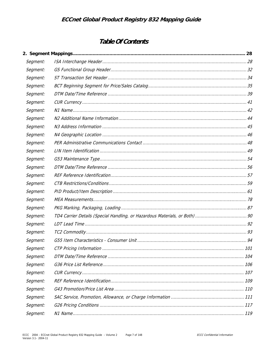# Table Of Contents

| Segment: |  |
|----------|--|
| Segment: |  |
| Segment: |  |
| Segment: |  |
| Segment: |  |
| Segment: |  |
| Segment: |  |
| Segment: |  |
| Segment: |  |
| Segment: |  |
| Segment: |  |
| Segment: |  |
| Segment: |  |
| Segment: |  |
| Segment: |  |
| Segment: |  |
| Segment: |  |
| Segment: |  |
| Segment: |  |
| Segment: |  |
| Segment: |  |
| Segment: |  |
| Segment: |  |
| Segment: |  |
| Segment: |  |
| Segment: |  |
| Segment: |  |
| Segment: |  |
| Segment: |  |
| Segment: |  |
| Segment: |  |
| Segment: |  |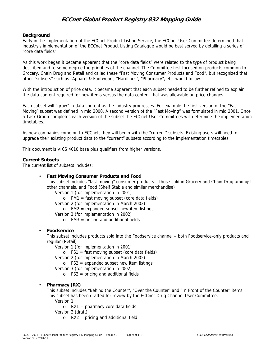#### **Background**

Early in the implementation of the ECCnet Product Listing Service, the ECCnet User Committee determined that industry's implementation of the ECCnet Product Listing Catalogue would be best served by detailing a series of "core data fields".

As this work began it became apparent that the "core data fields" were related to the type of product being described and to some degree the priorities of the channel. The Committee first focused on products common to Grocery, Chain Drug and Retail and called these "Fast Moving Consumer Products and Food", but recognized that other "subsets" such as "Apparel & Footwear", "Hardlines", "Pharmacy", etc. would follow.

With the introduction of price data, it became apparent that each subset needed to be further refined to explain the data content required for new items versus the data content that was allowable on price changes.

Each subset will "grow" in data content as the industry progresses. For example the first version of the "Fast Moving" subset was defined in mid 2000. A second version of the "Fast Moving" was formulated in mid 2001. Once a Task Group completes each version of the subset the ECCnet User Committees will determine the implementation timetables.

As new companies come on to ECCnet, they will begin with the "current" subsets. Existing users will need to upgrade their existing product data to the "current" subsets according to the implementation timetables.

This document is VICS 4010 base plus qualifiers from higher versions.

#### **Current Subsets**

The current list of subsets includes:

#### • **Fast Moving Consumer Products and Food**

This subset includes "fast moving" consumer products – those sold in Grocery and Chain Drug amongst other channels, and Food (Shelf Stable and similar merchandise)

Version 1 (for implementation in 2001)

o FM1 = fast moving subset (core data fields)

Version 2 (for implementation in March 2002)

 $\circ$  FM2 = expanded subset new item listings

Version 3 (for implementation in 2002)

o FM3 = pricing and additional fields

#### • **Foodservice**

This subset includes products sold into the Foodservice channel – both Foodservice-only products and regular (Retail)

Version 1 (for implementation in 2001)

o FS1 = fast moving subset (core data fields)

Version 2 (for implementation in March 2002)

 $\circ$  FS2 = expanded subset new item listings

Version 3 (for implementation in 2002)

 $\circ$  FS2 = pricing and additional fields

#### • **Pharmacy (RX)**

This subset includes "Behind the Counter", "Over the Counter" and "In Front of the Counter" items. This subset has been drafted for review by the ECCnet Drug Channel User Committee.

Version 1

 $o$  RX1 = pharmacy core data fields

Version 2 (draft)

 $\circ$  RX2 = pricing and additional field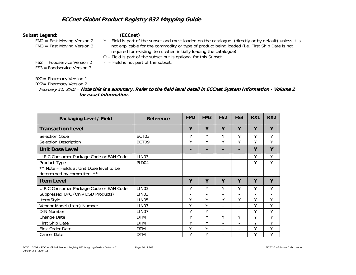#### **Subset Legend: (ECCnet)**

FM2 = Fast Moving Version 2 FM3 = Fast Moving Version 3

- Y Field is part of the subset and must loaded on the catalogue (directly or by default) unless it is not applicable for the commodity or type of product being loaded (i.e. First Ship Date is not required for existing items when initially loading the catalogue).
- O Field is part of the subset but is optional for this Subset.
- FS2 = Foodservice Version 2

FS3 = Foodservice Version 3- – Field is not part of the subset.

#### RX1= Pharmacy Version 1

RX2= Pharmacy Version 2

February 11, 2002 – **Note this is a summary. Refer to the field level detail in ECCnet System Information - Volume 1 for exact information.** 

| Packaging Level / Field                                                  | Reference         | FM <sub>2</sub>              | FM <sub>3</sub> | FS <sub>2</sub>          | FS3                      | RX1                      | RX <sub>2</sub> |
|--------------------------------------------------------------------------|-------------------|------------------------------|-----------------|--------------------------|--------------------------|--------------------------|-----------------|
| <b>Transaction Level</b>                                                 |                   | Y                            | Y               | Y                        | Y                        | Υ                        | Y               |
| Selection Code                                                           | BCT03             | Υ                            | Υ               | Υ                        | Υ                        | Υ                        | Υ               |
| Selection Description                                                    | BCT09             | Υ                            | Υ               | V                        | Υ                        | Υ                        | Υ               |
| <b>Unit Dose Level</b>                                                   |                   |                              |                 |                          |                          | Υ                        | Y               |
| U.P.C Consumer Package Code or EAN Code                                  | LIN <sub>03</sub> | $\overline{\phantom{a}}$     | -               | $\overline{\phantom{a}}$ | $\overline{\phantom{0}}$ | ٧                        | Y               |
| Product Type                                                             | PID <sub>04</sub> | $\qquad \qquad \blacksquare$ | ۰               | ٠                        |                          | Υ                        | Y               |
| ** Note – Fields at Unit Dose level to be<br>determined by committee. ** |                   |                              |                 |                          |                          |                          |                 |
| <b>Item Level</b>                                                        |                   | Υ                            | Y               | Υ                        | Y                        | Υ                        | Y               |
| U.P.C Consumer Package Code or EAN Code                                  | LIN <sub>03</sub> | Υ                            | Υ               | V                        | Υ                        | Υ                        | Υ               |
| Suppressed UPC (Only DSD Products)                                       | LIN <sub>03</sub> | $\overline{\phantom{0}}$     | $\overline{a}$  | $\overline{a}$           |                          | $\overline{\phantom{a}}$ |                 |
| Item/Style                                                               | LIN <sub>05</sub> | Υ                            | Υ               | ٧                        | ٧                        | V                        | Υ               |
| Vendor Model (Item) Number                                               | LIN <sub>07</sub> | Υ                            | Υ               |                          |                          | Y                        | Υ               |
| <b>DIN Number</b>                                                        | LIN <sub>07</sub> | Υ                            | Υ               | $\overline{a}$           | $\overline{\phantom{a}}$ | V                        | Υ               |
| Change Date                                                              | <b>DTM</b>        | Υ                            | Υ               | Υ                        | Υ                        | Υ                        | Υ               |
| First Ship Date                                                          | <b>DTM</b>        | Y                            | Υ               | $\blacksquare$           | $\overline{\phantom{a}}$ | V                        | Υ               |
| First Order Date                                                         | <b>DTM</b>        | Υ                            | Υ               | $\overline{\phantom{0}}$ | $\overline{\phantom{a}}$ | Υ                        | Υ               |
| <b>Cancel Date</b>                                                       | <b>DTM</b>        | Υ                            | Υ               |                          |                          | Υ                        | Υ               |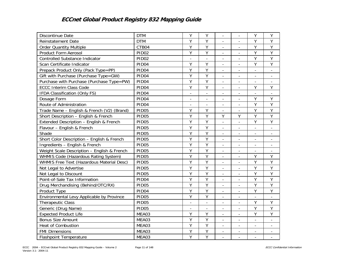| Discontinue Date                            | <b>DTM</b>        | Υ                        | Y                        |                          |                          | Υ                            | Y                        |
|---------------------------------------------|-------------------|--------------------------|--------------------------|--------------------------|--------------------------|------------------------------|--------------------------|
| Reinstatement Date                          | <b>DTM</b>        | Υ                        | Y                        | $\overline{\phantom{a}}$ | $\overline{\phantom{a}}$ | Υ                            | Υ                        |
| <b>Order Quantity Multiple</b>              | CTB04             | Y                        | Y                        | $\overline{\phantom{a}}$ | $\overline{\phantom{a}}$ | Υ                            | Υ                        |
| Product Form Aerosol                        | PID <sub>02</sub> | Υ                        | Y                        | $\overline{\phantom{a}}$ | $\overline{\phantom{a}}$ | Y                            | Y                        |
| <b>Controlled Substance Indicator</b>       | PID <sub>02</sub> | $\overline{\phantom{a}}$ | $\bar{\phantom{a}}$      | $\overline{\phantom{a}}$ | $\blacksquare$           | Y                            | Y                        |
| Scan Certificate Indicator                  | PID04             | Υ                        | Y                        | $\overline{a}$           | $\overline{a}$           | Y                            | Y                        |
| Prepack Product Only (Pack Type=PP)         | PID <sub>04</sub> | Υ                        | Y                        | $\overline{\phantom{a}}$ | $\overline{\phantom{a}}$ | $\overline{a}$               | $\blacksquare$           |
| Gift with Purchase (Purchase Type=GW)       | PID <sub>04</sub> | Y                        | Y                        | $\overline{\phantom{a}}$ | $\overline{\phantom{a}}$ | $\overline{\phantom{a}}$     | $\overline{\phantom{a}}$ |
| Purchase with Purchase (Purchase Type=PW)   | PID <sub>04</sub> | Y                        | $\overline{Y}$           | $\frac{1}{2}$            | $\blacksquare$           | $\overline{\phantom{0}}$     | $\overline{\phantom{a}}$ |
| <b>ECCC Interim Class Code</b>              | PID <sub>04</sub> | Y                        | $\overline{Y}$           | $\frac{1}{2}$            | $\blacksquare$           | $\overline{Y}$               | Y                        |
| IFDA Classification (Only FS)               | PID04             | $\bar{a}$                | $\overline{\phantom{a}}$ | $\overline{\phantom{a}}$ | $\overline{\phantom{a}}$ | $\overline{\phantom{a}}$     |                          |
| Dosage Form                                 | PID <sub>04</sub> | $\overline{\phantom{0}}$ | $\overline{\phantom{a}}$ | $\overline{\phantom{a}}$ | $\overline{\phantom{a}}$ | Y                            | Υ                        |
| Route of Administration                     | PID04             | $\overline{a}$           |                          | $\overline{\phantom{a}}$ |                          | Y                            | Y                        |
| Trade Name - English & French (V2) (Brand)  | PID05             | Y                        | Y                        |                          |                          | Y                            | Y                        |
| Short Description - English & French        | PID <sub>05</sub> | Y                        | $\overline{Y}$           | Y                        | Y                        | Y                            | $\overline{Y}$           |
| Extended Description - English & French     | PID <sub>05</sub> | Υ                        | Y                        | $\overline{\phantom{a}}$ | $\Box$                   | Υ                            | Υ                        |
| Flavour - English & French                  | PID05             | Y                        | Y                        | $\blacksquare$           | $\overline{\phantom{a}}$ | $\overline{\phantom{a}}$     | $\overline{\phantom{a}}$ |
| Shade                                       | PID05             | Υ                        | Υ                        | $\overline{\phantom{a}}$ | $\overline{\phantom{a}}$ | $\overline{\phantom{a}}$     | $\overline{\phantom{a}}$ |
| Short Color Description - English & French  | PID05             | Υ                        | Y                        | $\frac{1}{2}$            | $\blacksquare$           | $\overline{\phantom{0}}$     | $\overline{\phantom{a}}$ |
| Ingredients - English & French              | PID <sub>05</sub> | Y                        | Y                        | $\overline{a}$           | $\equiv$                 | $\overline{a}$               | $\overline{\phantom{a}}$ |
| Weight Scale Description - English & French | PID05             | Y                        | Y                        | $\overline{\phantom{a}}$ |                          | $\overline{a}$               |                          |
| WHMIS Code (Hazardous Rating System)        | PID <sub>05</sub> | Υ                        | Y                        | $\overline{\phantom{a}}$ | $\overline{\phantom{a}}$ | Υ                            | Υ                        |
| WHMIS Free Text (Hazardous Material Desc)   | PID05             | Y                        | $\overline{Y}$           | $\frac{1}{2}$            | $\overline{a}$           | Y                            | Y                        |
| Not Legal to Advertise                      | PID05             | Y                        | $\overline{Y}$           | $\frac{1}{2}$            | $\overline{\phantom{a}}$ | Y                            | $\overline{Y}$           |
| Not Legal to Discount                       | PID05             | Y                        | Υ                        | $\overline{\phantom{a}}$ | $\overline{\phantom{a}}$ | Υ                            | Υ                        |
| Point-of-Sale Tax Information               | PID04             | Y                        | $\overline{Y}$           | $\bar{a}$                |                          | Y                            | $\overline{Y}$           |
| Drug Merchandising (Behind/OTC/RX)          | PID05             | $\overline{Y}$           | $\overline{Y}$           | $\overline{a}$           |                          | $\overline{Y}$               | $\overline{Y}$           |
| Product Type                                | PID04             | Y                        | Y                        | $\overline{\phantom{a}}$ | $\overline{a}$           | Y                            | Υ                        |
| Environmental Levy Applicable by Province   | PID <sub>05</sub> | Y                        | Y                        | $\overline{\phantom{a}}$ | $\overline{\phantom{a}}$ | $\overline{\phantom{a}}$     | $\overline{\phantom{a}}$ |
| <b>Therapeutic Class</b>                    | PID <sub>05</sub> | $\overline{\phantom{a}}$ | $\overline{\phantom{a}}$ | $\overline{\phantom{a}}$ | $\overline{\phantom{a}}$ | Y                            | Y                        |
| Generic (Drug Name)                         | PID05             | $\overline{\phantom{a}}$ | $\overline{\phantom{a}}$ | $\overline{\phantom{a}}$ | $\overline{\phantom{a}}$ | Y                            | Y                        |
| <b>Expected Product Life</b>                | MEA03             | Υ                        | Υ                        | $\frac{1}{2}$            | $\blacksquare$           | Y                            | Y                        |
| <b>Bonus Size Amount</b>                    | MEA03             | Y                        | Y                        | $\overline{\phantom{a}}$ | $\overline{\phantom{a}}$ | $\overline{\phantom{0}}$     | $\blacksquare$           |
| <b>Heat of Combustion</b>                   | MEA03             | Y                        | Y                        |                          |                          | $\overline{\phantom{0}}$     |                          |
| <b>FMI Dimensions</b>                       | MEA03             | Y                        | Y                        | $\overline{\phantom{a}}$ | $\overline{\phantom{a}}$ | $\qquad \qquad \blacksquare$ |                          |
| <b>Flashpoint Temperature</b>               | MEA03             | Y                        | $\overline{Y}$           | $\overline{\phantom{0}}$ | $\overline{\phantom{0}}$ | $\overline{a}$               | $\overline{\phantom{a}}$ |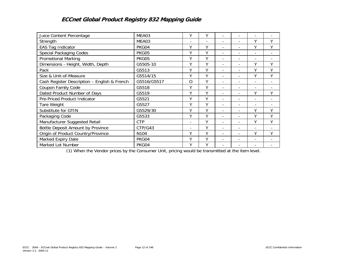| Juice Content Percentage                     | MEA03            | γ                            | Υ              | $\qquad \qquad \blacksquare$ | $\overline{\phantom{a}}$ | ۰                        |   |
|----------------------------------------------|------------------|------------------------------|----------------|------------------------------|--------------------------|--------------------------|---|
| Strength                                     | MEA03            | $\qquad \qquad \blacksquare$ | $\overline{a}$ | $\qquad \qquad \blacksquare$ | $\overline{\phantom{a}}$ | v                        | Υ |
| EAS Tag Indicator                            | PKG04            | Υ                            | Υ              |                              |                          | Υ                        | γ |
| Special Packaging Codes                      | PKG05            | Υ                            | Υ              | $\overline{\phantom{0}}$     |                          | $\overline{\phantom{a}}$ |   |
| <b>Promotional Marking</b>                   | PKG05            | Υ                            | Υ              | $\overline{\phantom{0}}$     |                          | $\overline{\phantom{0}}$ |   |
| Dimensions - Height, Width, Depth            | G5505-10         | Y                            | Υ              | $\overline{a}$               |                          | v                        | Υ |
| Pack                                         | G5513            | Υ                            | Υ              | $\overline{\phantom{a}}$     | $\blacksquare$           | V                        | Υ |
| Size & Unit-of-Measure                       | G5514/15         | Υ                            | Υ              | ٠                            | $\overline{\phantom{a}}$ | Υ                        | Υ |
| Cash Register Description - English & French | G5516/G5517      | 0                            | Υ              | $\overline{\phantom{0}}$     | $\overline{\phantom{0}}$ |                          |   |
| Coupon Family Code                           | G5518            | Υ                            | Υ              | ۰                            | $\overline{\phantom{a}}$ |                          |   |
| Dated Product Number of Days                 | G5519            | γ                            | γ              | ٠                            |                          | ٧                        | Υ |
| Pre-Priced Product Indicator                 | G5521            | Υ                            | γ              |                              |                          |                          |   |
| Tare Weight                                  | G5527            | Υ                            | Υ              | $\overline{\phantom{a}}$     | $\overline{\phantom{a}}$ |                          |   |
| Substitute for GTIN                          | G5529/30         | Υ                            | Υ              | $\overline{\phantom{a}}$     | $\overline{\phantom{a}}$ | Υ                        | Υ |
| Packaging Code                               | G5533            | Υ                            | Υ              | $\overline{\phantom{a}}$     | $\overline{\phantom{a}}$ | Υ                        | Υ |
| Manufacturer Suggested Retail                | <b>CTP</b>       | $\overline{\phantom{0}}$     | Υ              | L,                           |                          | Υ                        | Υ |
| Bottle Deposit Amount by Province            | CTP/G43          | $\overline{\phantom{0}}$     | Υ              | $\overline{a}$               |                          |                          |   |
| Origin of Product Country/Province           | N <sub>104</sub> | Υ                            | Υ              | $\overline{\phantom{a}}$     | $\overline{\phantom{0}}$ | ٧                        | V |
| Marked Expiry Date                           | PKG04            | Υ                            | Υ              |                              |                          |                          |   |
| Marked Lot Number                            | PKG04            | Υ                            | γ              | $\qquad \qquad \blacksquare$ |                          |                          |   |

(1) When the Vendor prices by the Consumer Unit, pricing would be transmitted at the item level.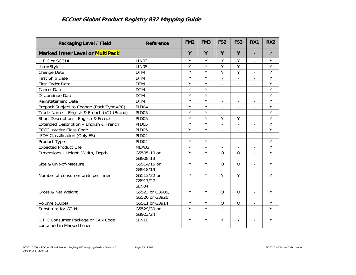| Packaging Level / Field                    | Reference         | FM <sub>2</sub>          | FM <sub>3</sub>          | FS <sub>2</sub>          | FS <sub>3</sub>          | RX1                      | RX <sub>2</sub>          |
|--------------------------------------------|-------------------|--------------------------|--------------------------|--------------------------|--------------------------|--------------------------|--------------------------|
| <b>Marked Inner Level or MultiPack</b>     |                   | Y                        | Y                        | Y                        | Y                        | Ξ.                       | Y                        |
| U.P.C or SCC14                             | LIN <sub>03</sub> | Y                        | Y                        | Υ                        | Y                        | $\overline{a}$           | Υ                        |
| Item/Style                                 | LIN <sub>05</sub> | Υ                        | Υ                        | Υ                        | Υ                        | $\overline{\phantom{a}}$ | Y                        |
| Change Date                                | <b>DTM</b>        | Υ                        | $\overline{Y}$           | $\overline{Y}$           | $\overline{Y}$           | $\mathbf{r}$             | $\overline{Y}$           |
| First Ship Date                            | <b>DTM</b>        | Y                        | Y                        | $\overline{\phantom{a}}$ | $\blacksquare$           | $\overline{\phantom{a}}$ | Υ                        |
| First Order Date                           | <b>DTM</b>        | Y                        | Y                        |                          | $\overline{\phantom{0}}$ |                          | $\overline{Y}$           |
| <b>Cancel Date</b>                         | <b>DTM</b>        | Υ                        | Y                        | $\overline{\phantom{a}}$ | $\overline{\phantom{a}}$ | $\overline{\phantom{a}}$ | Υ                        |
| Discontinue Date                           | <b>DTM</b>        | Y                        | Y                        | $\overline{\phantom{a}}$ | $\overline{a}$           | $\overline{a}$           | Ÿ                        |
| Reinstatement Date                         | <b>DTM</b>        | Y                        | Y                        | $\overline{\phantom{a}}$ | $\overline{\phantom{a}}$ | $\overline{\phantom{a}}$ | Υ                        |
| Prepack Subject to Change (Pack Type=PC)   | PID <sub>04</sub> | $\overline{Y}$           | $\overline{Y}$           |                          |                          |                          | $\overline{Y}$           |
| Trade Name - English & French (V2) (Brand) | PID <sub>05</sub> | Y                        | Y                        | $\overline{\phantom{a}}$ | $\overline{\phantom{a}}$ | $\blacksquare$           | Y                        |
| Short Description - English & French       | PID05             | Y                        | Y                        | $\mathsf{Y}$             | Y                        | $\overline{a}$           | Y                        |
| Extended Description - English & French    | PID <sub>05</sub> | Ÿ                        | Y                        | $\overline{a}$           | $\blacksquare$           | $\mathbf{r}$             | Y                        |
| <b>ECCC Interim Class Code</b>             | <b>PID05</b>      | Y                        | $\overline{Y}$           |                          | $\overline{\phantom{0}}$ | $\overline{a}$           | $\overline{Y}$           |
| IFDA Classification (Only FS)              | PID <sub>04</sub> | $\overline{\phantom{a}}$ | $\overline{\phantom{a}}$ | $\overline{\phantom{a}}$ | $\overline{\phantom{a}}$ | $\overline{\phantom{a}}$ | $\overline{\phantom{a}}$ |
| Product Type                               | PID <sub>04</sub> | Y                        | Y                        | $\overline{\phantom{0}}$ | $\overline{a}$           | L.                       | Y                        |
| <b>Expected Product Life</b>               | MEA03             | $\overline{\phantom{m}}$ | $\overline{\phantom{m}}$ | $\overline{a}$           | $\blacksquare$           | $\overline{\phantom{a}}$ | Y                        |
| Dimensions - Height, Width, Depth          | G5505-10 or       | Y                        | Y                        | $\overline{O}$           | $\overline{O}$           | $\mathbf{r}$             | $\overline{Y}$           |
|                                            | G3908-13          |                          |                          |                          |                          |                          |                          |
| Size & Unit-of-Measure                     | G5514/15 or       | Y                        | Y                        | $\overline{O}$           | $\overline{O}$           | $\blacksquare$           | Y                        |
|                                            | G3918/19          |                          |                          |                          |                          |                          |                          |
| Number of consumer units per inner         | G5513/32 or       | Y                        | Y                        | Y                        | Y                        | $\overline{a}$           | Y                        |
|                                            | G3917/27          |                          |                          |                          |                          |                          |                          |
|                                            | SLN04             |                          |                          |                          |                          |                          |                          |
| Gross & Net Weight                         | G5523 or G3905,   | Y                        | Y                        | $\circ$                  | $\overline{O}$           | $\overline{\phantom{a}}$ | Y                        |
|                                            | G5526 or G3926    |                          |                          |                          |                          |                          |                          |
| Volume (Cube)                              | G5511 or G3914    | Y                        | Y                        | $\overline{O}$           | $\overline{O}$           | $\overline{\phantom{a}}$ | Υ                        |
| Substitute for GTIN                        | G5529/30 or       | Y                        | Y                        |                          |                          | $\overline{a}$           | Υ                        |
|                                            | G3923/24          |                          |                          |                          |                          |                          |                          |
| U.P.C Consumer Package or EAN Code         | <b>SLN10</b>      | Y                        | Y                        | Y                        | Υ                        | $\overline{\phantom{a}}$ | Υ                        |
| contained in Marked Inner                  |                   |                          |                          |                          |                          |                          |                          |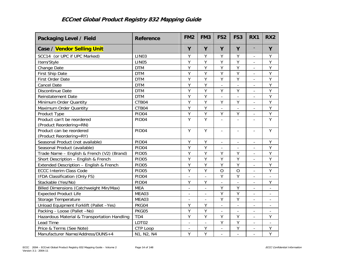| Packaging Level / Field                      | Reference         | FM <sub>2</sub>          | FM <sub>3</sub>          | FS <sub>2</sub>          | FS <sub>3</sub>          | RX1                      | RX <sub>2</sub>          |
|----------------------------------------------|-------------------|--------------------------|--------------------------|--------------------------|--------------------------|--------------------------|--------------------------|
| Case / Vendor Selling Unit                   |                   | Y                        | Y                        | Y                        | Y                        | $\overline{\phantom{a}}$ | Y                        |
| SCC14 (or UPC if UPC Marked)                 | LIN <sub>03</sub> | Y                        | Y                        | $\overline{Y}$           | Y                        | $\overline{\phantom{a}}$ | Υ                        |
| Item/Style                                   | LIN <sub>05</sub> | Y                        | Y                        | Y                        | Y                        | $\overline{\phantom{a}}$ | Υ                        |
| Change Date                                  | <b>DTM</b>        | Y                        | Y                        | $\overline{Y}$           | Y                        | $\bar{a}$                | $\overline{Y}$           |
| First Ship Date                              | <b>DTM</b>        | Y                        | Υ                        | Y                        | Υ                        | $\bar{a}$                | Y                        |
| First Order Date                             | <b>DTM</b>        | Y                        | Y                        | $\overline{Y}$           | Ÿ                        | $\overline{a}$           | $\overline{Y}$           |
| <b>Cancel Date</b>                           | <b>DTM</b>        | Y                        | Y                        |                          |                          |                          | $\overline{Y}$           |
| Discontinue Date                             | <b>DTM</b>        | $\overline{Y}$           | Υ                        | Υ                        | Υ                        |                          | $\overline{Y}$           |
| Reinstatement Date                           | <b>DTM</b>        | Y                        | Y                        | $\blacksquare$           | $\overline{\phantom{a}}$ | $\blacksquare$           | Υ                        |
| Minimum Order Quantity                       | CTB04             | Y                        | Y                        | Y                        | Υ                        | $\overline{\phantom{a}}$ | Υ                        |
| Maximum Order Quantity                       | CTB04             | Y                        | Y                        | $\overline{a}$           | $\overline{a}$           | $\overline{a}$           | Y                        |
| Product Type                                 | PID04             | Y                        | Υ                        | $\overline{Y}$           | Υ                        | $\blacksquare$           | $\overline{Y}$           |
| Product can't be reordered                   | PID <sub>04</sub> | $\overline{Y}$           | $\overline{Y}$           | $\overline{a}$           | $\overline{\phantom{a}}$ | $\mathbf{r}$             | $\overline{Y}$           |
| (Product Reordering=RN)                      |                   |                          |                          |                          |                          |                          |                          |
| Product can be reordered                     | PID <sub>04</sub> | Y                        | Y                        | $\overline{a}$           | $\overline{a}$           | $\blacksquare$           | Y                        |
| (Product Reordering=RY)                      |                   |                          |                          |                          |                          |                          |                          |
| Seasonal Product (not available)             | PID04             | Υ                        | Y                        | $\overline{\phantom{a}}$ | $\overline{\phantom{a}}$ | $\overline{\phantom{a}}$ | Y                        |
| Seasonal Product (available)                 | PID04             | $\overline{Y}$           | $\overline{Y}$           |                          |                          | $\overline{a}$           | $\overline{Y}$           |
| Trade Name - English & French (V2) (Brand)   | <b>PID05</b>      | Y                        | Y                        | Y                        | Υ                        |                          | $\overline{Y}$           |
| Short Description - English & French         | PID05             | Y                        | Υ                        | Υ                        | Υ                        | $\overline{\phantom{a}}$ | Υ                        |
| Extended Description - English & French      | PID <sub>05</sub> | Y                        | Y                        | Y                        | Υ                        | $\blacksquare$           | Υ                        |
| <b>ECCC Interim Class Code</b>               | PID05             | Y                        | $\overline{Y}$           | $\overline{O}$           | $\circ$                  | $\blacksquare$           | $\overline{Y}$           |
| IFDA Classification (Only FS)                | PID04             | $\overline{a}$           | $\overline{a}$           | Y                        | Y                        | $\mathbf{r}$             | $\overline{a}$           |
| Stackable (Yes/No)                           | PID04             | Y                        | Υ                        | $\frac{1}{2}$            | $\overline{\phantom{a}}$ | $\overline{\phantom{a}}$ | Υ                        |
| Billed Dimensions (Catchweight Min/Max)      | <b>MEA</b>        | $\overline{\phantom{a}}$ | $\overline{a}$           | Y                        | Y                        | $\equiv$                 | $\overline{\phantom{a}}$ |
| <b>Expected Product Life</b>                 | MEA03             | $\overline{\phantom{a}}$ | $\overline{\phantom{a}}$ | Y                        | Y                        | $\overline{\phantom{a}}$ | $\overline{\phantom{a}}$ |
| Storage Temperature                          | MEA03             |                          |                          | Y                        | Y                        | $\overline{a}$           | $\overline{\phantom{a}}$ |
| Unload Equipment Forklift (Pallet -Yes)      | PKG04             | Y                        | Y                        |                          |                          |                          |                          |
| Packing - Loose (Pallet -No)                 | PKG05             | Y                        | Y                        | $\overline{\phantom{0}}$ | $\overline{\phantom{a}}$ | $\overline{\phantom{a}}$ | $\overline{\phantom{a}}$ |
| Hazardous Material & Transportation Handling | TD <sub>4</sub>   | Y                        | Y                        | Υ                        | Υ                        | $\overline{\phantom{a}}$ | Y                        |
| Lead Time                                    | LDT02             | $\overline{\phantom{a}}$ | $\overline{\phantom{a}}$ | Y                        | Υ                        | $\blacksquare$           | $\overline{\phantom{a}}$ |
| Price & Terms (See Note)                     | CTP Loop          | $\overline{\phantom{a}}$ | Υ                        | $\frac{1}{2}$            | Υ                        | $\equiv$                 | Y                        |
| Manufacturer Name/Address/DUNS+4             | N1, N2, N4        | Y                        | $\overline{Y}$           |                          |                          |                          | $\overline{Y}$           |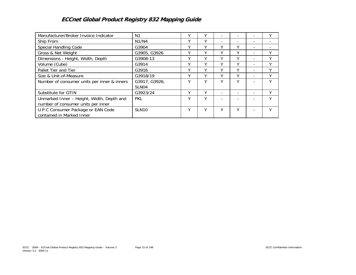| Manufacturer/Broker Invoice Indicator                                           | N <sub>1</sub>                     |   |              |                          |   |                          |   |
|---------------------------------------------------------------------------------|------------------------------------|---|--------------|--------------------------|---|--------------------------|---|
| Ship From                                                                       | N1/N4                              |   |              | $\overline{\phantom{0}}$ |   | $\overline{\phantom{0}}$ |   |
| Special Handling Code                                                           | G3904                              |   |              | v                        | ν |                          |   |
| Gross & Net Weight                                                              | G3905, G3926                       |   |              |                          | Υ |                          |   |
| Dimensions - Height, Width, Depth                                               | G3908-13                           |   |              |                          | v |                          | v |
| Volume (Cube)                                                                   | G3914                              |   |              |                          | γ | -                        | ٧ |
| Pallet Tier and Tier                                                            | G3916                              |   |              |                          | v | -                        | v |
| Size & Unit-of-Measure                                                          | G3918/19                           |   |              |                          | Υ |                          | ٧ |
| Number of consumer units per inner & inners                                     | G3917, G3926,<br>SLN <sub>04</sub> |   |              | v                        | ٧ |                          | v |
| Substitute for GTIN                                                             | G3923/24                           | v | v            |                          |   |                          | v |
| Unmarked Inner - Height, Width, Depth and<br>number of consumer units per inner | <b>PKL</b>                         |   | $\checkmark$ |                          |   |                          |   |
| U.P.C Consumer Package or EAN Code<br>contained in Marked Inner                 | SLN <sub>10</sub>                  |   |              | v                        | ν |                          |   |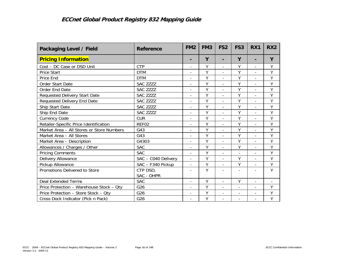| Packaging Level / Field                   | Reference              | FM <sub>2</sub>          | FM <sub>3</sub> | FS <sub>2</sub>          | FS <sub>3</sub>          | RX1                      | RX <sub>2</sub> |
|-------------------------------------------|------------------------|--------------------------|-----------------|--------------------------|--------------------------|--------------------------|-----------------|
| <b>Pricing Information</b>                |                        | ٠                        | Y               |                          | Y                        |                          | Y               |
| Cost - DC Case or DSD Unit                | <b>CTP</b>             | $\overline{a}$           | Y               |                          | Y                        |                          | Y               |
| Price Start                               | <b>DTM</b>             | $\overline{a}$           | Y               | $\overline{a}$           | Y                        | $\overline{a}$           | Y               |
| Price End                                 | <b>DTM</b>             | $\overline{a}$           | Y               | $\overline{\phantom{a}}$ | Y                        | $\overline{a}$           | Y               |
| Order Start Date                          | SAC ZZZZ               | $\overline{a}$           | Y               | $\overline{\phantom{a}}$ | Y                        | $\overline{a}$           | Υ               |
| Order End Date                            | SAC ZZZZ               |                          | Y               | $\overline{a}$           | Y                        |                          | Υ               |
| Requested Delivery Start Date             | SAC ZZZZ               | $\overline{a}$           | Y               | $\overline{a}$           | Y                        | $\overline{a}$           | Y               |
| Requested Delivery End Date               | SAC ZZZZ               | $\overline{a}$           | Y               | $\overline{\phantom{a}}$ | Y                        | $\overline{a}$           | Υ               |
| Ship Start Date                           | SAC ZZZZ               | $\overline{a}$           | Y               | $\blacksquare$           | Y                        | $\overline{a}$           | Υ               |
| Ship End Date                             | SAC ZZZZ               | $\overline{a}$           | Y               |                          | Y                        |                          | Y               |
| <b>Currency Code</b>                      | <b>CUR</b>             | $\overline{a}$           | Y               | $\frac{1}{2}$            | Y                        | $\overline{a}$           | Y               |
| Retailer-Specific Price Identification    | REF02                  | $\overline{\phantom{a}}$ | Υ               | $\overline{\phantom{a}}$ | Υ                        | $\overline{a}$           | Υ               |
| Market Area - All Stores or Store Numbers | G43                    |                          | Υ               |                          | Y                        |                          | Y               |
| Market Area - All Stores                  | G43                    | $\overline{\phantom{a}}$ | Y               | $\bar{a}$                | Y                        | $\overline{a}$           | Y               |
| Market Area - Description                 | G4303                  | $\overline{a}$           | Υ               | $\blacksquare$           | Υ                        | $\overline{a}$           | Υ               |
| Allowances / Charges / Other              | <b>SAC</b>             | $\overline{a}$           | Y               | $\blacksquare$           | Y                        | $\overline{a}$           | Υ               |
| <b>Pricing Comments</b>                   | <b>SAC</b>             |                          | Y               |                          | $\blacksquare$           |                          | Y               |
| Delivery Allowance                        | SAC - C040 Delivery    | $\overline{\phantom{a}}$ | Y               | $\overline{a}$           | Y                        | $\overline{a}$           | Y               |
| Pickup Allowance                          | SAC - F340 Pickup      | $\overline{\phantom{a}}$ | Υ               | $\overline{\phantom{a}}$ | Y                        | $\overline{a}$           | Υ               |
| Promotions Delivered to Store             | CTP DSD,<br>SAC - OHPR |                          | Υ               |                          |                          |                          | Y               |
| <b>Deal Extended Terms</b>                | <b>SAC</b>             | $\overline{\phantom{a}}$ | Y               | $\blacksquare$           | Y                        | $\overline{a}$           | $\blacksquare$  |
| Price Protection - Warehouse Stock - Qty  | G <sub>26</sub>        | $\overline{\phantom{a}}$ | Υ               |                          | $\overline{\phantom{a}}$ |                          | Υ               |
| Price Protection - Store Stock - Qty      | G26                    | $\overline{\phantom{a}}$ | Y               | $\overline{\phantom{a}}$ | $\overline{\phantom{a}}$ | $\overline{\phantom{a}}$ | Υ               |
| Cross Dock Indicator (Pick n Pack)        | G26                    | ÷,                       | Υ               | $\overline{a}$           |                          |                          | Y               |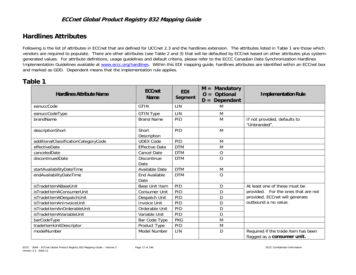# **Hardlines Attributes**

Following is the list of attributes in ECCnet that are defined for UCCnet 2.3 and the hardlines extension. The attributes listed in Table 1 are those which vendors are required to populate. There are other attributes (see Table 2 and 3) that will be defaulted by ECCnet based on other attributes plus systemgenerated values. For attribute definitions, usage guidelines and default criteria, please refer to the ECCC Canadian Data Synchronization Hardlines Implementation Guidelines available at www.eccc.org/hardlines. Within this EDI mapping guide, hardlines attributes are identified within an ECCnet box and marked as GDD. Dependent means that the implementation rule applies.

# **Table 1**

| <b>Hardlines Attribute Name</b>      | <b>ECCnet</b><br><b>Name</b> | <b>EDI</b><br>Segment | Mandatory<br>$M =$<br>Optional<br>$O =$<br>Dependant<br>$D =$ | <b>Implementation Rule</b>                                         |
|--------------------------------------|------------------------------|-----------------------|---------------------------------------------------------------|--------------------------------------------------------------------|
| eanuccCode                           | <b>GTIN</b>                  | LIN                   | M                                                             |                                                                    |
| eanuccCodeType                       | <b>GTIN Type</b>             | LIN                   | M                                                             |                                                                    |
| brandName                            | <b>Brand Name</b>            | PID                   | M                                                             | If not provided, defaults to<br>"Unbranded".                       |
| descriptionShort                     | Short<br>Description         | PID                   | M                                                             |                                                                    |
| additionalClassificationCategoryCode | <b>UDEX Code</b>             | PID                   | M                                                             |                                                                    |
| effectiveDate                        | <b>Effective Date</b>        | <b>DTM</b>            | M                                                             |                                                                    |
| canceledDate                         | <b>Cancel Date</b>           | <b>DTM</b>            | O                                                             |                                                                    |
| discontinuedDate                     | <b>Discontinue</b><br>Date   | <b>DTM</b>            | $\overline{O}$                                                |                                                                    |
| startAvailabilityDateTime            | Available Date               | <b>DTM</b>            | M                                                             |                                                                    |
| endAvailabilityDateTime              | End Available<br>Date        | <b>DTM</b>            | $\circ$                                                       |                                                                    |
| isTradeItemABaseUnit                 | <b>Base Unit Item</b>        | PID                   | D                                                             | At least one of these must be                                      |
| isTradeItemAConsumerUnit             | Consumer Unit                | PID                   | D                                                             | provided. For the ones that are not                                |
| isTradeItemADespatchUnit             | Despatch Unit                | PID                   | D                                                             | provided, ECCnet will generate                                     |
| isTradeItemAnInvoiceUnit             | <b>Invoice Unit</b>          | PID                   | D                                                             | outbound a no value.                                               |
| isTradeItemAnOrderableUnit           | Orderable Unit               | PID                   | D                                                             |                                                                    |
| isTradeItemAVariableUnit             | Variable Unit                | PID                   | D                                                             |                                                                    |
| barCodeType                          | Bar Code Type                | <b>PKG</b>            | M                                                             |                                                                    |
| tradeItemUnitDescriptor              | Product Type                 | PID                   | M                                                             |                                                                    |
| modelNumber                          | Model Number                 | LIN                   | D                                                             | Required if the trade item has been<br>flagged as a consumer unit. |

ECCC 2004 – ECCnet Global Product Registry 832 Mapping Guide – Volume 2 Page 17 of 148 Page 17 of 148 ECCC Confidential Information Version 3.1– 2004-11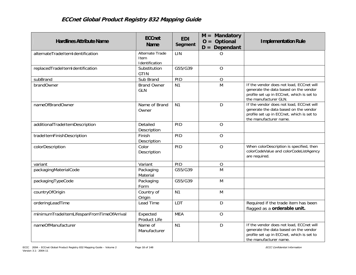| <b>Hardlines Attribute Name</b>           | <b>ECCnet</b><br><b>Name</b>              | <b>EDI</b><br>Segment | $M =$ Mandatory<br>$O =$ Optional<br>$D = Dependant$ | <b>Implementation Rule</b>                                                                                                                               |
|-------------------------------------------|-------------------------------------------|-----------------------|------------------------------------------------------|----------------------------------------------------------------------------------------------------------------------------------------------------------|
| alternateTradeItemIdentification          | Alternate Trade<br>Item<br>Identification | LIN                   | O                                                    |                                                                                                                                                          |
| replacedTradeItemIdentification           | Substitution<br><b>GTIN</b>               | G55/G39               | $\mathcal{O}$                                        |                                                                                                                                                          |
| subBrand                                  | Sub Brand                                 | PID                   | $\overline{O}$                                       |                                                                                                                                                          |
| brandOwner                                | <b>Brand Owner</b><br><b>GLN</b>          | N <sub>1</sub>        | M                                                    | If the vendor does not load, ECCnet will<br>generate the data based on the vendor<br>profile set up in ECCnet, which is set to<br>the manufacturer GLN.  |
| nameOfBrandOwner                          | Name of Brand<br>Owner                    | N <sub>1</sub>        | D                                                    | If the vendor does not load, ECCnet will<br>generate the data based on the vendor<br>profile set up in ECCnet, which is set to<br>the manufacturer name. |
| additionalTradeItemDescription            | Detailed<br>Description                   | PID                   | $\overline{O}$                                       |                                                                                                                                                          |
| tradeItemFinishDescription                | Finish<br>Description                     | PID                   | $\mathcal{O}$                                        |                                                                                                                                                          |
| colorDescription                          | Color<br>Description                      | PID                   | $\overline{O}$                                       | When colorDescription is specified, then<br>colorCodeValue and colorCodeListAgency<br>are required.                                                      |
| variant                                   | Variant                                   | PID                   | $\overline{O}$                                       |                                                                                                                                                          |
| packagingMaterialCode                     | Packaging<br>Material                     | G55/G39               | M                                                    |                                                                                                                                                          |
| packagingTypeCode                         | Packaging<br>Form                         | G55/G39               | M                                                    |                                                                                                                                                          |
| countryOfOrigin                           | Country of<br>Origin                      | N <sub>1</sub>        | M                                                    |                                                                                                                                                          |
| orderingLeadTime                          | Lead Time                                 | LDT                   | D                                                    | Required if the trade item has been<br>flagged as a orderable unit.                                                                                      |
| minimumTradeItemLifespanFromTimeOfArrival | Expected<br>Product Life                  | <b>MEA</b>            | $\overline{O}$                                       |                                                                                                                                                          |
| nameOfManufacturer                        | Name of<br>Manufacturer                   | N <sub>1</sub>        | D                                                    | If the vendor does not load, ECCnet will<br>generate the data based on the vendor<br>profile set up in ECCnet, which is set to<br>the manufacturer name. |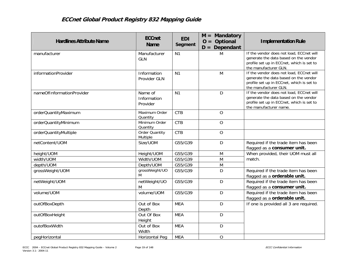| <b>Hardlines Attribute Name</b> | <b>ECCnet</b><br>Name              | <b>EDI</b><br>Segment | $M =$ Mandatory<br>$O =$ Optional<br>$D = Dependant$ | <b>Implementation Rule</b>                                                                                                                               |
|---------------------------------|------------------------------------|-----------------------|------------------------------------------------------|----------------------------------------------------------------------------------------------------------------------------------------------------------|
| manufacturer                    | Manufacturer<br><b>GLN</b>         | N <sub>1</sub>        | M                                                    | If the vendor does not load, ECCnet will<br>generate the data based on the vendor<br>profile set up in ECCnet, which is set to<br>the manufacturer GLN.  |
| informationProvider             | Information<br>Provider GLN        | N <sub>1</sub>        | M                                                    | If the vendor does not load, ECCnet will<br>generate the data based on the vendor<br>profile set up in ECCnet, which is set to<br>the manufacturer GLN.  |
| nameOfInformationProvider       | Name of<br>Information<br>Provider | N <sub>1</sub>        | D                                                    | If the vendor does not load, ECCnet will<br>generate the data based on the vendor<br>profile set up in ECCnet, which is set to<br>the manufacturer name. |
| orderQuantityMaximum            | Maximum Order<br>Quantity          | <b>CTB</b>            | $\overline{O}$                                       |                                                                                                                                                          |
| orderQuantityMinimum            | Minimum Order<br>Quantity          | <b>CTB</b>            | $\mathcal{O}$                                        |                                                                                                                                                          |
| orderQuantityMultiple           | Order Quantity<br>Multiple         | <b>CTB</b>            | $\mathcal{O}$                                        |                                                                                                                                                          |
| netContent/UOM                  | Size/UOM                           | G55/G39               | D                                                    | Required if the trade item has been<br>flagged as a consumer unit.                                                                                       |
| height/UOM                      | Height/UOM                         | G55/G39               | M                                                    | When provided, their UOM must all                                                                                                                        |
| width/UOM                       | Width/UOM                          | G55/G39               | M                                                    | match.                                                                                                                                                   |
| depth/UOM                       | Depth/UOM                          | G55/G39               | M                                                    |                                                                                                                                                          |
| grossWeight/UOM                 | grossWeight/UO<br>M                | G55/G39               | D                                                    | Required if the trade item has been<br>flagged as a orderable unit.                                                                                      |
| netWeight/UOM                   | netWeight/UO<br>M                  | G55/G39               | D                                                    | Required if the trade item has been<br>flagged as a consumer unit.                                                                                       |
| volume/UOM                      | volume/UOM                         | G55/G39               | D                                                    | Required if the trade item has been<br>flagged as a orderable unit.                                                                                      |
| outOfBoxDepth                   | Out of Box<br>Depth                | <b>MEA</b>            | D                                                    | If one is provided all 3 are required.                                                                                                                   |
| outOfBoxHeight                  | Out Of Box<br>Height               | <b>MEA</b>            | D                                                    |                                                                                                                                                          |
| outofBoxWidth                   | Out of Box<br>Width                | <b>MEA</b>            | D                                                    |                                                                                                                                                          |
| peqHorizontal                   | Horizontal Peq                     | <b>MEA</b>            | $\overline{O}$                                       |                                                                                                                                                          |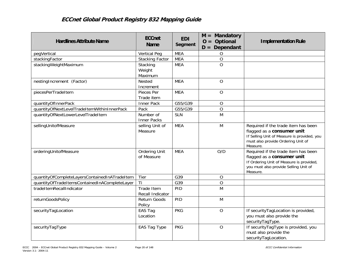| <b>Hardlines Attribute Name</b>               | <b>ECCnet</b><br><b>Name</b>    | <b>EDI</b><br>Segment | $M =$ Mandatory<br>$O = Optional$<br>$D = Dependant$ | <b>Implementation Rule</b>                                                                                                                                         |
|-----------------------------------------------|---------------------------------|-----------------------|------------------------------------------------------|--------------------------------------------------------------------------------------------------------------------------------------------------------------------|
| pegVertical                                   | <b>Vertical Peg</b>             | <b>MEA</b>            | O                                                    |                                                                                                                                                                    |
| stackingFactor                                | <b>Stacking Factor</b>          | <b>MEA</b>            | $\mathcal{O}$                                        |                                                                                                                                                                    |
| stackingWeightMaximum                         | Stacking                        | <b>MEA</b>            | $\overline{O}$                                       |                                                                                                                                                                    |
|                                               | Weight<br>Maximum               |                       |                                                      |                                                                                                                                                                    |
| nestingIncrement (Factor)                     | Nested                          | <b>MEA</b>            | O                                                    |                                                                                                                                                                    |
|                                               | Increment                       |                       |                                                      |                                                                                                                                                                    |
| piecesPerTradeItem                            | Pieces Per<br>Trade item        | <b>MEA</b>            | $\circ$                                              |                                                                                                                                                                    |
| quantityOfInnerPack                           | Inner Pack                      | G55/G39               | O                                                    |                                                                                                                                                                    |
| quantityOfNextLevelTradeItemWithinInnerPack   | Pack                            | G55/G39               | $\overline{O}$                                       |                                                                                                                                                                    |
| quantityOfNextLowerLevelTradeItem             | Number of<br><b>Inner Packs</b> | <b>SLN</b>            | M                                                    |                                                                                                                                                                    |
| sellingUnitofMeasure                          | selling Unit of<br>Measure      | <b>MEA</b>            | M                                                    | Required if the trade item has been<br>flagged as a consumer unit<br>If Selling Unit of Measure is provided, you<br>must also provide Ordering Unit of<br>Measure. |
| orderingUnitofMeasure                         | Ordering Unit<br>of Measure     | <b>MEA</b>            | O/D                                                  | Required if the trade item has been<br>flagged as a consumer unit<br>If Ordering Unit of Measure is provided,<br>you must also provide Selling Unit of<br>Measure. |
| quantityOfCompleteLayersContainedInATradeItem | Tier                            | G39                   | $\mathcal{O}$                                        |                                                                                                                                                                    |
| quantityOfTradeItemsContainedInACompleteLayer | Ti                              | G39                   | $\mathcal{O}$                                        |                                                                                                                                                                    |
| tradeItemRecallIndicator                      | Trade Item<br>Recall Indicator  | PID                   | M                                                    |                                                                                                                                                                    |
| returnGoodsPolicy                             | Return Goods<br>Policy          | PID                   | M                                                    |                                                                                                                                                                    |
| securityTagLocation                           | EAS Tag<br>Location             | <b>PKG</b>            | $\overline{O}$                                       | If securityTagLocation is provided,<br>you must also provide the<br>securityTagType.                                                                               |
| securityTagType                               | EAS Tag Type                    | <b>PKG</b>            | $\overline{O}$                                       | If securityTagType is provided, you<br>must also provide the<br>securityTagLocation.                                                                               |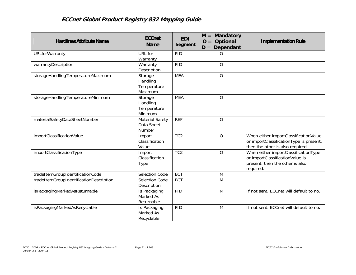| <b>Hardlines Attribute Name</b>         | <b>ECCnet</b><br><b>Name</b>                  | <b>EDI</b><br>Segment | Mandatory<br>$M =$<br>$O = Optional$<br>$D = Dependant$ | <b>Implementation Rule</b>                                                                                              |
|-----------------------------------------|-----------------------------------------------|-----------------------|---------------------------------------------------------|-------------------------------------------------------------------------------------------------------------------------|
| <b>URLforWarranty</b>                   | URL for<br>Warranty                           | PID                   | O                                                       |                                                                                                                         |
| warrantyDescription                     | Warranty<br>Description                       | PID                   | $\overline{O}$                                          |                                                                                                                         |
| storageHandlingTemperatureMaximum       | Storage<br>Handling<br>Temperature<br>Maximum | <b>MEA</b>            | $\overline{O}$                                          |                                                                                                                         |
| storageHandlingTemperatureMinimum       | Storage<br>Handling<br>Temperature<br>Minimum | <b>MEA</b>            | $\overline{O}$                                          |                                                                                                                         |
| materialSafetyDataSheetNumber           | Material Safety<br>Data Sheet<br>Number       | <b>REF</b>            | $\overline{O}$                                          |                                                                                                                         |
| importClassificationValue               | Import<br>Classification<br>Value             | T <sub>C</sub> 2      | $\overline{O}$                                          | When either importClassificationValue<br>or importClassificationType is present,<br>then the other is also required.    |
| importClassificationType                | Import<br>Classification<br><b>Type</b>       | TC <sub>2</sub>       | $\circ$                                                 | When either importClassificationType<br>or importClassificationValue is<br>present, then the other is also<br>required. |
| tradeItemGroupIdentificationCode        | Selection Code                                | <b>BCT</b>            | M                                                       |                                                                                                                         |
| tradeItemGroupIdentificationDescription | Selection Code<br>Description                 | <b>BCT</b>            | M                                                       |                                                                                                                         |
| isPackagingMarkedAsReturnable           | Is Packaging<br>Marked As<br>Returnable       | PID                   | M                                                       | If not sent, ECCnet will default to no.                                                                                 |
| isPackagingMarkedAsRecyclable           | Is Packaging<br>Marked As<br>Recyclable       | PID                   | M                                                       | If not sent, ECCnet will default to no.                                                                                 |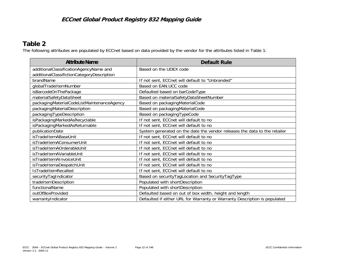# **Table 2**

The following attributes are populated by ECCnet based on data provided by the vendor for the attributes listed in Table 1:

| <b>Attribute Name</b>                      | <b>Default Rule</b>                                                       |
|--------------------------------------------|---------------------------------------------------------------------------|
| additionalClassificationAgencyName and     | Based on the UDEX code                                                    |
| additionalClassifictionCategoryDescription |                                                                           |
| brandName                                  | If not sent, ECCnet will default to "Unbranded"                           |
| globalTradeItemNumber                      | Based on EAN.UCC code                                                     |
| isBarcodeOnThePackage                      | Defaulted based on barCodeType                                            |
| materialSafetyDataSheet                    | Based on materialSafetyDataSheetNumber                                    |
| packagingMaterialCodeListMaintenanceAgency | Based on packagingMaterialCode                                            |
| packagingMaterialDescription               | Based on packagingMaterialCode                                            |
| packagingTypeDescription                   | Based on packaging TypeCode                                               |
| isPackagingMarkedAsRecyclable              | If not sent, ECCnet will default to no                                    |
| isPackagingMarkedAsReturnable              | If not sent, ECCnet will default to no                                    |
| publicationDate                            | System generated on the date the vendor releases the data to the retailer |
| isTradeItemABaseUnit                       | If not sent, ECCnet will default to no                                    |
| isTradeItemAConsumerUnit                   | If not sent, ECCnet will default to no                                    |
| isTradeItemAOrderableUnit                  | If not sent, ECCnet will default to no                                    |
| isTradeItemAVariableUnit                   | If not sent, ECCnet will default to no                                    |
| isTradeItemAInvoiceUnit                    | If not sent, ECCnet will default to no                                    |
| isTradeItemaDespatchUnit                   | If not sent, ECCnet will default to no                                    |
| IsTradeItemRecalled                        | If not sent, ECCnet will default to no                                    |
| securityTagIndicator                       | Based on securityTagLocation and SecurityTagType                          |
| tradeItemDescription                       | Populated with shortDescription                                           |
| functionalName                             | Populated with shortDescription                                           |
| outOfBoxProvided                           | Defaulted based on out of box width, height and length                    |
| warrantyIndicator                          | Defaulted if either URL for Warranty or Warranty Description is populated |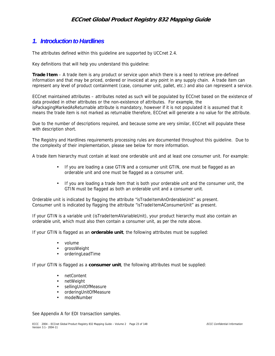# *1. Introduction to Hardlines*

The attributes defined within this guideline are supported by UCCnet 2.4.

Key definitions that will help you understand this guideline:

**Trade Item** – A trade item is any product or service upon which there is a need to retrieve pre-defined information and that may be priced, ordered or invoiced at any point in any supply chain. A trade item can represent any level of product containment (case, consumer unit, pallet, etc.) and also can represent a service.

ECCnet maintained attributes – attributes noted as such will be populated by ECCnet based on the existence of data provided in other attributes or the non-existence of attributes. For example, the isPackagingMarkedAsReturnable attribute is mandatory, however if it is not populated it is assumed that it means the trade item is not marked as returnable therefore, ECCnet will generate a no value for the attribute.

Due to the number of descriptions required, and because some are very similar, ECCnet will populate these with description short.

The Registry and Hardlines requirements processing rules are documented throughout this guideline. Due to the complexity of their implementation, please see below for more information.

A trade item hierarchy must contain at least one orderable unit and at least one consumer unit. For example:

- If you are loading a case GTIN and a consumer unit GTIN, one must be flagged as an orderable unit and one must be flagged as a consumer unit.
- If you are loading a trade item that is both your orderable unit and the consumer unit, the GTIN must be flagged as both an orderable unit and a consumer unit.

Orderable unit is indicated by flagging the attribute "isTradeItemAnOrderableUnit" as present. Consumer unit is indicated by flagging the attribute "isTradeItemAConsumerUnit" as present.

If your GTIN is a variable unit (isTradeItemAVariableUnit), your product hierarchy must also contain an orderable unit, which must also then contain a consumer unit, as per the note above.

If your GTIN is flagged as an **orderable unit**, the following attributes must be supplied:

- volume
- grossWeight
- orderingLeadTime

If your GTIN is flagged as a **consumer unit**, the following attributes must be supplied:

- netContent
- netWeight
- sellingUnitOfMeasure
- orderingUnitOfMeasure
- modelNumber

See Appendix A for EDI transaction samples.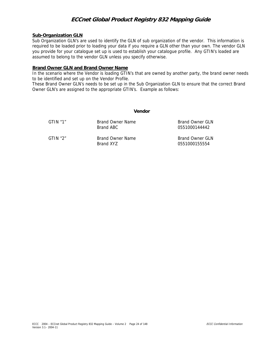#### **Sub-Organization GLN**

Sub Organization GLN's are used to identify the GLN of sub organization of the vendor. This information is required to be loaded prior to loading your data if you require a GLN other than your own. The vendor GLN you provide for your catalogue set up is used to establish your catalogue profile. Any GTIN's loaded are assumed to belong to the vendor GLN unless you specify otherwise.

#### **Brand Owner GLN and Brand Owner Name**

In the scenario where the Vendor is loading GTIN's that are owned by another party, the brand owner needs to be identified and set up on the Vendor Profile.

These Brand Owner GLN's needs to be set up in the Sub Organization GLN to ensure that the correct Brand Owner GLN's are assigned to the appropriate GTIN's. Example as follows:

|            | Vendor                        |                                  |
|------------|-------------------------------|----------------------------------|
| G T IN "1" | Brand Owner Name<br>Brand ABC | Brand Owner GLN<br>0551000144442 |
| G TIN "2"  | Brand Owner Name<br>Brand XY7 | Brand Owner GLN<br>0551000155554 |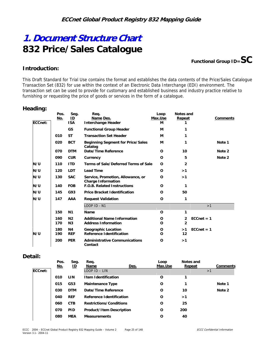# **1. Document Structure Chart 832 Price/Sales Catalogue**

**Functional Group ID=SC** 

#### **Introduction:**

This Draft Standard for Trial Use contains the format and establishes the data contents of the Price/Sales Catalogue Transaction Set (832) for use within the context of an Electronic Data Interchange (EDI) environment. The transaction set can be used to provide for customary and established business and industry practice relative to furnishing or requesting the price of goods or services in the form of a catalogue.

#### **Heading:**

| ECCnet: | Pos.<br>No. | Seg.<br>ID<br><b>ISA</b>         | Req.<br>Name Des.<br>Interchange Header                          | Loop<br>Max.Use<br>м | Notes and<br>Repeat |              | Comments |
|---------|-------------|----------------------------------|------------------------------------------------------------------|----------------------|---------------------|--------------|----------|
|         |             | <b>GS</b>                        | <b>Functional Group Header</b>                                   | M                    |                     |              |          |
|         | 010         | <b>ST</b>                        | <b>Transaction Set Header</b>                                    | м                    | 1                   |              |          |
|         | 020         | <b>BCT</b>                       | <b>Beginning Segment for Price/Sales</b><br>Catalog              | м                    | 1                   |              | Note 1   |
|         | 070         | <b>DTM</b>                       | Date/Time Reference                                              | 0                    | 10                  |              | Note 2   |
|         | 090         | <b>CUR</b>                       | Currency                                                         | 0                    | 5                   |              | Note 2   |
| N/U     | 110         | <b>ITD</b>                       | Terms of Sale/Deferred Terms of Sale                             | O                    | $\overline{2}$      |              |          |
| N/U     | 120         | <b>LDT</b>                       | <b>Lead Time</b>                                                 | 0                    | >1                  |              |          |
| N/U     | 130         | <b>SAC</b>                       | Service, Promotion, Allowance, or<br><b>Charge Information</b>   | $\Omega$             | >1                  |              |          |
| N/U     | 140         | <b>FOB</b>                       | <b>F.O.B. Related Instructions</b>                               | O                    | 1                   |              |          |
| N/U     | 145         | G93                              | <b>Price Bracket Identification</b>                              | O                    | 50                  |              |          |
| N/U     | 147         | AAA                              | <b>Request Validation</b>                                        | O                    | 1                   |              |          |
|         |             |                                  | LOOP ID - N1                                                     |                      |                     | >1           |          |
|         | 150         | N <sub>1</sub>                   | Name                                                             | O                    | 1                   |              |          |
|         | 160<br>170  | N <sub>2</sub><br>N <sub>3</sub> | <b>Additional Name Information</b><br><b>Address Information</b> | O<br>O               | 2<br>$\overline{a}$ | $ECCnet = 1$ |          |
| N/U     | 180<br>190  | <b>N4</b><br><b>REF</b>          | Geographic Location<br><b>Reference Identification</b>           | O<br>O               | >1<br>12            | $ECCnet = 1$ |          |
|         | 200         | <b>PER</b>                       | <b>Administrative Communications</b><br>Contact                  | O                    | >1                  |              |          |

#### **Detail:**

|         | Pos.<br><u>No.</u> | Seg.<br>⅏  | Req.<br>Name              | Des. | Loop<br>Max.Use | Notes and<br>Repeat | Comments |
|---------|--------------------|------------|---------------------------|------|-----------------|---------------------|----------|
| ECCnet: |                    |            | $LOOP$ $ID$ $ LIN$        |      |                 |                     | >1       |
|         | 010                | LIN        | I tem I dentification     |      | O               |                     |          |
|         | 015                | G53        | Maintenance Type          |      | O               |                     | Note 1   |
|         | 030                | <b>DTM</b> | Date/Time Reference       |      | O               | 10                  | Note 2   |
|         | 040                | <b>REF</b> | Reference Identification  |      | O               | >1                  |          |
|         | 060                | <b>CTB</b> | Restrictions/Conditions   |      | O               | 25                  |          |
|         | 070                | <b>PID</b> | Product/I tem Description |      | O               | 200                 |          |
|         | 080                | <b>MEA</b> | <b>Measurements</b>       |      | O               | 40                  |          |
|         |                    |            |                           |      |                 |                     |          |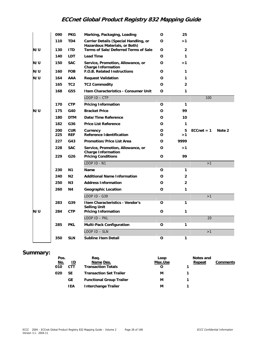|     | 090        | <b>PKG</b>               | Marking, Packaging, Loading                                            | 0      | 25             |               |        |
|-----|------------|--------------------------|------------------------------------------------------------------------|--------|----------------|---------------|--------|
|     | 110        | TD <sub>4</sub>          | Carrier Details (Special Handling, or<br>Hazardous Materials, or Both) | O      | >1             |               |        |
| N/U | 130        | <b>ITD</b>               | Terms of Sale/Deferred Terms of Sale                                   | O      | $\overline{2}$ |               |        |
|     | 140        | LDT.                     | <b>Lead Time</b>                                                       | 0      | 1              |               |        |
| N/U | 150        | <b>SAC</b>               | Service, Promotion, Allowance, or<br><b>Charge Information</b>         | O      | >1             |               |        |
| N/U | 160        | <b>FOB</b>               | F.O.B. Related Instructions                                            | O      | 1              |               |        |
| N/U | 164        | AAA                      | <b>Request Validation</b>                                              | 0      | 1              |               |        |
|     | 165        | TC <sub>2</sub>          | <b>TC2 Commodity</b>                                                   | 0      | $\overline{2}$ |               |        |
|     | 168        | G55                      | I tem Characteristics - Consumer Unit                                  | O      | $\mathbf{1}$   |               |        |
|     |            |                          | $LOOP$ ID $-$ CTP                                                      |        |                | 100           |        |
|     | 170        | <b>CTP</b>               | <b>Pricing Information</b>                                             | O      | 1              |               |        |
| N/U | 175        | G40                      | <b>Bracket Price</b>                                                   | O      | 99             |               |        |
|     | 180        | <b>DTM</b>               | Date/Time Reference                                                    | 0      | 10             |               |        |
|     | 182        | G36                      | <b>Price List Reference</b>                                            | O      | 1              |               |        |
|     | 200<br>225 | <b>CUR</b><br><b>REF</b> | Currency<br>Reference Identification                                   | 0<br>0 | 5<br>>1        | $ECCheck = 1$ | Note 2 |
|     | 227        | G43                      | <b>Promotion/Price List Area</b>                                       | O      | 9999           |               |        |
|     | 228        | <b>SAC</b>               | Service, Promotion, Allowance, or<br><b>Charge Information</b>         | 0      | >1             |               |        |
|     | 229        | G26                      | <b>Pricing Conditions</b>                                              | O      | 99             |               |        |
|     |            |                          | LOOP ID - N1                                                           |        |                | >1            |        |
|     | 230        | N <sub>1</sub>           | Name                                                                   | O      | 1              |               |        |
|     | 240        | N <sub>2</sub>           | <b>Additional Name Information</b>                                     | 0      | 2              |               |        |
|     | 250        | N <sub>3</sub>           | <b>Address Information</b>                                             | O      | $\overline{2}$ |               |        |
|     | 260        | N <sub>4</sub>           | Geographic Location                                                    | 0      | 1              |               |        |
|     |            |                          | LOOP ID - G39                                                          |        |                | >1            |        |
|     | 283        | G39                      | I tem Characteristics - Vendor's<br><b>Selling Unit</b>                | 0      | 1              |               |        |
| N/U | 284        | <b>CTP</b>               | <b>Pricing Information</b>                                             | O      | $\mathbf{1}$   |               |        |
|     |            |                          | $LOOP$ ID $-$ PKL                                                      |        |                | 20            |        |
|     | 285        | <b>PKL</b>               | Multi-Pack Configuration                                               | o      | 1              |               |        |
|     |            |                          | LOOP ID - SLN                                                          |        |                | >1            |        |
|     | 350        | <b>SLN</b>               | Subline I tem Detail                                                   | o      | 1              |               |        |

## **Summary:**

| ., | Pos.<br><u>No.</u><br>010<br>020 | <u>ID</u><br><b>CTT</b><br><b>SE</b><br><b>GE</b> | Reg.<br>Name Des.<br><b>Transaction Totals</b><br><b>Transaction Set Trailer</b><br><b>Functional Group Trailer</b> | Loop<br>Max.Use<br>м<br>M | Notes and<br>Repeat | Comments |
|----|----------------------------------|---------------------------------------------------|---------------------------------------------------------------------------------------------------------------------|---------------------------|---------------------|----------|
|    |                                  | <b>IEA</b>                                        | Interchange Trailer                                                                                                 | M                         |                     |          |
|    |                                  |                                                   |                                                                                                                     |                           |                     |          |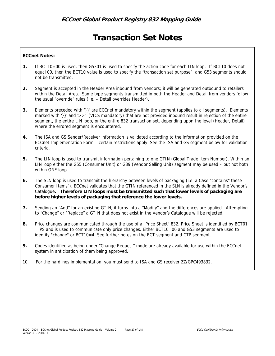# **Transaction Set Notes**

#### **ECCnet Notes:**

- **1.** If BCT10=00 is used, then G5301 is used to specify the action code for each LIN loop. If BCT10 does not equal 00, then the BCT10 value is used to specify the "transaction set purpose", and G53 segments should not be transmitted.
- **2.** Segment is accepted in the Header Area inbound from vendors; it will be generated outbound to retailers within the Detail Area. Same type segments transmitted in both the Header and Detail from vendors follow the usual "override" rules (i.e. – Detail overrides Header).
- **3.** Elements preceded with '}}' are ECCnet mandatory within the segment (applies to all segments). Elements marked with '}}' and '>>' (VICS mandatory) that are not provided inbound result in rejection of the entire segment, the entire LIN loop, or the entire 832 transaction set, depending upon the level (Header, Detail) where the errored segment is encountered.
- **4.** The ISA and GS Sender/Receiver information is validated according to the information provided on the ECCnet Implementation Form – certain restrictions apply. See the ISA and GS segment below for validation criteria.
- **5.** The LIN loop is used to transmit information pertaining to one GTIN (Global Trade Item Number). Within an LIN loop either the G55 (Consumer Unit) or G39 (Vendor Selling Unit) segment may be used – but not both within ONE loop.
- **6.** The SLN loop is used to transmit the hierarchy between levels of packaging (i.e. a Case "contains" these Consumer Items"). ECCnet validates that the GTIN referenced in the SLN is already defined in the Vendor's Catalogue**. Therefore LIN loops must be transmitted such that lower levels of packaging are before higher levels of packaging that reference the lower levels.**
- **7.** Sending an "Add" for an existing GTIN, it turns into a "Modify" and the differences are applied. Attempting to "Change" or "Replace" a GTIN that does not exist in the Vendor's Catalogue will be rejected.
- **8.** Price changes are communicated through the use of a "Price Sheet" 832. Price Sheet is identified by BCT01 = PS and is used to communicate only price changes. Either BCT10=00 and G53 segments are used to identify "change" or BCT10=4. See further notes on the BCT segment and CTP segment.
- **9.** Codes identified as being under "Change Request" mode are already available for use within the ECCnet system in anticipation of them being approved.
- 10. For the hardlines implementation, you must send to ISA and GS receiver ZZ/GPC493832.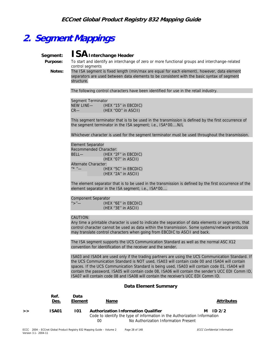# **2. Segment Mappings**

# Segment: **ISA** Interchange Header

 **Purpose:** To start and identify an interchange of zero or more functional groups and interchange-related control segments

**2549 Notes:** The ISA segment is fixed length (min/max are equal for each element), however, data element separators are used between data elements to be consistent with the basic syntax of segment structure.

The following control characters have been identified for use in the retail industry.

| Segment Terminator |                      |  |  |  |  |  |
|--------------------|----------------------|--|--|--|--|--|
| NEW LINE-          | (HEX "15" in EBCDIC) |  |  |  |  |  |
| $CR-$              | (HEX "OD" in ASCII)  |  |  |  |  |  |

This segment terminator that is to be used in the transmission is defined by the first occurrence of the segment terminator in the ISA segment; i.e., ISA\*00....N/L

Whichever character is used for the segment terminator must be used throughout the transmission.

```
Element Separator 
Recommended Character: 
BELL— (HEX "2F" in EBCDIC)
                (HEX ''07'' in ASCII) 
Alternate Character: 
''^* "— (HEX "5C" in EBCDIC) (HEX ''2A'' in ASCII)
```
The element separator that is to be used in the transmission is defined by the first occurrence of the element separator in the ISA segment; i.e., ISA\*00....

```
Component Separator 
">' — (HEX "6E" in EBCDIC)
                (HEX ''3E'' in ASCII)
```
#### CAUTION:

Any time a printable character is used to indicate the separation of data elements or segments, that control character cannot be used as data within the transmission. Some systems/network protocols may translate control characters when going from EBCDIC to ASCII and back.

The ISA segment supports the UCS Communication Standard as well as the normal ASC X12 convention for identification of the receiver and the sender.

ISA03 and ISA04 are used only if the trading partners are using the UCS Communication Standard. If the UCS Communication Standard is NOT used, ISA03 will contain code 00 and ISA04 will contain spaces. If the UCS Communication Standard is being used, ISA03 will contain code 01, ISA04 will contain the password, ISA05 will contain code 08, ISA06 will contain the sender's UCC EDI Comm ID, ISA07 will contain code 08 and ISA08 will contain the receiver's UCC EDI Comm ID.

#### **Data Element Summary**

|   | Ref.<br><u>Des.</u> | Data<br>Element | Name                                                                      | <b>Attributes</b> |
|---|---------------------|-----------------|---------------------------------------------------------------------------|-------------------|
| > | ISA01               | 101             | Authorization Information Qualifier                                       | M ID $2/2$        |
|   |                     |                 | Code to identify the type of information in the Authorization Information |                   |
|   |                     |                 | No Authorization Information Present<br>00                                |                   |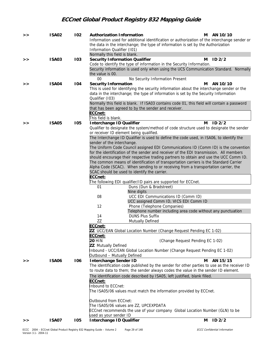| > | <b>ISA02</b> | 102 | <b>Authorization Information</b>                                                                                                                                            | м | AN 10/10 |
|---|--------------|-----|-----------------------------------------------------------------------------------------------------------------------------------------------------------------------------|---|----------|
|   |              |     | Information used for additional identification or authorization of the interchange sender or                                                                                |   |          |
|   |              |     | the data in the interchange; the type of information is set by the Authorization                                                                                            |   |          |
|   |              |     | Information Qualifier (101)<br>Normally this field is blank.                                                                                                                |   |          |
| > | <b>ISA03</b> | 103 | <b>Security Information Qualifier</b>                                                                                                                                       | м | ID2/2    |
|   |              |     | Code to identify the type of information in the Security Information.                                                                                                       |   |          |
|   |              |     | Security information is used only when using the UCS Communication Standard. Normally                                                                                       |   |          |
|   |              |     | the value is 00.<br>$00\,$<br>No Security Information Present                                                                                                               |   |          |
| > | <b>ISA04</b> | 104 | <b>Security Information</b>                                                                                                                                                 | м | AN 10/10 |
|   |              |     | This is used for identifying the security information about the interchange sender or the                                                                                   |   |          |
|   |              |     | data in the interchange; the type of information is set by the Security Information                                                                                         |   |          |
|   |              |     | Qualifier (103)                                                                                                                                                             |   |          |
|   |              |     | Normally this field is blank. If ISA03 contains code 01, this field will contain a password<br>that has been agreed to by the sender and receiver.                          |   |          |
|   |              |     | ECCnet:                                                                                                                                                                     |   |          |
|   |              |     | This field is blank.                                                                                                                                                        |   |          |
| > | <b>ISA05</b> | 105 | Interchange ID Qualifier                                                                                                                                                    | м | ID2/2    |
|   |              |     | Qualifier to designate the system/method of code structure used to designate the sender                                                                                     |   |          |
|   |              |     | or receiver ID element being qualified.                                                                                                                                     |   |          |
|   |              |     | The Interchange ID Qualifier is used to define the code used, in ISA06, to identify the<br>sender of the interchange.                                                       |   |          |
|   |              |     | The Uniform Code Council assigned EDI Communications ID (Comm ID) is the convention                                                                                         |   |          |
|   |              |     | for the identification of the sender and receiver of the EDI transmission. All members                                                                                      |   |          |
|   |              |     | should encourage their respective trading partners to obtain and use the UCC Comm ID.                                                                                       |   |          |
|   |              |     | The common means of identification of transportation carriers is the Standard Carrier<br>Alpha Code (SCAC). When sending to or receiving from a transportation carrier, the |   |          |
|   |              |     | SCAC should be used to identify the carrier.                                                                                                                                |   |          |
|   |              |     | ECCnet:                                                                                                                                                                     |   |          |
|   |              |     | The following EDI qualifier/ID pairs are supported for ECCnet.                                                                                                              |   |          |
|   |              |     | Duns (Dun & Bradstreet)<br>01                                                                                                                                               |   |          |
|   |              |     | Nine digits<br>08<br>UCC EDI Communications ID (Comm ID)                                                                                                                    |   |          |
|   |              |     | UCC assigned Comm ID, VICS EDI Comm ID                                                                                                                                      |   |          |
|   |              |     | 12<br>Phone (Telephone Companies)                                                                                                                                           |   |          |
|   |              |     | Telephone number including area code without any punctuation                                                                                                                |   |          |
|   |              |     | <b>DUNS Plus Suffix</b><br>14                                                                                                                                               |   |          |
|   |              |     | ZZ<br>Mutually Defined<br>ECCnet:                                                                                                                                           |   |          |
|   |              |     | ZZ UCC/EAN Global Location Number (Change Request Pending EC 1-02)                                                                                                          |   |          |
|   |              |     | ECCnet:                                                                                                                                                                     |   |          |
|   |              |     | <b>20 HIN</b><br>(Change Request Pending EC 1-02)                                                                                                                           |   |          |
|   |              |     | <b>ZZ</b> Mutually Defined                                                                                                                                                  |   |          |
|   |              |     | Inbound - UCC/EAN Global Location Number (Change Request Pending EC 1-02)<br>Outbound - Mutually Defined                                                                    |   |          |
| > | <b>ISA06</b> | 106 | <b>Interchange Sender ID</b>                                                                                                                                                | м | AN 15/15 |
|   |              |     | The identification code published by the sender for other parties to use as the receiver ID                                                                                 |   |          |
|   |              |     | to route data to them; the sender always codes the value in the sender ID element.                                                                                          |   |          |
|   |              |     | The identification code described by ISA05, left justified, blank filled.                                                                                                   |   |          |
|   |              |     | ECCnet:<br>Inbound to ECCnet:                                                                                                                                               |   |          |
|   |              |     | The ISA05/06 values must match the information provided by ECCnet.                                                                                                          |   |          |
|   |              |     |                                                                                                                                                                             |   |          |
|   |              |     | Outbound from ECCnet:<br>The ISA05/06 values are ZZ, UPCEXPDATA                                                                                                             |   |          |
|   |              |     | ECCnet recommends the use of your company Global Location Number (GLN) to be                                                                                                |   |          |
|   |              |     | used as your sender ID                                                                                                                                                      |   |          |
| > | <b>ISA07</b> | 105 | Interchange ID Qualifier                                                                                                                                                    | м | ID2/2    |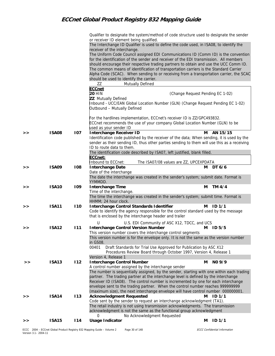|    |              |     | Qualifier to designate the system/method of code structure used to designate the sender<br>or receiver ID element being qualified.                    |   |                   |
|----|--------------|-----|-------------------------------------------------------------------------------------------------------------------------------------------------------|---|-------------------|
|    |              |     | The Interchange ID Qualifier is used to define the code used, in ISA08, to identify the                                                               |   |                   |
|    |              |     | receiver of the interchange.                                                                                                                          |   |                   |
|    |              |     | The Uniform Code Council assigned EDI Communications ID (Comm ID) is the convention                                                                   |   |                   |
|    |              |     | for the identification of the sender and receiver of the EDI transmission. All members                                                                |   |                   |
|    |              |     | should encourage their respective trading partners to obtain and use the UCC Comm ID.                                                                 |   |                   |
|    |              |     | The common means of identification of transportation carriers is the Standard Carrier                                                                 |   |                   |
|    |              |     | Alpha Code (SCAC). When sending to or receiving from a transportation carrier, the SCAC                                                               |   |                   |
|    |              |     | should be used to identify the carrier.                                                                                                               |   |                   |
|    |              |     | ZZ<br>Mutually Defined                                                                                                                                |   |                   |
|    |              |     | <b>ECCnet</b>                                                                                                                                         |   |                   |
|    |              |     | <b>20 HIN</b><br>(Change Request Pending EC 1-02)                                                                                                     |   |                   |
|    |              |     | <b>ZZ</b> Mutually Defined                                                                                                                            |   |                   |
|    |              |     | Inbound - UCC/EAN Global Location Number (GLN) (Change Request Pending EC 1-02)                                                                       |   |                   |
|    |              |     | Outbound - Mutually Defined                                                                                                                           |   |                   |
|    |              |     |                                                                                                                                                       |   |                   |
|    |              |     | For the hardlines implementation, ECCnet's receiver ID is ZZ/GPC493832.                                                                               |   |                   |
|    |              |     | ECCnet recommends the use of your company Global Location Number (GLN) to be                                                                          |   |                   |
| >  | <b>ISA08</b> | 107 | used as your sender ID<br><b>Interchange Receiver ID</b>                                                                                              | м | AN 15/15          |
|    |              |     | Identification code published by the receiver of the data; When sending, it is used by the                                                            |   |                   |
|    |              |     | sender as their sending ID, thus other parties sending to them will use this as a receiving                                                           |   |                   |
|    |              |     | ID to route data to them.                                                                                                                             |   |                   |
|    |              |     | The identification code described by ISA07, left justified, blank filled.                                                                             |   |                   |
|    |              |     | ECCnet:                                                                                                                                               |   |                   |
|    |              |     | Inbound to ECCnet:<br>The ISA07/08 values are ZZ, UPCEXPDATA                                                                                          |   |                   |
| >  | <b>ISA09</b> | 108 | <b>Interchange Date</b>                                                                                                                               | м | DT 6/6            |
|    |              |     | Date of the interchange                                                                                                                               |   |                   |
|    |              |     | The date the interchange was created in the sender's system; submit date. Format is<br>YYMMDD.                                                        |   |                   |
| >  | <b>ISA10</b> | 109 | Interchange Time                                                                                                                                      | м | TM 4/4            |
|    |              |     | Time of the interchange.                                                                                                                              |   |                   |
|    |              |     | The time the interchange was created in the sender's system; submit time. Format is                                                                   |   |                   |
|    |              |     | HHMM; 24 hour clock.                                                                                                                                  |   |                   |
| >  | <b>ISA11</b> | 110 | Interchange Control Standards Identifier<br>Code to identify the agency responsible for the control standard used by the message                      | м | ID <sub>1/1</sub> |
|    |              |     | that is enclosed by the interchange header and trailer                                                                                                |   |                   |
|    |              |     |                                                                                                                                                       |   |                   |
|    |              |     | U<br>U.S. EDI Community of ASC X12, TDCC, and UCS                                                                                                     |   |                   |
| >> | <b>ISA12</b> | 111 | <b>Interchange Control Version Number</b>                                                                                                             | м | ID <sub>5/5</sub> |
|    |              |     | This version number covers the interchange control segments<br>This version number is for the envelope only. It is not the same as the version number |   |                   |
|    |              |     | in GS08.                                                                                                                                              |   |                   |
|    |              |     | 00401<br>Draft Standards for Trial Use Approved for Publication by ASC X12                                                                            |   |                   |
|    |              |     | Procedures Review Board through October 1997, Version 4, Release 1                                                                                    |   |                   |
|    |              |     | Version 4, Release 1                                                                                                                                  |   |                   |
| >> | <b>ISA13</b> | 112 | <b>Interchange Control Number</b>                                                                                                                     | м | NO 9/9            |
|    |              |     | A control number assigned by the interchange sender                                                                                                   |   |                   |
|    |              |     | The number is sequentially assigned, by the sender, starting with one within each trading                                                             |   |                   |
|    |              |     | partner. The trading partner at the interchange level is defined by the interchange                                                                   |   |                   |
|    |              |     | Receiver ID (ISA08). The control number is incremented by one for each interchange                                                                    |   |                   |
|    |              |     | envelope sent to the trading partner. When the control number reaches 999999999                                                                       |   |                   |
|    | <b>ISA14</b> | 113 | (maximum size), the next interchange envelope will have control number 000000001.<br><b>Acknowledgment Requested</b>                                  | м | ID <sub>1/1</sub> |
| >> |              |     | Code sent by the sender to request an interchange acknowledgment (TA1).                                                                               |   |                   |
|    |              |     | The retail industry is not using transmission acknowledgments. The transmission                                                                       |   |                   |
|    |              |     | acknowledgment is not the same as the functional group acknowledgment                                                                                 |   |                   |
|    |              |     | No Acknowledgment Requested<br>0                                                                                                                      |   |                   |
| >  | <b>ISA15</b> | 114 | <b>Usage Indicator</b>                                                                                                                                | м | ID <sub>1/1</sub> |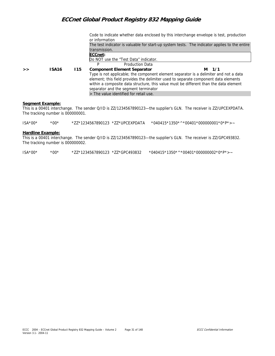Code to indicate whether data enclosed by this interchange envelope is test, production or information The test indicator is valuable for start-up system tests. The indicator applies to the entire transmission. **ECCnet:**  Do NOT use the "Test Data" indicator. P Production Data **>> ISA16 I15 Component Element Separator M 1/1** Type is not applicable; the component element separator is a delimiter and not a data element; this field provides the delimiter used to separate component data elements within a composite data structure, this value must be different than the data element separator and the segment terminator > The value identified for retail use.

#### **Segment Example:**

This is a 00401 interchange. The sender Q/ID is ZZ/1234567890123—the supplier's GLN. The receiver is ZZ/UPCEXPDATA. The tracking number is 000000001.

| $ISA*00*$ | $*00*$ |  | *040415*1350*^*00401*000000001*0*P*>~ |
|-----------|--------|--|---------------------------------------|
|           |        |  |                                       |

#### **Hardline Example:**

This is a 00401 interchange. The sender Q/ID is ZZ/1234567890123—the supplier's GLN. The receiver is ZZ/GPC493832. The tracking number is 000000002.

| $ISA^*00^*$<br>$*00*$ |  |  |  |  | $*$ 040415*1350*^*00401*000000002*0*P*>~ |
|-----------------------|--|--|--|--|------------------------------------------|
|-----------------------|--|--|--|--|------------------------------------------|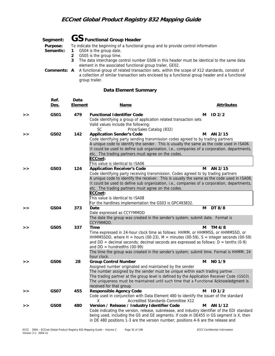|           | Segment: $GS$ Functional Group Header                                                                                                                                                                                |
|-----------|----------------------------------------------------------------------------------------------------------------------------------------------------------------------------------------------------------------------|
| Purpose:  | To indicate the beginning of a functional group and to provide control information                                                                                                                                   |
| Semantic: | GS04 is the group date.<br>$\mathbf{1}$                                                                                                                                                                              |
|           | GS05 is the group time.                                                                                                                                                                                              |
|           | The data interchange control number GS06 in this header must be identical to the same data<br>3<br>element in the associated functional group trailer, GE02.                                                         |
|           | <b>Comments:</b> A A functional group of related transaction sets, within the scope of X12 standards, consists of<br>a collection of similar transaction sets enclosed by a functional group header and a functional |
|           | group trailer.                                                                                                                                                                                                       |

#### **Data Element Summary**

|   | Ref.<br>Des.     | Data<br>Element | Name                                                                                                                                                                                                                                                                                                                                                                                                                                                                                                                       |   | <b>Attributes</b> |
|---|------------------|-----------------|----------------------------------------------------------------------------------------------------------------------------------------------------------------------------------------------------------------------------------------------------------------------------------------------------------------------------------------------------------------------------------------------------------------------------------------------------------------------------------------------------------------------------|---|-------------------|
| > | GS01             | 479             | <b>Functional Identifier Code</b><br>Code identifying a group of application related transaction sets<br>Valid values include the following:<br><b>SC</b>                                                                                                                                                                                                                                                                                                                                                                  | м | ID <sub>2/2</sub> |
| > | GS02             | 142             | Price/Sales Catalog (832)<br><b>Application Sender's Code</b><br>Code identifying party sending transmission codes agreed to by trading partners<br>A unique code to identify the sender. This is usually the same as the code used in ISA06.<br>It could be used to define sub organization, i.e., companies of a corporation, departments,<br>etc. The trading partners must agree on the codes.<br>ECCnet:                                                                                                              | м | AN 2/15           |
| > | GS03             | 124             | This value is identical to ISA06<br><b>Application Receiver's Code</b><br>Code identifying party receiving transmission. Codes agreed to by trading partners<br>A unique code to identify the receiver. This is usually the same as the code used in ISA08.<br>It could be used to define sub organization, i.e., companies of a corporation, departments,<br>etc. The trading partners must agree on the codes.<br>ECCnet:<br>This value is identical to ISA08<br>For the hardlines implementation the GS03 is GPC493832. | м | AN 2/15           |
| > | GS <sub>04</sub> | 373             | Date<br>Date expressed as CCYYMMDD<br>The date the group was created in the sender's system; submit date. Format is<br>CCYYMMDD.                                                                                                                                                                                                                                                                                                                                                                                           | м | DT 8/8            |
| > | <b>GS05</b>      | 337             | Time<br>Time expressed in 24-hour clock time as follows: HHMM, or HHMMSS, or HHMMSSD, or<br>HHMMSSDD, where H = hours (00-23), M = minutes (00-59), S = integer seconds (00-59)<br>and $DD =$ decimal seconds; decimal seconds are expressed as follows: $D =$ tenths (0-9)<br>and $DD =$ hundredths (00-99)<br>The time the group was created in the sender's system; submit time. Format is HHMM; 24<br>hour clock.                                                                                                      | м | TM 4/8            |
| > | GS06             | 28              | <b>Group Control Number</b><br>Assigned number originated and maintained by the sender<br>The number assigned by the sender must be unique within each trading partner.<br>The trading partner at the group level is defined by the Application Receiver Code (GS03).<br>The uniqueness must be maintained until such time that a Functional Acknowledgment is<br>received for that group.                                                                                                                                 | м | NO <sub>1/9</sub> |
| > | GS07             | 455             | <b>Responsible Agency Code</b><br>Code used in conjunction with Data Element 480 to identify the issuer of the standard<br>X<br>Accredited Standards Committee X12                                                                                                                                                                                                                                                                                                                                                         | м | ID <sub>1/2</sub> |
| > | <b>GS08</b>      | 480             | Version / Release / Industry Identifier Code<br>Code indicating the version, release, subrelease, and industry identifier of the EDI standard<br>being used, including the GS and GE segments; if code in DE455 in GS segment is X, then<br>in DE 480 positions 1-3 are the version number; positions 4-6 are the release and                                                                                                                                                                                              | м | AN 1/12           |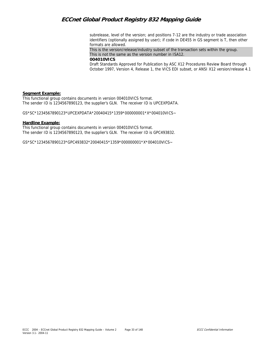subrelease, level of the version; and positions 7-12 are the industry or trade association identifiers (optionally assigned by user); if code in DE455 in GS segment is T, then other formats are allowed.

This is the version/release/industry subset of the transaction sets within the group. This is not the same as the version number in ISA12.

**004010VICS** 

Draft Standards Approved for Publication by ASC X12 Procedures Review Board through October 1997, Version 4, Release 1, the VICS EDI subset, or ANSI X12 version/release 4.1

#### **Segment Example:**

This functional group contains documents in version 004010VICS format. The sender ID is 1234567890123, the supplier's GLN. The receiver ID is UPCEXPDATA.

GS\*SC\*1234567890123\*UPCEXPDATA\*20040415\*1359\*000000001\*X\*004010VICS~

#### **Hardline Example:**

This functional group contains documents in version 004010VICS format. The sender ID is 1234567890123, the supplier's GLN. The receiver ID is GPC493832.

GS\*SC\*1234567890123\*GPC493832\*20040415\*1359\*000000001\*X\*004010VICS~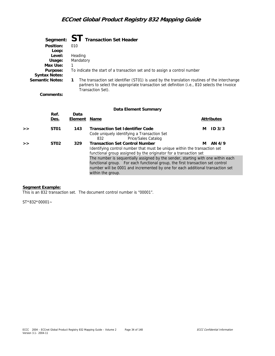|                        | Segment: ST Transaction Set Header                                                                                                                                                                                |
|------------------------|-------------------------------------------------------------------------------------------------------------------------------------------------------------------------------------------------------------------|
| Position:              | 010                                                                                                                                                                                                               |
| Loop:                  |                                                                                                                                                                                                                   |
| Level:                 | Heading                                                                                                                                                                                                           |
| Usage:                 | Mandatory                                                                                                                                                                                                         |
| Max Use:               |                                                                                                                                                                                                                   |
| Purpose:               | To indicate the start of a transaction set and to assign a control number                                                                                                                                         |
| <b>Syntax Notes:</b>   |                                                                                                                                                                                                                   |
| <b>Semantic Notes:</b> | The transaction set identifier (ST01) is used by the translation routines of the interchange<br>partners to select the appropriate transaction set definition (i.e., 810 selects the Invoice<br>Transaction Set). |
| Comments:              |                                                                                                                                                                                                                   |

#### **Data Element Summary**

|   | Ref.<br><u>Des.</u> | Data<br>Element | Name                                                                                                                                                                                                                                                                      |   | <b>Attributes</b> |
|---|---------------------|-----------------|---------------------------------------------------------------------------------------------------------------------------------------------------------------------------------------------------------------------------------------------------------------------------|---|-------------------|
| > | ST01                | 143             | <b>Transaction Set Identifier Code</b><br>Code uniquely identifying a Transaction Set<br>Price/Sales Catalog<br>832                                                                                                                                                       | м | ID <sub>3/3</sub> |
| > | ST <sub>02</sub>    | 329             | <b>Transaction Set Control Number</b><br>Identifying control number that must be unique within the transaction set<br>functional group assigned by the originator for a transaction set                                                                                   | м | AN 4/9            |
|   |                     |                 | The number is sequentially assigned by the sender, starting with one within each<br>functional group. For each functional group, the first transaction set control<br>number will be 0001 and incremented by one for each additional transaction set<br>within the group. |   |                   |

#### **Segment Example:**

This is an 832 transaction set. The document control number is "00001".

ST\*832\*00001~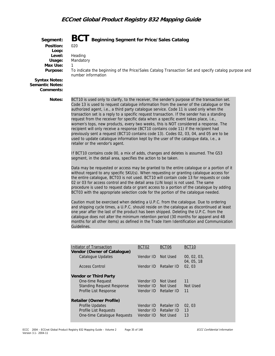

| Initiator of Transaction<br>Vendor (Owner of Catalogue) | BCT <sub>02</sub> | BCT <sub>06</sub> | BCT <sub>10</sub>   |
|---------------------------------------------------------|-------------------|-------------------|---------------------|
| Catalogue Updates                                       | Vendor ID         | Not Used          | 00, 02, 03,         |
| Access Control                                          | Vendor ID         | Retailer ID       | 04, 05, 18<br>02.03 |
| <b>Vendor or Third Party</b>                            |                   |                   |                     |
| One-time Request                                        | Vendor ID         | Not Used          | 11                  |
| <b>Standing Request Response</b>                        | Vendor ID         | Not Used          | Not Used            |
| Profile List Response                                   | Vendor ID         | Retailer ID       | 11                  |
| Retailer (Owner Profile)                                |                   |                   |                     |
| <b>Profile Updates</b>                                  | Vendor ID         | Retailer ID       | 02.03               |
| <b>Profile List Requests</b>                            | Vendor ID         | Retailer ID       | 13                  |
| One-time Catalogue Requests                             | Vendor ID         | Not Used          | 13                  |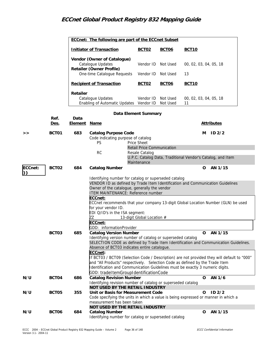|                      |                                                                            |                                 | ECCnet: The following are part of the ECCnet Subset                                                                                                                                                                                                                                                                                                 |                                                     |                                    |                        |                   |  |  |
|----------------------|----------------------------------------------------------------------------|---------------------------------|-----------------------------------------------------------------------------------------------------------------------------------------------------------------------------------------------------------------------------------------------------------------------------------------------------------------------------------------------------|-----------------------------------------------------|------------------------------------|------------------------|-------------------|--|--|
|                      |                                                                            |                                 | <b>Initiator of Transaction</b>                                                                                                                                                                                                                                                                                                                     |                                                     | <b>BCT06</b>                       | <b>BCT10</b>           |                   |  |  |
|                      |                                                                            |                                 | Vendor (Owner of Catalogue)<br>Catalogue Updates<br>Retailer (Owner Profile)                                                                                                                                                                                                                                                                        | Vendor ID                                           | Not Used                           | 00, 02, 03, 04, 05, 18 |                   |  |  |
|                      |                                                                            |                                 | One-time Catalogue Requests                                                                                                                                                                                                                                                                                                                         | Vendor ID                                           | Not Used                           | 13                     |                   |  |  |
|                      |                                                                            | <b>Recipient of Transaction</b> |                                                                                                                                                                                                                                                                                                                                                     | <b>BCT02</b>                                        | <b>BCT06</b>                       | <b>BCT10</b>           |                   |  |  |
|                      |                                                                            | Retailer                        | Catalogue Updates                                                                                                                                                                                                                                                                                                                                   | Vendor ID                                           | Not Used<br>00, 02, 03, 04, 05, 18 |                        |                   |  |  |
|                      |                                                                            |                                 | Enabling of Automatic Updates Vendor ID                                                                                                                                                                                                                                                                                                             |                                                     | Not Used                           | 11                     |                   |  |  |
| Data Element Summary |                                                                            |                                 |                                                                                                                                                                                                                                                                                                                                                     |                                                     |                                    |                        |                   |  |  |
|                      | Ref.<br><u>Des.</u>                                                        | Data<br><u>Element</u>          | <u>Name</u>                                                                                                                                                                                                                                                                                                                                         |                                                     |                                    |                        | <b>Attributes</b> |  |  |
| >                    | BCT01                                                                      | 683                             | <b>Catalog Purpose Code</b><br>Code indicating purpose of catalog                                                                                                                                                                                                                                                                                   |                                                     |                                    | м                      | ID2/2             |  |  |
|                      |                                                                            |                                 | <b>PS</b>                                                                                                                                                                                                                                                                                                                                           | Price Sheet                                         |                                    |                        |                   |  |  |
|                      |                                                                            |                                 | <b>RC</b>                                                                                                                                                                                                                                                                                                                                           | <b>Retail Price Communication</b><br>Resale Catalog |                                    |                        |                   |  |  |
|                      | U.P.C. Catalog Data, Traditional Vendor's Catalog, and Item<br>Maintenance |                                 |                                                                                                                                                                                                                                                                                                                                                     |                                                     |                                    |                        |                   |  |  |
| ECCnet:              | BCT02                                                                      | 684                             | <b>Catalog Number</b>                                                                                                                                                                                                                                                                                                                               |                                                     |                                    | 0                      | AN 1/15           |  |  |
|                      |                                                                            |                                 | Identifying number for catalog or superseded catalog<br>VENDOR ID as defined by Trade Item Identification and Communication Guidelines<br>Owner of the catalogue, generally the vendor<br>ITEM MAINTENANCE: Reference number<br>ECCnet:<br>ECCnet recommends that your company 13-digit Global Location Number (GLN) be used<br>for your vendor ID. |                                                     |                                    |                        |                   |  |  |
|                      |                                                                            |                                 |                                                                                                                                                                                                                                                                                                                                                     | EDI Q/ID's in the ISA segment:                      |                                    |                        |                   |  |  |
|                      |                                                                            |                                 | ZΖ<br>13-digit Global Location #<br>ECCnet:<br>GDD: informationProvider                                                                                                                                                                                                                                                                             |                                                     |                                    |                        |                   |  |  |
|                      |                                                                            |                                 |                                                                                                                                                                                                                                                                                                                                                     |                                                     |                                    |                        |                   |  |  |
|                      | BCT03                                                                      | 685                             | <b>Catalog Version Number</b>                                                                                                                                                                                                                                                                                                                       |                                                     |                                    | 0                      | AN 1/15           |  |  |
|                      |                                                                            |                                 | Identifying version number of catalog or superseded catalog<br>SELECTION CODE as defined by Trade Item Identification and Communication Guidelines.<br>Absence of BCT03 indicates entire catalogue.                                                                                                                                                 |                                                     |                                    |                        |                   |  |  |
|                      |                                                                            |                                 | ECCnet:<br>If BCT03 / BCT09 (Selection Code / Description) are not provided they will default to "000"<br>and "All Products" respectively. Selection Code as defined by the Trade Item<br>Identification and Communication Guidelines must be exactly 3 numeric digits.<br>GDD: tradeItemGroupIdentificationCode                                    |                                                     |                                    |                        |                   |  |  |
| N/U                  | BCT04                                                                      | 686                             | <b>Catalog Revision Number</b>                                                                                                                                                                                                                                                                                                                      |                                                     |                                    | 0                      | AN 1/6            |  |  |
|                      |                                                                            |                                 | Identifying revision number of catalog or superseded catalog<br>NOT USED BY THE RETAIL INDUSTRY                                                                                                                                                                                                                                                     |                                                     |                                    |                        |                   |  |  |
| N/U                  | BCT05                                                                      | 355                             | Unit or Basis for Measurement Code                                                                                                                                                                                                                                                                                                                  |                                                     |                                    | 0                      | ID <sub>2/2</sub> |  |  |
|                      |                                                                            |                                 | Code specifying the units in which a value is being expressed or manner in which a                                                                                                                                                                                                                                                                  |                                                     |                                    |                        |                   |  |  |
|                      |                                                                            |                                 | measurement has been taken                                                                                                                                                                                                                                                                                                                          |                                                     |                                    |                        |                   |  |  |
| N/U                  | BCT06                                                                      | 684                             | NOT USED BY THE RETAIL INDUSTRY<br><b>Catalog Number</b>                                                                                                                                                                                                                                                                                            |                                                     |                                    | o                      | AN 1/15           |  |  |
|                      |                                                                            |                                 | Identifying number for catalog or superseded catalog                                                                                                                                                                                                                                                                                                |                                                     |                                    |                        |                   |  |  |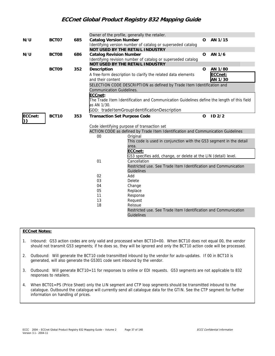|         |                                                             |     |                                     | Owner of the profile, generally the retailer.                                              |             |         |
|---------|-------------------------------------------------------------|-----|-------------------------------------|--------------------------------------------------------------------------------------------|-------------|---------|
| N/U     | BCT07                                                       | 685 | <b>Catalog Version Number</b>       |                                                                                            | O           | AN 1/15 |
|         | Identifying version number of catalog or superseded catalog |     |                                     |                                                                                            |             |         |
|         |                                                             |     |                                     | NOT USED BY THE RETAIL INDUSTRY                                                            |             |         |
| N/U     | BCT08                                                       | 686 | <b>Catalog Revision Number</b>      |                                                                                            | $\Omega$    | AN 1/6  |
|         |                                                             |     |                                     | Identifying revision number of catalog or superseded catalog                               |             |         |
|         |                                                             |     |                                     | NOT USED BY THE RETAIL INDUSTRY                                                            |             |         |
|         | BCT09                                                       | 352 | Description                         |                                                                                            | $\mathbf O$ | AN 1/80 |
|         |                                                             |     |                                     | A free-form description to clarify the related data elements                               |             | ECCnet: |
|         |                                                             |     | and their content                   |                                                                                            |             | AN 1/30 |
|         |                                                             |     |                                     | SELECTION CODE DESCRIPTION as defined by Trade Item Identification and                     |             |         |
|         |                                                             |     | <b>Communication Guidelines.</b>    |                                                                                            |             |         |
|         |                                                             |     | ECCnet:                             |                                                                                            |             |         |
|         |                                                             |     |                                     | The Trade Item Identification and Communication Guidelines define the length of this field |             |         |
|         |                                                             |     | as AN 1/30.                         |                                                                                            |             |         |
|         |                                                             |     |                                     | GDD: tradeItemGroupIdentificationDescription                                               |             |         |
| ECCnet: | BCT10                                                       | 353 | <b>Transaction Set Purpose Code</b> |                                                                                            | $\Omega$    | ID2/2   |
|         |                                                             |     |                                     |                                                                                            |             |         |
|         |                                                             |     |                                     | Code identifying purpose of transaction set                                                |             |         |
|         |                                                             |     |                                     | ACTION CODE as defined by Trade Item Identification and Communication Guidelines           |             |         |
|         |                                                             |     | 00                                  | Original                                                                                   |             |         |
|         |                                                             |     |                                     | This code is used in conjunction with the G53 segment in the detail                        |             |         |
|         |                                                             |     |                                     | area.                                                                                      |             |         |
|         |                                                             |     |                                     | ECCnet:                                                                                    |             |         |
|         |                                                             |     |                                     | G53 specifies add, change, or delete at the LIN (detail) level.                            |             |         |
|         |                                                             |     | 01                                  | Cancellation                                                                               |             |         |
|         |                                                             |     |                                     | Restricted use. See Trade Item Identification and Communication                            |             |         |
|         |                                                             |     |                                     | Guidelines                                                                                 |             |         |
|         |                                                             |     | 02                                  | Add                                                                                        |             |         |
|         |                                                             |     | 03                                  | <b>Delete</b>                                                                              |             |         |
|         |                                                             |     | 04                                  | Change                                                                                     |             |         |
|         |                                                             |     | 05                                  | Replace                                                                                    |             |         |
|         |                                                             |     | 11                                  | Response                                                                                   |             |         |
|         |                                                             |     | 13                                  | Request                                                                                    |             |         |
|         |                                                             |     | 18                                  | Reissue                                                                                    |             |         |
|         |                                                             |     |                                     | Restricted use. See Trade Item Identification and Communication                            |             |         |
|         |                                                             |     |                                     | Guidelines                                                                                 |             |         |

### **ECCnet Notes:**

- 1. Inbound: G53 action codes are only valid and processed when BCT10=00. When BCT10 does not equal 00, the vendor should not transmit G53 segments; if he does so, they will be ignored and only the BCT10 action code will be processed.
- 2. Outbound: Will generate the BCT10 code transmitted inbound by the vendor for auto-updates. If 00 in BCT10 is generated, will also generate the G5301 code sent inbound by the vendor.
- 3. Outbound: Will generate BCT10=11 for responses to online or EDI requests. G53 segments are not applicable to 832 responses to retailers.
- 4. When BCT01=PS (Price Sheet) only the LIN segment and CTP loop segments should be transmitted inbound to the catalogue. Outbound the catalogue will currently send all catalogue data for the GTIN. See the CTP segment for further information on handling of prices.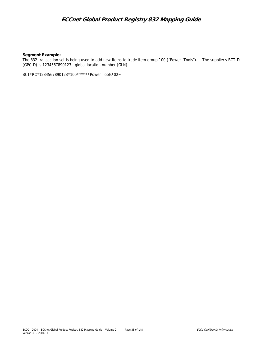#### **Segment Example:**

The 832 transaction set is being used to add new items to trade item group 100 ("Power Tools"). The supplier's BCTID (GPCID) is 1234567890123—global location number (GLN).

BCT\*RC\*1234567890123\*100\*\*\*\*\*\*Power Tools\*02~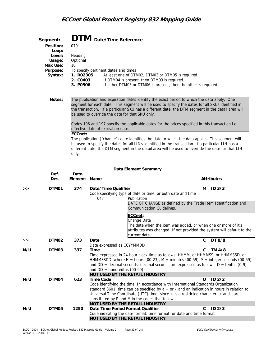| Segment:  | <b>DTM</b> Date/Time Reference                                                                                                                                                                                                                                                                                                                           |
|-----------|----------------------------------------------------------------------------------------------------------------------------------------------------------------------------------------------------------------------------------------------------------------------------------------------------------------------------------------------------------|
| Position: | 070                                                                                                                                                                                                                                                                                                                                                      |
| Loop:     |                                                                                                                                                                                                                                                                                                                                                          |
| Level:    | Heading                                                                                                                                                                                                                                                                                                                                                  |
| Usage:    | Optional                                                                                                                                                                                                                                                                                                                                                 |
| Max Use:  | 10                                                                                                                                                                                                                                                                                                                                                       |
| Purpose:  | To specify pertinent dates and times                                                                                                                                                                                                                                                                                                                     |
| Syntax:   | 1. R02305<br>At least one of DTM02, DTM03 or DTM05 is required.                                                                                                                                                                                                                                                                                          |
|           | 2. CO403<br>If DTM04 is present, then DTM03 is required.                                                                                                                                                                                                                                                                                                 |
|           | If either DTM05 or DTM06 is present, then the other is required.<br>3. P0506                                                                                                                                                                                                                                                                             |
|           |                                                                                                                                                                                                                                                                                                                                                          |
| Notes:    | The publication and expiration dates identify the exact period to which the data apply. One<br>segment for each date. This segment will be used to specify the dates for all SKUs identified in<br>the transaction. If a particular SKU has a different date, the DTM segment in the detail area will<br>be used to override the date for that SKU only. |
|           | Codes 196 and 197 specify the applicable dates for the prices specified in this transaction i.e.,                                                                                                                                                                                                                                                        |
|           | effective date of expiration date.                                                                                                                                                                                                                                                                                                                       |
|           | ECCnet:                                                                                                                                                                                                                                                                                                                                                  |
|           | The publication ("change") date identifies the date to which the data applies. This segment will                                                                                                                                                                                                                                                         |
|           | be used to specify the dates for all LIN's identified in the transaction. If a particular LIN has a                                                                                                                                                                                                                                                      |
|           | different date, the DTM segment in the detail area will be used to override the date for that LIN                                                                                                                                                                                                                                                        |
|           | only.                                                                                                                                                                                                                                                                                                                                                    |
|           |                                                                                                                                                                                                                                                                                                                                                          |

| Data Element Summary |  |
|----------------------|--|
|----------------------|--|

|     | Ref.  | Data    |                                                                             |                                                                                                                                                                                                                                                                                                 |
|-----|-------|---------|-----------------------------------------------------------------------------|-------------------------------------------------------------------------------------------------------------------------------------------------------------------------------------------------------------------------------------------------------------------------------------------------|
|     | Des.  | Element | Name                                                                        | <b>Attributes</b>                                                                                                                                                                                                                                                                               |
| >   | DTM01 | 374     | Date/Time Qualifier<br>043<br>Publication                                   | ID <sub>3/3</sub><br>М<br>Code specifying type of date or time, or both date and time<br>DATE OF CHANGE as defined by the Trade Item Identification and<br>Communication Guidelines.                                                                                                            |
|     |       |         | ECCnet:                                                                     | Change Date                                                                                                                                                                                                                                                                                     |
|     |       |         |                                                                             | The date when the item was added, or when one or more of it's<br>attributes was changed. If not provided the system will default to the<br>current date.                                                                                                                                        |
| >   | DTM02 | 373     | Date<br>Date expressed as CCYYMMDD                                          | DT 8/8<br>$\mathsf{C}$                                                                                                                                                                                                                                                                          |
| N/U | DTM03 | 337     | Time<br>and $DD =$ hundredths (00-99)                                       | TM 4/8<br>C<br>Time expressed in 24-hour clock time as follows: HHMM, or HHMMSS, or HHMMSSD, or<br>HHMMSSDD, where H = hours (00-23), M = minutes (00-59), S = integer seconds (00-59)<br>and $DD =$ decimal seconds; decimal seconds are expressed as follows: $D =$ tenths (0-9)              |
|     |       |         | <b>NOT USED BY THE RETAIL INDUSTRY</b>                                      |                                                                                                                                                                                                                                                                                                 |
| N/U | DTM04 | 623     | <b>Time Code</b><br>substituted by P and M in the codes that follow         | ID2/2<br>$\Omega$<br>Code identifying the time. In accordance with International Standards Organization<br>standard 8601, time can be specified by $a + or -$ and an indication in hours in relation to<br>Universal Time Coordinate (UTC) time; since + is a restricted character, + and - are |
|     |       |         | NOT USED BY THE RETAIL INDUSTRY                                             |                                                                                                                                                                                                                                                                                                 |
| N/U | DTM05 | 1250    | Date Time Period Format Qualifier<br><b>NOT USED BY THE RETAIL INDUSTRY</b> | ID <sub>2/3</sub><br>C<br>Code indicating the date format, time format, or date and time format                                                                                                                                                                                                 |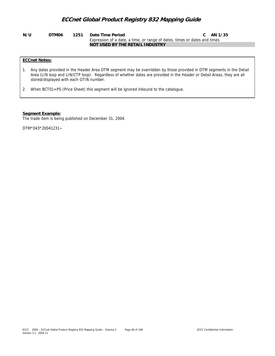#### **N/U DTM06 1251 Date Time Period C AN 1/35** Expression of a date, a time, or range of dates, times or dates and times **NOT USED BY THE RETAIL INDUSTRY**

### **ECCnet Notes:**

- 1. Any dates provided in the Header Area DTM segment may be overridden by those provided in DTM segments in the Detail Area (LIN loop and LIN/CTP loop). Regardless of whether dates are provided in the Header or Detail Areas, they are all stored/displayed with each GTIN number.
- 2. When BCT01=PS (Price Sheet) this segment will be ignored inbound to the catalogue.

#### **Segment Example:**

The trade item is being published on December 31, 2004.

DTM\*043\*20041231~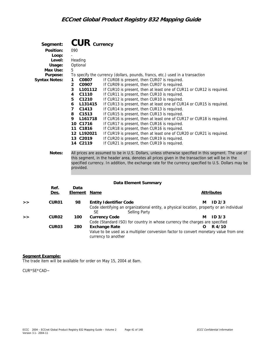| Segment:             | $CUR$ $Currency$        |                                                                               |
|----------------------|-------------------------|-------------------------------------------------------------------------------|
| Position:            | 090                     |                                                                               |
| Loop:                |                         |                                                                               |
| Level:               | Heading                 |                                                                               |
| Usage:               | Optional                |                                                                               |
| Max Use:             | 5                       |                                                                               |
| Purpose:             |                         | To specify the currency (dollars, pounds, francs, etc.) used in a transaction |
| <b>Syntax Notes:</b> | C0807<br>1              | If CUR08 is present, then CUR07 is required.                                  |
|                      | C0907<br>$\overline{2}$ | If CUR09 is present, then CUR07 is required.                                  |
|                      | 3<br>L101112            | If CUR10 is present, then at least one of CUR11 or CUR12 is required.         |
|                      | C1110<br>4              | If CUR11 is present, then CUR10 is required.                                  |
|                      | 5<br>C1210              | If CUR12 is present, then CUR10 is required.                                  |
|                      | L131415<br>6            | If CUR13 is present, then at least one of CUR14 or CUR15 is required.         |
|                      | 7<br>C1413              | If CUR14 is present, then CUR13 is required.                                  |
|                      | 8 C1513                 | If CUR15 is present, then CUR13 is required.                                  |
|                      | 9<br>L161718            | If CUR16 is present, then at least one of CUR17 or CUR18 is required.         |
|                      | 10 C1716                | If CUR17 is present, then CUR16 is required.                                  |
|                      | 11 C1816                | If CUR18 is present, then CUR16 is required.                                  |
|                      | 12 L192021              | If CUR19 is present, then at least one of CUR20 or CUR21 is required.         |
|                      | 13 C2019                | If CUR20 is present, then CUR19 is required.                                  |
|                      | 14 C2119                | If CUR21 is present, then CUR19 is required.                                  |
|                      |                         |                                                                               |

**Notes:** All prices are assumed to be in U.S. Dollars, unless otherwise specified in this segment. The use of this segment, in the header area, denotes all prices given in the transaction set will be in the specified currency. In addition, the exchange rate for the currency specified to U.S. Dollars may be provided.

### **Data Element Summary**

|   | Ref.<br>Des.      | Data<br>Element | Name                                                                                                             |   | <b>Attributes</b> |
|---|-------------------|-----------------|------------------------------------------------------------------------------------------------------------------|---|-------------------|
| > | CUR <sub>01</sub> | 98              | <b>Entity Identifier Code</b>                                                                                    | м | ID2/3             |
|   |                   |                 | Code identifying an organizational entity, a physical location, property or an individual<br>SE<br>Selling Party |   |                   |
| > | CUR <sub>02</sub> | 100             | <b>Currency Code</b>                                                                                             | М | ID <sub>3/3</sub> |
|   |                   |                 | Code (Standard ISO) for country in whose currency the charges are specified                                      |   |                   |
|   | CUR <sub>03</sub> | 280             | <b>Exchange Rate</b>                                                                                             | O | R 4/10            |
|   |                   |                 | Value to be used as a multiplier conversion factor to convert monetary value from one<br>currency to another     |   |                   |

#### **Segment Example:**

The trade item will be available for order on May 15, 2004 at 8am.

CUR\*SE\*CAD~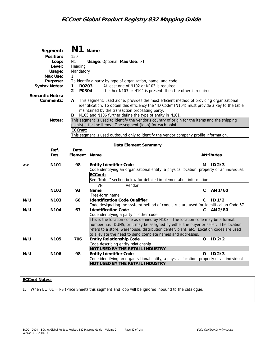|     | Segment:               | N1                      | Name           |                                                                                                |    |                   |
|-----|------------------------|-------------------------|----------------|------------------------------------------------------------------------------------------------|----|-------------------|
|     | Position:              | 150                     |                |                                                                                                |    |                   |
|     | Loop:                  | N <sub>1</sub>          |                | Usage: Optional Max Use: >1                                                                    |    |                   |
|     | Level:                 | Heading                 |                |                                                                                                |    |                   |
|     | Usage:                 | Mandatory               |                |                                                                                                |    |                   |
|     | Max Use:               | 1                       |                |                                                                                                |    |                   |
|     | Purpose:               |                         |                | To identify a party by type of organization, name, and code                                    |    |                   |
|     | <b>Syntax Notes:</b>   | R0203<br>1              |                | At least one of N102 or N103 is required.                                                      |    |                   |
|     |                        | P0304<br>$\overline{2}$ |                | If either N103 or N104 is present, then the other is required.                                 |    |                   |
|     | <b>Semantic Notes:</b> |                         |                |                                                                                                |    |                   |
|     | Comments:              | A                       |                | This segment, used alone, provides the most efficient method of providing organizational       |    |                   |
|     |                        |                         |                | identification. To obtain this efficiency the "ID Code" (N104) must provide a key to the table |    |                   |
|     |                        |                         |                | maintained by the transaction processing party.                                                |    |                   |
|     |                        | в                       |                | N105 and N106 further define the type of entity in N101.                                       |    |                   |
|     | Notes:                 |                         |                | This segment is used to identify the vendor's country of origin for the items and the shipping |    |                   |
|     |                        |                         |                | points(s) for the items. One segment (loop) for each point.                                    |    |                   |
|     |                        | ECCnet:                 |                |                                                                                                |    |                   |
|     |                        |                         |                | This segment is used outbound only to identify the vendor company profile information.         |    |                   |
|     |                        |                         |                |                                                                                                |    |                   |
|     |                        |                         |                | Data Element Summary                                                                           |    |                   |
|     | Ref.                   | Data                    |                |                                                                                                |    |                   |
|     | Des.                   | <b>Element Name</b>     |                |                                                                                                |    | <u>Attributes</u> |
| >   | N <sub>101</sub>       | 98                      |                | <b>Entity Identifier Code</b>                                                                  | м  | ID <sub>2/3</sub> |
|     |                        |                         |                | Code identifying an organizational entity, a physical location, property or an individual.     |    |                   |
|     |                        |                         | ECCnet:        |                                                                                                |    |                   |
|     |                        |                         |                | See "Notes" section below for detailed implementation information.                             |    |                   |
|     |                        |                         | VN             | Vendor                                                                                         |    |                   |
|     | N <sub>102</sub>       | 93                      | Name           |                                                                                                | C  | AN 1/60           |
|     |                        |                         | Free-form name |                                                                                                |    |                   |
| N/U | N <sub>103</sub>       | 66                      |                | <b>Identification Code Qualifier</b>                                                           | C. | ID <sub>1/2</sub> |
|     |                        |                         |                | Code designating the system/method of code structure used for Identification Code 67.          |    |                   |
| N/U | N <sub>104</sub>       | 67                      |                | <b>Identification Code</b>                                                                     | C  | AN 2/80           |
|     |                        |                         |                | Code identifying a party or other code                                                         |    |                   |
|     |                        |                         |                | This is the location code as defined by N103. The location code may be a format                |    |                   |
|     |                        |                         |                | number, i.e., DUNS, or it may be assigned by either the buyer or seller. The location          |    |                   |
|     |                        |                         |                | refers to a store, warehouse, distribution center, plant, etc. Location codes are used         |    |                   |
|     |                        |                         |                | to alleviate the need to send complete names and addresses.                                    |    |                   |
| N/U | N <sub>105</sub>       | 706                     |                | <b>Entity Relationship Code</b>                                                                | o  | ID <sub>2/2</sub> |
|     |                        |                         |                | Code describing entity relationship                                                            |    |                   |
|     |                        |                         |                | NOT USED BY THE RETAIL INDUSTRY                                                                |    |                   |
| N/U | N <sub>106</sub>       | 98                      |                | <b>Entity Identifier Code</b>                                                                  | O  | ID <sub>2/3</sub> |
|     |                        |                         |                | Code identifying an organizational entity, a physical location, property or an individual      |    |                   |
|     |                        |                         |                | NOT USED BY THE RETAIL INDUSTRY                                                                |    |                   |

### **ECCnet Notes:**

1. When BCT01 = PS (Price Sheet) this segment and loop will be ignored inbound to the catalogue.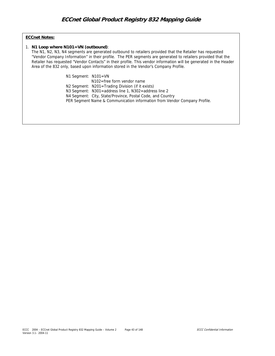### **ECCnet Notes:**

### 1. **N1 Loop where N101=VN (outbound)**:

The N1, N2, N3, N4 segments are generated outbound to retailers provided that the Retailer has requested "Vendor Company Information" in their profile. The PER segments are generated to retailers provided that the Retailer has requested "Vendor Contacts" in their profile. This vendor information will be generated in the Header Area of the 832 only, based upon information stored in the Vendor's Company Profile.

N1 Segment: N101=VN

 N102=free form vendor name N2 Segment: N201=Trading Division (if it exists) N3 Segment: N301=address line 1, N302=address line 2 N4 Segment: City, State/Province, Postal Code, and Country PER Segment Name & Communication information from Vendor Company Profile.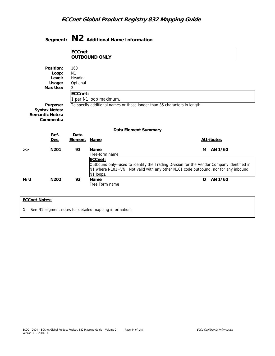|                |                                                                         |                                                              | Segment: $N2$ Additional Name Information      |                                                                                                                                                                                 |          |                   |  |
|----------------|-------------------------------------------------------------------------|--------------------------------------------------------------|------------------------------------------------|---------------------------------------------------------------------------------------------------------------------------------------------------------------------------------|----------|-------------------|--|
|                |                                                                         | <b>ECCnet</b>                                                | OUTBOUND ONLY                                  |                                                                                                                                                                                 |          |                   |  |
|                | Position:<br>Loop:<br>Level:<br>Usage:<br>Max Use:                      | 160<br>N <sub>1</sub><br>Heading<br>Optional<br>2<br>ECCnet: | 1 per N1 loop maximum.                         |                                                                                                                                                                                 |          |                   |  |
|                | Purpose:<br><b>Syntax Notes:</b><br><b>Semantic Notes:</b><br>Comments: |                                                              |                                                | To specify additional names or those longer than 35 characters in length.                                                                                                       |          |                   |  |
|                |                                                                         |                                                              |                                                | Data Element Summary                                                                                                                                                            |          |                   |  |
|                | Ref.<br>Des.                                                            | Data<br>Element Name                                         |                                                |                                                                                                                                                                                 |          | <b>Attributes</b> |  |
| >              | N <sub>201</sub>                                                        | 93                                                           | Name<br>Free-form name<br>ECCnet:<br>N1 loops. | Outbound only--used to identify the Trading Division for the Vendor Company identified in<br>N1 where N101=VN. Not valid with any other N101 code outbound, nor for any inbound | м        | AN 1/60           |  |
| N/U            | N202                                                                    | 93                                                           | Name<br>Free Form name                         |                                                                                                                                                                                 | $\Omega$ | AN 1/60           |  |
| $ECMnt$ Notos: |                                                                         |                                                              |                                                |                                                                                                                                                                                 |          |                   |  |

### **ECCnet Notes:**

**1** See N1 segment notes for detailed mapping information.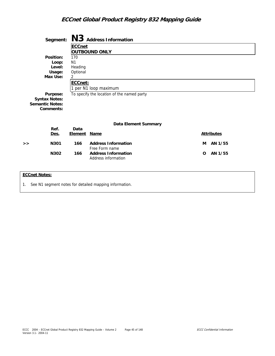|                        | Segment:  |                | N3 Address Information                     |          |                   |  |  |  |
|------------------------|-----------|----------------|--------------------------------------------|----------|-------------------|--|--|--|
|                        |           | <b>ECCnet</b>  |                                            |          |                   |  |  |  |
|                        |           |                | <b>OUTBOUND ONLY</b>                       |          |                   |  |  |  |
|                        | Position: | 170            |                                            |          |                   |  |  |  |
|                        | Loop:     | N <sub>1</sub> |                                            |          |                   |  |  |  |
|                        | Level:    | Heading        |                                            |          |                   |  |  |  |
|                        | Usage:    | Optional       |                                            |          |                   |  |  |  |
|                        | Max Use:  |                |                                            |          |                   |  |  |  |
|                        |           | ECCnet:        |                                            |          |                   |  |  |  |
|                        |           |                | 1 per N1 loop maximum                      |          |                   |  |  |  |
|                        | Purpose:  |                | To specify the location of the named party |          |                   |  |  |  |
| <b>Syntax Notes:</b>   |           |                |                                            |          |                   |  |  |  |
| <b>Semantic Notes:</b> |           |                |                                            |          |                   |  |  |  |
|                        | Comments: |                |                                            |          |                   |  |  |  |
|                        |           |                |                                            |          |                   |  |  |  |
|                        |           |                |                                            |          |                   |  |  |  |
|                        |           |                | Data Element Summary                       |          |                   |  |  |  |
|                        | Ref.      | Data           |                                            |          |                   |  |  |  |
|                        | Des.      | <b>Element</b> | <b>Name</b>                                |          | <b>Attributes</b> |  |  |  |
| >                      | N301      | 166            | <b>Address Information</b>                 | м        | AN 1/55           |  |  |  |
|                        |           |                | Free Form name                             |          |                   |  |  |  |
|                        | N302      | 166            | <b>Address Information</b>                 | $\Omega$ | AN 1/55           |  |  |  |
|                        |           |                | Address information                        |          |                   |  |  |  |
|                        |           |                |                                            |          |                   |  |  |  |
|                        |           |                |                                            |          |                   |  |  |  |
| <b>ECCnet Notes:</b>   |           |                |                                            |          |                   |  |  |  |

1. See N1 segment notes for detailed mapping information.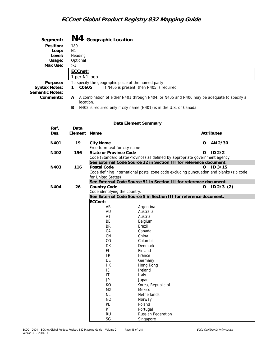| Segment:<br>Position:<br>Loop:<br>Level:<br>Usage:<br>Max Use:<br>Purpose:<br><b>Syntax Notes:</b><br><b>Semantic Notes:</b><br>Comments: | 180<br>N <sub>1</sub><br>Heading<br>Optional<br>>1<br>ECCnet:<br>1 per N1 loop<br>C0605<br>1<br>A<br>location.<br>В | N4 Geographic Location        | To specify the geographic place of the named party<br>If N406 is present, then N405 is required.<br>A combination of either N401 through N404, or N405 and N406 may be adequate to specify a<br>N402 is required only if city name (N401) is in the U.S. or Canada. |
|-------------------------------------------------------------------------------------------------------------------------------------------|---------------------------------------------------------------------------------------------------------------------|-------------------------------|---------------------------------------------------------------------------------------------------------------------------------------------------------------------------------------------------------------------------------------------------------------------|
|                                                                                                                                           |                                                                                                                     |                               | Data Element Summary                                                                                                                                                                                                                                                |
| Ref.                                                                                                                                      | Data                                                                                                                |                               |                                                                                                                                                                                                                                                                     |
| Des.                                                                                                                                      | <u>Element</u>                                                                                                      | <b>Name</b>                   | <b>Attributes</b>                                                                                                                                                                                                                                                   |
| N401                                                                                                                                      | 19                                                                                                                  | <b>City Name</b>              | AN 2/30<br>0                                                                                                                                                                                                                                                        |
|                                                                                                                                           |                                                                                                                     | Free-form text for city name  |                                                                                                                                                                                                                                                                     |
| N402                                                                                                                                      | 156                                                                                                                 | <b>State or Province Code</b> | ID <sub>2/2</sub><br>O                                                                                                                                                                                                                                              |
|                                                                                                                                           |                                                                                                                     |                               | Code (Standard State/Province) as defined by appropriate government agency                                                                                                                                                                                          |
|                                                                                                                                           |                                                                                                                     |                               | See External Code Source 22 in Section III for reference document.                                                                                                                                                                                                  |
| N403                                                                                                                                      | 116                                                                                                                 | <b>Postal Code</b>            | ID <sub>3/15</sub><br>0                                                                                                                                                                                                                                             |
|                                                                                                                                           |                                                                                                                     |                               | Code defining international postal zone code excluding punctuation and blanks (zip code                                                                                                                                                                             |
|                                                                                                                                           |                                                                                                                     | for United States)            | See External Code Source 51 in Section III for reference document.                                                                                                                                                                                                  |
| N404                                                                                                                                      | 26                                                                                                                  | <b>Country Code</b>           | o<br>$ID 2/3$ (2)                                                                                                                                                                                                                                                   |
|                                                                                                                                           |                                                                                                                     | Code identifying the country. |                                                                                                                                                                                                                                                                     |
|                                                                                                                                           |                                                                                                                     |                               | See External Code Source 5 in Section III for reference document.                                                                                                                                                                                                   |
|                                                                                                                                           |                                                                                                                     | ECCnet:                       |                                                                                                                                                                                                                                                                     |
|                                                                                                                                           |                                                                                                                     | AR                            | Argentina                                                                                                                                                                                                                                                           |
|                                                                                                                                           |                                                                                                                     | AU                            | Australia                                                                                                                                                                                                                                                           |
|                                                                                                                                           |                                                                                                                     | AT                            | Austria                                                                                                                                                                                                                                                             |
|                                                                                                                                           |                                                                                                                     | BE<br><b>BR</b>               | Belgium<br><b>Brazil</b>                                                                                                                                                                                                                                            |
|                                                                                                                                           |                                                                                                                     | CA                            | Canada                                                                                                                                                                                                                                                              |
|                                                                                                                                           |                                                                                                                     | ${\sf CN}$                    | China                                                                                                                                                                                                                                                               |
|                                                                                                                                           |                                                                                                                     | CO                            | Columbia                                                                                                                                                                                                                                                            |
|                                                                                                                                           |                                                                                                                     | DK                            | <b>Denmark</b>                                                                                                                                                                                                                                                      |
|                                                                                                                                           |                                                                                                                     | FI.                           | Finland                                                                                                                                                                                                                                                             |
|                                                                                                                                           |                                                                                                                     | <b>FR</b>                     | France                                                                                                                                                                                                                                                              |
|                                                                                                                                           |                                                                                                                     | DE                            | Germany                                                                                                                                                                                                                                                             |
|                                                                                                                                           |                                                                                                                     | <b>HK</b><br>IE               | Hong Kong<br>Ireland                                                                                                                                                                                                                                                |
|                                                                                                                                           |                                                                                                                     | IT                            | Italy                                                                                                                                                                                                                                                               |
|                                                                                                                                           |                                                                                                                     | JP                            | Japan                                                                                                                                                                                                                                                               |
|                                                                                                                                           |                                                                                                                     | KO                            | Korea, Republic of                                                                                                                                                                                                                                                  |
|                                                                                                                                           |                                                                                                                     | MX                            | Mexico                                                                                                                                                                                                                                                              |
|                                                                                                                                           |                                                                                                                     | NL                            | Netherlands                                                                                                                                                                                                                                                         |
|                                                                                                                                           |                                                                                                                     | N <sub>O</sub>                | Norway                                                                                                                                                                                                                                                              |
|                                                                                                                                           |                                                                                                                     | PL<br>PT                      | Poland                                                                                                                                                                                                                                                              |
|                                                                                                                                           |                                                                                                                     | <b>RU</b>                     | Portugal<br>Russian Federation                                                                                                                                                                                                                                      |
|                                                                                                                                           |                                                                                                                     | $\mathsf{SG}$                 | Singapore                                                                                                                                                                                                                                                           |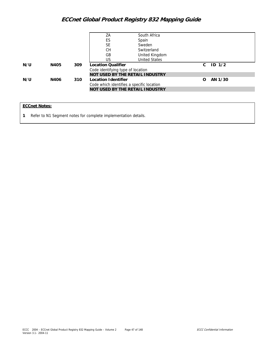| ES<br>Spain<br><b>SE</b><br>Sweden<br><b>CH</b><br>Switzerland<br>GB<br>United Kingdom<br><b>United States</b><br>US. |  |
|-----------------------------------------------------------------------------------------------------------------------|--|
|                                                                                                                       |  |
|                                                                                                                       |  |
|                                                                                                                       |  |
|                                                                                                                       |  |
|                                                                                                                       |  |
| ID $1/2$<br>N/U<br><b>Location Qualifier</b><br>N405<br>309<br>C                                                      |  |
| Code identifying type of location                                                                                     |  |
| NOT USED BY THE RETAIL INDUSTRY                                                                                       |  |
| N/U<br>N406<br>Location Identifier<br>AN 1/30<br>310<br>$\Omega$                                                      |  |
| Code which identifies a specific location                                                                             |  |
| NOT USED BY THE RETAIL INDUSTRY                                                                                       |  |

### **ECCnet Notes:**

**1** Refer to N1 Segment notes for complete implementation details.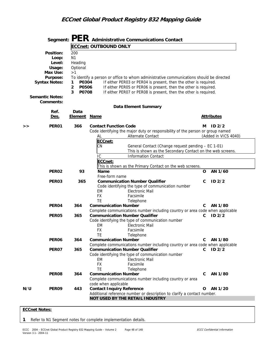|                                                                                                                  |                                                                                                           |                                                     | Segment: $PER$ Administrative Communications Contact                                                                                                                                                                                                                                                |             |                               |
|------------------------------------------------------------------------------------------------------------------|-----------------------------------------------------------------------------------------------------------|-----------------------------------------------------|-----------------------------------------------------------------------------------------------------------------------------------------------------------------------------------------------------------------------------------------------------------------------------------------------------|-------------|-------------------------------|
|                                                                                                                  |                                                                                                           | <b>ECCnet: OUTBOUND ONLY</b>                        |                                                                                                                                                                                                                                                                                                     |             |                               |
| Position:<br>Loop:<br>Level:<br>Usage:<br>Max Use:<br>Purpose:<br><b>Syntax Notes:</b><br><b>Semantic Notes:</b> | 200<br>N <sub>1</sub><br>Heading<br>Optional<br>>1<br>1<br>P0304<br>$\overline{2}$<br>P0506<br>3<br>P0708 |                                                     | To identify a person or office to whom administrative communications should be directed<br>If either PER03 or PER04 is present, then the other is required.<br>If either PER05 or PER06 is present, then the other is required.<br>If either PER07 or PER08 is present, then the other is required. |             |                               |
| Comments:                                                                                                        |                                                                                                           |                                                     | Data Element Summary                                                                                                                                                                                                                                                                                |             |                               |
| Ref.<br>Des.                                                                                                     | Data<br><b>Element</b>                                                                                    | <b>Name</b>                                         |                                                                                                                                                                                                                                                                                                     |             | <b>Attributes</b>             |
| PER01<br>>                                                                                                       | 366                                                                                                       | <b>Contact Function Code</b><br>AL<br>ECCnet:       | Code identifying the major duty or responsibility of the person or group named<br>Alternate Contact                                                                                                                                                                                                 | м           | ID2/2<br>(Added in VICS 4040) |
|                                                                                                                  |                                                                                                           | CN<br>IC<br>ECCnet:                                 | General Contact (Change request pending - EC 1-01)<br>This is shown as the Secondary Contact on the web screens.<br><b>Information Contact</b>                                                                                                                                                      |             |                               |
|                                                                                                                  |                                                                                                           |                                                     | This is shown as the Primary Contact on the web screens.                                                                                                                                                                                                                                            |             |                               |
| PER <sub>02</sub>                                                                                                | 93                                                                                                        | Name<br>Free-form name                              |                                                                                                                                                                                                                                                                                                     | $\mathbf O$ | AN 1/60                       |
| PER03                                                                                                            | 365                                                                                                       | EM<br><b>FX</b><br><b>TE</b>                        | <b>Communication Number Qualifier</b><br>Code identifying the type of communication number<br><b>Electronic Mail</b><br>Facsimile<br>Telephone                                                                                                                                                      | C           | ID <sub>2/2</sub>             |
| PER04                                                                                                            | 364                                                                                                       | <b>Communication Number</b>                         | Complete communications number including country or area code when applicable                                                                                                                                                                                                                       | C           | AN 1/80                       |
| PER05                                                                                                            | 365                                                                                                       | ЕM<br><b>FX</b><br>ТF                               | <b>Communication Number Qualifier</b><br>Code identifying the type of communication number<br><b>Electronic Mail</b><br>Facsimile<br>Telephone                                                                                                                                                      | C           | ID2/2                         |
| PER <sub>06</sub>                                                                                                | 364                                                                                                       | <b>Communication Number</b>                         | Complete communications number including country or area code when applicable                                                                                                                                                                                                                       | С           | AN 1/80                       |
| PER07                                                                                                            | 365                                                                                                       | ЕM<br><b>FX</b><br>TE                               | <b>Communication Number Qualifier</b><br>Code identifying the type of communication number<br><b>Electronic Mail</b><br>Facsimile<br>Telephone                                                                                                                                                      | C           | ID2/2                         |
| PER08                                                                                                            | 364                                                                                                       | <b>Communication Number</b><br>code when applicable | Complete communications number including country or area                                                                                                                                                                                                                                            | C           | AN 1/80                       |
| N/U<br>PER09                                                                                                     | 443                                                                                                       | <b>Contact Inquiry Reference</b>                    | Additional reference number or description to clarify a contact number.<br>NOT USED BY THE RETAIL INDUSTRY                                                                                                                                                                                          | 0           | AN 1/20                       |

#### **ECCnet Notes:**

**1** Refer to N1 Segment notes for complete implementation details.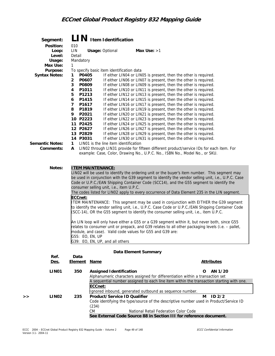| Segment:                |                          | LIN Item Identification                   |                                                                                                                                                                                                     |
|-------------------------|--------------------------|-------------------------------------------|-----------------------------------------------------------------------------------------------------------------------------------------------------------------------------------------------------|
| Position:<br>Loop:      | 010<br>LIN               | <b>Usage: Optional</b>                    | Max Use: $>1$                                                                                                                                                                                       |
| Level:                  | Detail                   |                                           |                                                                                                                                                                                                     |
| Usage:<br>Max Use:      | Mandatory<br>1           |                                           |                                                                                                                                                                                                     |
| Purpose:                |                          | To specify basic item identification data |                                                                                                                                                                                                     |
| <b>Syntax Notes:</b>    | P0405<br>1               |                                           | If either LIN04 or LIN05 is present, then the other is required.                                                                                                                                    |
|                         | $\overline{2}$<br>P0607  |                                           | If either LINO6 or LINO7 is present, then the other is required.                                                                                                                                    |
|                         | 3<br>P0809               |                                           | If either LINO8 or LINO9 is present, then the other is required.                                                                                                                                    |
|                         | P1011<br>4<br>P1213<br>5 |                                           | If either LIN10 or LIN11 is present, then the other is required.<br>If either LIN12 or LIN13 is present, then the other is required.                                                                |
|                         | 6<br>P1415               |                                           | If either LIN14 or LIN15 is present, then the other is required.                                                                                                                                    |
|                         | $\overline{7}$<br>P1617  |                                           | If either LIN16 or LIN17 is present, then the other is required.                                                                                                                                    |
|                         | 8<br>P1819               |                                           | If either LIN18 or LIN19 is present, then the other is required.                                                                                                                                    |
|                         | 9<br>P2021               |                                           | If either LIN20 or LIN21 is present, then the other is required.                                                                                                                                    |
|                         | 10 P2223<br>11 P2425     |                                           | If either LIN22 or LIN23 is present, then the other is required.<br>If either LIN24 or LIN25 is present, then the other is required.                                                                |
|                         | 12 P2627                 |                                           | If either LIN26 or LIN27 is present, then the other is required.                                                                                                                                    |
|                         | 13 P2829                 |                                           | If either LIN28 or LIN29 is present, then the other is required.                                                                                                                                    |
|                         | 14 P3031                 |                                           | If either LIN30 or LIN31 is present, then the other is required.                                                                                                                                    |
| <b>Semantic Notes:</b>  | 1                        | LIN01 is the line item identification     |                                                                                                                                                                                                     |
| Comments:               | A                        |                                           | LIN02 through LIN31 provide for fifteen different product/service IDs for each item. For<br>example: Case, Color, Drawing No., U.P.C. No., ISBN No., Model No., or SKU.                             |
|                         |                          |                                           |                                                                                                                                                                                                     |
|                         |                          |                                           |                                                                                                                                                                                                     |
| Notes:                  |                          | <b>ITEM MAINTENANCE:</b>                  |                                                                                                                                                                                                     |
|                         |                          |                                           | LIN02 will be used to identify the ordering unit or the buyer's item number. This segment may<br>be used in conjunction with the G39 segment to identify the vendor selling unit, i.e., U.P.C. Case |
|                         |                          |                                           | Code or U.P.C./EAN Shipping Container Code (SCC14), and the G55 segment to identify the                                                                                                             |
|                         |                          | consumer selling unit, i.e., item U.P.C.  |                                                                                                                                                                                                     |
|                         |                          |                                           | The codes listed for LIN02 apply to every occurrence of Data Element 235 in the LIN segment.                                                                                                        |
|                         | ECCnet:                  |                                           | ITEM MAINTENANCE: This segment may be used in conjunction with EITHER the G39 segment                                                                                                               |
|                         |                          |                                           | to identify the vendor selling unit, i.e., U.P.C. Case Code or U.P.C./EAN Shipping Container Code                                                                                                   |
|                         |                          |                                           | (SCC-14), OR the G55 segment to identify the consumer selling unit, i.e., item U.P.C.                                                                                                               |
|                         |                          |                                           |                                                                                                                                                                                                     |
|                         |                          |                                           | An LIN loop will only have either a G55 or a G39 segment within it, but never both, since G55<br>relates to consumer unit or prepack, and G39 relates to all other packaging levels (i.e. - pallet, |
|                         |                          |                                           | module, and case). Valid code values for G55 and G39 are:                                                                                                                                           |
|                         |                          | G55: EO, EN, UP                           |                                                                                                                                                                                                     |
|                         |                          | G39: EO, EN, UP, and all others           |                                                                                                                                                                                                     |
|                         |                          |                                           |                                                                                                                                                                                                     |
| Ref.                    | Data                     |                                           | Data Element Summary                                                                                                                                                                                |
| Des.                    | <b>Element</b>           | <u>Name</u>                               | <b>Attributes</b>                                                                                                                                                                                   |
|                         |                          |                                           |                                                                                                                                                                                                     |
| LIN <sub>01</sub>       | 350                      | <b>Assigned Identification</b>            | AN 1/20<br>O<br>Alphanumeric characters assigned for differentiation within a transaction set                                                                                                       |
|                         |                          |                                           | A sequential number assigned to each line item within the transaction starting with one.                                                                                                            |
|                         |                          | ECCnet:                                   |                                                                                                                                                                                                     |
|                         |                          |                                           | Ignored inbound, generated outbound as sequence number.                                                                                                                                             |
| LIN <sub>02</sub><br>>> | 235                      | Product/Service ID Qualifier              | ID <sub>2/2</sub><br>м                                                                                                                                                                              |
|                         |                          |                                           | Code identifying the type/source of the descriptive number used in Product/Service ID                                                                                                               |
|                         |                          | (234)<br><b>CM</b>                        | National Retail Federation Color Code                                                                                                                                                               |
|                         |                          |                                           | See External Code Source 88 in Section III for reference document.                                                                                                                                  |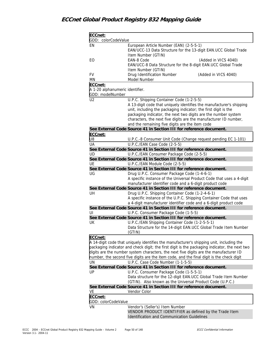| ECCnet:<br>GDD: colorCodeValue  |                                                                                                                                                                                   |
|---------------------------------|-----------------------------------------------------------------------------------------------------------------------------------------------------------------------------------|
| EN                              | European Article Number (EAN) (2-5-5-1)                                                                                                                                           |
|                                 | EAN/UCC-13 Data Structure for the 13-digit EAN.UCC Global Trade                                                                                                                   |
|                                 | Item Number (GTIN)                                                                                                                                                                |
| EO                              | EAN-8 Code<br>(Added in VICS 4040)                                                                                                                                                |
|                                 | EAN/UCC-8 Data Structure for the 8-digit EAN.UCC Global Trade                                                                                                                     |
|                                 | Item Number (GTIN)                                                                                                                                                                |
| <b>FV</b>                       | Drug Identification Number<br>(Added in VICS 4040)                                                                                                                                |
| ΜN                              | Model Number                                                                                                                                                                      |
| ECCnet:                         |                                                                                                                                                                                   |
| A 1-20 alphanumeric identifier. |                                                                                                                                                                                   |
| GDD: modelNumber                |                                                                                                                                                                                   |
| U <sub>2</sub>                  | U.P.C. Shipping Container Code (1-2-5-5)                                                                                                                                          |
|                                 | A 13-digit code that uniquely identifies the manufacturer's shipping                                                                                                              |
|                                 | unit, including the packaging indicator; the first digit is the                                                                                                                   |
|                                 | packaging indicator, the next two digits are the number system                                                                                                                    |
|                                 | characters, the next five digits are the manufacturer ID number,                                                                                                                  |
|                                 | and the remaining five digits are the item code                                                                                                                                   |
|                                 | See External Code Source 41 in Section III for reference document.                                                                                                                |
| ECCnet:                         |                                                                                                                                                                                   |
| U8<br>UA                        | U.P.C.-8 Consumer Unit Code (Change request pending EC 1-101)<br>U.P.C./EAN Case Code (2-5-5)                                                                                     |
|                                 | See External Code Source 41 in Section III for reference document.                                                                                                                |
| UD                              | U.P.C./EAN Consumer Package Code (2-5-5)                                                                                                                                          |
|                                 | See External Code Source 41 in Section III for reference document.                                                                                                                |
| UE                              | U.P.C./EAN Module Code (2-5-5)                                                                                                                                                    |
|                                 | See External Code Source 41 in Section III for reference document.                                                                                                                |
| UG                              | Drug U.P.C. Consumer Package Code (1-4-6-1)                                                                                                                                       |
|                                 | A specific instance of the Universal Product Code that uses a 4-digit                                                                                                             |
|                                 | manufacturer identifier code and a 6-digit product code                                                                                                                           |
|                                 | See External Code Source 41 in Section III for reference document.                                                                                                                |
| UH                              | Drug U.P.C. Shipping Container Code (1-2-4-6-1)                                                                                                                                   |
|                                 | A specific instance of the U.P.C. Shipping Container Code that uses                                                                                                               |
|                                 | a 4-digit manufacturer identifier code and a 6-digit product code                                                                                                                 |
|                                 | See External Code Source 41 in Section III for reference document.                                                                                                                |
| UI                              | U.P.C. Consumer Package Code (1-5-5)                                                                                                                                              |
|                                 | See External Code Source 41 in Section III for reference document.                                                                                                                |
| UK                              | U.P.C./EAN Shipping Container Code (1-2-5-5-1)                                                                                                                                    |
|                                 | Data Structure for the 14-digit EAN.UCC Global Trade Item Number                                                                                                                  |
|                                 | (GTIN)                                                                                                                                                                            |
| ECCnet:                         |                                                                                                                                                                                   |
|                                 | A 14-digit code that uniquely identifies the manufacturer's shipping unit, including the                                                                                          |
|                                 | packaging indicator and check digit; the first digit is the packaging indicator, the next two                                                                                     |
|                                 | digits are the number system characters, the next five digits are the manufacturer ID<br>number, the second five digits are the item code, and the final digit is the check digit |
| UN                              | U.P.C. Case Code Number (1-1-5-5)                                                                                                                                                 |
|                                 | See External Code Source 41 in Section III for reference document.                                                                                                                |
| UP                              | U.P.C. Consumer Package Code (1-5-5-1)                                                                                                                                            |
|                                 | Data structure for the 12-digit EAN.UCC Global Trade Item Number                                                                                                                  |
|                                 | (GTIN). Also known as the Universal Product Code (U.P.C.)                                                                                                                         |
|                                 | See External Code Source 41 in Section III for reference document.                                                                                                                |
| VE                              | Vendor Color                                                                                                                                                                      |
| ECCnet:                         |                                                                                                                                                                                   |
| GDD: colorCodeValue             |                                                                                                                                                                                   |
| <b>VN</b>                       | Vendor's (Seller's) Item Number                                                                                                                                                   |
|                                 | VENDOR PRODUCT IDENTIFIER as defined by the Trade Item                                                                                                                            |
|                                 | <b>Identification and Communication Guidelines</b>                                                                                                                                |
|                                 |                                                                                                                                                                                   |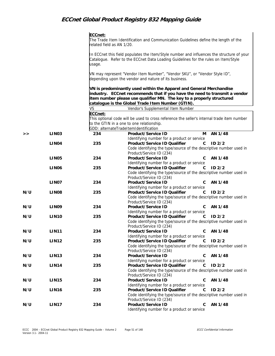|     |                   | ECCnet:<br>elated field as AN 1/20. | The Trade Item Identification and Communication Guidelines define the length of the                                                                                                                                                                                             |
|-----|-------------------|-------------------------------------|---------------------------------------------------------------------------------------------------------------------------------------------------------------------------------------------------------------------------------------------------------------------------------|
|     |                   | usage.                              | In ECCnet this field populates the Item/Style number and influences the structure of your<br>Catalogue. Refer to the ECCnet Data Loading Guidelines for the rules on Item/Style                                                                                                 |
|     |                   |                                     | WN may represent "Vendor Item Number", "Vendor SKU", or "Vendor Style ID",<br>depending upon the vendor and nature of its business.                                                                                                                                             |
|     |                   |                                     | VN is predominantly used within the Apparel and General Merchandise<br>industry. ECCnet recommends that if you have the need to transmit a vendor<br>item number please use qualifier MN. The key to a properly structured<br>catalogue is the Global Trade Item Number (GTIN). |
|     |                   | <b>VS</b>                           | Vendor's Supplemental Item Number                                                                                                                                                                                                                                               |
|     |                   | ECCnet:                             |                                                                                                                                                                                                                                                                                 |
|     |                   |                                     | This optional code will be used to cross reference the seller's internal trade item number                                                                                                                                                                                      |
|     |                   |                                     | to the GTIN in a one to one relationship.                                                                                                                                                                                                                                       |
|     |                   |                                     | GDD: alternateTradeItemIdentification                                                                                                                                                                                                                                           |
| >   | LIN <sub>03</sub> | 234                                 | Product/Service ID<br>AN 1/48<br>м                                                                                                                                                                                                                                              |
|     |                   |                                     | Identifying number for a product or service                                                                                                                                                                                                                                     |
|     | LIN <sub>04</sub> | 235                                 | Product/Service ID Qualifier<br>C<br>ID <sub>2/2</sub>                                                                                                                                                                                                                          |
|     |                   |                                     | Code identifying the type/source of the descriptive number used in<br>Product/Service ID (234)                                                                                                                                                                                  |
|     | LIN <sub>05</sub> | 234                                 | Product/Service ID<br>AN 1/48<br>C                                                                                                                                                                                                                                              |
|     |                   |                                     | Identifying number for a product or service                                                                                                                                                                                                                                     |
|     | LIN <sub>06</sub> | 235                                 | Product/Service ID Qualifier<br>ID <sub>2/2</sub><br>C                                                                                                                                                                                                                          |
|     |                   |                                     | Code identifying the type/source of the descriptive number used in<br>Product/Service ID (234)                                                                                                                                                                                  |
|     | LIN <sub>07</sub> | 234                                 | Product/Service ID<br>C<br>AN 1/48<br>Identifying number for a product or service                                                                                                                                                                                               |
| N/U | LIN <sub>08</sub> | 235                                 | Product/Service ID Qualifier<br>ID <sub>2/2</sub><br>C<br>Code identifying the type/source of the descriptive number used in                                                                                                                                                    |
| N/U | LIN <sub>09</sub> | 234                                 | Product/Service ID (234)<br>AN 1/48<br>Product/Service ID<br>C<br>Identifying number for a product or service                                                                                                                                                                   |
| N/U | LIN <sub>10</sub> | 235                                 | Product/Service ID Qualifier<br>C<br>ID2/2                                                                                                                                                                                                                                      |
|     |                   |                                     | Code identifying the type/source of the descriptive number used in                                                                                                                                                                                                              |
|     |                   |                                     | Product/Service ID (234)                                                                                                                                                                                                                                                        |
| N/U | LIN11             | 234                                 | Product/Service ID<br>C AN 1/48                                                                                                                                                                                                                                                 |
|     |                   |                                     | Identifying number for a product or service                                                                                                                                                                                                                                     |
| N/U | <b>LIN12</b>      | 235                                 | Product/Service ID Qualifier<br>ID <sub>2/2</sub><br>C                                                                                                                                                                                                                          |
|     |                   |                                     | Code identifying the type/source of the descriptive number used in<br>Product/Service ID (234)                                                                                                                                                                                  |
| N/U | LIN13             | 234                                 | Product/Service ID<br>AN 1/48<br>C                                                                                                                                                                                                                                              |
|     |                   |                                     | Identifying number for a product or service                                                                                                                                                                                                                                     |
| N/U | <b>LIN14</b>      | 235                                 | Product/Service ID Qualifier<br>ID <sub>2/2</sub><br>C                                                                                                                                                                                                                          |
|     |                   |                                     | Code identifying the type/source of the descriptive number used in                                                                                                                                                                                                              |
|     |                   |                                     | Product/Service ID (234)                                                                                                                                                                                                                                                        |
| N/U | <b>LIN15</b>      | 234                                 | Product/Service ID<br>AN 1/48<br>С                                                                                                                                                                                                                                              |
|     |                   |                                     | Identifying number for a product or service                                                                                                                                                                                                                                     |
| N/U | <b>LIN16</b>      | 235                                 | Product/Service ID Qualifier<br>ID <sub>2/2</sub><br>C                                                                                                                                                                                                                          |
|     |                   |                                     | Code identifying the type/source of the descriptive number used in<br>Product/Service ID (234)                                                                                                                                                                                  |
| N/U | <b>LIN17</b>      | 234                                 | Product/Service ID<br>C<br>AN 1/48                                                                                                                                                                                                                                              |
|     |                   |                                     | Identifying number for a product or service                                                                                                                                                                                                                                     |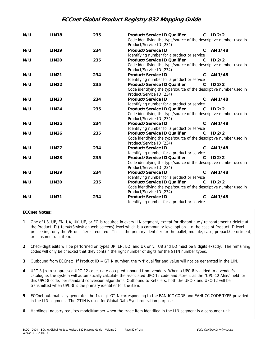| N/U | <b>LIN18</b> | 235 | Product/Service ID Qualifier<br>Code identifying the type/source of the descriptive number used in<br>Product/Service ID (234) | $\mathbf{C}$ | ID2/2             |
|-----|--------------|-----|--------------------------------------------------------------------------------------------------------------------------------|--------------|-------------------|
| N/U | <b>LIN19</b> | 234 | Product/Service ID<br>Identifying number for a product or service                                                              | C.           | AN 1/48           |
| N/U | <b>LIN20</b> | 235 | Product/Service ID Qualifier<br>Code identifying the type/source of the descriptive number used in<br>Product/Service ID (234) | $\mathbf{C}$ | ID2/2             |
| N/U | <b>LIN21</b> | 234 | Product/Service ID<br>Identifying number for a product or service                                                              | $\mathbf{C}$ | AN 1/48           |
| N/U | <b>LIN22</b> | 235 | Product/Service ID Qualifier<br>Code identifying the type/source of the descriptive number used in<br>Product/Service ID (234) | $\mathsf{C}$ | ID <sub>2/2</sub> |
| N/U | <b>LIN23</b> | 234 | Product/Service ID<br>Identifying number for a product or service                                                              | C.           | AN 1/48           |
| N/U | <b>LIN24</b> | 235 | Product/Service ID Qualifier<br>Code identifying the type/source of the descriptive number used in<br>Product/Service ID (234) | C            | ID <sub>2/2</sub> |
| N/U | <b>LIN25</b> | 234 | Product/Service ID<br>Identifying number for a product or service                                                              | C            | AN 1/48           |
| N/U | <b>LIN26</b> | 235 | Product/Service ID Qualifier<br>Code identifying the type/source of the descriptive number used in<br>Product/Service ID (234) | $\mathsf{C}$ | ID <sub>2/2</sub> |
| N/U | <b>LIN27</b> | 234 | Product/Service ID<br>Identifying number for a product or service                                                              | C            | AN 1/48           |
| N/U | <b>LIN28</b> | 235 | Product/Service ID Qualifier<br>Code identifying the type/source of the descriptive number used in<br>Product/Service ID (234) | $\mathbf{C}$ | ID <sub>2/2</sub> |
| N/U | <b>LIN29</b> | 234 | Product/Service ID<br>Identifying number for a product or service                                                              | C.           | AN 1/48           |
| N/U | <b>LIN30</b> | 235 | Product/Service ID Qualifier<br>Code identifying the type/source of the descriptive number used in<br>Product/Service ID (234) | $\mathsf{C}$ | ID <sub>2/2</sub> |
| N/U | <b>LIN31</b> | 234 | Product/Service ID<br>Identifying number for a product or service                                                              | $\mathsf{C}$ | AN 1/48           |

### **ECCnet Notes:**

- **1** One of U8, UP, EN, UA, UK, UE, or EO is required in every LIN segment, except for discontinue / reinstatement / delete at the Product ID (Item#/Style# on web screens) level which is a community-level option. In the case of Product ID level processing, only the VN qualifier is required. This is the primary identifier for the pallet, module, case, prepack/assortment, or consumer unit item.
- **2** Check-digit edits will be performed on types UP, EN, EO, and UK only. U8 and EO must be 8 digits exactly. The remaining codes will only be checked that they contain the right number of digits for the GTIN number types.
- **3** Outbound from ECCnet: If Product ID = GTIN number, the 'VN' qualifier and value will not be generated in the LIN.
- **4** UPC-8 (zero-suppressed UPC-12 codes) are accepted inbound from vendors. When a UPC-8 is added to a vendor's catalogue, the system will automatically calculate the associated UPC-12 code and store it as the "UPC-12 Alias" field for this UPC-8 code, per standard conversion algorithms. Outbound to Retailers, both the UPC-8 and UPC-12 will be transmitted when UPC-8 is the primary identifier for the item.
- **5** ECCnet automatically generates the 14-digit GTIN corresponding to the EANUCC CODE and EANUCC CODE TYPE provided in the LIN segment. The GTIN is used for Global Data Synchronization purposes
- **6** Hardlines Industry requires modelNumber when the trade item identified in the LIN segment is a consumer unit.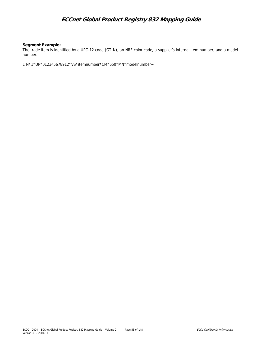#### **Segment Example:**

The trade item is identified by a UPC-12 code (GTIN), an NRF color code, a supplier's internal item number, and a model number.

LIN\*1\*UP\*012345678912\*VS\*itemnumber\*CM\*650\*MN\*modelnumber~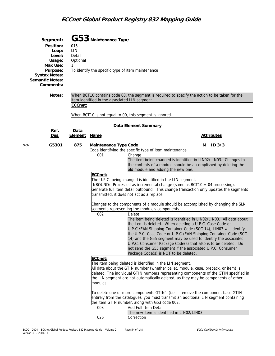| Segment:<br>Position:<br>Loop:<br>Level:<br>Usage:<br>Max Use:<br>Purpose:<br><b>Syntax Notes:</b><br><b>Semantic Notes:</b><br>Comments: | 015<br>LIN<br>Detail<br>Optional<br>1                                                                                                                       | G53 Maintenance Type<br>To identify the specific type of item maintenance |                                                                                                                                                                                                                                       |                                                                                                                                                                                                                                                                                                                                                                                                                                                                                                                                                                                                                                                                                                                                                                                                                                                                                                                                                                                                                                                                                                                   |                        |  |
|-------------------------------------------------------------------------------------------------------------------------------------------|-------------------------------------------------------------------------------------------------------------------------------------------------------------|---------------------------------------------------------------------------|---------------------------------------------------------------------------------------------------------------------------------------------------------------------------------------------------------------------------------------|-------------------------------------------------------------------------------------------------------------------------------------------------------------------------------------------------------------------------------------------------------------------------------------------------------------------------------------------------------------------------------------------------------------------------------------------------------------------------------------------------------------------------------------------------------------------------------------------------------------------------------------------------------------------------------------------------------------------------------------------------------------------------------------------------------------------------------------------------------------------------------------------------------------------------------------------------------------------------------------------------------------------------------------------------------------------------------------------------------------------|------------------------|--|
| Notes:                                                                                                                                    | When BCT10 contains code 00, the segment is required to specify the action to be taken for the<br>item identified in the associated LIN segment.<br>ECCnet: |                                                                           |                                                                                                                                                                                                                                       |                                                                                                                                                                                                                                                                                                                                                                                                                                                                                                                                                                                                                                                                                                                                                                                                                                                                                                                                                                                                                                                                                                                   |                        |  |
|                                                                                                                                           |                                                                                                                                                             |                                                                           | When BCT10 is not equal to 00, this segment is ignored.                                                                                                                                                                               |                                                                                                                                                                                                                                                                                                                                                                                                                                                                                                                                                                                                                                                                                                                                                                                                                                                                                                                                                                                                                                                                                                                   |                        |  |
|                                                                                                                                           |                                                                                                                                                             |                                                                           | Data Element Summary                                                                                                                                                                                                                  |                                                                                                                                                                                                                                                                                                                                                                                                                                                                                                                                                                                                                                                                                                                                                                                                                                                                                                                                                                                                                                                                                                                   |                        |  |
| Ref.<br><u>Des.</u>                                                                                                                       | Data<br><b>Element</b>                                                                                                                                      | <b>Name</b>                                                               |                                                                                                                                                                                                                                       |                                                                                                                                                                                                                                                                                                                                                                                                                                                                                                                                                                                                                                                                                                                                                                                                                                                                                                                                                                                                                                                                                                                   | <b>Attributes</b>      |  |
| G5301<br>>>                                                                                                                               | 875                                                                                                                                                         | Maintenance Type Code<br>001<br>ECCnet:<br>002<br>ECCnet:                 | Code identifying the specific type of item maintenance<br>Change<br>transmitted, it does not act as a replace.<br>segments representing the module's components<br>Delete<br>The item being deleted is identified in the LIN segment. | The item being changed is identified in LIN02/LIN03. Changes to<br>the contents of a module should be accomplished by deleting the<br>old module and adding the new one.<br>The U.P.C. being changed is identified in the LIN segment.<br>$ INBOUND:$ Processed as incremental change (same as $BCT10 = 04$ processing).<br>Generate full item detail outbound. This change transaction only updates the segments<br>Changes to the components of a module should be accomplished by changing the SLN<br>The item being deleted is identified in LIN02/LIN03. All data about<br>the item is deleted. When deleting a U.P.C. Case Code or<br>U.P.C./EAN Shipping Container Code (SCC-14), LIN03 will identify<br>the U.P.C. Case Code or U.P.C./EAN Shipping Container Code (SCC-<br>14) and the G55 segment may be used to identify the associated<br>U.P.C. Consumer Package Code(s) that also is to be deleted. Do<br>not send the G55 segment if the associated U.P.C. Consumer<br>Package Code(s) is NOT to be deleted.<br>All data about the GTIN number (whether pallet, module, case, prepack, or item) is | ID <sub>3/3</sub><br>м |  |
|                                                                                                                                           |                                                                                                                                                             | modules.<br>003<br>026                                                    | the item GTIN number, along with G53 code 002.<br>Add Full Item Detail<br>Correction                                                                                                                                                  | deleted. The individual GTIN numbers representing components of the GTIN specified in<br>the LIN segment are not automatically deleted, as they may be components of other<br>To delete one or more components GTIN's (i.e. - remove the component base GTIN<br>entirely from the catalogue), you must transmit an additional LIN segment containing<br>The new item is identified in LIN02/LIN03.                                                                                                                                                                                                                                                                                                                                                                                                                                                                                                                                                                                                                                                                                                                |                        |  |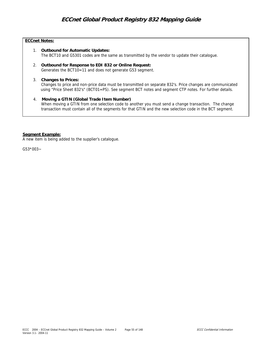### **ECCnet Notes:**

- 1. **Outbound for Automatic Updates:** The BCT10 and G5301 codes are the same as transmitted by the vendor to update their catalogue.
- 2. **Outbound for Response to EDI 832 or Online Request:** Generates the BCT10=11 and does not generate G53 segment.

#### 3. **Changes to Prices:**

Changes to price and non-price data must be transmitted on separate 832's. Price changes are communicated using "Price Sheet 832's" (BCT01=PS). See segment BCT notes and segment CTP notes. For further details.

### 4. **Moving a GTIN (Global Trade Item Number)**

When moving a GTIN from one selection code to another you must send a change transaction. The change transaction must contain all of the segments for that GTIN and the new selection code in the BCT segment.

### **Segment Example:**

A new item is being added to the supplier's catalogue.

 $G53*003-$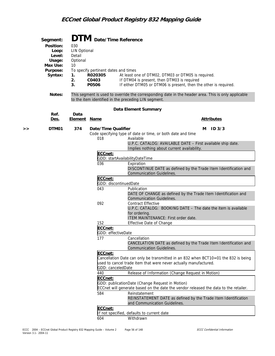|    | Segment:  |                     |                                      | DTM Date/Time Reference                                                                                                                                     |
|----|-----------|---------------------|--------------------------------------|-------------------------------------------------------------------------------------------------------------------------------------------------------------|
|    | Position: | 030                 |                                      |                                                                                                                                                             |
|    | Loop:     | <b>LIN Optional</b> |                                      |                                                                                                                                                             |
|    | Level:    | Detail              |                                      |                                                                                                                                                             |
|    | Usage:    | Optional            |                                      |                                                                                                                                                             |
|    | Max Use:  | 10                  |                                      |                                                                                                                                                             |
|    | Purpose:  |                     | To specify pertinent dates and times |                                                                                                                                                             |
|    | Syntax:   | 1.                  | R020305                              | At least one of DTM02, DTM03 or DTM05 is required.                                                                                                          |
|    |           | 2.<br>3.            | C0403<br>P0506                       | If DTM04 is present, then DTM03 is required<br>If either DTM05 or DTM06 is present, then the other is required.                                             |
|    |           |                     |                                      |                                                                                                                                                             |
|    | Notes:    |                     |                                      | This segment is used to override the corresponding date in the header area. This is only applicable<br>to the item identified in the preceding LIN segment. |
|    | Ref.      | Data                |                                      | Data Element Summary                                                                                                                                        |
|    | Des.      | <b>Element Name</b> |                                      | <b>Attributes</b>                                                                                                                                           |
| >> | DTM01     | 374                 | Date/Time Qualifier                  | ID <sub>3/3</sub><br>м                                                                                                                                      |
|    |           |                     |                                      | Code specifying type of date or time, or both date and time                                                                                                 |
|    |           |                     | 018                                  | Available                                                                                                                                                   |
|    |           |                     |                                      | U.P.C. CATALOG: AVAILABLE DATE - First available ship date.                                                                                                 |
|    |           |                     | ECCnet:                              | Implies nothing about current availability.                                                                                                                 |
|    |           |                     |                                      | GDD: startAvailabilityDateTime                                                                                                                              |
|    |           |                     | 036                                  | Expiration                                                                                                                                                  |
|    |           |                     |                                      | DISCONTINUE DATE as defined by the Trade Item Identification and                                                                                            |
|    |           |                     |                                      | <b>Communication Guidelines.</b>                                                                                                                            |
|    |           |                     | ECCnet:                              | GDD: discontinuedDate                                                                                                                                       |
|    |           |                     | 043                                  | Publication                                                                                                                                                 |
|    |           |                     |                                      | DATE OF CHANGE as defined by the Trade Item Identification and                                                                                              |
|    |           |                     |                                      | <b>Communication Guidelines.</b>                                                                                                                            |
|    |           |                     | 092                                  | <b>Contract Effective</b>                                                                                                                                   |
|    |           |                     |                                      | U.P.C. CATALOG: BOOKING DATE - The date the item is available                                                                                               |
|    |           |                     |                                      | for ordering.<br>ITEM MAINTENANCE: First order date.                                                                                                        |
|    |           |                     | 152                                  | Effective Date of Change                                                                                                                                    |
|    |           |                     | ECCnet:                              |                                                                                                                                                             |
|    |           |                     |                                      | GDD: effectiveDate                                                                                                                                          |
|    |           |                     | 177                                  | Cancellation                                                                                                                                                |
|    |           |                     |                                      | CANCELATION DATE as defined by the Trade Item Identification and                                                                                            |
|    |           |                     | ECCnet:                              | <b>Communication Guidelines.</b>                                                                                                                            |
|    |           |                     |                                      | Cancellation Date can only be transmitted in an 832 when BCT10=01 the 832 is being                                                                          |
|    |           |                     |                                      | used to cancel trade item that were never actually manufactured.                                                                                            |
|    |           |                     |                                      | GDD: canceledDate                                                                                                                                           |
|    |           |                     | 440                                  | Release of Information (Change Request in Motion)                                                                                                           |
|    |           |                     | ECCnet:                              |                                                                                                                                                             |
|    |           |                     |                                      | GDD: publicationDate (Change Request in Motion)                                                                                                             |
|    |           |                     | 584                                  | ECCnet will generate based on the date the vendor released the data to the retailer.<br>Reinstatement                                                       |
|    |           |                     |                                      | REINSTATEMENT DATE as defined by the Trade Item Identification                                                                                              |
|    |           |                     |                                      | and Communication Guidelines.                                                                                                                               |
|    |           |                     | ECCnet:                              |                                                                                                                                                             |
|    |           |                     |                                      | If not specified, defaults to current date                                                                                                                  |
|    |           |                     | 604                                  | Withdrawn                                                                                                                                                   |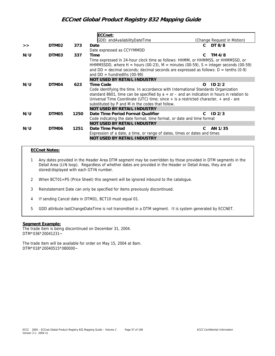|     |       |      | ECCnet:                                                                                      |                            |  |  |  |
|-----|-------|------|----------------------------------------------------------------------------------------------|----------------------------|--|--|--|
|     |       |      | GDD: endAvailabilityDateTime                                                                 | (Change Request in Motion) |  |  |  |
| >   | DTM02 | 373  | Date                                                                                         | DT 8/8<br>C.               |  |  |  |
|     |       |      | Date expressed as CCYYMMDD                                                                   |                            |  |  |  |
| N/U | DTM03 | 337  | Time                                                                                         | TM 4/8<br>C.               |  |  |  |
|     |       |      | Time expressed in 24-hour clock time as follows: HHMM, or HHMMSS, or HHMMSSD, or             |                            |  |  |  |
|     |       |      | HHMMSSDD, where H = hours (00-23), M = minutes (00-59), S = integer seconds (00-59)          |                            |  |  |  |
|     |       |      | and $DD =$ decimal seconds; decimal seconds are expressed as follows: $D =$ tenths (0-9)     |                            |  |  |  |
|     |       |      | and $DD =$ hundredths (00-99)                                                                |                            |  |  |  |
|     |       |      | <b>NOT USED BY RETAIL INDUSTRY</b>                                                           |                            |  |  |  |
| N/U | DTM04 | 623  | Time Code                                                                                    | ID2/2<br>$\Omega$          |  |  |  |
|     |       |      | Code identifying the time. In accordance with International Standards Organization           |                            |  |  |  |
|     |       |      | standard 8601, time can be specified by $a + or -$ and an indication in hours in relation to |                            |  |  |  |
|     |       |      | Universal Time Coordinate (UTC) time; since $+$ is a restricted character, $+$ and $-$ are   |                            |  |  |  |
|     |       |      | substituted by P and M in the codes that follow.                                             |                            |  |  |  |
|     |       |      | <b>NOT USED BY RETAIL INDUSTRY</b>                                                           |                            |  |  |  |
| N/U | DTM05 | 1250 | Date Time Period Format Qualifier                                                            | ID2/3<br>C.                |  |  |  |
|     |       |      | Code indicating the date format, time format, or date and time format                        |                            |  |  |  |
|     |       |      | <b>NOT USED BY RETAIL INDUSTRY</b>                                                           |                            |  |  |  |
| N/U | DTM06 | 1251 | Date Time Period                                                                             | AN 1/35<br>C               |  |  |  |
|     |       |      | Expression of a date, a time, or range of dates, times or dates and times                    |                            |  |  |  |
|     |       |      | <b>NOT USED BY RETAIL INDUSTRY</b>                                                           |                            |  |  |  |

#### **ECCnet Notes:**

- 1 Any dates provided in the Header Area DTM segment may be overridden by those provided in DTM segments in the Detail Area (LIN loop). Regardless of whether dates are provided in the Header or Detail Areas, they are all stored/displayed with each GTIN number.
- 2 When BCT01=PS (Price Sheet) this segment will be ignored inbound to the catalogue.
- 3 Reinstatement Date can only be specified for items previously discontinued.
- 4 If sending Cancel date in DTM01, BCT10 must equal 01.
- 5 GDD attribute lastChangeDateTime is not transmitted in a DTM segment. It is system generated by ECCNET.

#### **Segment Example:**

The trade item is being discontinued on December 31, 2004. DTM\*036\*20041231~

The trade item will be available for order on May 15, 2004 at 8am. DTM\*018\*20040515\*080000~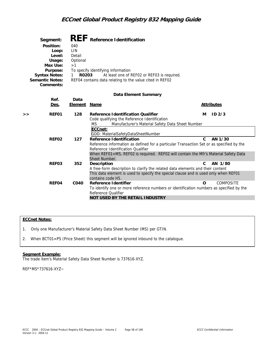| Segment:               | REF Reference Identification                             |
|------------------------|----------------------------------------------------------|
| Position:              | 040                                                      |
| Loop:                  | LIN                                                      |
| Level:                 | Detail                                                   |
| Usage:                 | Optional                                                 |
| Max Use:               | >1                                                       |
| Purpose:               | To specify identifying information                       |
| <b>Syntax Notes:</b>   | At least one of REF02 or REF03 is required.<br>R0203     |
| <b>Semantic Notes:</b> | REF04 contains data relating to the value cited in REF02 |
| Comments:              |                                                          |

#### **Data Element Summary**

|   | Ref.<br><u>Des.</u> | Data<br>Element | <u>Name</u>                                                                                                                                                           |    | <b>Attributes</b> |
|---|---------------------|-----------------|-----------------------------------------------------------------------------------------------------------------------------------------------------------------------|----|-------------------|
|   |                     |                 |                                                                                                                                                                       |    |                   |
| > | REF01               | 128             | Reference Identification Qualifier                                                                                                                                    | м  | ID2/3             |
|   |                     |                 | Code qualifying the Reference Identification                                                                                                                          |    |                   |
|   |                     |                 | Manufacturer's Material Safety Data Sheet Number<br>MS.                                                                                                               |    |                   |
|   |                     |                 | ECCnet:                                                                                                                                                               |    |                   |
|   |                     |                 | GDD: MaterialSafetyDataSheetNumber                                                                                                                                    |    |                   |
|   | REF02               | 127             | Reference Identification                                                                                                                                              | C. | AN 1/30           |
|   |                     |                 | Reference information as defined for a particular Transaction Set or as specified by the                                                                              |    |                   |
|   |                     |                 | Reference Identification Qualifier                                                                                                                                    |    |                   |
|   |                     |                 | When REF01=MS, REF02 is required. REF02 will contain the Mfr's Material Safety Data                                                                                   |    |                   |
|   |                     |                 | Sheet Number.                                                                                                                                                         | C. |                   |
|   | REF03               | 352             | Description                                                                                                                                                           |    | AN 1/80           |
|   |                     |                 | A free-form description to clarify the related data elements and their content<br>This data element is used to specify the special clause and is used only when REF01 |    |                   |
|   |                     |                 | contains code H5.                                                                                                                                                     |    |                   |
|   | REF04               | CO40            | Reference Identifier                                                                                                                                                  | Ω  | <b>COMPOSITE</b>  |
|   |                     |                 | To identify one or more reference numbers or identification numbers as specified by the                                                                               |    |                   |
|   |                     |                 | Reference Oualifier                                                                                                                                                   |    |                   |
|   |                     |                 | NOT USED BY THE RETAIL INDUSTRY                                                                                                                                       |    |                   |
|   |                     |                 |                                                                                                                                                                       |    |                   |

### **ECCnet Notes:**

- 1. Only one Manufacturer's Material Safety Data Sheet Number (MS) per GTIN.
- 2. When BCT01=PS (Price Sheet) this segment will be ignored inbound to the catalogue.

### **Segment Example:**

The trade item's Material Safety Data Sheet Number is 737616-XYZ.

REF\*MS\*737616-XYZ~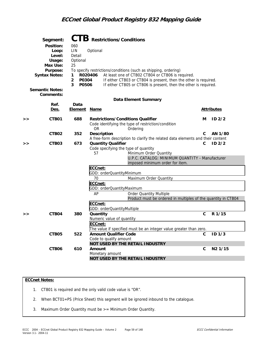|   | Segment:               |                         | CTB Restrictions/Conditions                                                                                             |              |                     |  |  |  |  |
|---|------------------------|-------------------------|-------------------------------------------------------------------------------------------------------------------------|--------------|---------------------|--|--|--|--|
|   | Position:              | 060                     |                                                                                                                         |              |                     |  |  |  |  |
|   | Loop:                  | LIN                     | Optional                                                                                                                |              |                     |  |  |  |  |
|   | Level:                 | Detail                  |                                                                                                                         |              |                     |  |  |  |  |
|   | Usage:                 | Optional                |                                                                                                                         |              |                     |  |  |  |  |
|   | Max Use:               | 25                      |                                                                                                                         |              |                     |  |  |  |  |
|   | Purpose:               |                         | To specify restrictions/conditions (such as shipping, ordering)                                                         |              |                     |  |  |  |  |
|   | <b>Syntax Notes:</b>   | 1.                      | At least one of CTB02 CTB04 or CTB06 is required.<br>R020406                                                            |              |                     |  |  |  |  |
|   |                        | $\overline{2}$<br>P0304 | If either CTB03 or CTB04 is present, then the other is required.                                                        |              |                     |  |  |  |  |
|   |                        | 3<br>P0506              | If either CTB05 or CTB06 is present, then the other is required.                                                        |              |                     |  |  |  |  |
|   | <b>Semantic Notes:</b> |                         |                                                                                                                         |              |                     |  |  |  |  |
|   | Comments:              |                         |                                                                                                                         |              |                     |  |  |  |  |
|   |                        |                         | Data Element Summary                                                                                                    |              |                     |  |  |  |  |
|   | Ref.                   | Data                    |                                                                                                                         |              |                     |  |  |  |  |
|   | <u>Des.</u>            | <u>Element Name</u>     |                                                                                                                         |              | <u>Attributes</u>   |  |  |  |  |
| > | CTB01                  | 688                     | <b>Restrictions/Conditions Qualifier</b><br>Code identifying the type of restriction/condition<br><b>OR</b><br>Ordering | м            | ID <sub>2/2</sub>   |  |  |  |  |
|   | CTB <sub>02</sub>      | 352                     | Description                                                                                                             | C            | AN 1/80             |  |  |  |  |
|   |                        |                         | A free-form description to clarify the related data elements and their content                                          |              |                     |  |  |  |  |
| > | CTB03                  | 673                     | <b>Quantity Qualifier</b>                                                                                               | C            | ID <sub>2/2</sub>   |  |  |  |  |
|   |                        |                         | Code specifying the type of quantity                                                                                    |              |                     |  |  |  |  |
|   |                        |                         | 57<br>Minimum Order Quantity                                                                                            |              |                     |  |  |  |  |
|   |                        |                         | U.P.C. CATALOG: MINIMUM QUANTITY - Manufacturer                                                                         |              |                     |  |  |  |  |
|   |                        |                         | imposed minimum order for item.                                                                                         |              |                     |  |  |  |  |
|   |                        |                         | ECCnet:<br>GDD: orderQuantityMinimum                                                                                    |              |                     |  |  |  |  |
|   |                        |                         | 70<br>Maximum Order Quantity                                                                                            |              |                     |  |  |  |  |
|   |                        |                         | ECCnet:                                                                                                                 |              |                     |  |  |  |  |
|   |                        |                         | GDD: orderQuantityMaximum                                                                                               |              |                     |  |  |  |  |
|   |                        |                         | AP<br><b>Order Quantity Multiple</b>                                                                                    |              |                     |  |  |  |  |
|   |                        |                         | Product must be ordered in multiples of the quantity in CTB04                                                           |              |                     |  |  |  |  |
|   |                        |                         | ECCnet:                                                                                                                 |              |                     |  |  |  |  |
|   |                        |                         | GDD: orderQuantityMultiple                                                                                              |              |                     |  |  |  |  |
| > | CTB04                  | 380                     | Quantity                                                                                                                | $\mathsf{C}$ | R 1/15              |  |  |  |  |
|   |                        |                         | Numeric value of quantity                                                                                               |              |                     |  |  |  |  |
|   |                        |                         | ECCnet:                                                                                                                 |              |                     |  |  |  |  |
|   |                        |                         | The value if specified must be an integer value greater than zero.                                                      |              |                     |  |  |  |  |
|   | CTB05                  | 522                     | <b>Amount Qualifier Code</b>                                                                                            | С            | ID 1/3              |  |  |  |  |
|   |                        |                         | Code to qualify amount                                                                                                  |              |                     |  |  |  |  |
|   |                        |                         | NOT USED BY THE RETAIL INDUSTRY                                                                                         |              |                     |  |  |  |  |
|   | CTB <sub>06</sub>      | 610                     | Amount                                                                                                                  | C            | N <sub>2</sub> 1/15 |  |  |  |  |
|   |                        |                         | Monetary amount                                                                                                         |              |                     |  |  |  |  |
|   |                        |                         | NOT USED BY THE RETAIL INDUSTRY                                                                                         |              |                     |  |  |  |  |

### **ECCnet Notes:**

- 1. CTB01 is required and the only valid code value is "OR".
- 2. When BCT01=PS (Price Sheet) this segment will be ignored inbound to the catalogue.
- 3. Maximum Order Quantity must be >= Minimum Order Quantity.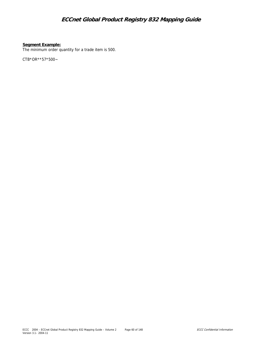### **Segment Example:**

The minimum order quantity for a trade item is 500.

CTB\*OR\*\*57\*500~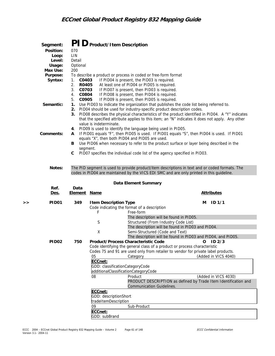|   | Segment:<br>Position:<br>Loop:<br>Level:<br>Usage:<br>Max Use:<br>Purpose:<br>Syntax:<br>Semantic:<br>Comments: | 070<br>LIN<br>Detail<br>Optional<br>200<br>C0403<br>1.<br>2.<br>R0405<br>3 <sub>1</sub><br>C0703<br>C0804<br>4.<br>5.<br>C0905<br>1.<br>2.<br>3.<br>4.<br>A<br>в | PID Product/Item Description<br>value is indeterminate.                                                           | To describe a product or process in coded or free-form format<br>If PID04 is present, the PID03 is required.<br>At least one of PID04 or PID05 is required.<br>If PID07 is present, then PID03 is required.<br>If PID08 is present, then PID04 is required.<br>If PID09 is present, then PID05 is required.<br>Use PID03 to indicate the organization that publishes the code list being referred to.<br>PID04 should be used for industry-specific product description codes.<br>PID09 is used to identify the language being used in PID05.<br>equals "X", then both PID04 and PID05 are used.<br>Use PID06 when necessary to refer to the product surface or layer being described in the | PID08 describes the physical characteristics of the product identified in PID04. A "Y" indicates<br>that the specified attribute applies to this item; an "N" indicates it does not apply. Any other<br>If PID01 equals "F", then PID05 is used. If PID01 equals "S", then PID04 is used. If PID01 |
|---|-----------------------------------------------------------------------------------------------------------------|------------------------------------------------------------------------------------------------------------------------------------------------------------------|-------------------------------------------------------------------------------------------------------------------|----------------------------------------------------------------------------------------------------------------------------------------------------------------------------------------------------------------------------------------------------------------------------------------------------------------------------------------------------------------------------------------------------------------------------------------------------------------------------------------------------------------------------------------------------------------------------------------------------------------------------------------------------------------------------------------------|----------------------------------------------------------------------------------------------------------------------------------------------------------------------------------------------------------------------------------------------------------------------------------------------------|
|   | Notes:                                                                                                          | segment.<br>С                                                                                                                                                    |                                                                                                                   | PID07 specifies the individual code list of the agency specified in PID03.<br>codes in PID04 are maintained by the VICS EDI SMC and are only printed in this guideline.                                                                                                                                                                                                                                                                                                                                                                                                                                                                                                                      | The PID segment is used to provide product/item descriptions in text and or coded formats. The                                                                                                                                                                                                     |
|   |                                                                                                                 |                                                                                                                                                                  |                                                                                                                   | Data Element Summary                                                                                                                                                                                                                                                                                                                                                                                                                                                                                                                                                                                                                                                                         |                                                                                                                                                                                                                                                                                                    |
|   | Ref.<br>Des.                                                                                                    | Data<br><b>Element Name</b>                                                                                                                                      |                                                                                                                   |                                                                                                                                                                                                                                                                                                                                                                                                                                                                                                                                                                                                                                                                                              | <b>Attributes</b>                                                                                                                                                                                                                                                                                  |
| > | PID <sub>01</sub>                                                                                               | 349                                                                                                                                                              | <b>Item Description Type</b><br>F                                                                                 | Code indicating the format of a description<br>Free-form                                                                                                                                                                                                                                                                                                                                                                                                                                                                                                                                                                                                                                     | ID 1/1<br>M                                                                                                                                                                                                                                                                                        |
|   |                                                                                                                 |                                                                                                                                                                  | S<br>Χ                                                                                                            | The description will be found in PID05.<br>Structured (From Industry Code List)<br>The description will be found in PID03 and PID04.<br>Semi-Structured (Code and Text)                                                                                                                                                                                                                                                                                                                                                                                                                                                                                                                      | The description will be found in PID03 and PID04, and PID05.                                                                                                                                                                                                                                       |
|   | PID <sub>02</sub>                                                                                               | 750                                                                                                                                                              | 05<br>ECCnet:<br>08<br>ECCnet:<br>GDD: descriptionShort<br>tradeItemDescription<br>09<br>ECCnet:<br>GDD: subBrand | Product/Process Characteristic Code<br>Code identifying the general class of a product or process characteristic<br>Codes 75 and 91 are used only from retailer to vendor for private label products.<br>Category<br>GDD: classificationCategoryCode<br>additionalClassificationCategoryCode<br>Product<br><b>Communication Guidelines.</b><br>Sub-Product                                                                                                                                                                                                                                                                                                                                   | ID2/3<br>O<br>(Added in VICS 4040)<br>(Added in VICS 4030)<br>PRODUCT DESCRIPTION as defined by Trade Item Identification and                                                                                                                                                                      |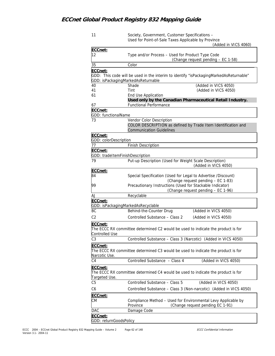| (Added in VICS 4060)<br>ECCnet:<br>12<br>Type and/or Process - Used for Product Type Code<br>(Change request pending - EC 1-58)<br>35<br>Color<br>ECCnet:<br>GDD: This code will be used in the interim to identify "isPackagingMarkedAsReturnable"<br>GDD: isPackagingMarkedAsReturnable<br>(Added in VICS 4050)<br>40<br>Shade<br>41<br>Tint<br>(Added in VICS 4050)<br>61<br>End Use Application<br>Used only by the Canadian Pharmaceutical Retail Industry.<br><b>Functional Performance</b><br>67<br>ECCnet:<br>GDD: functionalName<br>Vendor Color Description<br>73<br>COLOR DESCRIPTION as defined by Trade Item Identification and<br><b>Communication Guidelines</b><br>ECCnet:<br>GDD: colorDescription<br>77<br><b>Finish Description</b><br>ECCnet:<br>GDD: tradeItemFinishDescription<br>Put-up Description (Used for Weight Scale Description)<br>79<br>(Added in VICS 4050)<br>ECCnet:<br>84<br>Special Specification (Used for Legal to Advertise /Discount)<br>(Change request pending - EC 1-83)<br>Precautionary Instructions (Used for Stackable Indicator)<br>99<br>(Change request pending - EC 1-96)<br>Recyclable<br>AJ<br>ECCnet:<br>GDD: isPackagingMarkedAsRecyclable<br>BC<br>(Added in VICS 4050)<br>Behind-the-Counter Drug<br>C2<br>Controlled Substance - Class 2<br>(Added in VICS 4050)<br>ECCnet:<br>The ECCC RX committee determined C2 would be used to indicate the product is for<br>Controlled Use<br>Controlled Substance - Class 3 (Narcotic) (Added in VICS 4050)<br>C <sub>3</sub><br>ECCnet:<br>The ECCC RX committee determined C3 would be used to indicate the product is for<br>Narcotic Use.<br>Controlled Substance - Class 4<br>C <sub>4</sub><br>(Added in VICS 4050)<br>ECCnet:<br>The ECCC RX committee determined C4 would be used to indicate the product is for<br>Targeted Use.<br>Controlled Substance - Class 5<br>C <sub>5</sub><br>(Added in VICS 4050)<br>Controlled Substance - Class 3 (Non-narcotic) (Added in VICS 4050)<br>C6<br>ECCnet:<br>Compliance Method - Used for Environmental Levy Applicable by<br>СM<br>(Change request pending EC 1-91)<br>Province<br>DAC<br>Damage Code<br>ECCnet: | 11 | Society, Government, Customer Specifications -<br>Used for Point-of-Sale Taxes Applicable by Province |
|-------------------------------------------------------------------------------------------------------------------------------------------------------------------------------------------------------------------------------------------------------------------------------------------------------------------------------------------------------------------------------------------------------------------------------------------------------------------------------------------------------------------------------------------------------------------------------------------------------------------------------------------------------------------------------------------------------------------------------------------------------------------------------------------------------------------------------------------------------------------------------------------------------------------------------------------------------------------------------------------------------------------------------------------------------------------------------------------------------------------------------------------------------------------------------------------------------------------------------------------------------------------------------------------------------------------------------------------------------------------------------------------------------------------------------------------------------------------------------------------------------------------------------------------------------------------------------------------------------------------------------------------------------------------------------------------------------------------------------------------------------------------------------------------------------------------------------------------------------------------------------------------------------------------------------------------------------------------------------------------------------------------------------------------------------------------------------------------------------------------------------------------------------------------------|----|-------------------------------------------------------------------------------------------------------|
|                                                                                                                                                                                                                                                                                                                                                                                                                                                                                                                                                                                                                                                                                                                                                                                                                                                                                                                                                                                                                                                                                                                                                                                                                                                                                                                                                                                                                                                                                                                                                                                                                                                                                                                                                                                                                                                                                                                                                                                                                                                                                                                                                                         |    |                                                                                                       |
|                                                                                                                                                                                                                                                                                                                                                                                                                                                                                                                                                                                                                                                                                                                                                                                                                                                                                                                                                                                                                                                                                                                                                                                                                                                                                                                                                                                                                                                                                                                                                                                                                                                                                                                                                                                                                                                                                                                                                                                                                                                                                                                                                                         |    |                                                                                                       |
|                                                                                                                                                                                                                                                                                                                                                                                                                                                                                                                                                                                                                                                                                                                                                                                                                                                                                                                                                                                                                                                                                                                                                                                                                                                                                                                                                                                                                                                                                                                                                                                                                                                                                                                                                                                                                                                                                                                                                                                                                                                                                                                                                                         |    |                                                                                                       |
|                                                                                                                                                                                                                                                                                                                                                                                                                                                                                                                                                                                                                                                                                                                                                                                                                                                                                                                                                                                                                                                                                                                                                                                                                                                                                                                                                                                                                                                                                                                                                                                                                                                                                                                                                                                                                                                                                                                                                                                                                                                                                                                                                                         |    |                                                                                                       |
|                                                                                                                                                                                                                                                                                                                                                                                                                                                                                                                                                                                                                                                                                                                                                                                                                                                                                                                                                                                                                                                                                                                                                                                                                                                                                                                                                                                                                                                                                                                                                                                                                                                                                                                                                                                                                                                                                                                                                                                                                                                                                                                                                                         |    |                                                                                                       |
|                                                                                                                                                                                                                                                                                                                                                                                                                                                                                                                                                                                                                                                                                                                                                                                                                                                                                                                                                                                                                                                                                                                                                                                                                                                                                                                                                                                                                                                                                                                                                                                                                                                                                                                                                                                                                                                                                                                                                                                                                                                                                                                                                                         |    |                                                                                                       |
|                                                                                                                                                                                                                                                                                                                                                                                                                                                                                                                                                                                                                                                                                                                                                                                                                                                                                                                                                                                                                                                                                                                                                                                                                                                                                                                                                                                                                                                                                                                                                                                                                                                                                                                                                                                                                                                                                                                                                                                                                                                                                                                                                                         |    |                                                                                                       |
|                                                                                                                                                                                                                                                                                                                                                                                                                                                                                                                                                                                                                                                                                                                                                                                                                                                                                                                                                                                                                                                                                                                                                                                                                                                                                                                                                                                                                                                                                                                                                                                                                                                                                                                                                                                                                                                                                                                                                                                                                                                                                                                                                                         |    |                                                                                                       |
|                                                                                                                                                                                                                                                                                                                                                                                                                                                                                                                                                                                                                                                                                                                                                                                                                                                                                                                                                                                                                                                                                                                                                                                                                                                                                                                                                                                                                                                                                                                                                                                                                                                                                                                                                                                                                                                                                                                                                                                                                                                                                                                                                                         |    |                                                                                                       |
|                                                                                                                                                                                                                                                                                                                                                                                                                                                                                                                                                                                                                                                                                                                                                                                                                                                                                                                                                                                                                                                                                                                                                                                                                                                                                                                                                                                                                                                                                                                                                                                                                                                                                                                                                                                                                                                                                                                                                                                                                                                                                                                                                                         |    |                                                                                                       |
|                                                                                                                                                                                                                                                                                                                                                                                                                                                                                                                                                                                                                                                                                                                                                                                                                                                                                                                                                                                                                                                                                                                                                                                                                                                                                                                                                                                                                                                                                                                                                                                                                                                                                                                                                                                                                                                                                                                                                                                                                                                                                                                                                                         |    |                                                                                                       |
|                                                                                                                                                                                                                                                                                                                                                                                                                                                                                                                                                                                                                                                                                                                                                                                                                                                                                                                                                                                                                                                                                                                                                                                                                                                                                                                                                                                                                                                                                                                                                                                                                                                                                                                                                                                                                                                                                                                                                                                                                                                                                                                                                                         |    |                                                                                                       |
|                                                                                                                                                                                                                                                                                                                                                                                                                                                                                                                                                                                                                                                                                                                                                                                                                                                                                                                                                                                                                                                                                                                                                                                                                                                                                                                                                                                                                                                                                                                                                                                                                                                                                                                                                                                                                                                                                                                                                                                                                                                                                                                                                                         |    |                                                                                                       |
|                                                                                                                                                                                                                                                                                                                                                                                                                                                                                                                                                                                                                                                                                                                                                                                                                                                                                                                                                                                                                                                                                                                                                                                                                                                                                                                                                                                                                                                                                                                                                                                                                                                                                                                                                                                                                                                                                                                                                                                                                                                                                                                                                                         |    |                                                                                                       |
|                                                                                                                                                                                                                                                                                                                                                                                                                                                                                                                                                                                                                                                                                                                                                                                                                                                                                                                                                                                                                                                                                                                                                                                                                                                                                                                                                                                                                                                                                                                                                                                                                                                                                                                                                                                                                                                                                                                                                                                                                                                                                                                                                                         |    |                                                                                                       |
|                                                                                                                                                                                                                                                                                                                                                                                                                                                                                                                                                                                                                                                                                                                                                                                                                                                                                                                                                                                                                                                                                                                                                                                                                                                                                                                                                                                                                                                                                                                                                                                                                                                                                                                                                                                                                                                                                                                                                                                                                                                                                                                                                                         |    |                                                                                                       |
|                                                                                                                                                                                                                                                                                                                                                                                                                                                                                                                                                                                                                                                                                                                                                                                                                                                                                                                                                                                                                                                                                                                                                                                                                                                                                                                                                                                                                                                                                                                                                                                                                                                                                                                                                                                                                                                                                                                                                                                                                                                                                                                                                                         |    |                                                                                                       |
|                                                                                                                                                                                                                                                                                                                                                                                                                                                                                                                                                                                                                                                                                                                                                                                                                                                                                                                                                                                                                                                                                                                                                                                                                                                                                                                                                                                                                                                                                                                                                                                                                                                                                                                                                                                                                                                                                                                                                                                                                                                                                                                                                                         |    |                                                                                                       |
|                                                                                                                                                                                                                                                                                                                                                                                                                                                                                                                                                                                                                                                                                                                                                                                                                                                                                                                                                                                                                                                                                                                                                                                                                                                                                                                                                                                                                                                                                                                                                                                                                                                                                                                                                                                                                                                                                                                                                                                                                                                                                                                                                                         |    |                                                                                                       |
|                                                                                                                                                                                                                                                                                                                                                                                                                                                                                                                                                                                                                                                                                                                                                                                                                                                                                                                                                                                                                                                                                                                                                                                                                                                                                                                                                                                                                                                                                                                                                                                                                                                                                                                                                                                                                                                                                                                                                                                                                                                                                                                                                                         |    |                                                                                                       |
|                                                                                                                                                                                                                                                                                                                                                                                                                                                                                                                                                                                                                                                                                                                                                                                                                                                                                                                                                                                                                                                                                                                                                                                                                                                                                                                                                                                                                                                                                                                                                                                                                                                                                                                                                                                                                                                                                                                                                                                                                                                                                                                                                                         |    |                                                                                                       |
|                                                                                                                                                                                                                                                                                                                                                                                                                                                                                                                                                                                                                                                                                                                                                                                                                                                                                                                                                                                                                                                                                                                                                                                                                                                                                                                                                                                                                                                                                                                                                                                                                                                                                                                                                                                                                                                                                                                                                                                                                                                                                                                                                                         |    |                                                                                                       |
|                                                                                                                                                                                                                                                                                                                                                                                                                                                                                                                                                                                                                                                                                                                                                                                                                                                                                                                                                                                                                                                                                                                                                                                                                                                                                                                                                                                                                                                                                                                                                                                                                                                                                                                                                                                                                                                                                                                                                                                                                                                                                                                                                                         |    |                                                                                                       |
|                                                                                                                                                                                                                                                                                                                                                                                                                                                                                                                                                                                                                                                                                                                                                                                                                                                                                                                                                                                                                                                                                                                                                                                                                                                                                                                                                                                                                                                                                                                                                                                                                                                                                                                                                                                                                                                                                                                                                                                                                                                                                                                                                                         |    |                                                                                                       |
|                                                                                                                                                                                                                                                                                                                                                                                                                                                                                                                                                                                                                                                                                                                                                                                                                                                                                                                                                                                                                                                                                                                                                                                                                                                                                                                                                                                                                                                                                                                                                                                                                                                                                                                                                                                                                                                                                                                                                                                                                                                                                                                                                                         |    |                                                                                                       |
|                                                                                                                                                                                                                                                                                                                                                                                                                                                                                                                                                                                                                                                                                                                                                                                                                                                                                                                                                                                                                                                                                                                                                                                                                                                                                                                                                                                                                                                                                                                                                                                                                                                                                                                                                                                                                                                                                                                                                                                                                                                                                                                                                                         |    |                                                                                                       |
|                                                                                                                                                                                                                                                                                                                                                                                                                                                                                                                                                                                                                                                                                                                                                                                                                                                                                                                                                                                                                                                                                                                                                                                                                                                                                                                                                                                                                                                                                                                                                                                                                                                                                                                                                                                                                                                                                                                                                                                                                                                                                                                                                                         |    |                                                                                                       |
|                                                                                                                                                                                                                                                                                                                                                                                                                                                                                                                                                                                                                                                                                                                                                                                                                                                                                                                                                                                                                                                                                                                                                                                                                                                                                                                                                                                                                                                                                                                                                                                                                                                                                                                                                                                                                                                                                                                                                                                                                                                                                                                                                                         |    |                                                                                                       |
|                                                                                                                                                                                                                                                                                                                                                                                                                                                                                                                                                                                                                                                                                                                                                                                                                                                                                                                                                                                                                                                                                                                                                                                                                                                                                                                                                                                                                                                                                                                                                                                                                                                                                                                                                                                                                                                                                                                                                                                                                                                                                                                                                                         |    |                                                                                                       |
|                                                                                                                                                                                                                                                                                                                                                                                                                                                                                                                                                                                                                                                                                                                                                                                                                                                                                                                                                                                                                                                                                                                                                                                                                                                                                                                                                                                                                                                                                                                                                                                                                                                                                                                                                                                                                                                                                                                                                                                                                                                                                                                                                                         |    |                                                                                                       |
|                                                                                                                                                                                                                                                                                                                                                                                                                                                                                                                                                                                                                                                                                                                                                                                                                                                                                                                                                                                                                                                                                                                                                                                                                                                                                                                                                                                                                                                                                                                                                                                                                                                                                                                                                                                                                                                                                                                                                                                                                                                                                                                                                                         |    |                                                                                                       |
|                                                                                                                                                                                                                                                                                                                                                                                                                                                                                                                                                                                                                                                                                                                                                                                                                                                                                                                                                                                                                                                                                                                                                                                                                                                                                                                                                                                                                                                                                                                                                                                                                                                                                                                                                                                                                                                                                                                                                                                                                                                                                                                                                                         |    |                                                                                                       |
|                                                                                                                                                                                                                                                                                                                                                                                                                                                                                                                                                                                                                                                                                                                                                                                                                                                                                                                                                                                                                                                                                                                                                                                                                                                                                                                                                                                                                                                                                                                                                                                                                                                                                                                                                                                                                                                                                                                                                                                                                                                                                                                                                                         |    |                                                                                                       |
|                                                                                                                                                                                                                                                                                                                                                                                                                                                                                                                                                                                                                                                                                                                                                                                                                                                                                                                                                                                                                                                                                                                                                                                                                                                                                                                                                                                                                                                                                                                                                                                                                                                                                                                                                                                                                                                                                                                                                                                                                                                                                                                                                                         |    |                                                                                                       |
|                                                                                                                                                                                                                                                                                                                                                                                                                                                                                                                                                                                                                                                                                                                                                                                                                                                                                                                                                                                                                                                                                                                                                                                                                                                                                                                                                                                                                                                                                                                                                                                                                                                                                                                                                                                                                                                                                                                                                                                                                                                                                                                                                                         |    |                                                                                                       |
|                                                                                                                                                                                                                                                                                                                                                                                                                                                                                                                                                                                                                                                                                                                                                                                                                                                                                                                                                                                                                                                                                                                                                                                                                                                                                                                                                                                                                                                                                                                                                                                                                                                                                                                                                                                                                                                                                                                                                                                                                                                                                                                                                                         |    |                                                                                                       |
|                                                                                                                                                                                                                                                                                                                                                                                                                                                                                                                                                                                                                                                                                                                                                                                                                                                                                                                                                                                                                                                                                                                                                                                                                                                                                                                                                                                                                                                                                                                                                                                                                                                                                                                                                                                                                                                                                                                                                                                                                                                                                                                                                                         |    |                                                                                                       |
|                                                                                                                                                                                                                                                                                                                                                                                                                                                                                                                                                                                                                                                                                                                                                                                                                                                                                                                                                                                                                                                                                                                                                                                                                                                                                                                                                                                                                                                                                                                                                                                                                                                                                                                                                                                                                                                                                                                                                                                                                                                                                                                                                                         |    |                                                                                                       |
|                                                                                                                                                                                                                                                                                                                                                                                                                                                                                                                                                                                                                                                                                                                                                                                                                                                                                                                                                                                                                                                                                                                                                                                                                                                                                                                                                                                                                                                                                                                                                                                                                                                                                                                                                                                                                                                                                                                                                                                                                                                                                                                                                                         |    |                                                                                                       |
|                                                                                                                                                                                                                                                                                                                                                                                                                                                                                                                                                                                                                                                                                                                                                                                                                                                                                                                                                                                                                                                                                                                                                                                                                                                                                                                                                                                                                                                                                                                                                                                                                                                                                                                                                                                                                                                                                                                                                                                                                                                                                                                                                                         |    |                                                                                                       |
|                                                                                                                                                                                                                                                                                                                                                                                                                                                                                                                                                                                                                                                                                                                                                                                                                                                                                                                                                                                                                                                                                                                                                                                                                                                                                                                                                                                                                                                                                                                                                                                                                                                                                                                                                                                                                                                                                                                                                                                                                                                                                                                                                                         |    |                                                                                                       |
|                                                                                                                                                                                                                                                                                                                                                                                                                                                                                                                                                                                                                                                                                                                                                                                                                                                                                                                                                                                                                                                                                                                                                                                                                                                                                                                                                                                                                                                                                                                                                                                                                                                                                                                                                                                                                                                                                                                                                                                                                                                                                                                                                                         |    |                                                                                                       |
|                                                                                                                                                                                                                                                                                                                                                                                                                                                                                                                                                                                                                                                                                                                                                                                                                                                                                                                                                                                                                                                                                                                                                                                                                                                                                                                                                                                                                                                                                                                                                                                                                                                                                                                                                                                                                                                                                                                                                                                                                                                                                                                                                                         |    |                                                                                                       |
|                                                                                                                                                                                                                                                                                                                                                                                                                                                                                                                                                                                                                                                                                                                                                                                                                                                                                                                                                                                                                                                                                                                                                                                                                                                                                                                                                                                                                                                                                                                                                                                                                                                                                                                                                                                                                                                                                                                                                                                                                                                                                                                                                                         |    |                                                                                                       |
|                                                                                                                                                                                                                                                                                                                                                                                                                                                                                                                                                                                                                                                                                                                                                                                                                                                                                                                                                                                                                                                                                                                                                                                                                                                                                                                                                                                                                                                                                                                                                                                                                                                                                                                                                                                                                                                                                                                                                                                                                                                                                                                                                                         |    |                                                                                                       |
|                                                                                                                                                                                                                                                                                                                                                                                                                                                                                                                                                                                                                                                                                                                                                                                                                                                                                                                                                                                                                                                                                                                                                                                                                                                                                                                                                                                                                                                                                                                                                                                                                                                                                                                                                                                                                                                                                                                                                                                                                                                                                                                                                                         |    |                                                                                                       |
|                                                                                                                                                                                                                                                                                                                                                                                                                                                                                                                                                                                                                                                                                                                                                                                                                                                                                                                                                                                                                                                                                                                                                                                                                                                                                                                                                                                                                                                                                                                                                                                                                                                                                                                                                                                                                                                                                                                                                                                                                                                                                                                                                                         |    |                                                                                                       |
|                                                                                                                                                                                                                                                                                                                                                                                                                                                                                                                                                                                                                                                                                                                                                                                                                                                                                                                                                                                                                                                                                                                                                                                                                                                                                                                                                                                                                                                                                                                                                                                                                                                                                                                                                                                                                                                                                                                                                                                                                                                                                                                                                                         |    |                                                                                                       |
|                                                                                                                                                                                                                                                                                                                                                                                                                                                                                                                                                                                                                                                                                                                                                                                                                                                                                                                                                                                                                                                                                                                                                                                                                                                                                                                                                                                                                                                                                                                                                                                                                                                                                                                                                                                                                                                                                                                                                                                                                                                                                                                                                                         |    |                                                                                                       |
|                                                                                                                                                                                                                                                                                                                                                                                                                                                                                                                                                                                                                                                                                                                                                                                                                                                                                                                                                                                                                                                                                                                                                                                                                                                                                                                                                                                                                                                                                                                                                                                                                                                                                                                                                                                                                                                                                                                                                                                                                                                                                                                                                                         |    |                                                                                                       |
|                                                                                                                                                                                                                                                                                                                                                                                                                                                                                                                                                                                                                                                                                                                                                                                                                                                                                                                                                                                                                                                                                                                                                                                                                                                                                                                                                                                                                                                                                                                                                                                                                                                                                                                                                                                                                                                                                                                                                                                                                                                                                                                                                                         |    |                                                                                                       |
| GDD: returnGoodsPolicy                                                                                                                                                                                                                                                                                                                                                                                                                                                                                                                                                                                                                                                                                                                                                                                                                                                                                                                                                                                                                                                                                                                                                                                                                                                                                                                                                                                                                                                                                                                                                                                                                                                                                                                                                                                                                                                                                                                                                                                                                                                                                                                                                  |    |                                                                                                       |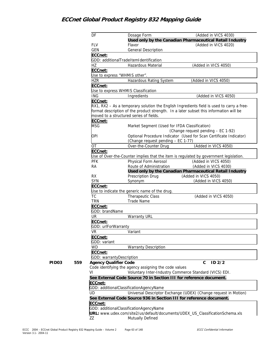|              |     | DF                           | Dosage Form                                                                            | (Added in VICS 4030)<br>Used only by the Canadian Pharmaceutical Retail Industry          |
|--------------|-----|------------------------------|----------------------------------------------------------------------------------------|-------------------------------------------------------------------------------------------|
|              |     | <b>FLV</b>                   | Flavor                                                                                 | (Added in VICS 4020)                                                                      |
|              |     | <b>GEN</b>                   | <b>General Description</b>                                                             |                                                                                           |
|              |     | ECCnet:                      |                                                                                        |                                                                                           |
|              |     |                              | GDD: additionalTradeItemIdentification                                                 |                                                                                           |
|              |     | HZ                           | Hazardous Material                                                                     | (Added in VICS 4050)                                                                      |
|              |     | ECCnet:                      |                                                                                        |                                                                                           |
|              |     |                              | Use to express "WHMIS other".                                                          |                                                                                           |
|              |     | <b>HZR</b>                   | Hazardous Rating System                                                                | (Added in VICS 4050)                                                                      |
|              |     | ECCnet:                      |                                                                                        |                                                                                           |
|              |     |                              | Use to express WHMIS Classification                                                    |                                                                                           |
|              |     | <b>ING</b>                   | Ingredients                                                                            | (Added in VICS 4050)                                                                      |
|              |     | ECCnet:                      |                                                                                        |                                                                                           |
|              |     |                              | format description of the product strength. In a later subset this information will be | RX1, RX2 - As a temporary solution the English Ingredients field is used to carry a free- |
|              |     |                              | moved to a structured series of fields.                                                |                                                                                           |
|              |     | ECCnet:                      |                                                                                        |                                                                                           |
|              |     | <b>MSG</b>                   | Market Segment (Used for IFDA Classification)                                          |                                                                                           |
|              |     |                              |                                                                                        | (Change request pending - EC 1-92)                                                        |
|              |     | OPI                          | (Change request pending - EC 1-77)                                                     | Optional Procedure Indicator (Used for Scan Certificate Indicator)                        |
|              |     | <b>OT</b>                    | Over-the-Counter Drug                                                                  | (Added in VICS 4050)                                                                      |
|              |     | ECCnet:                      |                                                                                        |                                                                                           |
|              |     |                              |                                                                                        | Use of Over-the-Counter implies that the item is regulated by government legislation.     |
|              |     | <b>PFK</b>                   | Physical Form Aerosol                                                                  | (Added in VICS 4050)                                                                      |
|              |     | <b>RA</b>                    | Route of Administration                                                                | (Added in VICS 4030)                                                                      |
|              |     |                              |                                                                                        | Used only by the Canadian Pharmaceutical Retail Industry                                  |
|              |     | <b>RX</b>                    | Prescription Drug                                                                      | (Added in VICS 4050)                                                                      |
|              |     | SYN                          | Synonym                                                                                | (Added in VICS 4050)                                                                      |
|              |     | ECCnet:                      |                                                                                        |                                                                                           |
|              |     |                              | Use to indicate the generic name of the drug.                                          |                                                                                           |
|              |     | <b>TC</b>                    | Therapeutic Class                                                                      | (Added in VICS 4050)                                                                      |
|              |     | <b>TRN</b>                   | <b>Trade Name</b>                                                                      |                                                                                           |
|              |     | ECCnet:                      |                                                                                        |                                                                                           |
|              |     | GDD: brandName               |                                                                                        |                                                                                           |
|              |     | UR                           | <b>Warranty URL</b>                                                                    |                                                                                           |
|              |     | ECCnet:                      |                                                                                        |                                                                                           |
|              |     | GDD: urlForWarranty          |                                                                                        |                                                                                           |
|              |     | VR                           | Variant                                                                                |                                                                                           |
|              |     | ECCnet:                      |                                                                                        |                                                                                           |
|              |     | GDD: variant                 |                                                                                        |                                                                                           |
|              |     | WD                           | <b>Warranty Description</b>                                                            |                                                                                           |
|              |     | ECCnet:                      |                                                                                        |                                                                                           |
|              |     | GDD: warrantyDescription     |                                                                                        |                                                                                           |
| <b>PID03</b> | 559 | <b>Agency Qualifier Code</b> |                                                                                        | $ID$ $2/2$<br>$\mathsf{C}$                                                                |
|              |     |                              | Code identifying the agency assigning the code values                                  |                                                                                           |
|              |     | VI                           | Voluntary Inter-Industry Commerce Standard (VICS) EDI.                                 |                                                                                           |
|              |     |                              | See External Code Source 70 in Section III for reference document.                     |                                                                                           |
|              |     | ECCnet:                      |                                                                                        |                                                                                           |
|              |     |                              | GDD: additionalClassificationAgencyName                                                |                                                                                           |
|              |     | UD                           |                                                                                        | Universal Descriptor Exchange (UDEX) (Change request in Motion)                           |
|              |     |                              | See External Code Source 936 in Section III for reference document.                    |                                                                                           |
|              |     | ECCnet:                      |                                                                                        |                                                                                           |
|              |     |                              | GDD: additionalClassificationAgencyName                                                |                                                                                           |
|              |     |                              | URL: www.udex.com/site2/us/default/documents/UDEX_US_ClassificationSchema.xls          |                                                                                           |
|              |     | ZΖ                           | Mutually Defined                                                                       |                                                                                           |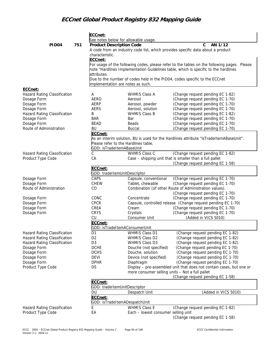|                                     |     | ECCnet:             |                                                                                                                                                                                                                                                                                                                                                                                                                                                                                                                                                                                                                                                                                                                                                                                                                                                                                                                                                                                                                                                                                                                                                                                                                                                                                                                                                                                                                                                                                                                                                                                                                                                                  |                                  |  |
|-------------------------------------|-----|---------------------|------------------------------------------------------------------------------------------------------------------------------------------------------------------------------------------------------------------------------------------------------------------------------------------------------------------------------------------------------------------------------------------------------------------------------------------------------------------------------------------------------------------------------------------------------------------------------------------------------------------------------------------------------------------------------------------------------------------------------------------------------------------------------------------------------------------------------------------------------------------------------------------------------------------------------------------------------------------------------------------------------------------------------------------------------------------------------------------------------------------------------------------------------------------------------------------------------------------------------------------------------------------------------------------------------------------------------------------------------------------------------------------------------------------------------------------------------------------------------------------------------------------------------------------------------------------------------------------------------------------------------------------------------------------|----------------------------------|--|
|                                     |     |                     |                                                                                                                                                                                                                                                                                                                                                                                                                                                                                                                                                                                                                                                                                                                                                                                                                                                                                                                                                                                                                                                                                                                                                                                                                                                                                                                                                                                                                                                                                                                                                                                                                                                                  |                                  |  |
| PID <sub>04</sub>                   | 751 |                     |                                                                                                                                                                                                                                                                                                                                                                                                                                                                                                                                                                                                                                                                                                                                                                                                                                                                                                                                                                                                                                                                                                                                                                                                                                                                                                                                                                                                                                                                                                                                                                                                                                                                  |                                  |  |
|                                     |     |                     | See notes below for allowable usage.<br><b>Product Description Code</b><br>implementation are notes as such.<br><b>WHMIS Class A</b><br>Aerosol<br>Aerosol, powder<br>Aerosol, solution<br><b>WHMIS Class B</b><br>Bar<br>Beads<br><b>Buccal</b><br>Please refer to the Hardlines table.<br>GDD: isTradeItemABaseUnit<br>WHMIS Class C<br>GDD: tradeItemUnitDescriptor<br>Capsule, conventional<br>Tablet, chewable<br>Concentrate<br>Cream<br>Crystals<br>Consumer Unit<br>GDD: isTradeItemAConsumerUnit<br>WHMIS Class D1<br>WHMIS Class D2<br>WHMIS Class D3<br>Douche (not specified)<br>Douche, solution<br>Device (not specified)<br>Diaphragm<br>GDD: tradeItemUnitDescriptor<br>Despatch Unit<br>GDD: isTradeItemADespatchUnit<br><b>WHMIS Class E</b><br>Each - lowest consumer selling unit                                                                                                                                                                                                                                                                                                                                                                                                                                                                                                                                                                                                                                                                                                                                                                                                                                                            |                                  |  |
|                                     |     | characteristic.     |                                                                                                                                                                                                                                                                                                                                                                                                                                                                                                                                                                                                                                                                                                                                                                                                                                                                                                                                                                                                                                                                                                                                                                                                                                                                                                                                                                                                                                                                                                                                                                                                                                                                  |                                  |  |
|                                     |     | ECCnet:             |                                                                                                                                                                                                                                                                                                                                                                                                                                                                                                                                                                                                                                                                                                                                                                                                                                                                                                                                                                                                                                                                                                                                                                                                                                                                                                                                                                                                                                                                                                                                                                                                                                                                  |                                  |  |
|                                     |     |                     |                                                                                                                                                                                                                                                                                                                                                                                                                                                                                                                                                                                                                                                                                                                                                                                                                                                                                                                                                                                                                                                                                                                                                                                                                                                                                                                                                                                                                                                                                                                                                                                                                                                                  |                                  |  |
|                                     |     | attributes.         |                                                                                                                                                                                                                                                                                                                                                                                                                                                                                                                                                                                                                                                                                                                                                                                                                                                                                                                                                                                                                                                                                                                                                                                                                                                                                                                                                                                                                                                                                                                                                                                                                                                                  |                                  |  |
|                                     |     |                     |                                                                                                                                                                                                                                                                                                                                                                                                                                                                                                                                                                                                                                                                                                                                                                                                                                                                                                                                                                                                                                                                                                                                                                                                                                                                                                                                                                                                                                                                                                                                                                                                                                                                  |                                  |  |
|                                     |     |                     |                                                                                                                                                                                                                                                                                                                                                                                                                                                                                                                                                                                                                                                                                                                                                                                                                                                                                                                                                                                                                                                                                                                                                                                                                                                                                                                                                                                                                                                                                                                                                                                                                                                                  |                                  |  |
| ECCnet:                             |     |                     |                                                                                                                                                                                                                                                                                                                                                                                                                                                                                                                                                                                                                                                                                                                                                                                                                                                                                                                                                                                                                                                                                                                                                                                                                                                                                                                                                                                                                                                                                                                                                                                                                                                                  |                                  |  |
| Hazard Rating Classification        |     | Α                   |                                                                                                                                                                                                                                                                                                                                                                                                                                                                                                                                                                                                                                                                                                                                                                                                                                                                                                                                                                                                                                                                                                                                                                                                                                                                                                                                                                                                                                                                                                                                                                                                                                                                  |                                  |  |
| Dosage Form                         |     | AERO                |                                                                                                                                                                                                                                                                                                                                                                                                                                                                                                                                                                                                                                                                                                                                                                                                                                                                                                                                                                                                                                                                                                                                                                                                                                                                                                                                                                                                                                                                                                                                                                                                                                                                  |                                  |  |
| Dosage Form                         |     | AERP                |                                                                                                                                                                                                                                                                                                                                                                                                                                                                                                                                                                                                                                                                                                                                                                                                                                                                                                                                                                                                                                                                                                                                                                                                                                                                                                                                                                                                                                                                                                                                                                                                                                                                  |                                  |  |
| Dosage Form                         |     | <b>AERS</b>         |                                                                                                                                                                                                                                                                                                                                                                                                                                                                                                                                                                                                                                                                                                                                                                                                                                                                                                                                                                                                                                                                                                                                                                                                                                                                                                                                                                                                                                                                                                                                                                                                                                                                  |                                  |  |
| Hazard Rating Classification        |     | B                   |                                                                                                                                                                                                                                                                                                                                                                                                                                                                                                                                                                                                                                                                                                                                                                                                                                                                                                                                                                                                                                                                                                                                                                                                                                                                                                                                                                                                                                                                                                                                                                                                                                                                  |                                  |  |
| Dosage Form                         |     | <b>BAR</b>          |                                                                                                                                                                                                                                                                                                                                                                                                                                                                                                                                                                                                                                                                                                                                                                                                                                                                                                                                                                                                                                                                                                                                                                                                                                                                                                                                                                                                                                                                                                                                                                                                                                                                  | (Change request pending EC 1-70) |  |
| Dosage Form                         |     | <b>BEAD</b>         |                                                                                                                                                                                                                                                                                                                                                                                                                                                                                                                                                                                                                                                                                                                                                                                                                                                                                                                                                                                                                                                                                                                                                                                                                                                                                                                                                                                                                                                                                                                                                                                                                                                                  | (Change request pending EC 1-70) |  |
| Route of Administration             |     | BU                  |                                                                                                                                                                                                                                                                                                                                                                                                                                                                                                                                                                                                                                                                                                                                                                                                                                                                                                                                                                                                                                                                                                                                                                                                                                                                                                                                                                                                                                                                                                                                                                                                                                                                  | (Change request pending EC 1-70) |  |
|                                     |     | ECCnet:             |                                                                                                                                                                                                                                                                                                                                                                                                                                                                                                                                                                                                                                                                                                                                                                                                                                                                                                                                                                                                                                                                                                                                                                                                                                                                                                                                                                                                                                                                                                                                                                                                                                                                  |                                  |  |
|                                     |     |                     |                                                                                                                                                                                                                                                                                                                                                                                                                                                                                                                                                                                                                                                                                                                                                                                                                                                                                                                                                                                                                                                                                                                                                                                                                                                                                                                                                                                                                                                                                                                                                                                                                                                                  |                                  |  |
|                                     |     |                     |                                                                                                                                                                                                                                                                                                                                                                                                                                                                                                                                                                                                                                                                                                                                                                                                                                                                                                                                                                                                                                                                                                                                                                                                                                                                                                                                                                                                                                                                                                                                                                                                                                                                  |                                  |  |
|                                     |     |                     |                                                                                                                                                                                                                                                                                                                                                                                                                                                                                                                                                                                                                                                                                                                                                                                                                                                                                                                                                                                                                                                                                                                                                                                                                                                                                                                                                                                                                                                                                                                                                                                                                                                                  |                                  |  |
| <b>Hazard Rating Classification</b> |     | С                   |                                                                                                                                                                                                                                                                                                                                                                                                                                                                                                                                                                                                                                                                                                                                                                                                                                                                                                                                                                                                                                                                                                                                                                                                                                                                                                                                                                                                                                                                                                                                                                                                                                                                  |                                  |  |
| Product Type Code                   |     | CA                  |                                                                                                                                                                                                                                                                                                                                                                                                                                                                                                                                                                                                                                                                                                                                                                                                                                                                                                                                                                                                                                                                                                                                                                                                                                                                                                                                                                                                                                                                                                                                                                                                                                                                  |                                  |  |
|                                     |     |                     | $\mathsf{C}$<br>AN 1/12<br>A code from an industry code list, which provides specific data about a product<br>For usage of the following codes, please refer to the tables on the following pages. Please<br>note "Hardlines Implementation Guidelines table, which is specific to the hardlines<br>Due to the number of codes held in the PID04, codes specific to the ECCnet<br>(Change request pending EC 1-82)<br>(Change request pending EC 1-70)<br>(Change request pending EC 1-70)<br>(Change request pending EC 1-70)<br>(Change request pending EC 1-82)<br>As an interim solution, BU is used for the Hardlines attribute "isTradeItemABaseUnit".<br>(Change request pending EC 1-82)<br>Case - shipping unit that is smaller than a full pallet<br>(Change request pending EC 1-58)<br>(Change request pending EC 1-70)<br>(Change request pending EC 1-70)<br>Combination (of other Route of Administration values).<br>(Change request pending EC 1-70)<br>(Change request pending EC 1-70)<br>Capsule, controlled release (Change request pending EC 1-70)<br>(Change request pending EC 1-70)<br>(Change request pending EC 1-70)<br>(Added in VICS 5010)<br>(Change request pending EC 1-82)<br>(Change request pending EC 1-82)<br>(Change request pending EC 1-82)<br>(Change request pending EC 1-70)<br>(Change request pending EC 1-70)<br>(Change request pending EC 1-70)<br>(Change request pending EC 1-70)<br>Display - pre-assembled unit that does not contain cases, but one or<br>more consumer selling units - Not a full pallet<br>(Change request pending EC 1-58)<br>(Added in VICS 5010)<br>(Change request pending EC 1-82) |                                  |  |
|                                     |     | ECCnet:             |                                                                                                                                                                                                                                                                                                                                                                                                                                                                                                                                                                                                                                                                                                                                                                                                                                                                                                                                                                                                                                                                                                                                                                                                                                                                                                                                                                                                                                                                                                                                                                                                                                                                  |                                  |  |
|                                     |     |                     |                                                                                                                                                                                                                                                                                                                                                                                                                                                                                                                                                                                                                                                                                                                                                                                                                                                                                                                                                                                                                                                                                                                                                                                                                                                                                                                                                                                                                                                                                                                                                                                                                                                                  |                                  |  |
| Dosage Form                         |     | CAPS                |                                                                                                                                                                                                                                                                                                                                                                                                                                                                                                                                                                                                                                                                                                                                                                                                                                                                                                                                                                                                                                                                                                                                                                                                                                                                                                                                                                                                                                                                                                                                                                                                                                                                  |                                  |  |
| Dosage Form                         |     | <b>CHEW</b>         |                                                                                                                                                                                                                                                                                                                                                                                                                                                                                                                                                                                                                                                                                                                                                                                                                                                                                                                                                                                                                                                                                                                                                                                                                                                                                                                                                                                                                                                                                                                                                                                                                                                                  |                                  |  |
| Route of Administration             |     | CO                  |                                                                                                                                                                                                                                                                                                                                                                                                                                                                                                                                                                                                                                                                                                                                                                                                                                                                                                                                                                                                                                                                                                                                                                                                                                                                                                                                                                                                                                                                                                                                                                                                                                                                  |                                  |  |
|                                     |     |                     |                                                                                                                                                                                                                                                                                                                                                                                                                                                                                                                                                                                                                                                                                                                                                                                                                                                                                                                                                                                                                                                                                                                                                                                                                                                                                                                                                                                                                                                                                                                                                                                                                                                                  |                                  |  |
| Dosage Form                         |     | CONC                |                                                                                                                                                                                                                                                                                                                                                                                                                                                                                                                                                                                                                                                                                                                                                                                                                                                                                                                                                                                                                                                                                                                                                                                                                                                                                                                                                                                                                                                                                                                                                                                                                                                                  |                                  |  |
| Dosage Form<br>Dosage Form          |     | <b>CPCR</b><br>CREA |                                                                                                                                                                                                                                                                                                                                                                                                                                                                                                                                                                                                                                                                                                                                                                                                                                                                                                                                                                                                                                                                                                                                                                                                                                                                                                                                                                                                                                                                                                                                                                                                                                                                  |                                  |  |
| Dosage Form                         |     | CRYS                |                                                                                                                                                                                                                                                                                                                                                                                                                                                                                                                                                                                                                                                                                                                                                                                                                                                                                                                                                                                                                                                                                                                                                                                                                                                                                                                                                                                                                                                                                                                                                                                                                                                                  |                                  |  |
|                                     |     | CU                  |                                                                                                                                                                                                                                                                                                                                                                                                                                                                                                                                                                                                                                                                                                                                                                                                                                                                                                                                                                                                                                                                                                                                                                                                                                                                                                                                                                                                                                                                                                                                                                                                                                                                  |                                  |  |
|                                     |     | ECCnet:             |                                                                                                                                                                                                                                                                                                                                                                                                                                                                                                                                                                                                                                                                                                                                                                                                                                                                                                                                                                                                                                                                                                                                                                                                                                                                                                                                                                                                                                                                                                                                                                                                                                                                  |                                  |  |
|                                     |     |                     |                                                                                                                                                                                                                                                                                                                                                                                                                                                                                                                                                                                                                                                                                                                                                                                                                                                                                                                                                                                                                                                                                                                                                                                                                                                                                                                                                                                                                                                                                                                                                                                                                                                                  |                                  |  |
| Hazard Rating Classification        |     | D1                  |                                                                                                                                                                                                                                                                                                                                                                                                                                                                                                                                                                                                                                                                                                                                                                                                                                                                                                                                                                                                                                                                                                                                                                                                                                                                                                                                                                                                                                                                                                                                                                                                                                                                  |                                  |  |
| Hazard Rating Classification        |     | D <sub>2</sub>      |                                                                                                                                                                                                                                                                                                                                                                                                                                                                                                                                                                                                                                                                                                                                                                                                                                                                                                                                                                                                                                                                                                                                                                                                                                                                                                                                                                                                                                                                                                                                                                                                                                                                  |                                  |  |
| Hazard Rating Classification        |     | D <sub>3</sub>      |                                                                                                                                                                                                                                                                                                                                                                                                                                                                                                                                                                                                                                                                                                                                                                                                                                                                                                                                                                                                                                                                                                                                                                                                                                                                                                                                                                                                                                                                                                                                                                                                                                                                  |                                  |  |
| Dosage Form                         |     | <b>DCHE</b>         |                                                                                                                                                                                                                                                                                                                                                                                                                                                                                                                                                                                                                                                                                                                                                                                                                                                                                                                                                                                                                                                                                                                                                                                                                                                                                                                                                                                                                                                                                                                                                                                                                                                                  |                                  |  |
| Dosage Form                         |     | <b>DCHS</b>         |                                                                                                                                                                                                                                                                                                                                                                                                                                                                                                                                                                                                                                                                                                                                                                                                                                                                                                                                                                                                                                                                                                                                                                                                                                                                                                                                                                                                                                                                                                                                                                                                                                                                  |                                  |  |
| Dosage Form                         |     | <b>DEVI</b>         |                                                                                                                                                                                                                                                                                                                                                                                                                                                                                                                                                                                                                                                                                                                                                                                                                                                                                                                                                                                                                                                                                                                                                                                                                                                                                                                                                                                                                                                                                                                                                                                                                                                                  |                                  |  |
| Dosage Form                         |     | <b>DPHR</b>         |                                                                                                                                                                                                                                                                                                                                                                                                                                                                                                                                                                                                                                                                                                                                                                                                                                                                                                                                                                                                                                                                                                                                                                                                                                                                                                                                                                                                                                                                                                                                                                                                                                                                  |                                  |  |
| Product Type Code                   |     | DS                  |                                                                                                                                                                                                                                                                                                                                                                                                                                                                                                                                                                                                                                                                                                                                                                                                                                                                                                                                                                                                                                                                                                                                                                                                                                                                                                                                                                                                                                                                                                                                                                                                                                                                  |                                  |  |
|                                     |     |                     |                                                                                                                                                                                                                                                                                                                                                                                                                                                                                                                                                                                                                                                                                                                                                                                                                                                                                                                                                                                                                                                                                                                                                                                                                                                                                                                                                                                                                                                                                                                                                                                                                                                                  |                                  |  |
|                                     |     |                     |                                                                                                                                                                                                                                                                                                                                                                                                                                                                                                                                                                                                                                                                                                                                                                                                                                                                                                                                                                                                                                                                                                                                                                                                                                                                                                                                                                                                                                                                                                                                                                                                                                                                  |                                  |  |
|                                     |     | ECCnet:             |                                                                                                                                                                                                                                                                                                                                                                                                                                                                                                                                                                                                                                                                                                                                                                                                                                                                                                                                                                                                                                                                                                                                                                                                                                                                                                                                                                                                                                                                                                                                                                                                                                                                  |                                  |  |
|                                     |     |                     |                                                                                                                                                                                                                                                                                                                                                                                                                                                                                                                                                                                                                                                                                                                                                                                                                                                                                                                                                                                                                                                                                                                                                                                                                                                                                                                                                                                                                                                                                                                                                                                                                                                                  |                                  |  |
|                                     |     | DU                  |                                                                                                                                                                                                                                                                                                                                                                                                                                                                                                                                                                                                                                                                                                                                                                                                                                                                                                                                                                                                                                                                                                                                                                                                                                                                                                                                                                                                                                                                                                                                                                                                                                                                  |                                  |  |
|                                     |     | ECCnet:             |                                                                                                                                                                                                                                                                                                                                                                                                                                                                                                                                                                                                                                                                                                                                                                                                                                                                                                                                                                                                                                                                                                                                                                                                                                                                                                                                                                                                                                                                                                                                                                                                                                                                  |                                  |  |
|                                     |     |                     |                                                                                                                                                                                                                                                                                                                                                                                                                                                                                                                                                                                                                                                                                                                                                                                                                                                                                                                                                                                                                                                                                                                                                                                                                                                                                                                                                                                                                                                                                                                                                                                                                                                                  |                                  |  |
| Hazard Rating Classification        |     | E                   |                                                                                                                                                                                                                                                                                                                                                                                                                                                                                                                                                                                                                                                                                                                                                                                                                                                                                                                                                                                                                                                                                                                                                                                                                                                                                                                                                                                                                                                                                                                                                                                                                                                                  |                                  |  |
| Product Type Code                   |     | EA                  |                                                                                                                                                                                                                                                                                                                                                                                                                                                                                                                                                                                                                                                                                                                                                                                                                                                                                                                                                                                                                                                                                                                                                                                                                                                                                                                                                                                                                                                                                                                                                                                                                                                                  |                                  |  |
|                                     |     |                     |                                                                                                                                                                                                                                                                                                                                                                                                                                                                                                                                                                                                                                                                                                                                                                                                                                                                                                                                                                                                                                                                                                                                                                                                                                                                                                                                                                                                                                                                                                                                                                                                                                                                  | (Change request pending EC 1-58) |  |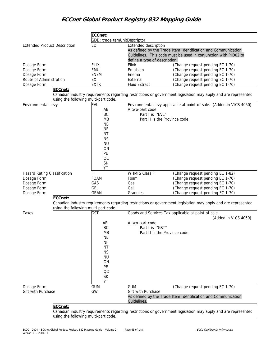|                                                                                                                                                                                                                                                |                                      | ECCnet:<br>GDD: tradeItemUnitDescriptor |                               |                                                                                                                  |  |  |
|------------------------------------------------------------------------------------------------------------------------------------------------------------------------------------------------------------------------------------------------|--------------------------------------|-----------------------------------------|-------------------------------|------------------------------------------------------------------------------------------------------------------|--|--|
|                                                                                                                                                                                                                                                |                                      | <b>ED</b>                               | <b>Extended description</b>   |                                                                                                                  |  |  |
|                                                                                                                                                                                                                                                |                                      |                                         |                               | As defined by the Trade Item Identification and Communication                                                    |  |  |
|                                                                                                                                                                                                                                                |                                      |                                         |                               | Guidelines. This code must be used in conjunction with PID02 to                                                  |  |  |
|                                                                                                                                                                                                                                                |                                      |                                         | define a type of description. |                                                                                                                  |  |  |
|                                                                                                                                                                                                                                                |                                      | <b>ELIX</b>                             | Elixir                        | (Change request pending EC 1-70)                                                                                 |  |  |
|                                                                                                                                                                                                                                                |                                      | <b>EMUL</b>                             | Emulsion                      | (Change request pending EC 1-70)                                                                                 |  |  |
|                                                                                                                                                                                                                                                |                                      | <b>ENEM</b>                             | Enema                         | (Change request pending EC 1-70)                                                                                 |  |  |
|                                                                                                                                                                                                                                                |                                      | EX                                      | External                      | (Change request pending EC 1-70)                                                                                 |  |  |
|                                                                                                                                                                                                                                                |                                      | <b>EXTR</b>                             | <b>Fluid Extract</b>          | (Change request pending EC 1-70)                                                                                 |  |  |
|                                                                                                                                                                                                                                                |                                      |                                         |                               |                                                                                                                  |  |  |
| <b>Extended Product Description</b><br>Dosage Form<br>Dosage Form<br>Dosage Form<br>Route of Administration<br>Dosage Form<br>ECCnet:<br>Environmental Levy<br>Hazard Rating Classification<br>ECCnet:<br>using the following multi-part code. |                                      |                                         |                               | Canadian industry requirements regarding restrictions or government legislation may apply and are represented    |  |  |
|                                                                                                                                                                                                                                                | using the following multi-part code. |                                         |                               |                                                                                                                  |  |  |
|                                                                                                                                                                                                                                                |                                      | <b>EVL</b>                              |                               | Environmental levy applicable at point-of-sale. (Added in VICS 4050)                                             |  |  |
|                                                                                                                                                                                                                                                |                                      | AB                                      | A two-part code.              |                                                                                                                  |  |  |
|                                                                                                                                                                                                                                                |                                      | BC                                      | Part I is "EVL"               |                                                                                                                  |  |  |
|                                                                                                                                                                                                                                                |                                      | MB                                      | Part II is the Province code  |                                                                                                                  |  |  |
|                                                                                                                                                                                                                                                |                                      | <b>NB</b>                               |                               |                                                                                                                  |  |  |
|                                                                                                                                                                                                                                                |                                      | <b>NF</b>                               |                               |                                                                                                                  |  |  |
|                                                                                                                                                                                                                                                |                                      | <b>NT</b>                               |                               |                                                                                                                  |  |  |
|                                                                                                                                                                                                                                                |                                      | <b>NS</b>                               |                               |                                                                                                                  |  |  |
|                                                                                                                                                                                                                                                |                                      | <b>NU</b>                               |                               |                                                                                                                  |  |  |
|                                                                                                                                                                                                                                                |                                      | ON                                      |                               |                                                                                                                  |  |  |
|                                                                                                                                                                                                                                                |                                      | PE                                      |                               |                                                                                                                  |  |  |
|                                                                                                                                                                                                                                                |                                      | OC                                      |                               |                                                                                                                  |  |  |
|                                                                                                                                                                                                                                                |                                      | SK                                      |                               |                                                                                                                  |  |  |
|                                                                                                                                                                                                                                                |                                      | YT                                      |                               |                                                                                                                  |  |  |
|                                                                                                                                                                                                                                                |                                      | F                                       | <b>WHMIS Class F</b>          | (Change request pending EC 1-82)                                                                                 |  |  |
| Dosage Form                                                                                                                                                                                                                                    |                                      | <b>FOAM</b>                             | Foam                          | (Change request pending EC 1-70)                                                                                 |  |  |
| Dosage Form                                                                                                                                                                                                                                    |                                      | GAS                                     | Gas                           | (Change request pending EC 1-70)                                                                                 |  |  |
| Dosage Form                                                                                                                                                                                                                                    |                                      | GEL                                     | Gel                           | (Change request pending EC 1-70)                                                                                 |  |  |
| Dosage Form                                                                                                                                                                                                                                    |                                      | <b>GRAN</b>                             | Granules                      | (Change request pending EC 1-70)                                                                                 |  |  |
|                                                                                                                                                                                                                                                |                                      |                                         |                               |                                                                                                                  |  |  |
|                                                                                                                                                                                                                                                |                                      |                                         |                               | Canadian industry requirements regarding restrictions or government legislation may apply and are represented    |  |  |
| Taxes                                                                                                                                                                                                                                          |                                      | <b>GST</b>                              |                               | Goods and Services Tax applicable at point-of-sale.                                                              |  |  |
|                                                                                                                                                                                                                                                |                                      |                                         |                               | (Added in VICS 4050)                                                                                             |  |  |
|                                                                                                                                                                                                                                                |                                      | AB                                      | A two-part code.              |                                                                                                                  |  |  |
|                                                                                                                                                                                                                                                |                                      | BC                                      | Part I is "GST"               |                                                                                                                  |  |  |
|                                                                                                                                                                                                                                                |                                      | MB                                      | Part II is the Province code  |                                                                                                                  |  |  |
|                                                                                                                                                                                                                                                |                                      | ΝB                                      |                               |                                                                                                                  |  |  |
|                                                                                                                                                                                                                                                |                                      | <b>NF</b>                               |                               |                                                                                                                  |  |  |
|                                                                                                                                                                                                                                                |                                      | <b>NT</b>                               |                               |                                                                                                                  |  |  |
|                                                                                                                                                                                                                                                |                                      | <b>NS</b>                               |                               |                                                                                                                  |  |  |
|                                                                                                                                                                                                                                                |                                      | <b>NU</b>                               |                               |                                                                                                                  |  |  |
|                                                                                                                                                                                                                                                |                                      | ΟN                                      |                               |                                                                                                                  |  |  |
|                                                                                                                                                                                                                                                |                                      | PE                                      |                               |                                                                                                                  |  |  |
|                                                                                                                                                                                                                                                |                                      | QC                                      |                               |                                                                                                                  |  |  |
|                                                                                                                                                                                                                                                |                                      | <b>SK</b>                               |                               |                                                                                                                  |  |  |
|                                                                                                                                                                                                                                                |                                      | YT                                      |                               |                                                                                                                  |  |  |
| Dosage Form                                                                                                                                                                                                                                    |                                      | <b>GUM</b>                              | <b>GUM</b>                    | (Change request pending EC 1-70)                                                                                 |  |  |
| Gift with Purchase                                                                                                                                                                                                                             |                                      | GW                                      | Gift with Purchase            |                                                                                                                  |  |  |
|                                                                                                                                                                                                                                                |                                      |                                         |                               | As defined by the Trade Item Identification and Communication                                                    |  |  |
|                                                                                                                                                                                                                                                |                                      |                                         | Guidelines.                   |                                                                                                                  |  |  |
|                                                                                                                                                                                                                                                | ECCnet:                              |                                         |                               |                                                                                                                  |  |  |
|                                                                                                                                                                                                                                                |                                      |                                         |                               | ensation industry requirements regarding restrictions or government legislation may annly and are represented. " |  |  |

Canadian industry requirements regarding restrictions or government legislation may apply and are represented using the following multi-part code.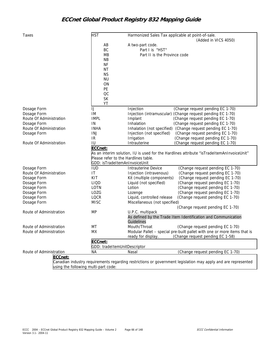| Taxes                                | <b>HST</b>                           | Harmonized Sales Tax applicable at point-of-sale.                                                             |
|--------------------------------------|--------------------------------------|---------------------------------------------------------------------------------------------------------------|
|                                      |                                      | (Added in VICS 4050)                                                                                          |
|                                      | AB                                   | A two-part code.                                                                                              |
|                                      | BC                                   | Part I is "HST"                                                                                               |
|                                      | <b>MB</b>                            | Part II is the Province code                                                                                  |
|                                      | <b>NB</b>                            |                                                                                                               |
|                                      | <b>NF</b>                            |                                                                                                               |
|                                      | <b>NT</b>                            |                                                                                                               |
|                                      | <b>NS</b>                            |                                                                                                               |
|                                      | <b>NU</b>                            |                                                                                                               |
|                                      | ON                                   |                                                                                                               |
|                                      | PE                                   |                                                                                                               |
|                                      | OC                                   |                                                                                                               |
|                                      | <b>SK</b>                            |                                                                                                               |
|                                      | YT                                   |                                                                                                               |
| Dosage Form                          | IJ                                   | Injection<br>(Change request pending EC 1-70)                                                                 |
| Dosage Form                          | IM                                   | Injection (intramuscular) (Change request pending EC 1-70)                                                    |
| Route Of Administration              | <b>IMPL</b>                          | Implant<br>(Change request pending EC 1-70)                                                                   |
| Dosage Form                          | IN                                   | Inhalation<br>(Change request pending EC 1-70)                                                                |
| Route Of Administration              | <b>INHA</b>                          | Inhalation (not specified) (Change request pending EC 1-70)                                                   |
| Dosage Form                          | INJ                                  | Injection (not specified)<br>(Change request pending EC 1-70)                                                 |
|                                      | IR                                   | (Change request pending EC 1-70)<br>Irrigation                                                                |
| Route Of Administration              | IU                                   | Intrauterine<br>(Change request pending EC 1-70)                                                              |
|                                      | ECCnet:                              |                                                                                                               |
|                                      |                                      | As an interim solution, IU is used for the Hardlines attribute "isTradeItemAnInvoiceUnit"                     |
|                                      | Please refer to the Hardlines table. |                                                                                                               |
|                                      | GDD: isTradeItemAnInvoiceUnit        |                                                                                                               |
| Dosage Form                          | <b>IUD</b>                           | (Change request pending EC 1-70)<br>Intrauterine Device                                                       |
| Route Of Administration              | IT                                   | (Change request pending EC 1-70)<br>Injection (intravenous)                                                   |
| Dosage Form                          | KIT                                  | Kit (multiple components)<br>(Change request pending EC 1-70)                                                 |
| Dosage Form                          | <b>LIQD</b>                          | Liquid (not specified)<br>(Change request pending EC 1-70)                                                    |
| Dosage Form                          | LOTN                                 | Lotion<br>(Change request pending EC 1-70)                                                                    |
| Dosage Form                          | LOZG                                 | (Change request pending EC 1-70)                                                                              |
|                                      | LOCR                                 | Lozenge                                                                                                       |
| Dosage Form                          | <b>MISC</b>                          | Liquid, controlled release<br>(Change request pending EC 1-70)                                                |
| Dosage Form                          |                                      | Miscellaneous (not specified)                                                                                 |
|                                      |                                      | (Change request pending EC 1-70)                                                                              |
| Route of Administration              | MP                                   | U.P.C. multipack                                                                                              |
|                                      |                                      | As defined by the Trade Item Identification and Communication                                                 |
|                                      |                                      | Guidelines                                                                                                    |
| Route of Administration              | МT                                   | Mouth/Throat<br>(Change request pending EC 1-70)                                                              |
| Route of Administration              | <b>MX</b>                            | Modular Pallet - special pre-built pallet with one or more items that is                                      |
|                                      |                                      | (Change request pending EC 1-58)<br>ready for display.                                                        |
|                                      | ECCnet:                              |                                                                                                               |
|                                      | GDD: tradeItemUnitDescriptor         |                                                                                                               |
| Route of Administration              | <b>NA</b>                            | (Change request pending EC 1-70)<br>Nasal                                                                     |
| ECCnet:                              |                                      |                                                                                                               |
|                                      |                                      | Canadian industry requirements regarding restrictions or government legislation may apply and are represented |
| using the following multi-part code: |                                      |                                                                                                               |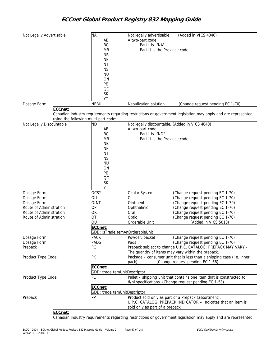| Not Legally Advertisable             | <b>NA</b><br>AB                         | Not legally advertisable.<br>A two-part code.  | (Added in VICS 4040)                                                                                                        |
|--------------------------------------|-----------------------------------------|------------------------------------------------|-----------------------------------------------------------------------------------------------------------------------------|
|                                      | BC                                      | Part I is "NA"                                 |                                                                                                                             |
|                                      | <b>MB</b>                               | Part II is the Province code                   |                                                                                                                             |
|                                      | <b>NB</b>                               |                                                |                                                                                                                             |
|                                      | <b>NF</b>                               |                                                |                                                                                                                             |
|                                      | <b>NT</b>                               |                                                |                                                                                                                             |
|                                      | <b>NS</b>                               |                                                |                                                                                                                             |
|                                      | <b>NU</b><br>ON                         |                                                |                                                                                                                             |
|                                      | PE                                      |                                                |                                                                                                                             |
|                                      | OC                                      |                                                |                                                                                                                             |
|                                      | <b>SK</b>                               |                                                |                                                                                                                             |
|                                      | YT                                      |                                                |                                                                                                                             |
| Dosage Form                          | <b>NEBU</b>                             | Nebulization solution                          | (Change request pending EC 1-70)                                                                                            |
| ECCnet:                              |                                         |                                                |                                                                                                                             |
| using the following multi-part code: |                                         |                                                | Canadian industry requirements regarding restrictions or government legislation may apply and are represented               |
| Not Legally Discountable             | ND                                      | Not legally discountable. (Added in VICS 4040) |                                                                                                                             |
|                                      | AB                                      | A two-part code.                               |                                                                                                                             |
|                                      | BC                                      | Part I is "ND"                                 |                                                                                                                             |
|                                      | <b>MB</b>                               | Part II is the Province code                   |                                                                                                                             |
|                                      | <b>NB</b>                               |                                                |                                                                                                                             |
|                                      | ΝF                                      |                                                |                                                                                                                             |
|                                      | <b>NT</b>                               |                                                |                                                                                                                             |
|                                      | <b>NS</b><br><b>NU</b>                  |                                                |                                                                                                                             |
|                                      | ON                                      |                                                |                                                                                                                             |
|                                      | PE                                      |                                                |                                                                                                                             |
|                                      | OC                                      |                                                |                                                                                                                             |
|                                      | <b>SK</b>                               |                                                |                                                                                                                             |
|                                      | YT                                      |                                                |                                                                                                                             |
| Dosage Form                          | <b>OCSY</b>                             | Ocular System                                  | (Change request pending EC 1-70)                                                                                            |
| Dosage Form                          | OIL                                     | Oil                                            | (Change request pending EC 1-70)                                                                                            |
| Dosage Form                          | <b>OINT</b>                             | Ointment                                       | (Change request pending EC 1-70)                                                                                            |
| Route of Administration              | OP                                      | Ophthalmic                                     | (Change request pending EC 1-70)                                                                                            |
| Route of Administration              | <b>OR</b>                               | Oral                                           | (Change request pending EC 1-70)                                                                                            |
| Route of Administration              | OT                                      | Optic                                          | (Change request pending EC 1-70)                                                                                            |
|                                      | OU                                      | Orderable Unit                                 | (Added in VICS 5010)                                                                                                        |
|                                      | ECCnet:                                 |                                                |                                                                                                                             |
|                                      | GDD: isTradeItemAnOrderableUnit         |                                                |                                                                                                                             |
| Dosage Form                          | <b>PACK</b>                             | Powder, packet                                 | (Change request pending EC 1-70)                                                                                            |
| Dosage Form                          | PADS                                    | Pads                                           | (Change request pending EC 1-70)                                                                                            |
| Prepack                              | PC                                      |                                                | Prepack subject to change U.P.C. CATALOG: PREPACK MAY VARY -                                                                |
| Product Type Code                    | PK                                      |                                                | The quantity of items may vary within the prepack.<br>Package - consumer unit that is less than a shipping case (i.e. inner |
|                                      |                                         | pack).                                         | (Change request pending EC 1-58)                                                                                            |
|                                      | ECCnet:                                 |                                                |                                                                                                                             |
|                                      | GDD: tradeItemUnitDescriptor            |                                                |                                                                                                                             |
| Product Type Code                    | PL                                      |                                                | Pallet - shipping unit that contains one item that is constructed to                                                        |
|                                      |                                         |                                                | ti/hi specifications. (Change request pending EC 1-58)                                                                      |
|                                      | ECCnet:<br>GDD: tradeItemUnitDescriptor |                                                |                                                                                                                             |
| Prepack                              | PP                                      |                                                | Product sold only as part of a Prepack (assortment).                                                                        |
|                                      |                                         |                                                | U.P.C. CATALOG: PREPACK INDICATOR - Indicates that an item is                                                               |
|                                      |                                         | sold only as part of a prepack.                |                                                                                                                             |
| ECCnet:                              |                                         |                                                |                                                                                                                             |
|                                      |                                         |                                                | Canadian industry requirements regarding restrictions or government legislation may apply and are represented               |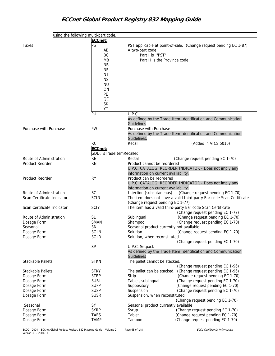| using the following multi-part code. |                          |                                          |                                                                      |
|--------------------------------------|--------------------------|------------------------------------------|----------------------------------------------------------------------|
|                                      | ECCnet:                  |                                          |                                                                      |
| Taxes                                | PST                      |                                          | PST applicable at point-of-sale. (Change request pending EC 1-87)    |
|                                      | AB                       | A two-part code.                         |                                                                      |
|                                      | BC                       | Part I is "PST"                          |                                                                      |
|                                      | MB                       | Part II is the Province code             |                                                                      |
|                                      |                          |                                          |                                                                      |
|                                      | <b>NB</b>                |                                          |                                                                      |
|                                      | <b>NF</b>                |                                          |                                                                      |
|                                      | <b>NT</b>                |                                          |                                                                      |
|                                      | <b>NS</b>                |                                          |                                                                      |
|                                      | <b>NU</b>                |                                          |                                                                      |
|                                      | ON                       |                                          |                                                                      |
|                                      | PE                       |                                          |                                                                      |
|                                      | OC                       |                                          |                                                                      |
|                                      | <b>SK</b>                |                                          |                                                                      |
|                                      | YT                       |                                          |                                                                      |
|                                      | PU                       | U.P.C.                                   |                                                                      |
|                                      |                          |                                          |                                                                      |
|                                      |                          |                                          | As defined by the Trade Item Identification and Communication        |
|                                      |                          | Guidelines                               |                                                                      |
| Purchase with Purchase               | PW                       | Purchase with Purchase                   |                                                                      |
|                                      |                          |                                          | As defined by the Trade Item Identification and Communication        |
|                                      |                          | Guidelines.                              |                                                                      |
|                                      | <b>RC</b>                | Recall                                   | (Added in VICS 5010)                                                 |
|                                      | ECCnet:                  |                                          |                                                                      |
|                                      | GDD: isTradeItemRecalled |                                          |                                                                      |
| Route of Administration              | <b>RE</b>                | Rectal                                   | (Change request pending EC 1-70)                                     |
| Product Reorder                      |                          |                                          |                                                                      |
|                                      | <b>RN</b>                | Product cannot be reordered              |                                                                      |
|                                      |                          |                                          | U.P.C. CATALOG: REORDER INDICATOR - Does not imply any               |
|                                      |                          | information on current availability.     |                                                                      |
| <b>Product Reorder</b>               | <b>RY</b>                | Product can be reordered                 |                                                                      |
|                                      |                          |                                          | U.P.C. CATALOG: REORDER INDICATOR - Does not imply any               |
|                                      |                          | information on current availability.     |                                                                      |
| Route of Administration              | <b>SC</b>                | Injection (subcutaneous)                 | (Change request pending EC 1-70)                                     |
| Scan Certificate Indicator           | <b>SCIN</b>              |                                          | The item does not have a valid third-party Bar code Scan Certificate |
|                                      |                          | (Change request pending EC 1-77)         |                                                                      |
| Scan Certificate Indicator           | <b>SCIY</b>              |                                          | The item has a valid third-party Bar code Scan Certificate           |
|                                      |                          |                                          | (Change request pending EC 1-77)                                     |
|                                      |                          |                                          |                                                                      |
| Route of Administration              | <b>SL</b>                | Sublingual                               | (Change request pending EC 1-70)                                     |
| Dosage Form                          | SMAN                     | Shampoo                                  | (Change request pending EC 1-70)                                     |
| Seasonal                             | <b>SN</b>                | Seasonal product currently not available |                                                                      |
| Dosage Form                          | <b>SOLN</b>              | Solution                                 | (Change request pending EC 1-70)                                     |
| Dosage Form                          | SOLR                     | Solution, when reconstituted             |                                                                      |
|                                      |                          |                                          | (Change request pending EC 1-70)                                     |
|                                      | SP                       | U.P.C. Setpack                           |                                                                      |
|                                      |                          |                                          | As defined by the Trade Item Identification and Communication        |
|                                      |                          | Guidelines                               |                                                                      |
| <b>Stackable Pallets</b>             | <b>STKN</b>              | The pallet cannot be stacked.            |                                                                      |
|                                      |                          |                                          |                                                                      |
|                                      |                          |                                          | (Change request pending EC 1-96)                                     |
| Stackable Pallets                    | <b>STKY</b>              |                                          | The pallet can be stacked. (Change request pending EC 1-96)          |
| Dosage Form                          | <b>STRP</b>              | Strip                                    | (Change request pending EC 1-70)                                     |
| Dosage Form                          | <b>SUBL</b>              | Tablet, sublingual                       | (Change request pending EC 1-70)                                     |
| Dosage Form                          | <b>SUPP</b>              | Suppository                              | (Change request pending EC 1-70)                                     |
| Dosage Form                          | <b>SUSP</b>              | Suspension                               | (Change request pending EC 1-70)                                     |
| Dosage Form                          | <b>SUSR</b>              | Suspension, when reconstituted           |                                                                      |
|                                      |                          |                                          | (Change request pending EC 1-70)                                     |
| Seasonal                             | SY                       | Seasonal product currently available     |                                                                      |
| Dosage Form                          | <b>SYRP</b>              | Syrup                                    | (Change request pending EC 1-70)                                     |
|                                      |                          | Tablet                                   | (Change request pending EC 1-70)                                     |
| Dosage Form                          | TABS                     |                                          |                                                                      |
| Dosage Form                          | <b>TAMP</b>              | Tampon                                   | (Change request pending EC 1-70)                                     |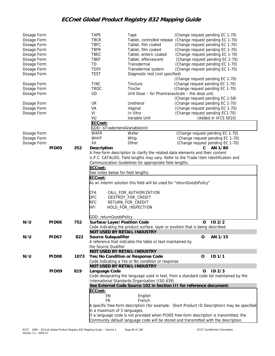| Dosage Form |                   |      | <b>TAPE</b>                        | Tape                                                                                    | (Change request pending EC 1-70) |                                                                                               |
|-------------|-------------------|------|------------------------------------|-----------------------------------------------------------------------------------------|----------------------------------|-----------------------------------------------------------------------------------------------|
| Dosage Form |                   |      | <b>TBCR</b>                        | Tablet, controlled release                                                              | (Change request pending EC 1-70) |                                                                                               |
| Dosage Form |                   |      | <b>TBFC</b>                        | Tablet, film coated                                                                     | (Change request pending EC 1-70) |                                                                                               |
| Dosage Form |                   |      | <b>TBFR</b>                        | Tablet, film coated                                                                     | (Change request pending EC 1-70) |                                                                                               |
| Dosage Form |                   |      | TBEC                               | Tablet, enteric coated                                                                  | (Change request pending EC 1-70) |                                                                                               |
| Dosage Form |                   |      | <b>TBEF</b>                        | Tablet, effervescent                                                                    | (Change request pending EC 1-70) |                                                                                               |
| Dosage Form |                   |      | TD                                 | Transdermal                                                                             | (Change request pending EC 1-70) |                                                                                               |
| Dosage Form |                   |      | <b>TDSY</b>                        | Transdermal system                                                                      | (Change request pending EC 1-70) |                                                                                               |
| Dosage Form |                   |      | <b>TEST</b>                        | Diagnostic test (not specified)                                                         |                                  |                                                                                               |
|             |                   |      |                                    |                                                                                         | (Change request pending EC 1-70) |                                                                                               |
| Dosage Form |                   |      | <b>TINC</b>                        | Tincture                                                                                | (Change request pending EC 1-70) |                                                                                               |
| Dosage Form |                   |      | <b>TROC</b>                        | Troche                                                                                  | (Change request pending EC 1-70) |                                                                                               |
| Dosage Form |                   |      | UD                                 | Unit Dose - for Pharmaceuticals - the dose unit.                                        |                                  |                                                                                               |
|             |                   |      |                                    |                                                                                         | (Change request pending EC 1-58) |                                                                                               |
| Dosage Form |                   |      | UR                                 | Uretheral                                                                               | (Change request pending EC 1-70) |                                                                                               |
| Dosage Form |                   |      | VA                                 | Vaginal                                                                                 | (Change request pending EC 1-70) |                                                                                               |
| Dosage Form |                   |      | VI                                 | In Vitro                                                                                | (Change request pending EC1-70)  |                                                                                               |
|             |                   |      | VU                                 | Variable Unit                                                                           |                                  | (Added in VICS 5010)                                                                          |
|             |                   |      | ECCnet:                            |                                                                                         |                                  |                                                                                               |
|             |                   |      | GDD: isTradeItemAVariableUnit      |                                                                                         |                                  |                                                                                               |
| Dosage Form |                   |      | <b>WAFR</b>                        | Wafer                                                                                   | (Change request pending EC 1-70) |                                                                                               |
| Dosage Form |                   |      | WHIP                               | Whip                                                                                    |                                  | (Change request pending EC 1-70)                                                              |
| Dosage Form |                   |      | XX                                 | Other                                                                                   |                                  | (Change request pending EC 1-70)                                                              |
|             | <b>PID05</b>      | 352  | Description                        |                                                                                         | C.                               | AN 1/80                                                                                       |
|             |                   |      |                                    | A free-form description to clarify the related data elements and their content          |                                  |                                                                                               |
|             |                   |      |                                    | U.P.C. CATALOG: Field lengths may vary. Refer to the Trade Item Identification and      |                                  |                                                                                               |
|             |                   |      |                                    | Communication Guidelines for appropriate field lengths.                                 |                                  |                                                                                               |
|             |                   |      | ECCnet:                            |                                                                                         |                                  |                                                                                               |
|             |                   |      | See notes below for field lengths. |                                                                                         |                                  |                                                                                               |
|             |                   |      | ECCnet:                            |                                                                                         |                                  |                                                                                               |
|             |                   |      |                                    | As an interim solution this field will be used for "returnGoodsPolicy"                  |                                  |                                                                                               |
|             |                   |      | CFA                                | CALL_FOR_AUTHORIZATION                                                                  |                                  |                                                                                               |
|             |                   |      | <b>DFC</b>                         | DESTROY_FOR_CREDIT                                                                      |                                  |                                                                                               |
|             |                   |      | <b>RFC</b>                         | RETURN_FOR_CREDIT                                                                       |                                  |                                                                                               |
|             |                   |      | <b>HFI</b>                         | HOLD_FOR_INSPECTION                                                                     |                                  |                                                                                               |
|             |                   |      |                                    |                                                                                         |                                  |                                                                                               |
|             |                   |      | GDD: returnGoodsPolicy             |                                                                                         |                                  |                                                                                               |
| N/U         | PID <sub>06</sub> | 752  | Surface/Layer/Position Code        |                                                                                         | 0                                | ID2/2                                                                                         |
|             |                   |      |                                    | Code indicating the product surface, layer or position that is being described          |                                  |                                                                                               |
|             |                   |      | <b>NOT USED BY RETAIL INDUSTRY</b> |                                                                                         |                                  |                                                                                               |
| N/U         | PID <sub>07</sub> | 822  | Source Subqualifier                |                                                                                         | O                                | AN 1/15                                                                                       |
|             |                   |      |                                    | A reference that indicates the table or text maintained by                              |                                  |                                                                                               |
|             |                   |      | the Source Qualifier               |                                                                                         |                                  |                                                                                               |
|             |                   |      | NOT USED BY RETAIL INDUSTRY        |                                                                                         |                                  |                                                                                               |
| N/U         | PID <sub>08</sub> | 1073 |                                    | Yes/No Condition or Response Code                                                       | O                                | ID <sub>1/1</sub>                                                                             |
|             |                   |      |                                    | Code indicating a Yes or No condition or response                                       |                                  |                                                                                               |
|             |                   |      | NOT USED BY RETAIL INDUSTRY        |                                                                                         |                                  |                                                                                               |
|             | PID <sub>09</sub> | 819  | Language Code                      |                                                                                         | O                                | ID2/3                                                                                         |
|             |                   |      |                                    | Code designating the language used in text, from a standard code list maintained by the |                                  |                                                                                               |
|             |                   |      |                                    | International Standards Organization (ISO 639).                                         |                                  |                                                                                               |
|             |                   |      |                                    | See External Code Source 102 in Section III for reference document.                     |                                  |                                                                                               |
|             |                   |      | ECCnet:                            |                                                                                         |                                  |                                                                                               |
|             |                   |      | EN                                 | English                                                                                 |                                  |                                                                                               |
|             |                   |      | <b>FR</b>                          | French                                                                                  |                                  |                                                                                               |
|             |                   |      |                                    |                                                                                         |                                  | A specific free-form description (for example: Short Product ID Description) may be specified |
|             |                   |      | in a maximum of 5 languages.       |                                                                                         |                                  |                                                                                               |
|             |                   |      |                                    | If a language code is not provided when PID05 free-form description is transmitted, the |                                  |                                                                                               |
|             |                   |      |                                    | Community default language code will be stored and transmitted with the description.    |                                  |                                                                                               |
|             |                   |      |                                    |                                                                                         |                                  |                                                                                               |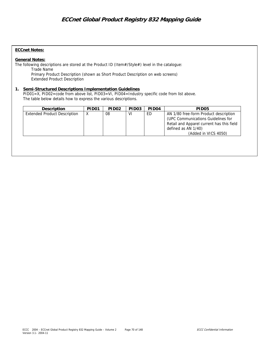### **ECCnet Notes:**

### **General Notes:**

The following descriptions are stored at the Product ID (Item#/Style#) level in the catalogue: Trade Name Primary Product Description (shown as Short Product Description on web screens) Extended Product Description

### **1. Semi-Structured Descriptions Implementation Guidelines**

PID01=X, PID02=code from above list, PID03=VI, PID04=Industry specific code from list above. The table below details how to express the various descriptions.

| Description                         | PID <sub>01</sub> | PID <sub>02</sub> | PID <sub>03</sub> | PID <sub>04</sub> | PID <sub>05</sub>                                                                                                                                                       |
|-------------------------------------|-------------------|-------------------|-------------------|-------------------|-------------------------------------------------------------------------------------------------------------------------------------------------------------------------|
| <b>Extended Product Description</b> | X                 | 08                | V١                | ED                | AN 1/80 free-form Product description<br>(UPC Communications Guidelines for<br>Retail and Apparel current has this field<br>defined as AN 1/40)<br>(Added in VICS 4050) |
|                                     |                   |                   |                   |                   |                                                                                                                                                                         |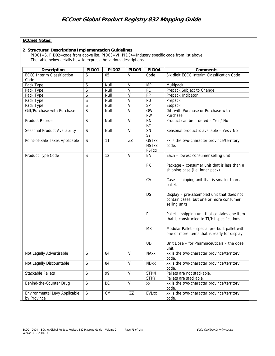## **ECCnet Notes:**

### **2. Structured Descriptions Implementation Guidelines**

PID01=S, PID02=code from above list, PID03=VI, PID04=Industry specific code from list above. The table below details how to express the various descriptions.

| Description                                  | PID <sub>01</sub> | PID <sub>02</sub> | PID <sub>03</sub> | PID <sub>04</sub>                            | Comments                                                                                                |
|----------------------------------------------|-------------------|-------------------|-------------------|----------------------------------------------|---------------------------------------------------------------------------------------------------------|
| <b>ECCC Interim Classification</b>           | S                 | 0 <sub>5</sub>    | V١                | Code                                         | Six digit ECCC Interim Classification Code                                                              |
| Code                                         |                   |                   |                   |                                              |                                                                                                         |
| Pack Type                                    | $\mathsf S$       | Null              | $\overline{VI}$   | <b>MP</b>                                    | Multipack                                                                                               |
| Pack Type                                    | S                 | Null              | VI                | PC                                           | Prepack Subject to Change                                                                               |
| Pack Type                                    | S                 | Null              | VI                | PP                                           | Prepack Indicator                                                                                       |
| Pack Type                                    | S                 | Null              | $\overline{V}$    | $\overline{PU}$                              | Prepack                                                                                                 |
| Pack Type                                    | S                 | Null              | VI                | SP                                           | Setpack                                                                                                 |
| Gift/Purchase with Purchase                  | S                 | Null              | VI                | GW<br>PW                                     | Gift with Purchase or Purchase with<br>Purchase                                                         |
| Product Reorder                              | S                 | Null              | VI                | RN<br><b>RY</b>                              | Product can be ordered - Yes / No                                                                       |
| Seasonal Product Availability                | $\mathsf S$       | Null              | VI                | SN<br>SY                                     | Seasonal product is available - Yes / No                                                                |
| Point-of-Sale Taxes Applicable               | $\mathsf S$       | 11                | ZZ                | <b>GSTxx</b><br><b>HSTxx</b><br><b>PSTxx</b> | xx is the two-character province/territory<br>code.                                                     |
| Product Type Code                            | S                 | 12                | VI                | EА                                           | Each - lowest consumer selling unit                                                                     |
|                                              |                   |                   |                   | <b>PK</b>                                    | Package - consumer unit that is less than a<br>shipping case (i.e. inner pack)                          |
|                                              |                   |                   |                   | CA                                           | Case - shipping unit that is smaller than a<br>pallet.                                                  |
|                                              |                   |                   |                   | <b>DS</b>                                    | Display - pre-assembled unit that does not<br>contain cases, but one or more consumer<br>selling units. |
|                                              |                   |                   |                   | PL.                                          | Pallet – shipping unit that contains one item<br>that is constructed to TI/HI specifications.           |
|                                              |                   |                   |                   | МX                                           | Modular Pallet - special pre-built pallet with<br>one or more items that is ready for display.          |
|                                              |                   |                   |                   | UD                                           | Unit Dose – for Pharmaceuticals – the dose<br>unit.                                                     |
| Not Legally Advertisable                     | S                 | 84                | VI                | <b>NAxx</b>                                  | xx is the two-character province/territory<br>code.                                                     |
| Not Legally Discountable                     | $\mathsf S$       | 84                | VI                | <b>NDxx</b>                                  | xx is the two-character province/territory<br>code.                                                     |
| <b>Stackable Pallets</b>                     | S                 | 99                | VI                | <b>STKN</b><br><b>STKY</b>                   | Pallets are not stackable.<br>Pallets are stackable.                                                    |
| Behind-the-Counter Drug                      | $\overline{S}$    | BC                | VI                | XX                                           | xx is the two-character province/territory<br>code.                                                     |
| Environmental Levy Applicable<br>by Province | S                 | <b>CM</b>         | ZZ                | <b>EVLxx</b>                                 | xx is the two-character province/territory<br>code.                                                     |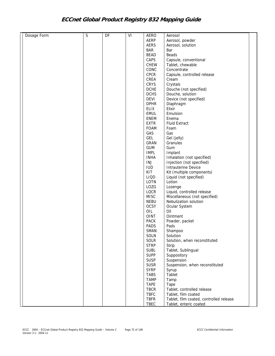| Dosage Form | $\mathsf S$ | DF | VI | <b>AERO</b> | Aerosol                                 |  |
|-------------|-------------|----|----|-------------|-----------------------------------------|--|
|             |             |    |    | AERP        | Aerosol, powder                         |  |
|             |             |    |    | AERS        | Aerosol, solution                       |  |
|             |             |    |    | <b>BAR</b>  | Bar                                     |  |
|             |             |    |    | <b>BEAD</b> | Beads                                   |  |
|             |             |    |    | CAPS        | Capsule, conventional                   |  |
|             |             |    |    |             |                                         |  |
|             |             |    |    | CHEW        | Tablet, chewable                        |  |
|             |             |    |    | CONC        | Concentrate                             |  |
|             |             |    |    | CPCR        | Capsule, controlled release             |  |
|             |             |    |    | CREA        | Cream                                   |  |
|             |             |    |    | CRYS        | Crystals                                |  |
|             |             |    |    | DCHE        | Douche (not specified)                  |  |
|             |             |    |    | <b>DCHS</b> | Douche, solution                        |  |
|             |             |    |    | <b>DEVI</b> |                                         |  |
|             |             |    |    |             | Device (not specified)                  |  |
|             |             |    |    | <b>DPHR</b> | Diaphragm                               |  |
|             |             |    |    | <b>ELIX</b> | Elixir                                  |  |
|             |             |    |    | <b>EMUL</b> | Emulsion                                |  |
|             |             |    |    | <b>ENEM</b> | Enema                                   |  |
|             |             |    |    | <b>EXTR</b> | <b>Fluid Extract</b>                    |  |
|             |             |    |    | <b>FOAM</b> | Foam                                    |  |
|             |             |    |    | GAS         | Gas                                     |  |
|             |             |    |    |             |                                         |  |
|             |             |    |    | GEL         | Gel (jelly)                             |  |
|             |             |    |    | GRAN        | Granules                                |  |
|             |             |    |    | <b>GUM</b>  | Gum                                     |  |
|             |             |    |    | <b>IMPL</b> | Implant                                 |  |
|             |             |    |    | <b>INHA</b> | Inhalation (not specified)              |  |
|             |             |    |    | INJ         | Injection (not specified)               |  |
|             |             |    |    | <b>IUD</b>  | Intrauterine Device                     |  |
|             |             |    |    | KIT         | Kit (multiple components)               |  |
|             |             |    |    |             |                                         |  |
|             |             |    |    | LIQD        | Liquid (not specified)                  |  |
|             |             |    |    | LOTN        | Lotion                                  |  |
|             |             |    |    | LOZG        | Lozenge                                 |  |
|             |             |    |    | LOCR        | Liquid, controlled release              |  |
|             |             |    |    | <b>MISC</b> | Miscellaneous (not specified)           |  |
|             |             |    |    | <b>NEBU</b> | Nebulization solution                   |  |
|             |             |    |    | <b>OCSY</b> | Ocular System                           |  |
|             |             |    |    | OIL         | Oil                                     |  |
|             |             |    |    | OINT        | Ointment                                |  |
|             |             |    |    |             |                                         |  |
|             |             |    |    | PACK        | Powder, packet                          |  |
|             |             |    |    | <b>PADS</b> | Pads                                    |  |
|             |             |    |    | SMAN        | Shampoo                                 |  |
|             |             |    |    | SOLN        | Solution                                |  |
|             |             |    |    | SOLR        | Solution, when reconstituted            |  |
|             |             |    |    | <b>STRP</b> | Strip                                   |  |
|             |             |    |    | <b>SUBL</b> | Tablet, Sublingual                      |  |
|             |             |    |    | <b>SUPP</b> | Suppository                             |  |
|             |             |    |    | SUSP        | Suspension                              |  |
|             |             |    |    |             |                                         |  |
|             |             |    |    | <b>SUSR</b> | Suspension, when reconstituted          |  |
|             |             |    |    | <b>SYRP</b> | Syrup                                   |  |
|             |             |    |    | <b>TABS</b> | Tablet                                  |  |
|             |             |    |    | <b>TAMP</b> | Tamp                                    |  |
|             |             |    |    | <b>TAPE</b> | Tape                                    |  |
|             |             |    |    | <b>TBCR</b> | Tablet, controlled release              |  |
|             |             |    |    | <b>TBFC</b> | Tablet, film coated                     |  |
|             |             |    |    | <b>TBFR</b> | Tablet, film coated, controlled release |  |
|             |             |    |    |             |                                         |  |
|             |             |    |    | TBEC        | Tablet, enteric coated                  |  |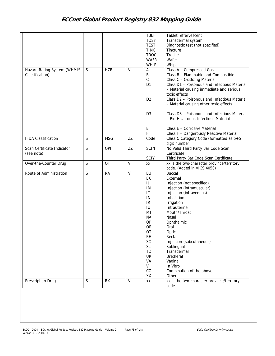|                                                |              |            |    | <b>TBEF</b><br><b>TDSY</b><br><b>TEST</b><br><b>TINC</b><br><b>TROC</b><br><b>WAFR</b><br>WHIP                                                                                          | Tablet, effervescent<br>Transdermal system<br>Diagnostic test (not specified)<br>Tincture<br>Troche<br>Wafer<br>Whip                                                                                                                                                                                                                                           |
|------------------------------------------------|--------------|------------|----|-----------------------------------------------------------------------------------------------------------------------------------------------------------------------------------------|----------------------------------------------------------------------------------------------------------------------------------------------------------------------------------------------------------------------------------------------------------------------------------------------------------------------------------------------------------------|
| Hazard Rating System (WHMIS<br>Classification) | $\mathsf{S}$ | <b>HZR</b> | VI | Α<br>$\sf B$<br>$\mathsf C$<br>D <sub>1</sub><br>D <sub>2</sub>                                                                                                                         | Class A - Compressed Gas<br>Class B - Flammable and Combustible<br>Class C - Oxidizing Material<br>Class D1 - Poisonous and Infectious Material<br>- Material causing immediate and serious<br>toxic effects<br>Class D2 - Poisonous and Infectious Material<br>- Material causing other toxic effects                                                         |
|                                                |              |            |    | D <sub>3</sub><br>Ε                                                                                                                                                                     | Class D3 - Poisonous and Infectious Material<br>- Bio-Hazardous Infectious Material<br>Class E - Corrosive Material                                                                                                                                                                                                                                            |
|                                                |              |            |    | F                                                                                                                                                                                       | Class F - Dangerously Reactive Material                                                                                                                                                                                                                                                                                                                        |
| <b>IFDA Classification</b>                     | S            | <b>MSG</b> | ZZ | Code                                                                                                                                                                                    | Class & Category Code (formatted as $5+5$<br>digit number)                                                                                                                                                                                                                                                                                                     |
| Scan Certificate Indicator<br>(see note)       | S            | OPI        | ZZ | <b>SCIN</b><br><b>SCIY</b>                                                                                                                                                              | No Valid Third Party Bar Code Scan<br>Certificate<br>Third Party Bar Code Scan Certificate                                                                                                                                                                                                                                                                     |
| Over-the-Counter Drug                          | S            | <b>OT</b>  | VI | XX                                                                                                                                                                                      | xx is the two-character province/territory<br>code. (Added in VICS 4050)                                                                                                                                                                                                                                                                                       |
| Route of Administration                        | S            | <b>RA</b>  | VI | <b>BU</b><br>EX<br>IJ<br>IM<br>$\mathsf{I}\mathsf{T}$<br>IN<br>IR<br>IU<br>MT<br><b>NA</b><br>OP<br><b>OR</b><br>OT<br><b>RE</b><br>SC<br><b>SL</b><br>TD<br>UR<br>VA<br>VI<br>CO<br>XX | <b>Buccal</b><br>External<br>Injection (not specified)<br>Injection (intramuscular)<br>Injection (intravenous)<br>Inhalation<br>Irrigation<br>Intrauterine<br>Mouth/Throat<br>Nasal<br>Ophthalmic<br>Oral<br>Optic<br>Rectal<br>Injection (subcutaneous)<br>Sublingual<br>Transdermal<br>Uretheral<br>Vaginal<br>In Vitro<br>Combination of the above<br>Other |
| Prescription Drug                              | S            | <b>RX</b>  | VI | XX                                                                                                                                                                                      | xx is the two-character province/territory                                                                                                                                                                                                                                                                                                                     |
|                                                |              |            |    |                                                                                                                                                                                         | code.                                                                                                                                                                                                                                                                                                                                                          |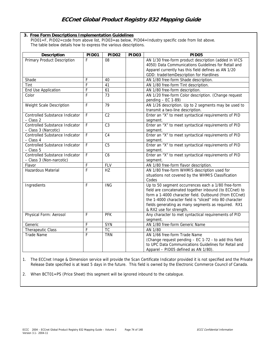## **3. Free Form Descriptions Implementation Guidelines**

PID01=F, PID02=code from above list, PID03=as below, PID04=Industry specific code from list above. The table below details how to express the various descriptions.

| Description                                                       | <b>PID01</b>   | <b>PID02</b>    | <b>PID03</b> | <b>PID05</b>                                                                                                                                                                                                                                                                                                        |
|-------------------------------------------------------------------|----------------|-----------------|--------------|---------------------------------------------------------------------------------------------------------------------------------------------------------------------------------------------------------------------------------------------------------------------------------------------------------------------|
| Primary Product Description                                       | F              | 08              |              | AN 1/30 free-form product description (added in VICS<br>4050) Data Communications Guidelines for Retail and<br>Apparel currently has this field defines as AN 1/20<br>GDD: tradeItemDescription for Hardlines                                                                                                       |
| Shade                                                             | F              | 40              |              | AN 1/80 free-form Shade description.                                                                                                                                                                                                                                                                                |
| Tint                                                              | F              | 41              |              | AN 1/80 free-form Tint description.                                                                                                                                                                                                                                                                                 |
| End Use Application                                               | F              | 61              |              | AN 1/80 free-form description.                                                                                                                                                                                                                                                                                      |
| Color                                                             | $\overline{F}$ | $\overline{73}$ |              | AN 1/20 free-form Color description. (Change request<br>pending $-$ EC 1-89)                                                                                                                                                                                                                                        |
| Weight Scale Description                                          | F              | 79              |              | AN 1/26 description. Up to 2 segments may be used to<br>transmit a two-line description.                                                                                                                                                                                                                            |
| Controlled Substance Indicator<br>- Class 2                       | F              | $\overline{C2}$ |              | Enter an "X" to meet syntactical requirements of PID<br>segment.                                                                                                                                                                                                                                                    |
| Controlled Substance Indicator<br>- Class 3 (Narcotic)            | F              | C <sub>3</sub>  |              | Enter an "X" to meet syntactical requirements of PID<br>segment.                                                                                                                                                                                                                                                    |
| Controlled Substance Indicator<br>- Class 4                       | $\mathsf F$    | C <sub>4</sub>  |              | Enter an "X" to meet syntactical requirements of PID<br>segment.                                                                                                                                                                                                                                                    |
| <b>Controlled Substance Indicator</b><br>$-$ Class 5              | F              | C <sub>5</sub>  |              | Enter an "X" to meet syntactical requirements of PID<br>segment.                                                                                                                                                                                                                                                    |
| <b>Controlled Substance Indicator</b><br>- Class 3 (Non-narcotic) | F              | C <sub>6</sub>  |              | Enter an "X" to meet syntactical requirements of PID<br>segment.                                                                                                                                                                                                                                                    |
| Flavor                                                            | F              | <b>FLV</b>      |              | AN 1/80 free-form flavor description.                                                                                                                                                                                                                                                                               |
| Hazardous Material                                                | F              | HZ              |              | AN 1/80 free-form WHMIS description used for<br>situations not covered by the WHMIS Classification<br>Codes                                                                                                                                                                                                         |
| Ingredients                                                       | F              | <b>ING</b>      |              | Up to 50 segment occurrences each a 1/80 free-form<br>field are concatenated together inbound (to ECCnet) to<br>form a 1-4000 character field. Outbound (from ECCnet)<br>the 1-4000 character field is "sliced" into 80 character<br>fields generating as many segments as required. RX1<br>& RX2 use for strength. |
| Physical Form: Aerosol                                            | F              | <b>PFK</b>      |              | Any character to met syntactical requirements of PID<br>segment.                                                                                                                                                                                                                                                    |
| Generic                                                           | F              | <b>SYN</b>      |              | AN 1/80 free-form Generic Name                                                                                                                                                                                                                                                                                      |
| Therapeutic Class                                                 | F              | TC              |              | AN 1/80                                                                                                                                                                                                                                                                                                             |
| Trade Name                                                        | F              | <b>TRN</b>      |              | AN 1/66 free-form Trade Name<br>(Change request pending - EC 1-72 - to add this field<br>to UPC Data Communications Guidelines for Retail and<br>Apparel - PID05 defined as AN 1/80).                                                                                                                               |

1. The ECCnet Image & Dimension service will provide the Scan Certificate Indicator provided it is not specified and the Private Release Date specified is at least 5 days in the future. This field is owned by the Electronic Commerce Council of Canada.

2. When BCT01=PS (Price Sheet) this segment will be ignored inbound to the catalogue.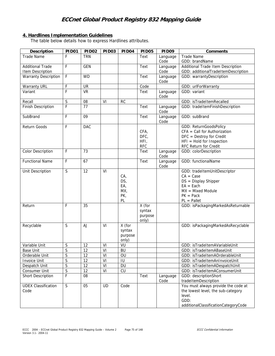## **4. Hardlines Implementation Guidelines**

The table below details how to express Hardlines attributes.

| Description                        | PID01                   | <b>PID02</b>    | PID <sub>03</sub> | PID <sub>04</sub>                                 | PID <sub>05</sub>                    | PID09            | Comments                                                                                                                                       |
|------------------------------------|-------------------------|-----------------|-------------------|---------------------------------------------------|--------------------------------------|------------------|------------------------------------------------------------------------------------------------------------------------------------------------|
| <b>Trade Name</b>                  | F                       | <b>TRN</b>      |                   |                                                   | Text                                 | Language         | <b>Trade Name</b>                                                                                                                              |
|                                    |                         |                 |                   |                                                   |                                      | Code             | GDD: brandName                                                                                                                                 |
| <b>Additional Trade</b>            | F                       | <b>GEN</b>      |                   |                                                   | Text                                 | Language         | Additional Trade Item Description                                                                                                              |
| Item Description                   |                         |                 |                   |                                                   |                                      | Code             | GDD: additionalTradeItemDescription                                                                                                            |
| <b>Warranty Description</b>        | $\overline{F}$          | <b>WD</b>       |                   |                                                   | Text                                 | Language<br>Code | GDD: warrantyDescription                                                                                                                       |
| Warranty URL                       | F                       | UR              |                   |                                                   | Code                                 |                  | GDD: urlForWarranty                                                                                                                            |
| Variant                            | F                       | <b>VR</b>       |                   |                                                   | Text                                 | Language<br>Code | GDD: variant                                                                                                                                   |
| Recall                             | S                       | 08              | VI                | <b>RC</b>                                         |                                      |                  | GDD: isTradeItemRecalled                                                                                                                       |
| Finish Description                 | F                       | 77              |                   |                                                   | Text                                 | Language<br>Code | GDD: tradeItemFinishDescription                                                                                                                |
| SubBrand                           | F                       | 09              |                   |                                                   | Text                                 | Language<br>Code | GDD: subBrand                                                                                                                                  |
| Return Goods                       | F                       | <b>DAC</b>      |                   |                                                   | CFA,<br>DFC,<br>HFI,<br><b>RFC</b>   |                  | GDD: ReturnGoodsPolicy<br>$CFA = Call for Authorization$<br>$DFC =$ Destroy for Credit<br>$HFI = Hold for Inspection$<br>RFC Return for Credit |
| Color Description                  | $\mathsf F$             | 73              |                   |                                                   | Text                                 | Language<br>Code | GDD: colorDescription                                                                                                                          |
| <b>Functional Name</b>             | F                       | 67              |                   |                                                   | Text                                 | Language<br>Code | GDD: functionalName                                                                                                                            |
| Unit Description                   | $\overline{S}$          | 12              | VI                | CA <sub>1</sub><br>DS,<br>EA,<br>MX,<br>PK,<br>PL |                                      |                  | GDD: tradeItemUnitDescriptor<br>$CA = Case$<br>$DS = Display Shipper$<br>$EA = Each$<br>$MX = Mixed Module$<br>$PK = Pack$<br>$PL = Pallet$    |
| Return                             | F                       | 35              |                   |                                                   | X (for<br>syntax<br>purpose<br>only) |                  | GDD: isPackagingMarkedAsReturnable                                                                                                             |
| Recyclable                         | S                       | <b>AJ</b>       | VI                | X (for<br>syntax<br>purpose<br>only)              |                                      |                  | GDD: isPackagingMarkedAsRecyclable                                                                                                             |
| Variable Unit                      | $\mathsf S$             | 12              | VI                | VU                                                |                                      |                  | GDD: isTradeItemAVariableUnit                                                                                                                  |
| <b>Base Unit</b>                   | S                       | 12              | VI                | BU                                                |                                      |                  | GDD: isTradeItemABaseUnit                                                                                                                      |
| Orderable Unit                     | $\overline{S}$          | 12              | VI                | OU                                                |                                      |                  | GDD: isTradeItemAOrderableUnit                                                                                                                 |
| Invoice Unit                       | $\overline{\mathsf{S}}$ | $\overline{12}$ | VI                | IU                                                |                                      |                  | GDD: isTradeItemAnInvoiceUnit                                                                                                                  |
| Despatch Unit                      | $\overline{S}$          | 12              | VI                | DU                                                |                                      |                  | GDD: isTradeItemADespatchUnit                                                                                                                  |
| Consumer Unit                      | $\overline{S}$          | 12              | VI                | CU                                                |                                      |                  | GDD: isTradeItemAConsumerUnit                                                                                                                  |
| Short Description                  | $\mathsf F$             | 08              |                   |                                                   | Text                                 | Language<br>Code | GDD: descriptionShort<br>tradeItemDescription                                                                                                  |
| <b>UDEX Classification</b><br>Code | S                       | 05              | <b>UD</b>         | Code                                              |                                      |                  | You must always provide the code at<br>the lowest level, the sub-category<br>level.<br>GDD:<br>additionalClassificationCategoryCode            |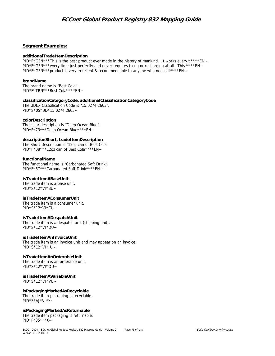### **Segment Examples:**

#### **additionalTradeItemDescription**

PID\*F\*GEN\*\*\*This is the best product ever made in the history of mankind. It works every ti\*\*\*\*EN~ PID\*F\*GEN\*\*\*every time just perfectly and never requires fixing or recharging at all. This \*\*\*\*EN~ PID\*F\*GEN\*\*\*product is very excellent & recommendable to anyone who needs it\*\*\*\*EN~

#### **brandName**

The brand name is "Best Cola". PID\*F\*TRN\*\*\*Best Cola\*\*\*\*EN~

**classificationCategoryCode, additionalClassificationCategoryCode** 

The UDEX Classification Code is "15.0274.2663". PID\*S\*05\*UD\*15.0274.2663~

#### **colorDescription**

The color description is "Deep Ocean Blue". PID\*F\*73\*\*\*Deep Ocean Blue\*\*\*\*EN~

#### **descriptionShort, tradeItemDescription**

The Short Description is "12oz can of Best Cola" PID\*F\*08\*\*\*12oz can of Best Cola\*\*\*\*EN~

#### **functionalName**

The functional name is "Carbonated Soft Drink". PID\*F\*67\*\*\*Carbonated Soft Drink\*\*\*\*EN~

#### **isTradeItemABaseUnit**

The trade item is a base unit. PID\*S\*12\*VI\*BU~

### **isTradeItemAConsumerUnit**

The trade item is a consumer unit. PID\*S\*12\*VI\*CU~

### **isTradeItemADespatchUnit**

The trade item is a despatch unit (shipping unit). PID\*S\*12\*VI\*DU~

#### **isTradeItemAnInvoiceUnit**

The trade item is an invoice unit and may appear on an invoice. PID\*S\*12\*VI\*IU~

#### **isTradeItemAnOrderableUnit**  The trade item is an orderable unit. PID\*S\*12\*VI\*OU~

**isTradeItemAVariableUnit**  PID\*S\*12\*VI\*VU~

**isPackagingMarkedAsRecyclable** 

The trade item packaging is recyclable. PID\*S\*AJ\*VI\*X~

#### **isPackagingMarkedAsReturnable**

The trade item packaging is returnable. PID\*F\*35\*\*\*X~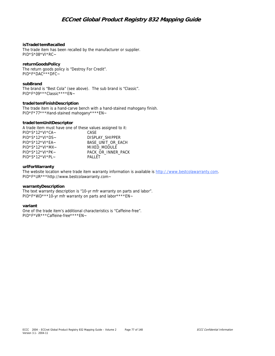### **isTradeItemRecalled**

The trade item has been recalled by the manufacturer or supplier. PID\*S\*08\*VI\*RC~

### **returnGoodsPolicy**

The return goods policy is "Destroy For Credit". PID\*F\*DAC\*\*\*DFC~

#### **subBrand**

The brand is "Best Cola" (see above). The sub brand is "Classic". PID\*F\*09\*\*\*Classic\*\*\*\*EN~

#### **tradeItemFinishDescription**

The trade item is a hand-carve bench with a hand-stained mahogany finish. PID\*F\*77\*\*\*Hand-stained mahogany\*\*\*\*EN~

#### **tradeItemUnitDescriptor**

A trade item must have one of these values assigned to it:

| $PID*S*12*VI*CA-$     | CASE               |
|-----------------------|--------------------|
| $PID*S*12*VI*DS-$     | DISPLAY SHIPPER    |
| $PID*S*12*VI*FA$      | BASE UNIT OR EACH  |
| $PID*S*12*VI*MX-$     | MIXED MODULE       |
| $PID*S*12*VI*PK$      | PACK OR INNER PACK |
| $PID*S*12*VI*PI \sim$ | PALLET             |
|                       |                    |

#### **urlForWarranty**

The website location where trade item warranty information is available is http://www.bestcolawarranty.com. PID\*F\*UR\*\*\*http://www.bestcolawarranty.com~

#### **warrantyDescription**

The text warranty description is "10-yr mfr warranty on parts and labor". PID\*F\*WD\*\*\*10-yr mfr warranty on parts and labor\*\*\*\*EN~

#### **variant**

One of the trade item's additional characteristics is "Caffeine-free". PID\*F\*VR\*\*\*Caffeine-free\*\*\*\*EN~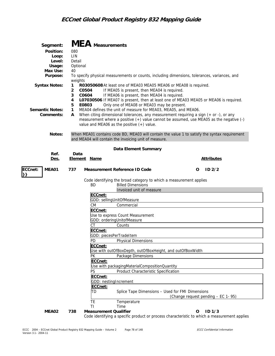| Segment:<br>Position:<br>Loop:<br>Level:<br>Usage:<br>Max Use:<br>Purpose:<br><b>Syntax Notes:</b><br><b>Semantic Notes:</b><br>Comments:<br>Notes: | 080<br>LIN<br>Detail<br>Optional<br>40<br>weights<br>$\mathbf{1}$<br>2<br>C0504<br>3<br>C0604<br>4<br>5<br>E0803<br>1<br>A | <b>MEA</b> Measurements            | To specify physical measurements or counts, including dimensions, tolerances, variances, and<br>R03050608 At least one of MEA03 MEA05 MEA06 or MEA08 is required.<br>If MEA05 is present, then MEA04 is required.<br>If MEA06 is present, then MEA04 is required.<br>LO7030506 If MEA07 is present, then at least one of MEA03 MEA05 or MEA06 is required.<br>Only one of MEA08 or MEA03 may be present.<br>MEA04 defines the unit of measure for MEA03, MEA05, and MEA06.<br>When citing dimensional tolerances, any measurement requiring a sign $(+)$ or any<br>measurement where a positive (+) value cannot be assumed, use MEA05 as the negative (-)<br>value and MEA06 as the positive $(+)$ value.<br>When MEA01 contains code BD, MEA03 will contain the value 1 to satisfy the syntax requirement<br>and MEA04 will contain the invoicing unit of measure. |                                                  |                                    |  |
|-----------------------------------------------------------------------------------------------------------------------------------------------------|----------------------------------------------------------------------------------------------------------------------------|------------------------------------|----------------------------------------------------------------------------------------------------------------------------------------------------------------------------------------------------------------------------------------------------------------------------------------------------------------------------------------------------------------------------------------------------------------------------------------------------------------------------------------------------------------------------------------------------------------------------------------------------------------------------------------------------------------------------------------------------------------------------------------------------------------------------------------------------------------------------------------------------------------------|--------------------------------------------------|------------------------------------|--|
|                                                                                                                                                     |                                                                                                                            |                                    |                                                                                                                                                                                                                                                                                                                                                                                                                                                                                                                                                                                                                                                                                                                                                                                                                                                                      |                                                  |                                    |  |
| Ref.                                                                                                                                                | Data                                                                                                                       |                                    | Data Element Summary                                                                                                                                                                                                                                                                                                                                                                                                                                                                                                                                                                                                                                                                                                                                                                                                                                                 |                                                  |                                    |  |
| Des.                                                                                                                                                | <b>Element Name</b>                                                                                                        |                                    |                                                                                                                                                                                                                                                                                                                                                                                                                                                                                                                                                                                                                                                                                                                                                                                                                                                                      |                                                  | <b>Attributes</b>                  |  |
| ECCnet:<br>MEA01                                                                                                                                    | 737                                                                                                                        |                                    | Measurement Reference ID Code                                                                                                                                                                                                                                                                                                                                                                                                                                                                                                                                                                                                                                                                                                                                                                                                                                        |                                                  | O<br>ID2/2                         |  |
|                                                                                                                                                     |                                                                                                                            | BD<br>ECCnet:                      | Code identifying the broad category to which a measurement applies<br><b>Billed Dimensions</b><br>Invoiced unit of measure                                                                                                                                                                                                                                                                                                                                                                                                                                                                                                                                                                                                                                                                                                                                           |                                                  |                                    |  |
|                                                                                                                                                     |                                                                                                                            |                                    | GDD: sellingUnitOfMeasure                                                                                                                                                                                                                                                                                                                                                                                                                                                                                                                                                                                                                                                                                                                                                                                                                                            |                                                  |                                    |  |
|                                                                                                                                                     |                                                                                                                            | <b>CM</b>                          | Commercial                                                                                                                                                                                                                                                                                                                                                                                                                                                                                                                                                                                                                                                                                                                                                                                                                                                           |                                                  |                                    |  |
|                                                                                                                                                     |                                                                                                                            | ECCnet:                            | Use to express Count Measurement<br>GDD: orderingUnitofMeasure                                                                                                                                                                                                                                                                                                                                                                                                                                                                                                                                                                                                                                                                                                                                                                                                       |                                                  |                                    |  |
|                                                                                                                                                     |                                                                                                                            | <b>CT</b>                          | Counts                                                                                                                                                                                                                                                                                                                                                                                                                                                                                                                                                                                                                                                                                                                                                                                                                                                               |                                                  |                                    |  |
|                                                                                                                                                     |                                                                                                                            | ECCnet:                            |                                                                                                                                                                                                                                                                                                                                                                                                                                                                                                                                                                                                                                                                                                                                                                                                                                                                      |                                                  |                                    |  |
|                                                                                                                                                     |                                                                                                                            |                                    | GDD: piecesPerTradeItem<br>PD Physical Dimensions                                                                                                                                                                                                                                                                                                                                                                                                                                                                                                                                                                                                                                                                                                                                                                                                                    |                                                  |                                    |  |
|                                                                                                                                                     |                                                                                                                            | ECCnet:                            |                                                                                                                                                                                                                                                                                                                                                                                                                                                                                                                                                                                                                                                                                                                                                                                                                                                                      |                                                  |                                    |  |
|                                                                                                                                                     |                                                                                                                            |                                    | Use with outOfBoxDepth, outOfBoxHeight, and outOfBoxWidth                                                                                                                                                                                                                                                                                                                                                                                                                                                                                                                                                                                                                                                                                                                                                                                                            |                                                  |                                    |  |
|                                                                                                                                                     |                                                                                                                            | PK<br>ECCnet:                      | Package Dimensions                                                                                                                                                                                                                                                                                                                                                                                                                                                                                                                                                                                                                                                                                                                                                                                                                                                   |                                                  |                                    |  |
|                                                                                                                                                     |                                                                                                                            |                                    | Use with packagingMaterialCompositionQuantity                                                                                                                                                                                                                                                                                                                                                                                                                                                                                                                                                                                                                                                                                                                                                                                                                        |                                                  |                                    |  |
|                                                                                                                                                     |                                                                                                                            | PS                                 | Product Characteristic Specification                                                                                                                                                                                                                                                                                                                                                                                                                                                                                                                                                                                                                                                                                                                                                                                                                                 |                                                  |                                    |  |
|                                                                                                                                                     |                                                                                                                            | ECCnet:                            | GDD: nestingIncrement                                                                                                                                                                                                                                                                                                                                                                                                                                                                                                                                                                                                                                                                                                                                                                                                                                                |                                                  |                                    |  |
|                                                                                                                                                     |                                                                                                                            | ECCnet:                            |                                                                                                                                                                                                                                                                                                                                                                                                                                                                                                                                                                                                                                                                                                                                                                                                                                                                      |                                                  |                                    |  |
|                                                                                                                                                     |                                                                                                                            | TD                                 |                                                                                                                                                                                                                                                                                                                                                                                                                                                                                                                                                                                                                                                                                                                                                                                                                                                                      | Splice Tape Dimensions - Used for FMI Dimensions | (Change request pending - EC 1-95) |  |
|                                                                                                                                                     |                                                                                                                            | TE                                 | Temperature                                                                                                                                                                                                                                                                                                                                                                                                                                                                                                                                                                                                                                                                                                                                                                                                                                                          |                                                  |                                    |  |
| MEA02                                                                                                                                               | 738                                                                                                                        | TI<br><b>Measurement Qualifier</b> | Time                                                                                                                                                                                                                                                                                                                                                                                                                                                                                                                                                                                                                                                                                                                                                                                                                                                                 |                                                  | ID <sub>1/3</sub><br>O             |  |
|                                                                                                                                                     |                                                                                                                            |                                    | Code identifying a specific product or process characteristic to which a measurement applies                                                                                                                                                                                                                                                                                                                                                                                                                                                                                                                                                                                                                                                                                                                                                                         |                                                  |                                    |  |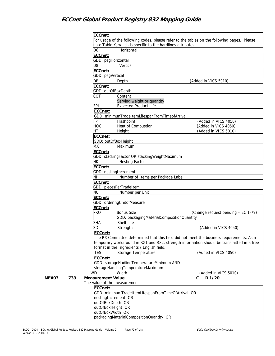|              | ECCnet:<br>For usage of the following codes, please refer to the tables on the following pages. Please                                                                                |
|--------------|---------------------------------------------------------------------------------------------------------------------------------------------------------------------------------------|
|              | note Table X, which is specific to the hardlines attributes                                                                                                                           |
|              | Horizontal<br>D6                                                                                                                                                                      |
|              | ECCnet:                                                                                                                                                                               |
|              | GDD: pegHorizontal                                                                                                                                                                    |
|              | D <sub>8</sub><br>Vertical                                                                                                                                                            |
|              | ECCnet:                                                                                                                                                                               |
|              | GDD: pegVertical                                                                                                                                                                      |
|              | <b>DP</b><br>(Added in VICS 5010)<br>Depth                                                                                                                                            |
|              | ECCnet:<br>GDD: outOfBoxDepth                                                                                                                                                         |
|              | COT<br>Content                                                                                                                                                                        |
|              | Serving weight or quantity                                                                                                                                                            |
|              | EPL<br><b>Expected Product Life</b>                                                                                                                                                   |
|              | ECCnet:                                                                                                                                                                               |
|              | GDD: minimunTradeItemLifespanFromTimeofArrival                                                                                                                                        |
|              | FP<br>Flashpoint<br>(Added in VICS 4050)                                                                                                                                              |
|              | <b>HOC</b><br>Heat of Combustion<br>(Added in VICS 4050)                                                                                                                              |
|              | (Added in VICS 5010)<br>НT<br>Height                                                                                                                                                  |
|              | ECCnet:<br>GDD: outOfBoxHeight                                                                                                                                                        |
|              | <b>MX</b><br>Maximum                                                                                                                                                                  |
|              | ECCnet:                                                                                                                                                                               |
|              | GDD: stackingFactor OR stackingWeightMaximum                                                                                                                                          |
|              | <b>ΝΚ</b><br>Nesting Factor                                                                                                                                                           |
|              | ECCnet:                                                                                                                                                                               |
|              | GDD: nestingIncrement                                                                                                                                                                 |
|              | <b>NH</b><br>Number of Items per Package Label                                                                                                                                        |
|              | ECCnet:                                                                                                                                                                               |
|              | GDD: piecesPerTradeItem<br><b>NU</b><br>Number per Unit                                                                                                                               |
|              | ECCnet:                                                                                                                                                                               |
|              | GDD: orderingUnitofMeasure                                                                                                                                                            |
|              | ECCnet:                                                                                                                                                                               |
|              | PRO<br><b>Bonus Size</b><br>(Change request pending - EC 1-79)                                                                                                                        |
|              | GDD: packagingMaterialCompositionQuantity                                                                                                                                             |
|              | Shelf Life<br><b>SHA</b>                                                                                                                                                              |
|              | <b>SD</b><br>Strength<br>(Added in VICS 4050)                                                                                                                                         |
|              | ECCnet:                                                                                                                                                                               |
|              | The RX Committee determined that this field did not meet the business requirements. As a<br>temporary workaround in RX1 and RX2, strength information should be transmitted in a free |
|              | format in the Ingredients / English field.                                                                                                                                            |
|              | <b>TES</b><br>Storage Temperature<br>(Added in VICS 4050)                                                                                                                             |
|              | ECCnet:                                                                                                                                                                               |
|              | GDD: storageHadlingTemperatureMinimum AND                                                                                                                                             |
|              | storageHandlingTemperatureMaximum                                                                                                                                                     |
|              | (Added in VICS 5010)<br><b>WD</b><br>Width                                                                                                                                            |
| 739<br>MEA03 | R 1/20<br><b>Measurement Value</b><br>С<br>The value of the measurement                                                                                                               |
|              | ECCnet:                                                                                                                                                                               |
|              | GDD: minimumTradeItemLifespanFromTimeOfArrival OR                                                                                                                                     |
|              | nestingIncrement OR                                                                                                                                                                   |
|              | outOfBoxDepth OR                                                                                                                                                                      |
|              | outOfBoxHeight OR                                                                                                                                                                     |
|              | outOfBoxWidth OR                                                                                                                                                                      |
|              | packagingMaterialCompositionQuantity OR                                                                                                                                               |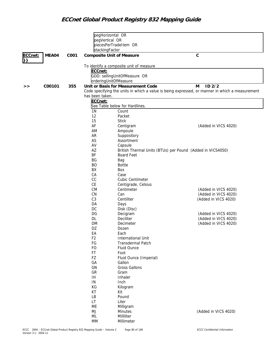|         |        |      | pegHorizontal OR                 |                                                            |                                                                                                 |
|---------|--------|------|----------------------------------|------------------------------------------------------------|-------------------------------------------------------------------------------------------------|
|         |        |      | pegVertical OR                   |                                                            |                                                                                                 |
|         |        |      |                                  | piecesPerTradeItem OR                                      |                                                                                                 |
|         |        |      | stackingFactor                   |                                                            |                                                                                                 |
| ECCnet: | MEA04  | C001 | <b>Composite Unit of Measure</b> |                                                            | $\mathsf{C}$                                                                                    |
| }}      |        |      |                                  |                                                            |                                                                                                 |
|         |        |      |                                  | To identify a composite unit of measure                    |                                                                                                 |
|         |        |      | ECCnet:                          |                                                            |                                                                                                 |
|         |        |      |                                  | GDD: sellingUnitOfMeasure OR                               |                                                                                                 |
|         |        |      | orderingUnitOfMeasure            |                                                            |                                                                                                 |
|         | C00101 | 355  |                                  | Unit or Basis for Measurement Code                         | $ID$ $2/2$<br>М                                                                                 |
| >>      |        |      |                                  |                                                            | Code specifying the units in which a value is being expressed, or manner in which a measurement |
|         |        |      | has been taken.                  |                                                            |                                                                                                 |
|         |        |      | ECCnet:                          |                                                            |                                                                                                 |
|         |        |      |                                  | See Table below for Hardlines.                             |                                                                                                 |
|         |        |      | 1 <sub>N</sub>                   | Count                                                      |                                                                                                 |
|         |        |      | 12                               | Packet                                                     |                                                                                                 |
|         |        |      | 15                               | <b>Stick</b>                                               |                                                                                                 |
|         |        |      | AF                               | Centigram                                                  | (Added in VICS 4020)                                                                            |
|         |        |      | AM                               | Ampoule                                                    |                                                                                                 |
|         |        |      | <b>AR</b>                        | Suppository                                                |                                                                                                 |
|         |        |      | AS                               | Assortment                                                 |                                                                                                 |
|         |        |      | AV                               | Capsule                                                    |                                                                                                 |
|         |        |      | AZ                               | British Thermal Units (BTUs) per Pound (Added in VICS4050) |                                                                                                 |
|         |        |      | BF                               | <b>Board Feet</b>                                          |                                                                                                 |
|         |        |      | BG                               | Bag                                                        |                                                                                                 |
|         |        |      | BO                               | <b>Bottle</b>                                              |                                                                                                 |
|         |        |      | BX                               | Box                                                        |                                                                                                 |
|         |        |      | CA                               | Case                                                       |                                                                                                 |
|         |        |      | cc                               | <b>Cubic Centimeter</b>                                    |                                                                                                 |
|         |        |      | CE                               | Centigrade, Celsius                                        |                                                                                                 |
|         |        |      | <b>CM</b>                        | Centimeter                                                 | (Added in VICS 4020)                                                                            |
|         |        |      | CN                               | Can                                                        | (Added in VICS 4020)                                                                            |
|         |        |      | C3                               | Centiliter                                                 | (Added in VICS 4020)                                                                            |
|         |        |      | DA                               | Days                                                       |                                                                                                 |
|         |        |      | DC                               | Disk (Disc)                                                |                                                                                                 |
|         |        |      | DG                               | Decigram                                                   | (Added in VICS 4020)                                                                            |
|         |        |      | DL                               | Deciliter                                                  | (Added in VICS 4020)                                                                            |
|         |        |      | <b>DM</b>                        | Decimeter                                                  | (Added in VICS 4020)                                                                            |
|         |        |      | DZ                               | Dozen                                                      |                                                                                                 |
|         |        |      | EA                               | Each                                                       |                                                                                                 |
|         |        |      | F <sub>2</sub>                   | <b>International Unit</b>                                  |                                                                                                 |
|         |        |      | FG                               | Transdermal Patch                                          |                                                                                                 |
|         |        |      | FO                               | Fluid Ounce                                                |                                                                                                 |
|         |        |      | FT                               | Foot                                                       |                                                                                                 |
|         |        |      | FZ                               | Fluid Ounce (Imperial)                                     |                                                                                                 |
|         |        |      | GA                               | Gallon                                                     |                                                                                                 |
|         |        |      | GN                               | <b>Gross Gallons</b>                                       |                                                                                                 |
|         |        |      | GR                               | Gram                                                       |                                                                                                 |
|         |        |      | IH                               | Inhaler                                                    |                                                                                                 |
|         |        |      | ${\sf IN}$                       | Inch                                                       |                                                                                                 |
|         |        |      | КG                               | Kilogram                                                   |                                                                                                 |
|         |        |      | КT                               | Kit                                                        |                                                                                                 |
|         |        |      | LB                               | Pound                                                      |                                                                                                 |
|         |        |      | LT                               | Liter                                                      |                                                                                                 |
|         |        |      | ME                               | Milligram                                                  |                                                                                                 |
|         |        |      | MJ                               | Minutes                                                    | (Added in VICS 4020)                                                                            |
|         |        |      | ML                               | Milliliter                                                 |                                                                                                 |
|         |        |      | MM                               | Millimeter                                                 |                                                                                                 |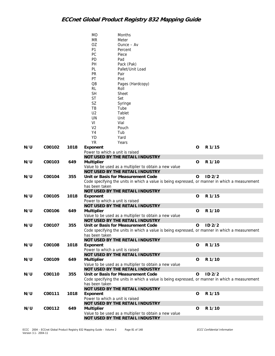|     |        |      | <b>MO</b>                       | Months                                                                                          |   |                   |
|-----|--------|------|---------------------------------|-------------------------------------------------------------------------------------------------|---|-------------------|
|     |        |      | MR                              | Meter                                                                                           |   |                   |
|     |        |      | OZ                              | $O$ unce $-$ Av                                                                                 |   |                   |
|     |        |      | P <sub>1</sub>                  | Percent                                                                                         |   |                   |
|     |        |      | PC                              | Piece                                                                                           |   |                   |
|     |        |      | PD                              | Pad                                                                                             |   |                   |
|     |        |      | PH                              | Pack (Pak)                                                                                      |   |                   |
|     |        |      | PL                              | Pallet/Unit Load                                                                                |   |                   |
|     |        |      | PR                              | Pair                                                                                            |   |                   |
|     |        |      | PT                              | Pint                                                                                            |   |                   |
|     |        |      | $\overline{OB}$                 | Pages (Hardcopy)                                                                                |   |                   |
|     |        |      | RL                              | Roll                                                                                            |   |                   |
|     |        |      | <b>SH</b>                       | Sheet                                                                                           |   |                   |
|     |        |      | <b>ST</b>                       | Set                                                                                             |   |                   |
|     |        |      | SZ                              | Syringe                                                                                         |   |                   |
|     |        |      | TB                              | Tube                                                                                            |   |                   |
|     |        |      | U <sub>2</sub>                  | Tablet                                                                                          |   |                   |
|     |        |      | UN                              | Unit                                                                                            |   |                   |
|     |        |      | VI                              | Vial                                                                                            |   |                   |
|     |        |      | V <sub>2</sub>                  | Pouch                                                                                           |   |                   |
|     |        |      | Y4                              | Tub                                                                                             |   |                   |
|     |        |      | YD                              | Yard                                                                                            |   |                   |
|     |        |      | <b>YR</b>                       | Years                                                                                           |   |                   |
| N/U | C00102 | 1018 | Exponent                        |                                                                                                 | 0 | R 1/15            |
|     |        |      | Power to which a unit is raised |                                                                                                 |   |                   |
|     |        |      |                                 | NOT USED BY THE RETAIL INDUSTRY                                                                 |   |                   |
| N/U | C00103 | 649  | <b>Multiplier</b>               |                                                                                                 | 0 | R 1/10            |
|     |        |      |                                 | Value to be used as a multiplier to obtain a new value                                          |   |                   |
|     |        |      |                                 | NOT USED BY THE RETAIL INDUSTRY                                                                 |   |                   |
| N/U | C00104 | 355  |                                 | Unit or Basis for Measurement Code                                                              | O | $ID$ $2/2$        |
|     |        |      |                                 | Code specifying the units in which a value is being expressed, or manner in which a measurement |   |                   |
|     |        |      | has been taken                  |                                                                                                 |   |                   |
| N/U | C00105 | 1018 | Exponent                        | NOT USED BY THE RETAIL INDUSTRY                                                                 | O | R 1/15            |
|     |        |      | Power to which a unit is raised |                                                                                                 |   |                   |
|     |        |      |                                 | NOT USED BY THE RETAIL INDUSTRY                                                                 |   |                   |
| N/U | C00106 | 649  | <b>Multiplier</b>               |                                                                                                 | O | R 1/10            |
|     |        |      |                                 | Value to be used as a multiplier to obtain a new value                                          |   |                   |
|     |        |      |                                 | NOT USED BY THE RETAIL INDUSTRY                                                                 |   |                   |
| N/U | C00107 | 355  |                                 | Unit or Basis for Measurement Code                                                              | O | ID <sub>2/2</sub> |
|     |        |      |                                 | Code specifying the units in which a value is being expressed, or manner in which a measurement |   |                   |
|     |        |      | has been taken                  |                                                                                                 |   |                   |
|     |        |      |                                 | NOT USED BY THE RETAIL INDUSTRY                                                                 |   |                   |
| N/U | C00108 | 1018 | Exponent                        |                                                                                                 | O | R 1/15            |
|     |        |      | Power to which a unit is raised |                                                                                                 |   |                   |
|     |        |      |                                 | NOT USED BY THE RETAIL INDUSTRY                                                                 |   |                   |
| N/U | C00109 | 649  | <b>Multiplier</b>               |                                                                                                 | O | R 1/10            |
|     |        |      |                                 | Value to be used as a multiplier to obtain a new value                                          |   |                   |
|     |        |      |                                 | NOT USED BY THE RETAIL INDUSTRY                                                                 |   |                   |
| N/U | C00110 | 355  |                                 | Unit or Basis for Measurement Code                                                              | O | $ID$ $2/2$        |
|     |        |      |                                 | Code specifying the units in which a value is being expressed, or manner in which a measurement |   |                   |
|     |        |      | has been taken                  |                                                                                                 |   |                   |
|     |        |      |                                 | NOT USED BY THE RETAIL INDUSTRY                                                                 |   |                   |
| N/U | C00111 | 1018 | Exponent                        |                                                                                                 | O | R 1/15            |
|     |        |      | Power to which a unit is raised |                                                                                                 |   |                   |
|     |        |      |                                 | NOT USED BY THE RETAIL INDUSTRY                                                                 |   |                   |
| N/U | C00112 | 649  | <b>Multiplier</b>               |                                                                                                 | O | R 1/10            |
|     |        |      |                                 | Value to be used as a multiplier to obtain a new value                                          |   |                   |
|     |        |      |                                 | NOT USED BY THE RETAIL INDUSTRY                                                                 |   |                   |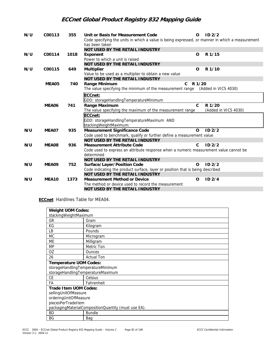| N/U | C00113 | 355  | Unit or Basis for Measurement Code                                                                                | $\Omega$     | ID <sub>2/2</sub>    |
|-----|--------|------|-------------------------------------------------------------------------------------------------------------------|--------------|----------------------|
|     |        |      | Code specifying the units in which a value is being expressed, or manner in which a measurement<br>has been taken |              |                      |
|     |        |      | <b>NOT USED BY THE RETAIL INDUSTRY</b>                                                                            |              |                      |
| N/U | C00114 | 1018 | Exponent                                                                                                          | O            | R 1/15               |
|     |        |      | Power to which a unit is raised                                                                                   |              |                      |
|     |        |      | NOT USED BY THE RETAIL INDUSTRY                                                                                   |              |                      |
| N/U | C00115 | 649  | <b>Multiplier</b>                                                                                                 | O            | R 1/10               |
|     |        |      | Value to be used as a multiplier to obtain a new value                                                            |              |                      |
|     |        |      | NOT USED BY THE RETAIL INDUSTRY                                                                                   |              |                      |
|     | MEA05  | 740  | Range Minimum<br>$\mathbf{c}$                                                                                     | R 1/20       |                      |
|     |        |      | The value specifying the minimum of the measurement range (Added in VICS 4030)                                    |              |                      |
|     |        |      | ECCnet:                                                                                                           |              |                      |
|     |        |      | GDD: storageHandlingTemperatureMinimum                                                                            |              |                      |
|     | MEA06  | 741  | Range Maximum                                                                                                     | $\mathsf{C}$ | R 1/20               |
|     |        |      | The value specifying the maximum of the measurement range                                                         |              | (Added in VICS 4030) |
|     |        |      | ECCnet:                                                                                                           |              |                      |
|     |        |      | GDD: storageHandlingTemperatureMaximum AND                                                                        |              |                      |
|     |        |      | stackingWeightMaximum:                                                                                            |              |                      |
| N/U | MEA07  | 935  | Measurement Significance Code                                                                                     | $\Omega$     | ID <sub>2/2</sub>    |
|     |        |      | Code used to benchmark, qualify or further define a measurement value                                             |              |                      |
|     |        |      | NOT USED BY THE RETAIL INDUSTRY                                                                                   |              |                      |
| N/U | MEA08  | 936  | <b>Measurement Attribute Code</b>                                                                                 | C.           | ID <sub>2/2</sub>    |
|     |        |      | Code used to express an attribute response when a numeric measurement value cannot be                             |              |                      |
|     |        |      | determined                                                                                                        |              |                      |
|     |        |      | NOT USED BY THE RETAIL INDUSTRY                                                                                   |              |                      |
| N/U | MEA09  | 752  | Surface/Layer/Position Code                                                                                       | $\Omega$     | ID <sub>2/2</sub>    |
|     |        |      | Code indicating the product surface, layer or position that is being described                                    |              |                      |
|     |        |      | <b>NOT USED BY THE RETAIL INDUSTRY</b>                                                                            |              |                      |
| N/U | MEA10  | 1373 | <b>Measurement Method or Device</b>                                                                               | O            | ID2/4                |
|     |        |      | The method or device used to record the measurement                                                               |              |                      |
|     |        |      | NOT USED BY THE RETAIL INDUSTRY                                                                                   |              |                      |

**ECCnet** Hardlines Table for MEA04.

| <b>Weight UOM Codes:</b>          |                                                     |  |  |  |  |  |
|-----------------------------------|-----------------------------------------------------|--|--|--|--|--|
| stackingWeightMaximum             |                                                     |  |  |  |  |  |
| GR                                | Gram                                                |  |  |  |  |  |
| KG                                | Kilogram                                            |  |  |  |  |  |
| LВ                                | Pounds                                              |  |  |  |  |  |
| МC                                | Microgram                                           |  |  |  |  |  |
| ME                                | Milligram                                           |  |  |  |  |  |
| <b>MP</b>                         | Metric Ton                                          |  |  |  |  |  |
| ΟZ                                | <b>Ounces</b>                                       |  |  |  |  |  |
| 26                                | <b>Actual Ton</b>                                   |  |  |  |  |  |
|                                   | Temperature UOM Codes:                              |  |  |  |  |  |
| storageHandlingTemperatureMinimum |                                                     |  |  |  |  |  |
|                                   | storageHandlingTemperatureMaximum                   |  |  |  |  |  |
| <b>CE</b>                         | Celsius                                             |  |  |  |  |  |
| FA                                | Fahrenheit                                          |  |  |  |  |  |
|                                   | Trade Item UOM Codes:                               |  |  |  |  |  |
|                                   | sellingUnitOfMeasure                                |  |  |  |  |  |
| orderingUnitOfMeasure             |                                                     |  |  |  |  |  |
| piecesPerTradeItem                |                                                     |  |  |  |  |  |
|                                   | packagingMaterialCompositionQuantity (must use EA). |  |  |  |  |  |
| <b>BD</b>                         | <b>Bundle</b>                                       |  |  |  |  |  |
| ΒG                                | Bag                                                 |  |  |  |  |  |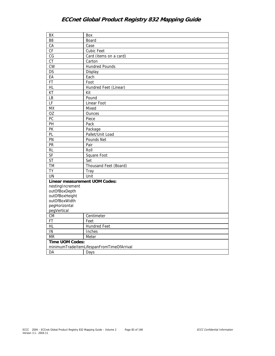| BX                                   | Box                                       |
|--------------------------------------|-------------------------------------------|
| B <sub>8</sub>                       | Board                                     |
| CA                                   | Case                                      |
| CF                                   | Cubic Feet                                |
| $\overline{\text{CG}}$               | Card (items on a card)                    |
| $\overline{CT}$                      | Carton                                    |
| <b>CW</b>                            | <b>Hundred Pounds</b>                     |
| DS                                   | Display                                   |
| EA                                   | Each                                      |
| FT                                   | Foot                                      |
| HL                                   | Hundred Feet (Linear)                     |
| KT                                   | Kit                                       |
| <b>LB</b>                            | Pound                                     |
| LF                                   | Linear Foot                               |
| <b>MX</b>                            | Mixed                                     |
| OZ                                   | Ounces                                    |
| PC                                   | Piece                                     |
| PH                                   | Pack                                      |
| PK                                   | Package                                   |
| PL                                   | Pallet/Unit Load                          |
| PN                                   | Pounds Net                                |
| PR                                   | Pair                                      |
| <b>RL</b>                            | Roll                                      |
| <b>SF</b>                            | Square Foot                               |
| <b>ST</b>                            | Set                                       |
| TM                                   | Thousand Feet (Board)                     |
| <b>TY</b>                            | Tray                                      |
| <b>UN</b>                            | Unit                                      |
| <b>Linear measurement UOM Codes:</b> |                                           |
| nestingIncrement                     |                                           |
| outOfBoxDepth                        |                                           |
| outOfBoxHeight                       |                                           |
| outOfBoxWidth                        |                                           |
| pegHorizontal                        |                                           |
| pegVertical                          |                                           |
| ${\sf CM}$                           | Centimeter                                |
| FT                                   | Feet                                      |
| HL                                   | <b>Hundred Feet</b>                       |
| IN                                   | Inches                                    |
| <b>MR</b>                            | Meter                                     |
| Time UOM Codes:                      |                                           |
|                                      | minimumTradeItemLifespanFromTimeOfArrival |
| DA                                   | Days                                      |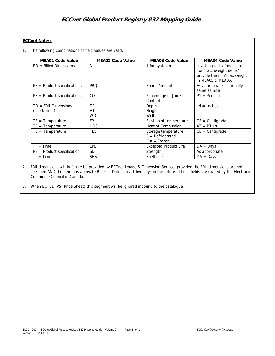## **ECCnet Notes:**

1. The following combinations of field values are valid:

| <b>MEA01 Code Value</b>      | <b>MEA02 Code Value</b> | <b>MEA03 Code Value</b>                                     | <b>MEA04 Code Value</b>                                                                                  |
|------------------------------|-------------------------|-------------------------------------------------------------|----------------------------------------------------------------------------------------------------------|
| $BD =$ Billed Dimensions     | Null                    | 1 for syntax rules                                          | Invoicing unit of measure.<br>For "catchweight items"<br>provide the min/max weight<br>in MEA05 & MEA06. |
| $PS = Product specification$ | <b>PRQ</b>              | <b>Bonus Amount</b>                                         | As appropriate - normally<br>same as Size                                                                |
| $PS = Product specification$ | COT                     | Percentage of Juice<br>Content                              | $P1 = Percent$                                                                                           |
| $TD = FMI$ Dimensions        | DP                      | Depth                                                       | $IN = Inches$                                                                                            |
| (see Note 2)                 | НT                      | Height                                                      |                                                                                                          |
|                              | <b>WD</b>               | Width                                                       |                                                                                                          |
| $TE = Temperature$           | <b>FP</b>               | Flashpoint temperature                                      | $CE = Centigrade$                                                                                        |
| $TE = Temperature$           | <b>HOC</b>              | Heat of Combustion                                          | $AZ = BTU's$                                                                                             |
| $TE = Temperature$           | <b>TES</b>              | Storage temperature<br>$0 = Refrigerated$<br>$-18$ = Frozen | $CE = Centigrade$                                                                                        |
| $TI = Time$                  | EPL                     | <b>Expected Product Life</b>                                | $DA = Days$                                                                                              |
| $PS = Product specification$ | SD                      | Strength                                                    | As appropriate                                                                                           |
| $TI = Time$                  | <b>SHA</b>              | <b>Shelf Life</b>                                           | $DA = Days$                                                                                              |

2. FMI dimensions will in future be provided by ECCnet Image & Dimension Service, provided the FMI dimensions are not specified AND the item has a Private Release Date at least five days in the future. These fields are owned by the Electronic Commerce Council of Canada.

3. When BCT01=PS (Price Sheet) this segment will be ignored inbound to the catalogue.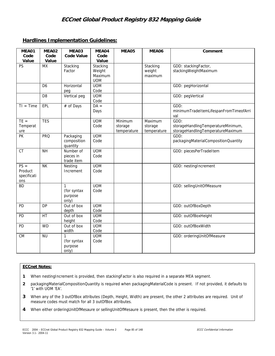## **Hardlines Implementation Guidelines:**

| MEA01                                   | MEA02          | MEA03                                           | MEA04                                       | MEA05                             | MEA06                             | Comment                                                                         |
|-----------------------------------------|----------------|-------------------------------------------------|---------------------------------------------|-----------------------------------|-----------------------------------|---------------------------------------------------------------------------------|
| Code                                    | Code<br>Value  | <b>Code Value</b>                               | Code<br>Value                               |                                   |                                   |                                                                                 |
| Value<br><b>PS</b>                      | <b>MX</b>      | Stacking<br>Factor                              | Stacking<br>Weight<br>Maximum<br><b>UOM</b> |                                   | Stacking<br>weight<br>maximum     | GDD: stackingFactor,<br>stackingWeightMaximum                                   |
|                                         | D <sub>6</sub> | Horizontal<br>peq                               | <b>UOM</b><br>Code                          |                                   |                                   | GDD: pegHorizontal                                                              |
|                                         | D <sub>8</sub> | Vertical peg                                    | <b>UOM</b><br>Code                          |                                   |                                   | GDD: pegVertical                                                                |
| $TI = Time$                             | EPL            | # of Days                                       | $DA =$<br>Days                              |                                   |                                   | GDD:<br>minimumTradeItemLifespanFromTimeofArri<br>val                           |
| $TE =$<br>Temperat<br>ure               | <b>TES</b>     |                                                 | <b>UOM</b><br>Code                          | Minimum<br>storage<br>temperature | Maximum<br>storage<br>temperature | GDD:<br>storageHandlingTemperatureMinimum,<br>storageHandlingTemperatureMaximum |
| PK                                      | <b>PRQ</b>     | Packaging<br>composition<br>quantity            | <b>UOM</b><br>Code                          |                                   |                                   | GDD:<br>packagingMaterialCompositionQuantity                                    |
| <b>CT</b>                               | <b>NH</b>      | Number of<br>pieces in<br>trade item            | <b>UOM</b><br>Code                          |                                   |                                   | GDD: piecesPerTradeItem                                                         |
| $PS =$<br>Product<br>specificati<br>ons | <b>NK</b>      | Nesting<br>Increment                            | <b>UOM</b><br>Code                          |                                   |                                   | GDD: nestingIncrement                                                           |
| <b>BD</b>                               |                | $\mathbf{1}$<br>(for syntax<br>purpose<br>only) | <b>UOM</b><br>Code                          |                                   |                                   | GDD: sellingUnitOfMeasure                                                       |
| PD                                      | <b>DP</b>      | Out of box<br>depth                             | <b>UOM</b><br>Code                          |                                   |                                   | GDD: outOfBoxDepth                                                              |
| PD                                      | HT             | Out of box<br>height                            | <b>UOM</b><br>Code                          |                                   |                                   | GDD: outOfBoxHeight                                                             |
| PD                                      | <b>WD</b>      | Out of box<br>width                             | <b>UOM</b><br>Code                          |                                   |                                   | GDD: outOfBoxWidth                                                              |
| <b>CM</b>                               | <b>NU</b>      | 1<br>(for syntax<br>purpose<br>only)            | <b>UOM</b><br>Code                          |                                   |                                   | GDD: orderingUnitOfMeasure                                                      |

## **ECCnet Notes:**

- **1** When nestingIncrement is provided, then stackingFactor is also required in a separate MEA segment.
- **2** packagingMaterialCompositionQuantity is required when packagingMaterialCode is present. If not provided, it defaults to '1' with UOM 'EA'.
- **3** When any of the 3 outOfBox attributes (Depth, Height, Width) are present, the other 2 attributes are required. Unit of measure codes must match for all 3 outOfBox attributes.
- **4** When either orderingUnitOfMesaure or sellingUnitOfMesaure is present, then the other is required.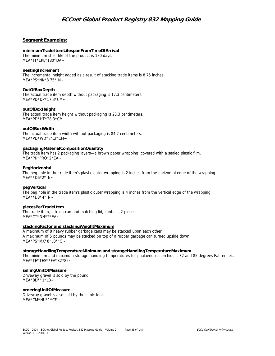## **Segment Examples:**

### **minimumTradeItemLifespanFromTimeOfArrival**

The minimum shelf life of the product is 180 days. MEA\*TI\*EPL\*180\*DA~

### **nestingIncrement**

The incremental height added as a result of stacking trade items is 8.75 inches. MEA\*PS\*NK\*8.75\*IN~

### **OutOfBoxDepth**

The actual trade item depth without packaging is 17.3 centimeters. MEA\*PD\*DP\*17.3\*CM~

#### **outOfBoxHeight**

The actual trade item height without packaging is 28.3 centimeters. MEA\*PD\*HT\*28.3\*CM~

### **outOfBoxWidth**

The actual trade item width without packaging is 84.2 centimeters. MEA\*PD\*WD\*84.2\*CM~

#### **packagingMaterialCompositionQuantity**

The trade item has 2 packaging layers—a brown paper wrapping covered with a sealed plastic film. MEA\*PK\*PRQ\*2\*EA~

#### **PegHorizontal**

The peg hole in the trade item's plastic outer wrapping is 2 inches from the horizontal edge of the wrapping.  $MFA***DA*2*IN-$ 

#### **pegVertical**

The peg hole in the trade item's plastic outer wrapping is 4 inches from the vertical edge of the wrapping.  $MFA***DB*4*IN-$ 

### **piecesPerTradeItem**

The trade item, a trash can and matching lid, contains 2 pieces. MEA\*CT\*NH\*2\*EA~

#### **stackingFactor and stackingWeightMaximum**

A maximum of 8 heavy rubber garbage cans may be stacked upon each other. A maximum of 5 pounds may be stacked on top of a rubber garbage can turned upside down. MEA\*PS\*MX\*8\*LB\*\*5~

#### **storageHandlingTemperatureMinimum and storageHandlingTemperatureMaximum**

The minimum and maximum storage handling temperatures for phalaenopsis orchids is 32 and 85 degrees Fahrenheit.  $MEA*TE*TES**FA*32*85~$ 

## **sellingUnitOfMeasure**

Driveway gravel is sold by the pound. MEA\*BD\*\*1\*LB~

#### **orderingUnitOfMeasure**

Driveway gravel is also sold by the cubic foot. MEA\*CM\*NU\*1\*CF~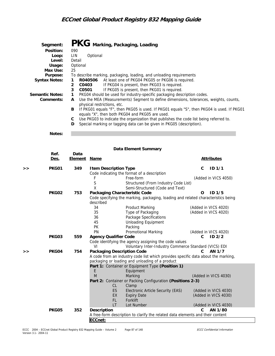| Segment:             | PKG Marking, Packaging, Loading                                                                                                                    |
|----------------------|----------------------------------------------------------------------------------------------------------------------------------------------------|
| Position:            | 090                                                                                                                                                |
| Loop:                | LIN.<br>Optional                                                                                                                                   |
| Level:               | Detail                                                                                                                                             |
| Usage:               | Optional                                                                                                                                           |
| Max Use:             | 25                                                                                                                                                 |
| Purpose:             | To describe marking, packaging, loading, and unloading requirements                                                                                |
| <b>Syntax Notes:</b> | R040506 At least one of PKG04 PKG05 or PKG06 is required.<br>1                                                                                     |
|                      | If PKG04 is present, then PKG03 is required.<br>C0403<br>$\overline{2}$                                                                            |
|                      | 3<br>If PKG05 is present, then PKG01 is required.<br>C0501                                                                                         |
| Semantic Notes:      | PKG04 should be used for industry-specific packaging description codes.<br>$\mathbf{1}$                                                            |
| Comments:            | Use the MEA (Measurements) Segment to define dimensions, tolerances, weights, counts,<br>A<br>physical restrictions, etc.                          |
|                      | If PKG01 equals "F", then PKG05 is used. If PKG01 equals "S", then PKG04 is used. If PKG01<br>B<br>equals "X", then both PKG04 and PKG05 are used. |
|                      | Use PKG03 to indicate the organization that publishes the code list being referred to.<br>C                                                        |
|                      | Special marking or tagging data can be given in PKG05 (description).<br>D                                                                          |
| Notes:               |                                                                                                                                                    |

|   | Data Element Summary |                        |                                            |                                                                                                                                      |              |                                              |  |
|---|----------------------|------------------------|--------------------------------------------|--------------------------------------------------------------------------------------------------------------------------------------|--------------|----------------------------------------------|--|
|   | Ref.<br>Des.         | Data<br><b>Element</b> | <b>Name</b>                                |                                                                                                                                      |              | <b>Attributes</b>                            |  |
| > | PKG01                | 349                    | <b>Item Description Type</b>               | Code indicating the format of a description                                                                                          | C            | ID <sub>1/1</sub>                            |  |
|   |                      |                        | F<br>S<br>Χ                                | Free-form<br>Structured (From Industry Code List)<br>Semi-Structured (Code and Text)                                                 |              | (Added in VICS 4050)                         |  |
|   | PKG02                | 753                    | Packaging Characteristic Code<br>described | Code specifying the marking, packaging, loading and related characteristics being                                                    | O            | ID <sub>1/5</sub>                            |  |
|   |                      |                        | 34<br>35<br>36<br>45<br><b>PK</b>          | <b>Product Marking</b><br>Type of Packaging<br>Package Specifications<br><b>Unloading Equipment</b><br>Packing                       |              | (Added in VICS 4020)<br>(Added in VICS 4020) |  |
|   |                      |                        | PN                                         | <b>Promotional Marking</b>                                                                                                           |              | (Added in VICS 4020)                         |  |
|   | PKG03                | 559                    | <b>Agency Qualifier Code</b><br>VI         | Code identifying the agency assigning the code values<br>Voluntary Inter-Industry Commerce Standard (VICS) EDI                       | C            | ID <sub>2/2</sub>                            |  |
| > | PKG04                | 754                    | <b>Packaging Description Code</b>          | A code from an industry code list which provides specific data about the marking,<br>packaging or loading and unloading of a product | C.           | AN 1/7                                       |  |
|   |                      |                        | E                                          | Part 1: Container or Equipment Type (Position 1)<br>Equipment                                                                        |              |                                              |  |
|   |                      |                        | M                                          | Marking                                                                                                                              |              | (Added in VICS 4030)                         |  |
|   |                      |                        | <b>CL</b>                                  | Part 2: Container or Packing Configuration (Positions 2-3)                                                                           |              |                                              |  |
|   |                      |                        | ES<br>EX<br>FL.                            | Clamp<br>Electronic Article Security (EAS)<br><b>Expiry Date</b><br>Forklift                                                         |              | (Added in VICS 4030)<br>(Added in VICS 4030) |  |
|   |                      |                        | LT.                                        | Lot Number                                                                                                                           |              | (Added in VICS 4030)                         |  |
|   | <b>PKG05</b>         | 352                    | Description                                | A free-form description to clarify the related data elements and their content                                                       | $\mathsf{C}$ | AN 1/80                                      |  |
|   |                      |                        | ECCnet:                                    |                                                                                                                                      |              |                                              |  |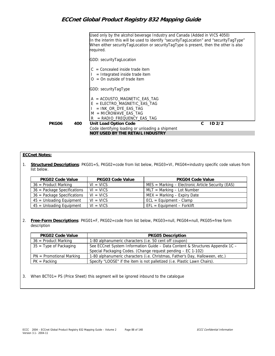|       |     | Used only by the alcohol beverage Industry and Canada (Added in VICS 4050)<br>In the interim this will be used to identify "securityTagLocation" and "securityTagType"<br>When either securityTagLocation or securityTagType is present, then the other is also<br>required. |  |
|-------|-----|------------------------------------------------------------------------------------------------------------------------------------------------------------------------------------------------------------------------------------------------------------------------------|--|
|       |     | GDD: securityTagLocation                                                                                                                                                                                                                                                     |  |
|       |     | $=$ Concealed inside trade item<br>$=$ Integrated inside trade item<br>$=$ On outside of trade item                                                                                                                                                                          |  |
|       |     | GDD: securityTagType                                                                                                                                                                                                                                                         |  |
|       |     | $=$ ACOUSTO MAGNETIC EAS TAG<br>= ELECTRO_MAGNETIC_EAS_TAG<br>$=$ INK OR DYE EAS TAG<br>$M = MICROWAVE EAS TAG$<br>$=$ RADIO FREQUENCY EAS TAG<br>R                                                                                                                          |  |
| PKG06 | 400 | Unit Load Option Code<br>C.<br>ID2/2<br>Code identifying loading or unloading a shipment                                                                                                                                                                                     |  |
|       |     | NOT USED BY THE RETAIL INDUSTRY                                                                                                                                                                                                                                              |  |

## **ECCnet Notes:**

1. **Structured Descriptions**: PKG01=S, PKG02=code from list below, PKG03=VI, PKG04=industry specific code values from list below.

| <b>PKG02 Code Value</b>       | <b>PKG03 Code Value</b> | <b>PKG04 Code Value</b>                                           |
|-------------------------------|-------------------------|-------------------------------------------------------------------|
| $36$ = Product Marking        | $VI = VICS$             | $MES = \text{Marking} - \text{Electronic Article Security (EAS)}$ |
| 36 = Package Specifications   | $VI = VICS$             | $MLT = Marking - Lot Number$                                      |
| $36$ = Package Specifications | $VI = VICS$             | $MEX = \text{Marking} - \text{Expiry Date}$                       |
| 45 = Unloading Equipment      | $VI = VICS$             | $ECL = Equipment - Clamp$                                         |
| $45 =$ Unloading Equipment    | $VI = VICS$             | $EFL = Equipment - Forklift$                                      |

2. **Free-Form Descriptions**: PKG01=F, PKG02=code from list below, PKG03=null, PKG04=null, PKG05=free form description

| <b>PKG02 Code Value</b>    | <b>PKG05 Description</b>                                                                                                                      |
|----------------------------|-----------------------------------------------------------------------------------------------------------------------------------------------|
| $36$ = Product Marking     | 1-80 alphanumeric characters (i.e. 50 cent off coupon)                                                                                        |
| $35 =$ Type of Packaging   | See ECCnet System Information Guide - Data Content & Structures Appendix 1C -<br>Special Packaging Codes. (Change request pending - EC 1-102) |
| $PN =$ Promotional Marking | 1-80 alphanumeric characters (i.e. Christmas, Father's Day, Halloween, etc.)                                                                  |
| $PK = Packing$             | Specify "LOOSE" if the item is not palletized (i.e. Plastic Lawn Chairs).                                                                     |

3. When BCT01= PS (Price Sheet) this segment will be ignored inbound to the catalogue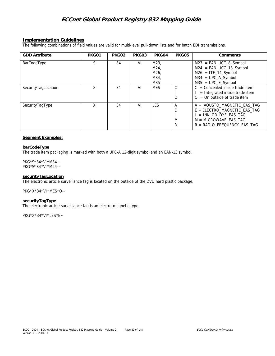## **Implementation Guidelines**

The following combinations of field values are valid for multi-level pull-down lists and for batch EDI transmissions.

| <b>GDD Attribute</b> | PKG01 | PKG02 | PKG03 | PKG04                               | PKG05       | Comments                                                                                                                                              |
|----------------------|-------|-------|-------|-------------------------------------|-------------|-------------------------------------------------------------------------------------------------------------------------------------------------------|
| BarCodeType          | S     | 34    | VI    | M23,<br>M24,<br>M26.<br>M34,<br>M35 |             | $M23 = EAN_UCC_8_Symbol$<br>$M24 = EAN_UCC_13_Symbol$<br>$M26 = ITF_14$ _Symbol<br>$M34 = UPC_A$ Symbol<br>$M35 = UPC_E$ _Symbol                      |
| SecurityTagLocation  | Χ     | 34    | VI    | <b>MES</b>                          | O           | $C =$ Concealed inside trade item<br>$=$ Integrated inside trade item<br>$Q = Qn$ outside of trade item                                               |
| SecurityTagType      | X     | 34    | VI    | <b>LES</b>                          | A<br>M<br>R | $A = AOUSTO MAGNETIC EAS TAG$<br>$E = ELECTRO MAGNETIC EAS TAG$<br>$=$ INK OR DYE EAS TAG<br>$M = MICROWAVE EAS TAG$<br>$R =$ RADIO FREQUENCY EAS TAG |

### **Segment Examples:**

#### **barCodeType**

The trade item packaging is marked with both a UPC-A 12-digit symbol and an EAN-13 symbol.

PKG\*S\*34\*VI\*M34~ PKG\*S\*34\*VI\*M24~

#### **securityTagLocation**

The electronic article surveillance tag is located on the outside of the DVD hard plastic package.

PKG\*X\*34\*VI\*MES\*O~

#### **securityTagType**

The electronic article surveillance tag is an electro-magnetic type.

PKG\*X\*34\*VI\*LES\*E~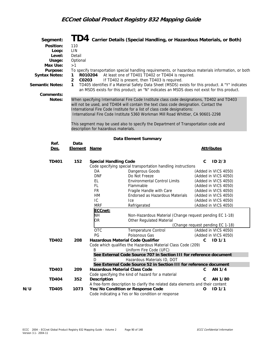| Segment:<br>Position:<br>Usage:<br>Max Use:<br>Purpose:<br><b>Syntax Notes:</b><br><b>Semantic Notes:</b><br>Comments: | 110<br>LIN<br>Loop:<br>Level:<br>Detail<br>Optional<br>>1<br>1<br>$\overline{2}$<br>$\mathbf{1}$ | R010204<br>C0203                                                                                                               | ${\bf T} {\bf D4}\,$ Carrier Details (Special Handling, or Hazardous Materials, or Both)<br>To specify transportation special handling requirements, or hazardous materials information, or both<br>At least one of TD401 TD402 or TD404 is required.<br>If TD402 is present, then TD403 is required.<br>TD405 identifies if a Material Safety Data Sheet (MSDS) exists for this product. A "Y" indicates<br>an MSDS exists for this product; an "N" indicates an MSDS does not exist for this product. |                                                                                                                                                                                                                                                                                                            |
|------------------------------------------------------------------------------------------------------------------------|--------------------------------------------------------------------------------------------------|--------------------------------------------------------------------------------------------------------------------------------|---------------------------------------------------------------------------------------------------------------------------------------------------------------------------------------------------------------------------------------------------------------------------------------------------------------------------------------------------------------------------------------------------------------------------------------------------------------------------------------------------------|------------------------------------------------------------------------------------------------------------------------------------------------------------------------------------------------------------------------------------------------------------------------------------------------------------|
| Notes:                                                                                                                 |                                                                                                  | description for hazardous materials.                                                                                           | When specifying International Fire Code Institute class code designations, TD402 and TD403<br>will not be used, and TD404 will contain the text class code designation. Contact the<br>International Fire Code Institute for a list of class code designations:<br>International Fire Code Institute 5360 Workman Mill Road Whittier, CA 90601-2298<br>This segment may be used also to specify the Department of Transportation code and                                                               |                                                                                                                                                                                                                                                                                                            |
|                                                                                                                        |                                                                                                  |                                                                                                                                | Data Element Summary                                                                                                                                                                                                                                                                                                                                                                                                                                                                                    |                                                                                                                                                                                                                                                                                                            |
| Ref.<br>Des.                                                                                                           | Data                                                                                             | <b>Element Name</b>                                                                                                            |                                                                                                                                                                                                                                                                                                                                                                                                                                                                                                         | <b>Attributes</b>                                                                                                                                                                                                                                                                                          |
| <b>TD401</b>                                                                                                           | 152                                                                                              | DA<br><b>DNF</b><br>EL.<br>FL<br><b>FR</b><br>HM<br>IC<br><b>MRF</b><br>ECCnet:<br><b>NH</b><br><b>OR</b><br><b>OTC</b><br>PG. | <b>Special Handling Code</b><br>Code specifying special transportation handling instructions<br>Dangerous Goods<br>Do Not Freeze<br><b>Environmental Control Limits</b><br>Flammable<br>Fragile Handle with Care<br>Endorsed as Hazardous Materials<br>Ice<br>Refrigerated<br>Non-Hazardous Material (Change request pending EC 1-18)<br>Other Regulated Material<br><b>Temperature Control</b><br>Poisonous Gas                                                                                        | C<br>ID <sub>2/3</sub><br>(Added in VICS 4050)<br>(Added in VICS 4050)<br>(Added in VICS 4050)<br>(Added in VICS 4050)<br>(Added in VICS 4050)<br>(Added in VICS 4050)<br>(Added in VICS 4050)<br>(Added in VICS 4050)<br>(Change request pending EC 1-18)<br>(Added in VICS 4050)<br>(Added in VICS 4050) |
| <b>TD402</b><br><b>TD403</b><br><b>TD404</b>                                                                           | 208<br>209<br>352                                                                                | B<br>D<br>Description                                                                                                          | Hazardous Material Code Qualifier<br>Code which qualifies the Hazardous Material Class Code (209)<br>Uniform Fire Code (UFC)<br>See External Code Source 707 in Section III for reference document<br>Hazardous Materials ID, DOT<br>See External Code Source 52 in Section III for reference document<br><b>Hazardous Material Class Code</b><br>Code specifying the kind of hazard for a material                                                                                                     | $1D$ 1/1<br>C<br>AN 1/4<br>C<br>AN 1/80<br>С                                                                                                                                                                                                                                                               |
| N/U<br><b>TD405</b>                                                                                                    | 1073                                                                                             |                                                                                                                                | A free-form description to clarify the related data elements and their content<br>Yes/No Condition or Response Code<br>Code indicating a Yes or No condition or response                                                                                                                                                                                                                                                                                                                                | ID <sub>1/1</sub><br>O                                                                                                                                                                                                                                                                                     |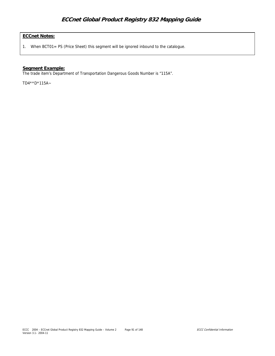## **ECCnet Notes:**

1. When BCT01= PS (Price Sheet) this segment will be ignored inbound to the catalogue.

## **Segment Example:**

The trade item's Department of Transportation Dangerous Goods Number is "115A".

TD4\*\*D\*115A~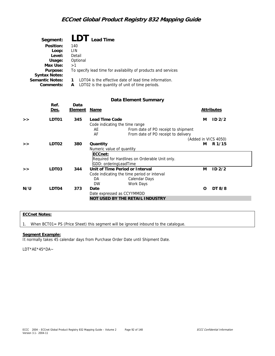| Segment:             | LDT Lead Time                                                  |
|----------------------|----------------------------------------------------------------|
| Position:            | 140                                                            |
| Loop:                | LIN                                                            |
| Level:               | Detail                                                         |
| Usage:               | Optional                                                       |
| Max Use:             | >1                                                             |
| Purpose:             | To specify lead time for availability of products and services |
| <b>Syntax Notes:</b> |                                                                |
| Semantic Notes:      | LDT04 is the effective date of lead time information.          |
| Comments:            | LDT02 is the quantity of unit of time periods.<br>А            |

## **Data Element Summary**

|     | Ref.<br><u>Des.</u> | Data<br><u>Element</u> | <u>Name</u>                                                                                                                                |   | <b>Attributes</b>    |
|-----|---------------------|------------------------|--------------------------------------------------------------------------------------------------------------------------------------------|---|----------------------|
| >   | LDT01               | 345                    | Lead Time Code<br>Code indicating the time range<br>AE<br>From date of PO receipt to shipment<br>From date of PO receipt to delivery<br>AF | м | ID <sub>2/2</sub>    |
|     |                     |                        |                                                                                                                                            |   | (Added in VICS 4050) |
| >   | LDT <sub>02</sub>   | 380                    | Quantity                                                                                                                                   | м | R 1/15               |
|     |                     |                        | Numeric value of quantity<br>ECCnet:<br>Required for Hardlines on Orderable Unit only.<br>GDD: orderingLeadTime                            |   |                      |
| >   | LDT03               | 344                    | Unit of Time Period or Interval<br>Code indicating the time period or interval<br>DA<br>Calendar Days<br><b>DW</b><br>Work Days            | м | ID <sub>2/2</sub>    |
| N/U | LDT04               | 373                    | Date<br>Date expressed as CCYYMMDD                                                                                                         | O | DT 8/8               |
|     |                     |                        | NOT USED BY THE RETAIL INDUSTRY                                                                                                            |   |                      |

## **ECCnet Notes:**

1. When BCT01= PS (Price Sheet) this segment will be ignored inbound to the catalogue.

### **Segment Example:**

It normally takes 45 calendar days from Purchase Order Date until Shipment Date.

LDT\*AE\*45\*DA~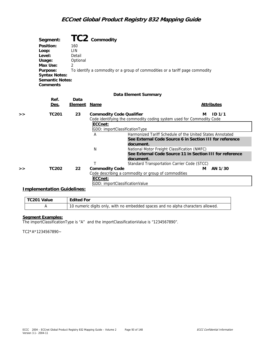| Segment:               | TC2 commodity                                                                |
|------------------------|------------------------------------------------------------------------------|
| Position:              | 160                                                                          |
| Loop:                  | LIN                                                                          |
| Level:                 | Detail                                                                       |
| Usage:                 | Optional                                                                     |
| Max Use:               | ◠                                                                            |
| Purpose:               | To identify a commodity or a group of commodities or a tariff page commodity |
| <b>Syntax Notes:</b>   |                                                                              |
| <b>Semantic Notes:</b> |                                                                              |
| Comments               |                                                                              |

### **Data Element Summary**

|                                  | Des.         | Element | <u>Name</u>                     |                                                                      |   | <b>Attributes</b> |
|----------------------------------|--------------|---------|---------------------------------|----------------------------------------------------------------------|---|-------------------|
| >                                | <b>TC201</b> | 23      | <b>Commodity Code Qualifier</b> |                                                                      | м | ID 1/1            |
|                                  |              |         |                                 | Code identifying the commodity coding system used for Commodity Code |   |                   |
|                                  |              |         | ECCnet:                         |                                                                      |   |                   |
|                                  |              |         | GDD: importClassificationType   |                                                                      |   |                   |
|                                  |              |         | A                               | Harmonized Tariff Schedule of the United States Annotated            |   |                   |
|                                  |              |         |                                 | See External Code Source 6 in Section III for reference              |   |                   |
|                                  |              |         |                                 | document.                                                            |   |                   |
|                                  |              |         | N                               | National Motor Freight Classification (NMFC)                         |   |                   |
|                                  |              |         |                                 | See External Code Source 11 in Section III for reference             |   |                   |
|                                  |              |         |                                 | document.                                                            |   |                   |
|                                  |              |         |                                 | Standard Transportation Carrier Code (STCC)                          |   |                   |
| >                                | <b>TC202</b> | 22      | <b>Commodity Code</b>           |                                                                      | м | AN 1/30           |
|                                  |              |         |                                 | Code describing a commodity or group of commodities                  |   |                   |
|                                  |              |         | ECCnet:                         |                                                                      |   |                   |
|                                  |              |         | GDD: importClassificationValue  |                                                                      |   |                   |
| $I$ mplomontotion $O$ uidolinoo. |              |         |                                 |                                                                      |   |                   |

### **Implementation Guidelines:**

 **Ref. Data** 

| TC201 Value | <b>Edited For</b>                                                                |
|-------------|----------------------------------------------------------------------------------|
|             | 10 numeric digits only, with no embedded spaces and no alpha characters allowed. |

## **Segment Examples:**

The importClassificationType is "A" and the importClassificationValue is "1234567890".

TC2\*A\*1234567890~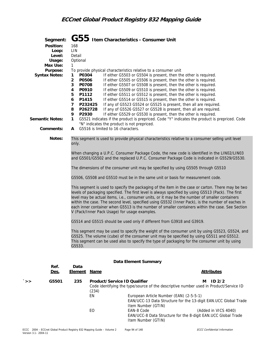| Segment:<br>Position:<br>Usage:<br>Max Use:<br>Purpose:<br><b>Syntax Notes:</b><br><b>Semantic Notes:</b><br>Comments: | 168<br>LIN<br>Loop:<br>Level:<br>Detail<br>Optional<br>1<br>$\mathbf{1}$<br>P0304<br>$\overline{2}$<br>P0506<br>3<br>P0708<br>P0910<br>4<br>P1112<br>5<br>6<br>P1415<br>$\overline{7}$<br>8<br>9<br>P2930<br>$\mathbf{1}$<br>A | P232425<br>P262728<br>"N" indicates the product is not prepriced.<br>G5516 is limited to 16 characters. | ${\bf G55}$ Item Characteristics - Consumer Unit<br>To provide physical characteristics relative to a consumer unit<br>If either G5503 or G5504 is present, then the other is required.<br>If either G5505 or G5506 is present, then the other is required.<br>If either G5507 or G5508 is present, then the other is required.<br>If either G5509 or G5510 is present, then the other is required.<br>If either G5511 or G5512 is present, then the other is required.<br>If either G5514 or G5515 is present, then the other is required.<br>If any of G5523 G5524 or G5525 is present, then all are required.<br>If any of G5526 G5527 or G5528 is present, then all are required.<br>If either G5529 or G5530 is present, then the other is required.<br>G5521 indicates if the product is prepriced. Code "Y" indicates the product is prepriced. Code                                                                                                                                                                                                                                                                                                                                                                                                      |
|------------------------------------------------------------------------------------------------------------------------|--------------------------------------------------------------------------------------------------------------------------------------------------------------------------------------------------------------------------------|---------------------------------------------------------------------------------------------------------|------------------------------------------------------------------------------------------------------------------------------------------------------------------------------------------------------------------------------------------------------------------------------------------------------------------------------------------------------------------------------------------------------------------------------------------------------------------------------------------------------------------------------------------------------------------------------------------------------------------------------------------------------------------------------------------------------------------------------------------------------------------------------------------------------------------------------------------------------------------------------------------------------------------------------------------------------------------------------------------------------------------------------------------------------------------------------------------------------------------------------------------------------------------------------------------------------------------------------------------------------------------|
| Notes:                                                                                                                 |                                                                                                                                                                                                                                |                                                                                                         | This segment is used to provide physical characteristics relative to a consumer selling unit level                                                                                                                                                                                                                                                                                                                                                                                                                                                                                                                                                                                                                                                                                                                                                                                                                                                                                                                                                                                                                                                                                                                                                               |
|                                                                                                                        | only.<br>G5533.                                                                                                                                                                                                                | V (Pack/Inner Pack Usage) for usage examples.                                                           | When changing a U.P.C. Consumer Package Code, the new code is identified in the LIN02/LIN03<br>and G5501/G5502 and the replaced U.P.C. Consumer Package Code is indicated in G5529/G5530.<br>The dimensions of the consumer unit may be specified by using G5505 through G5510<br>G5506, G5508 and G5510 must be in the same unit or basis for measurement code.<br>This segment is used to specify the packaging of the item in the case or carton. There may be two<br>levels of packaging specified. The first level is always specified by using G5513 (Pack). The first<br>level may be actual items, i.e., consumer units, or it may be the number of smaller containers<br>within the case. The second level, specified using G5532 (Inner Pack), is the number of eaches in<br>each inner container when G5513 is the number of smaller containers within the case. See Section<br>G5514 and G5515 should be used only if different from G3918 and G3919.<br>This segment may be used to specify the weight of the consumer unit by using G5523, G5524, and<br>G5525. The volume (cube) of the consumer unit may be specified by using G5511 and G5512.<br>This segment can be used also to specify the type of packaging for the consumer unit by using |
|                                                                                                                        |                                                                                                                                                                                                                                |                                                                                                         | Data Element Summary                                                                                                                                                                                                                                                                                                                                                                                                                                                                                                                                                                                                                                                                                                                                                                                                                                                                                                                                                                                                                                                                                                                                                                                                                                             |
| Ref.<br><u>Des.</u>                                                                                                    | Data<br>Element                                                                                                                                                                                                                | <u>Name</u>                                                                                             | <b>Attributes</b>                                                                                                                                                                                                                                                                                                                                                                                                                                                                                                                                                                                                                                                                                                                                                                                                                                                                                                                                                                                                                                                                                                                                                                                                                                                |
| G5501<br>>                                                                                                             | 235                                                                                                                                                                                                                            | Product/Service ID Qualifier<br>(234)<br>EN<br>EO                                                       | ID2/2<br>м<br>Code identifying the type/source of the descriptive number used in Product/Service ID<br>European Article Number (EAN) (2-5-5-1)<br>EAN/UCC-13 Data Structure for the 13-digit EAN.UCC Global Trade<br>Item Number (GTIN)<br>EAN-8 Code<br>(Added in VICS 4040)<br>EAN/UCC-8 Data Structure for the 8-digit EAN.UCC Global Trade<br>Item Number (GTIN)                                                                                                                                                                                                                                                                                                                                                                                                                                                                                                                                                                                                                                                                                                                                                                                                                                                                                             |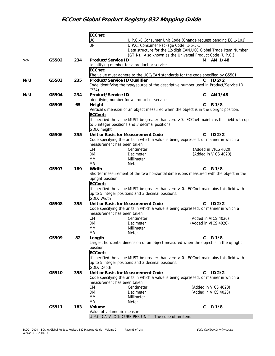|     |       |     | ECCnet:                   |                                                                                           |              |                      |
|-----|-------|-----|---------------------------|-------------------------------------------------------------------------------------------|--------------|----------------------|
|     |       |     | U8                        | U.P.C.-8 Consumer Unit Code (Change request pending EC 1-101)                             |              |                      |
|     |       |     | UP                        | U.P.C. Consumer Package Code (1-5-5-1)                                                    |              |                      |
|     |       |     |                           | Data structure for the 12-digit EAN.UCC Global Trade Item Number                          |              |                      |
|     |       |     |                           | (GTIN). Also known as the Universal Product Code (U.P.C.)                                 |              |                      |
| >   | G5502 | 234 | <b>Product/Service ID</b> |                                                                                           | М            | AN 1/48              |
|     |       |     |                           | Identifying number for a product or service                                               |              |                      |
|     |       |     | ECCnet:                   |                                                                                           |              |                      |
|     |       |     |                           | The value must adhere to the UCC/EAN standards for the code specified by G5501.           |              |                      |
| N/U | G5503 | 235 |                           | <b>Product/Service ID Qualifier</b>                                                       | C.           | ID2/2                |
|     |       |     |                           | Code identifying the type/source of the descriptive number used in Product/Service ID     |              |                      |
|     |       |     | (234)                     |                                                                                           |              |                      |
| N/U | G5504 | 234 | Product/Service ID        |                                                                                           | C            | AN 1/48              |
|     |       |     |                           | Identifying number for a product or service                                               |              |                      |
|     | G5505 | 65  | Height                    |                                                                                           | C            | R 1/8                |
|     |       |     |                           | Vertical dimension of an object measured when the object is in the upright position.      |              |                      |
|     |       |     | ECCnet:                   |                                                                                           |              |                      |
|     |       |     |                           | If specified the value MUST be greater than zero > 0. ECCnet maintains this field with up |              |                      |
|     |       |     |                           | to 5 integer positions and 3 decimal positions.                                           |              |                      |
|     |       |     | GDD: height               |                                                                                           |              |                      |
|     | G5506 | 355 |                           | Unit or Basis for Measurement Code                                                        | $\mathbf{C}$ | ID2/2                |
|     |       |     |                           | Code specifying the units in which a value is being expressed, or manner in which a       |              |                      |
|     |       |     |                           | measurement has been taken                                                                |              |                      |
|     |       |     | <b>CM</b>                 | Centimeter                                                                                |              | (Added in VICS 4020) |
|     |       |     | DM                        | Decimeter                                                                                 |              | (Added in VICS 4020) |
|     |       |     | МM                        | Millimeter                                                                                |              |                      |
|     |       |     | <b>MR</b>                 | Meter                                                                                     |              |                      |
|     | G5507 | 189 | Width                     |                                                                                           | C            | R 1/8                |
|     |       |     |                           | Shorter measurement of the two horizontal dimensions measured with the object in the      |              |                      |
|     |       |     | upright position.         |                                                                                           |              |                      |
|     |       |     | ECCnet:                   |                                                                                           |              |                      |
|     |       |     |                           | If specified the value MUST be greater than zero > 0. ECCnet maintains this field with    |              |                      |
|     |       |     |                           | up to 5 integer positions and 3 decimal positions.                                        |              |                      |
|     |       |     | GDD: Width                |                                                                                           |              |                      |
|     | G5508 | 355 |                           | Unit or Basis for Measurement Code                                                        | $\mathsf{C}$ | ID2/2                |
|     |       |     |                           | Code specifying the units in which a value is being expressed, or manner in which a       |              |                      |
|     |       |     |                           | measurement has been taken                                                                |              | (Added in VICS 4020) |
|     |       |     | <b>CM</b><br>DM           | Centimeter<br>Decimeter                                                                   |              | (Added in VICS 4020) |
|     |       |     | МM                        | Millimeter                                                                                |              |                      |
|     |       |     | <b>MR</b>                 | Meter                                                                                     |              |                      |
|     | G5509 | 82  | Length                    |                                                                                           | C            | R 1/8                |
|     |       |     |                           | Largest horizontal dimension of an object measured when the object is in the upright      |              |                      |
|     |       |     | position.                 |                                                                                           |              |                      |
|     |       |     | ECCnet:                   |                                                                                           |              |                      |
|     |       |     |                           | If specified the value MUST be greater than zero $> 0$ . ECCnet maintains this field with |              |                      |
|     |       |     |                           | up to 5 integer positions and 3 decimal positions.                                        |              |                      |
|     |       |     | GDD: Depth                |                                                                                           |              |                      |
|     | G5510 | 355 |                           | Unit or Basis for Measurement Code                                                        | C            | ID2/2                |
|     |       |     |                           | Code specifying the units in which a value is being expressed, or manner in which a       |              |                      |
|     |       |     |                           | measurement has been taken                                                                |              |                      |
|     |       |     | <b>CM</b>                 | Centimeter                                                                                |              | (Added in VICS 4020) |
|     |       |     | DM                        | Decimeter                                                                                 |              | (Added in VICS 4020) |
|     |       |     | МM                        | Millimeter                                                                                |              |                      |
|     |       |     | <b>MR</b>                 | Meter                                                                                     |              |                      |
|     | G5511 | 183 | Volume                    |                                                                                           | C            | R 1/8                |
|     |       |     |                           | Value of volumetric measure.                                                              |              |                      |
|     |       |     |                           | U.P.C. CATALOG: CUBE PER UNIT - The cube of an item.                                      |              |                      |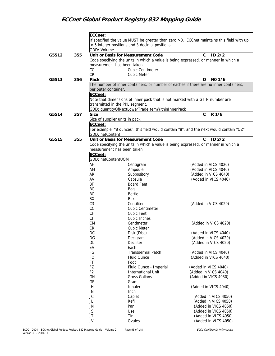|       |     | ECCnet:                                        |                                                                                     |                                                                                          |
|-------|-----|------------------------------------------------|-------------------------------------------------------------------------------------|------------------------------------------------------------------------------------------|
|       |     |                                                | to 5 integer positions and 3 decimal positions.                                     | If specified the value MUST be greater than zero >0. ECCnet maintains this field with up |
|       |     | GDD: Volume                                    |                                                                                     |                                                                                          |
| G5512 | 355 |                                                | Unit or Basis for Measurement Code                                                  | ID <sub>2/2</sub><br>$\mathsf{C}$                                                        |
|       |     |                                                | Code specifying the units in which a value is being expressed, or manner in which a |                                                                                          |
|       |     | measurement has been taken                     |                                                                                     |                                                                                          |
|       |     | CC                                             | Cubic Centimeter                                                                    |                                                                                          |
|       |     | CR                                             | Cubic Meter                                                                         |                                                                                          |
| G5513 | 356 | Pack                                           |                                                                                     | NO 1/6<br>O                                                                              |
|       |     | per outer container.                           |                                                                                     | The number of inner containers, or number of eaches if there are no inner containers,    |
|       |     | ECCnet:                                        |                                                                                     |                                                                                          |
|       |     |                                                | Note that dimensions of inner pack that is not marked with a GTIN number are        |                                                                                          |
|       |     |                                                | transmitted in the PKL segment.                                                     |                                                                                          |
|       |     |                                                | GDD: quantityOfNextLowerTradeItemWithinInnerPack                                    |                                                                                          |
| G5514 | 357 | <b>Size</b><br>Size of supplier units in pack. |                                                                                     | $\mathbf C$<br>R 1/8                                                                     |
|       |     | ECCnet:                                        |                                                                                     |                                                                                          |
|       |     |                                                |                                                                                     | For example, "8 ounces", this field would contain "8", and the next would contain "OZ"   |
|       |     | GDD: netContent                                |                                                                                     |                                                                                          |
| G5515 | 355 |                                                | Unit or Basis for Measurement Code                                                  | $\mathbf{C}$<br>ID2/2                                                                    |
|       |     |                                                | Code specifying the units in which a value is being expressed, or manner in which a |                                                                                          |
|       |     | measurement has been taken                     |                                                                                     |                                                                                          |
|       |     | ECCnet:                                        |                                                                                     |                                                                                          |
|       |     | GDD: netContentUOM                             |                                                                                     |                                                                                          |
|       |     | AF<br>AM                                       | Centigram<br>Ampoule                                                                | (Added in VICS 4020)<br>(Added in VICS 4040)                                             |
|       |     | AR                                             | Suppository                                                                         | (Added in VICS 4040)                                                                     |
|       |     | AV                                             | Capsule                                                                             | (Added in VICS 4040)                                                                     |
|       |     | BF                                             | <b>Board Feet</b>                                                                   |                                                                                          |
|       |     | BG                                             | Bag                                                                                 |                                                                                          |
|       |     | <b>BO</b>                                      | <b>Bottle</b>                                                                       |                                                                                          |
|       |     | BX                                             | Box                                                                                 |                                                                                          |
|       |     | C <sub>3</sub>                                 | Centiliter                                                                          | (Added in VICS 4020)                                                                     |
|       |     | CC                                             | <b>Cubic Centimeter</b>                                                             |                                                                                          |
|       |     | CF                                             | Cubic Feet                                                                          |                                                                                          |
|       |     | CI                                             | Cubic Inches                                                                        |                                                                                          |
|       |     | <b>CM</b>                                      | Centimeter                                                                          | (Added in VICS 4020)                                                                     |
|       |     | CR<br>DC.                                      | <b>Cubic Meter</b>                                                                  |                                                                                          |
|       |     | DG                                             | Disk (Disc)<br>Decigram                                                             | (Added in VICS 4040)<br>(Added in VICS 4020)                                             |
|       |     | DL                                             | Deciliter                                                                           | (Added in VICS 4020)                                                                     |
|       |     | EA                                             | Each                                                                                |                                                                                          |
|       |     | FG                                             | <b>Transdermal Patch</b>                                                            | (Added in VICS 4040)                                                                     |
|       |     | FO                                             | <b>Fluid Ounce</b>                                                                  | (Added in VICS 4040)                                                                     |
|       |     | FT                                             | Foot                                                                                |                                                                                          |
|       |     | FZ                                             | Fluid Ounce - Imperial                                                              | (Added in VICS 4040)                                                                     |
|       |     | F <sub>2</sub>                                 | International Unit                                                                  | (Added in VICS 4040)                                                                     |
|       |     | GN                                             | <b>Gross Gallons</b>                                                                | (Added in VICS 4030)                                                                     |
|       |     | GR                                             | Gram                                                                                |                                                                                          |
|       |     | IH<br>IN                                       | Inhaler<br>Inch                                                                     | (Added in VICS 4040)                                                                     |
|       |     | JC                                             | Caplet                                                                              | (Added in VICS 4050)                                                                     |
|       |     | JL                                             | Refill                                                                              | (Added in VICS 4050)                                                                     |
|       |     | JN                                             | Pan                                                                                 | (Added in VICS 4050)                                                                     |
|       |     | JS                                             | Use                                                                                 | (Added in VICS 4050)                                                                     |
|       |     | JT                                             | Tin                                                                                 | (Added in VICS 4050)                                                                     |
|       |     | JV                                             | Ovules                                                                              | (Added in VICS 4050)                                                                     |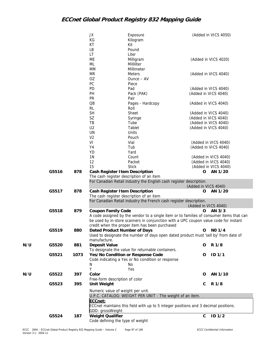|     |       |      | JX<br>КG<br>КT<br>LB               | Exposure<br>Kilogram<br>Kit<br>Pound                                                                                                                                             |                      | (Added in VICS 4050)                         |
|-----|-------|------|------------------------------------|----------------------------------------------------------------------------------------------------------------------------------------------------------------------------------|----------------------|----------------------------------------------|
|     |       |      | LT<br>МE<br>ML<br>MM               | Liter<br>Milligram<br>Milliliter<br>Millimeter                                                                                                                                   |                      | (Added in VICS 4020)                         |
|     |       |      | MR<br>OZ<br>PC                     | Meters<br>Ounce - AV<br>Piece                                                                                                                                                    |                      | (Added in VICS 4040)                         |
|     |       |      | PD                                 | Pad                                                                                                                                                                              |                      | (Added in VICS 4040)                         |
|     |       |      | PH                                 | Pack (PAK)                                                                                                                                                                       |                      | (Added in VICS 4040)                         |
|     |       |      | PR<br>$\overline{OB}$<br><b>RL</b> | Pair<br>Pages - Hardcopy<br>Roll                                                                                                                                                 |                      | (Added in VICS 4040)                         |
|     |       |      | <b>SH</b>                          | <b>Sheet</b>                                                                                                                                                                     |                      | (Added in VICS 4040)                         |
|     |       |      | SZ                                 | Syringe                                                                                                                                                                          |                      | (Added in VICS 4040)                         |
|     |       |      | TB                                 | Tube                                                                                                                                                                             |                      | (Added in VICS 4040)                         |
|     |       |      | U <sub>2</sub>                     | Tablet                                                                                                                                                                           |                      | (Added in VICS 4040)                         |
|     |       |      | UN                                 | Units                                                                                                                                                                            |                      |                                              |
|     |       |      | V <sub>2</sub>                     | Pouch                                                                                                                                                                            |                      |                                              |
|     |       |      | VI                                 | Vial                                                                                                                                                                             |                      | (Added in VICS 4040)                         |
|     |       |      | Y4                                 | Tub                                                                                                                                                                              |                      | (Added in VICS 4040)                         |
|     |       |      | YD                                 | Yard                                                                                                                                                                             |                      |                                              |
|     |       |      | 1N                                 | Count                                                                                                                                                                            |                      | (Added in VICS 4040)                         |
|     |       |      | 12<br>15                           | Packet<br><b>Stick</b>                                                                                                                                                           |                      | (Added in VICS 4040)<br>(Added in VICS 4040) |
|     | G5516 | 878  |                                    | Cash Register I tem Description                                                                                                                                                  | O                    | AN 1/20                                      |
|     |       |      |                                    | The cash register description of an item                                                                                                                                         |                      |                                              |
|     |       |      |                                    | For Canadian Retail industry the English cash register description.                                                                                                              |                      |                                              |
|     |       |      |                                    |                                                                                                                                                                                  | (Added in VICS 4040) |                                              |
|     | G5517 | 878  |                                    | Cash Register Item Description<br>The cash register description of an item                                                                                                       | O                    | AN 1/20                                      |
|     |       |      |                                    | For Canadian Retail industry the French cash register description.                                                                                                               | (Added in VICS 4040) |                                              |
|     | G5518 | 879  | <b>Coupon Family Code</b>          |                                                                                                                                                                                  |                      | $O$ AN $3/3$                                 |
|     |       |      |                                    | A code assigned by the vendor to a single item or to families of consumer items that can<br>be used by in-store scanners in conjunction with a UPC coupon value code for instant |                      |                                              |
|     | G5519 | 880  |                                    | credit when the proper item has been purchased<br>Dated Product Number of Days                                                                                                   | O                    | NO 1/4                                       |
|     |       |      | manufacture.                       | Used to designate the number of days open dated product must 'sell by' from date of                                                                                              |                      |                                              |
| N/U | G5520 | 881  | <b>Deposit Value</b>               | To designate the value for returnable containers.                                                                                                                                | O                    | R 1/8                                        |
|     | G5521 | 1073 | N<br>Υ                             | Yes/No Condition or Response Code<br>Code indicating a Yes or No condition or response<br>No<br>Yes                                                                              | O                    | ID <sub>1/1</sub>                            |
| N/U | G5522 | 397  | Color                              |                                                                                                                                                                                  | O                    | AN 1/10                                      |
|     |       |      | Free-form description of color     |                                                                                                                                                                                  |                      |                                              |
|     | G5523 | 395  | Unit Weight                        |                                                                                                                                                                                  | C                    | R 1/8                                        |
|     |       |      |                                    | Numeric value of weight per unit.<br>U.P.C. CATALOG: WEIGHT PER UNIT - The weight of an item.                                                                                    |                      |                                              |
|     |       |      | ECCnet:<br>GDD: grossWeight        | ECCnet maintains this field with up to 5 integer positions and 3 decimal positions.                                                                                              |                      |                                              |
|     | G5524 | 187  | <b>Weight Qualifier</b>            | Code defining the type of weight                                                                                                                                                 | $\mathbf C$          | ID $1/2$                                     |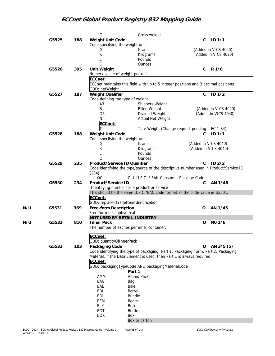|     |       |     | G                                    | Gross weight                                                                          |                      |                      |
|-----|-------|-----|--------------------------------------|---------------------------------------------------------------------------------------|----------------------|----------------------|
|     | G5525 | 188 | <b>Weight Unit Code</b>              |                                                                                       | C                    | ID 1/1               |
|     |       |     | Code specifying the weight unit      |                                                                                       |                      |                      |
|     |       |     | G                                    | Grams                                                                                 |                      | (Added in VICS 4020) |
|     |       |     | К                                    | Kilograms                                                                             |                      | (Added in VICS 4020) |
|     |       |     |                                      | Pounds                                                                                |                      |                      |
|     |       |     | $\overline{O}$                       |                                                                                       |                      |                      |
|     |       |     |                                      | Ounces                                                                                |                      |                      |
|     | G5526 | 395 | <b>Unit Weight</b>                   |                                                                                       | $\mathsf{C}$         | R 1/8                |
|     |       |     | Numeric value of weight per unit.    |                                                                                       |                      |                      |
|     |       |     | ECCnet:                              |                                                                                       |                      |                      |
|     |       |     |                                      | ECCnet maintains this field with up to 5 integer positions and 3 decimal positions.   |                      |                      |
|     |       |     | GDD: netWeight                       |                                                                                       |                      |                      |
|     | G5527 | 187 | <b>Weight Qualifier</b>              |                                                                                       | C                    | ID <sub>1/2</sub>    |
|     |       |     | Code defining the type of weight     |                                                                                       |                      |                      |
|     |       |     | A <sub>3</sub>                       | Shippers Weight                                                                       |                      |                      |
|     |       |     | Β                                    | <b>Billed Weight</b>                                                                  |                      | (Added in VICS 4040) |
|     |       |     | DR                                   | Drained Weight                                                                        |                      | (Added in VICS 4040) |
|     |       |     | N                                    | Actual Net Weight                                                                     |                      |                      |
|     |       |     | ECCnet:                              |                                                                                       |                      |                      |
|     |       |     |                                      | Tare Weight (Change request pending - EC 1-84)                                        |                      |                      |
|     | G5528 | 188 | Weight Unit Code                     |                                                                                       | C                    | ID <sub>1/1</sub>    |
|     |       |     | Code specifying the weight unit      |                                                                                       |                      |                      |
|     |       |     | G                                    | Grams                                                                                 | (Added in VICS 4040) |                      |
|     |       |     | К                                    |                                                                                       | (Added in VICS 4040) |                      |
|     |       |     |                                      | Kilograms                                                                             |                      |                      |
|     |       |     |                                      | Pounds                                                                                |                      |                      |
|     |       |     | Ο                                    | <b>Ounces</b>                                                                         |                      |                      |
|     | G5529 | 235 | Product/Service ID Qualifier         |                                                                                       | C                    | ID2/2                |
|     |       |     |                                      | Code identifying the type/source of the descriptive number used in Product/Service ID |                      |                      |
|     |       |     | (234)                                |                                                                                       |                      |                      |
|     |       |     | <b>OC</b>                            | Old U.P.C. / EAN Consumer Package Code                                                |                      |                      |
|     | G5530 | 234 | Product/Service ID                   |                                                                                       | C                    | AN 1/48              |
|     |       |     |                                      | Identifying number for a product or service                                           |                      |                      |
|     |       |     |                                      | This should be the same U.P.C./EAN code format as the code value in G5501.            |                      |                      |
|     |       |     | ECCnet:                              |                                                                                       |                      |                      |
|     |       |     | GDD: replacedTradeItemIdentification |                                                                                       |                      |                      |
| N/U | G5531 | 369 | Free-form Description                |                                                                                       | $\mathbf 0$          | AN 1/45              |
|     |       |     | Free-form descriptive text.          |                                                                                       |                      |                      |
|     |       |     | NOT USED BY RETAIL INDUSTRY          |                                                                                       |                      |                      |
| N/U | G5532 | 810 | <b>Inner Pack</b>                    |                                                                                       | O                    | NO 1/6               |
|     |       |     |                                      | The number of eaches per inner container.                                             |                      |                      |
|     |       |     |                                      |                                                                                       |                      |                      |
|     |       |     | ECCnet:                              |                                                                                       |                      |                      |
|     |       |     | GDD: quantityOfInnerPack             |                                                                                       |                      |                      |
|     | G5533 | 103 | Packaging Code                       |                                                                                       | $\mathbf 0$          | AN 3/5 (5)           |
|     |       |     |                                      | Code identifying the type of packaging; Part 1: Packaging Form, Part 2: Packaging     |                      |                      |
|     |       |     |                                      | Material; if the Data Element is used, then Part 1 is always required                 |                      |                      |
|     |       |     | ECCnet:                              |                                                                                       |                      |                      |
|     |       |     |                                      |                                                                                       |                      |                      |
|     |       |     |                                      | GDD: packagingTypeCode AND packagingMaterialCode                                      |                      |                      |
|     |       |     |                                      | Part 1                                                                                |                      |                      |
|     |       |     | AMM                                  | Ammo Pack                                                                             |                      |                      |
|     |       |     | <b>BAG</b>                           | Bag                                                                                   |                      |                      |
|     |       |     | BAL                                  | Bale                                                                                  |                      |                      |
|     |       |     | BBL                                  | Barrel                                                                                |                      |                      |
|     |       |     | <b>BDL</b>                           | <b>Bundle</b>                                                                         |                      |                      |
|     |       |     | <b>BEM</b>                           | Beam                                                                                  |                      |                      |
|     |       |     | <b>BLK</b>                           | <b>Bulk</b>                                                                           |                      |                      |
|     |       |     | <b>BOT</b>                           | <b>Bottle</b>                                                                         |                      |                      |
|     |       |     | <b>BOX</b>                           | Box                                                                                   |                      |                      |
|     |       |     |                                      | Box or carton                                                                         |                      |                      |
|     |       |     |                                      |                                                                                       |                      |                      |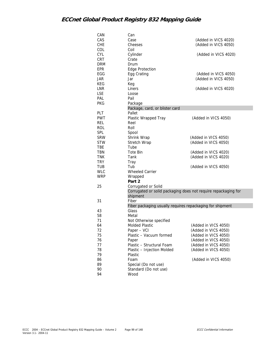| CAN        | Can                                                                        |                      |
|------------|----------------------------------------------------------------------------|----------------------|
| CAS        | Case                                                                       | (Added in VICS 4020) |
| <b>CHE</b> | Cheeses                                                                    | (Added in VICS 4050) |
| COL        | Coil                                                                       |                      |
| CYL        | Cylinder                                                                   | (Added in VICS 4020) |
| CRT        | Crate                                                                      |                      |
| <b>DRM</b> | Drum                                                                       |                      |
| EPR        | Edge Protection                                                            |                      |
| EGG        | Egg Crating                                                                | (Added in VICS 4050) |
| JAR        | Jar                                                                        | (Added in VICS 4050) |
| KEG        | Keg                                                                        |                      |
| <b>LNR</b> | Liners                                                                     | (Added in VICS 4020) |
| <b>LSE</b> | Loose                                                                      |                      |
| PAL        | Pail                                                                       |                      |
| <b>PKG</b> | Package                                                                    |                      |
|            | Package, card, or blister card                                             |                      |
| PLT        | Pallet                                                                     |                      |
| <b>PWT</b> | Plastic Wrapped Tray                                                       | (Added in VICS 4050) |
| <b>REL</b> | Reel                                                                       |                      |
| <b>ROL</b> | Roll                                                                       |                      |
| SPL        |                                                                            |                      |
| <b>SRW</b> | Spool                                                                      | (Added in VICS 4050) |
| <b>STW</b> | Shrink Wrap                                                                |                      |
|            | Stretch Wrap                                                               | (Added in VICS 4050) |
| <b>TBE</b> | Tube                                                                       |                      |
| TBN        | Tote Bin                                                                   | (Added in VICS 4020) |
| <b>TNK</b> | Tank                                                                       | (Added in VICS 4020) |
| <b>TRY</b> | Tray                                                                       |                      |
| TUB        | Tub                                                                        | (Added in VICS 4050) |
| <b>WLC</b> | <b>Wheeled Carrier</b>                                                     |                      |
| <b>WRP</b> | Wrapped                                                                    |                      |
|            | Part 2                                                                     |                      |
| 25         | Corrugated or Solid                                                        |                      |
|            | Corrugated or solid packaging does not require repackaging for<br>shipment |                      |
| 31         | Fiber                                                                      |                      |
|            | Fiber packaging usually requires repackaging for shipment                  |                      |
| 43         | Glass                                                                      |                      |
| 58         | Metal                                                                      |                      |
| 71         | Not Otherwise specified                                                    |                      |
| 64         | <b>Molded Plastic</b>                                                      | (Added in VICS 4050) |
| 72         | Paper - VCI                                                                | (Added in VICS 4050) |
| 75         | Plastic - Vacuum formed                                                    | (Added in VICS 4050) |
|            |                                                                            | (Added in VICS 4050) |
| 76<br>77   | Paper<br>Plastic - Structural Foam                                         | (Added in VICS 4050) |
|            |                                                                            |                      |
| 78         | Plastic - Injection Molded                                                 | (Added in VICS 4050) |
| 79         | Plastic                                                                    | (Added in VICS 4050) |
| 86         | Foam                                                                       |                      |
| 89         | Special (Do not use)                                                       |                      |
| 90         | Standard (Do not use)                                                      |                      |
| 94         | Wood                                                                       |                      |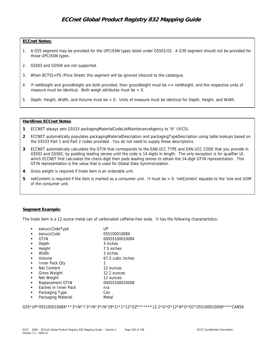### **ECCnet Notes:**

- 1. A G55 segment may be provided for the UPC/EAN types listed under G5501/02. A G39 segment should not be provided for those UPC/EAN types.
- 2. G5503 and G5504 are not supported.
- 3. When BCT01=PS (Price Sheet) this segment will be ignored inbound to the catalogue.
- 4. If netWeight and grossWeight are both provided, then grossWeight must be >= netWeight, and the respective units of measure must be identical. Both weigh attributes must be  $> 0$ .
- 5. Depth, Height, Width, and Volume must be > 0. Units of measure must be identical for Depth, Height, and Width.

### **Hardlines ECCnet Notes**:

- **1** ECCNET always sets G5533 packagingMaterialCodeListMaintenanceAgency to 'VI' (VICS).
- **2** ECCNET automatically populates packagingMaterialDescription and packagingTypeDescription using table lookups based on the G5533 Part 1 and Part 2 codes provided. You do not need to supply these descriptions.
- **3** ECCNET automatically calculates the GTIN that corresponds to the EAN.UCC TYPE and EAN.UCC CODE that you provide in G5501 and G5502, by padding leading zeroes until the code is 14 digits in length. The only exception is for qualifier UI, which ECCNET first calculates the check-digit then pads leading zeroes to obtain the 14-digit GTIN representation. This GTIN representation is the value that is used for Global Data Synchronization.
- **4** Gross weight is required if trade item is an orderable unit.
- **5** netContent is required if the item is marked as a consumer unit. It must be > 0. 'netContent' equates to the 'size and UOM' of the consumer unit.

## **Segment Example:**

The trade item is a 12 ounce metal can of carbonated caffeine-free soda. It has the following characteristics:

| eanuccCodeType       | UP                |
|----------------------|-------------------|
| eanuccCode           | 055100010084      |
| GTIN                 | 00055100010084    |
| Depth                | 3 inches          |
| Height               | 7.5 inches        |
| Width                | 3 inches          |
| Volume               | 67.5 cubic inches |
| Inner Pack Qty       |                   |
| Net Content          | 12 ounces         |
| <b>Gross Weight</b>  | 12.2 ounces       |
| Net Weight           | 12 ounces         |
| Replacement GTIN     | 00055100010008    |
| Eaches in Inner Pack | n/a               |
| Packaging Type       | Can               |
| Packaging Material   | Metal             |

G55\*UP\*055100010084\*\*\*3\*IN\*7.5\*IN\*3\*IN\*29\*CI\*1\*12\*OZ\*\*\*\*\*\*\*12.2\*G\*O\*12\*N\*O\*OC\*055100010008\*\*\*\*CAN58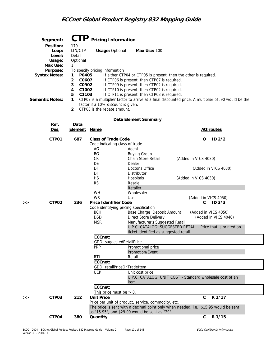|   | Segment:                                                                                                         | <b>CTP</b>                                                                                                           | <b>Pricing Information</b>                                                                     |                                                                                                                                                                                                                     |                                                                                                                                                                          |  |
|---|------------------------------------------------------------------------------------------------------------------|----------------------------------------------------------------------------------------------------------------------|------------------------------------------------------------------------------------------------|---------------------------------------------------------------------------------------------------------------------------------------------------------------------------------------------------------------------|--------------------------------------------------------------------------------------------------------------------------------------------------------------------------|--|
|   | Position:<br>Loop:<br>Level:<br>Usage:<br>Max Use:<br>Purpose:<br><b>Syntax Notes:</b><br><b>Semantic Notes:</b> | 170<br>LIN/CTP<br>Detail<br>Optional<br>1<br>P0405<br>1<br>2<br>C0607<br>3<br>C0902<br>C1002<br>4<br>5<br>C1103<br>1 | <b>Usage: Optional</b><br>To specify pricing information<br>factor if a 10% discount is given. | <b>Max Use: 100</b><br>If CTP06 is present, then CTP07 is required.<br>If CTP09 is present, then CTP02 is required.<br>If CTP10 is present, then CTP02 is required.<br>If CTP11 is present, then CTP03 is required. | If either CTP04 or CTP05 is present, then the other is required.<br>CTP07 is a multiplier factor to arrive at a final discounted price. A multiplier of .90 would be the |  |
|   |                                                                                                                  | $\overline{2}$                                                                                                       | CTP08 is the rebate amount.                                                                    | Data Element Summary                                                                                                                                                                                                |                                                                                                                                                                          |  |
|   | Ref.                                                                                                             | Data                                                                                                                 |                                                                                                |                                                                                                                                                                                                                     |                                                                                                                                                                          |  |
|   | Des.                                                                                                             | <u>Element</u>                                                                                                       | <u>Name</u>                                                                                    |                                                                                                                                                                                                                     | <b>Attributes</b>                                                                                                                                                        |  |
|   | CTP01                                                                                                            | 687                                                                                                                  | <b>Class of Trade Code</b><br>Code indicating class of trade<br>AG                             | Agent                                                                                                                                                                                                               | ID <sub>2/2</sub><br>O                                                                                                                                                   |  |
|   |                                                                                                                  |                                                                                                                      | BG<br>CR<br>DE                                                                                 | <b>Buying Group</b><br>Chain Store Retail<br>Dealer                                                                                                                                                                 | (Added in VICS 4030)                                                                                                                                                     |  |
|   |                                                                                                                  |                                                                                                                      | DF<br>DI                                                                                       | Doctor's Office<br>Distributor                                                                                                                                                                                      | (Added in VICS 4030)                                                                                                                                                     |  |
|   |                                                                                                                  |                                                                                                                      | <b>HS</b><br><b>RS</b>                                                                         | Hospitals<br>Resale                                                                                                                                                                                                 | (Added in VICS 4030)                                                                                                                                                     |  |
|   |                                                                                                                  |                                                                                                                      | WH<br><b>WS</b>                                                                                | Retailer<br>Wholesaler<br>User                                                                                                                                                                                      | (Added in VICS 4050)                                                                                                                                                     |  |
| > | CTP02                                                                                                            | 236                                                                                                                  | <b>Price Identifier Code</b><br>Code identifying pricing specification                         |                                                                                                                                                                                                                     | ID <sub>3/3</sub><br>C                                                                                                                                                   |  |
|   |                                                                                                                  |                                                                                                                      | <b>BCH</b><br><b>DSD</b><br><b>MSR</b>                                                         | Base Charge Deposit Amount<br><b>Direct Store Delivery</b><br>Manufacturer's Suggested Retail                                                                                                                       | (Added in VICS 4050)<br>(Added in VICS 4040)                                                                                                                             |  |
|   |                                                                                                                  |                                                                                                                      |                                                                                                | ticket identified as suggested retail.                                                                                                                                                                              | U.P.C. CATALOG: SUGGESTED RETAIL - Price that is printed on                                                                                                              |  |
|   |                                                                                                                  |                                                                                                                      | ECCnet:                                                                                        |                                                                                                                                                                                                                     |                                                                                                                                                                          |  |
|   |                                                                                                                  |                                                                                                                      | GDD: suggestedRetailPrice<br><b>PRP</b>                                                        |                                                                                                                                                                                                                     |                                                                                                                                                                          |  |
|   |                                                                                                                  |                                                                                                                      |                                                                                                | Promotional price<br>Promotion/Event                                                                                                                                                                                |                                                                                                                                                                          |  |
|   |                                                                                                                  |                                                                                                                      | <b>RTL</b>                                                                                     | Retail                                                                                                                                                                                                              |                                                                                                                                                                          |  |
|   |                                                                                                                  |                                                                                                                      | ECCnet:<br>GDD: retailPriceOnTradeItem                                                         |                                                                                                                                                                                                                     |                                                                                                                                                                          |  |
|   |                                                                                                                  |                                                                                                                      | <b>UCP</b>                                                                                     | Unit cost price                                                                                                                                                                                                     |                                                                                                                                                                          |  |
|   |                                                                                                                  |                                                                                                                      |                                                                                                | item.                                                                                                                                                                                                               | U.P.C. CATALOG: UNIT COST - Standard wholesale cost of an                                                                                                                |  |
|   |                                                                                                                  |                                                                                                                      | ECCnet:<br>This price must be $> 0$ .                                                          |                                                                                                                                                                                                                     |                                                                                                                                                                          |  |
| > | CTP03                                                                                                            | 212                                                                                                                  | <b>Unit Price</b>                                                                              |                                                                                                                                                                                                                     | $\mathbf C$<br>R 1/17                                                                                                                                                    |  |
|   |                                                                                                                  |                                                                                                                      |                                                                                                | Price per unit of product, service, commodity, etc.<br>as "15.95", and \$29.00 would be sent as "29".                                                                                                               | The price is sent with a decimal point only when needed, i.e., \$15.95 would be sent                                                                                     |  |
|   | CTP04                                                                                                            | 380                                                                                                                  | Quantity                                                                                       |                                                                                                                                                                                                                     | R 1/15<br>C                                                                                                                                                              |  |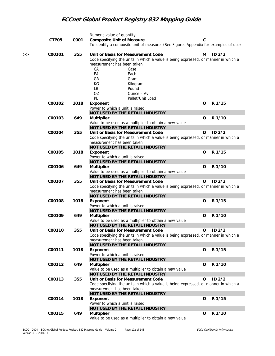|    | CTP05  | C001 | Numeric value of quantity<br><b>Composite Unit of Measure</b><br>To identify a composite unit of measure (See Figures Appendix for examples of use)                                                                                                                              | C |                   |
|----|--------|------|----------------------------------------------------------------------------------------------------------------------------------------------------------------------------------------------------------------------------------------------------------------------------------|---|-------------------|
| >> | C00101 | 355  | Unit or Basis for Measurement Code<br>Code specifying the units in which a value is being expressed, or manner in which a<br>measurement has been taken<br>CA<br>Case<br>EA<br>Each<br>GR<br>Gram<br>КG<br>Kilogram<br>LB<br>Pound<br>OZ<br>Ounce - Av<br>PL<br>Pallet/Unit Load | м | ID <sub>2/2</sub> |
|    | C00102 | 1018 | Exponent<br>Power to which a unit is raised<br>NOT USED BY THE RETAIL INDUSTRY                                                                                                                                                                                                   | O | R 1/15            |
|    |        |      |                                                                                                                                                                                                                                                                                  |   |                   |
|    | C00103 | 649  | <b>Multiplier</b>                                                                                                                                                                                                                                                                | 0 | R 1/10            |
|    |        |      | Value to be used as a multiplier to obtain a new value                                                                                                                                                                                                                           |   |                   |
|    |        |      | NOT USED BY THE RETAIL INDUSTRY                                                                                                                                                                                                                                                  |   |                   |
|    | C00104 | 355  | Unit or Basis for Measurement Code<br>Code specifying the units in which a value is being expressed, or manner in which a<br>measurement has been taken<br>NOT USED BY THE RETAIL INDUSTRY                                                                                       | O | ID <sub>2/2</sub> |
|    |        |      |                                                                                                                                                                                                                                                                                  |   |                   |
|    | C00105 | 1018 | Exponent                                                                                                                                                                                                                                                                         | O | R 1/15            |
|    |        |      | Power to which a unit is raised                                                                                                                                                                                                                                                  |   |                   |
|    |        |      | NOT USED BY THE RETAIL INDUSTRY                                                                                                                                                                                                                                                  |   |                   |
|    | C00106 | 649  | <b>Multiplier</b><br>Value to be used as a multiplier to obtain a new value                                                                                                                                                                                                      | 0 | R 1/10            |
|    |        |      | NOT USED BY THE RETAIL INDUSTRY                                                                                                                                                                                                                                                  |   |                   |
|    | C00107 | 355  | Unit or Basis for Measurement Code                                                                                                                                                                                                                                               | O | ID <sub>2/2</sub> |
|    |        |      | Code specifying the units in which a value is being expressed, or manner in which a<br>measurement has been taken                                                                                                                                                                |   |                   |
|    |        |      | NOT USED BY THE RETAIL INDUSTRY                                                                                                                                                                                                                                                  |   |                   |
|    | C00108 | 1018 | Exponent                                                                                                                                                                                                                                                                         | O | R 1/15            |
|    |        |      | Power to which a unit is raised                                                                                                                                                                                                                                                  |   |                   |
|    |        |      | NOT USED BY THE RETAIL INDUSTRY                                                                                                                                                                                                                                                  |   |                   |
|    | C00109 | 649  | <b>Multiplier</b>                                                                                                                                                                                                                                                                | 0 | R 1/10            |
|    |        |      | Value to be used as a multiplier to obtain a new value                                                                                                                                                                                                                           |   |                   |
|    |        |      | NOT USED BY THE RETAIL INDUSTRY                                                                                                                                                                                                                                                  |   |                   |
|    | C00110 | 355  | Unit or Basis for Measurement Code                                                                                                                                                                                                                                               | 0 | ID <sub>2/2</sub> |
|    |        |      | Code specifying the units in which a value is being expressed, or manner in which a                                                                                                                                                                                              |   |                   |
|    |        |      | measurement has been taken                                                                                                                                                                                                                                                       |   |                   |
|    |        |      | NOT USED BY THE RETAIL INDUSTRY                                                                                                                                                                                                                                                  |   |                   |
|    | C00111 | 1018 | Exponent                                                                                                                                                                                                                                                                         | O | R 1/15            |
|    |        |      | Power to which a unit is raised                                                                                                                                                                                                                                                  |   |                   |
|    |        |      | NOT USED BY THE RETAIL INDUSTRY                                                                                                                                                                                                                                                  |   |                   |
|    | C00112 | 649  | <b>Multiplier</b>                                                                                                                                                                                                                                                                | 0 | R 1/10            |
|    |        |      | Value to be used as a multiplier to obtain a new value                                                                                                                                                                                                                           |   |                   |
|    |        |      | NOT USED BY THE RETAIL INDUSTRY                                                                                                                                                                                                                                                  |   |                   |
|    | C00113 | 355  | Unit or Basis for Measurement Code                                                                                                                                                                                                                                               | 0 | ID <sub>2/2</sub> |
|    |        |      | Code specifying the units in which a value is being expressed, or manner in which a                                                                                                                                                                                              |   |                   |
|    |        |      | measurement has been taken                                                                                                                                                                                                                                                       |   |                   |
|    |        |      | NOT USED BY THE RETAIL INDUSTRY                                                                                                                                                                                                                                                  |   |                   |
|    | C00114 | 1018 | Exponent                                                                                                                                                                                                                                                                         | 0 | R 1/15            |
|    |        |      | Power to which a unit is raised                                                                                                                                                                                                                                                  |   |                   |
|    |        |      | NOT USED BY THE RETAIL INDUSTRY                                                                                                                                                                                                                                                  |   |                   |
|    | C00115 | 649  | <b>Multiplier</b>                                                                                                                                                                                                                                                                | 0 | R 1/10            |
|    |        |      | Value to be used as a multiplier to obtain a new value                                                                                                                                                                                                                           |   |                   |
|    |        |      |                                                                                                                                                                                                                                                                                  |   |                   |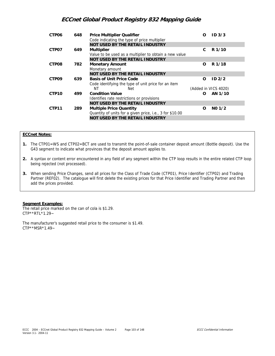| CTP <sub>06</sub> | 648 | <b>Price Multiplier Qualifier</b><br>Code indicating the type of price multiplier | O        | ID <sub>3/3</sub>    |  |
|-------------------|-----|-----------------------------------------------------------------------------------|----------|----------------------|--|
|                   |     | <b>NOT USED BY THE RETAIL INDUSTRY</b>                                            |          |                      |  |
| CTP07             | 649 | <b>Multiplier</b>                                                                 | C        | R 1/10               |  |
|                   |     | Value to be used as a multiplier to obtain a new value                            |          |                      |  |
|                   |     | <b>NOT USED BY THE RETAIL INDUSTRY</b>                                            |          |                      |  |
| CTP08             | 782 | <b>Monetary Amount</b>                                                            | $\Omega$ | R 1/18               |  |
|                   |     | Monetary amount                                                                   |          |                      |  |
|                   |     | <b>NOT USED BY THE RETAIL INDUSTRY</b>                                            |          |                      |  |
| CTP <sub>09</sub> | 639 | <b>Basis of Unit Price Code</b>                                                   | $\Omega$ | ID <sub>2/2</sub>    |  |
|                   |     | Code identifying the type of unit price for an item                               |          |                      |  |
|                   |     | NΤ<br>Net                                                                         |          | (Added in VICS 4020) |  |
| CTP <sub>10</sub> | 499 | <b>Condition Value</b>                                                            | Ω        | AN 1/10              |  |
|                   |     | Identifies rate restrictions or provisions                                        |          |                      |  |
|                   |     | NOT USED BY THE RETAIL INDUSTRY                                                   |          |                      |  |
| CTP11             | 289 | <b>Multiple Price Quantity</b>                                                    | 0        | $NO$ 1/2             |  |
|                   |     | Quantity of units for a given price, i.e., 3 for \$10.00                          |          |                      |  |
|                   |     | NOT USED BY THE RETAIL INDUSTRY                                                   |          |                      |  |
|                   |     |                                                                                   |          |                      |  |

## **ECCnet Notes:**

- **1.** The CTP01=WS and CTP02=BCT are used to transmit the point-of-sale container deposit amount (Bottle deposit). Use the G43 segment to indicate what provinces that the deposit amount applies to.
- **2.** A syntax or content error encountered in any field of any segment within the CTP loop results in the entire related CTP loop being rejected (not processed).
- **3.** When sending Price Changes, send all prices for the Class of Trade Code (CTP01), Price Identifier (CTP02) and Trading Partner (REF02). The catalogue will first delete the existing prices for that Price Identifier and Trading Partner and then add the prices provided.

#### **Segment Examples:**

The retail price marked on the can of cola is \$1.29. CTP\*\*RTL\*1.29~

The manufacturer's suggested retail price to the consumer is \$1.49. CTP\*\*MSR\*1.49~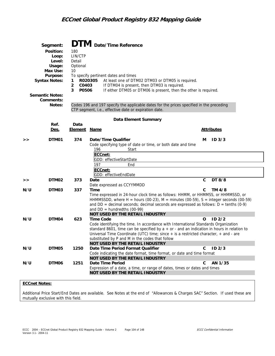|     | Segment:<br>Position:<br>Loop:<br>Level:<br>Usage:<br>Max Use:<br>Purpose:<br><b>Syntax Notes:</b><br><b>Semantic Notes:</b><br>Comments:<br>Notes: | 180<br>LIN/CTP<br>Detail<br>Optional<br>10<br>1.<br>2<br>C0403<br>P0506<br>3 | <b>DTM</b> Date/Time Reference<br>To specify pertinent dates and times<br>R020305<br>At least one of DTM02 DTM03 or DTM05 is required.<br>If DTM04 is present, then DTM03 is required.<br>If either DTM05 or DTM06 is present, then the other is required.<br>Codes 196 and 197 specify the applicable dates for the prices specified in the preceding<br>CTP segment, i.e., effective date or expiration date. |   |                   |
|-----|-----------------------------------------------------------------------------------------------------------------------------------------------------|------------------------------------------------------------------------------|-----------------------------------------------------------------------------------------------------------------------------------------------------------------------------------------------------------------------------------------------------------------------------------------------------------------------------------------------------------------------------------------------------------------|---|-------------------|
|     |                                                                                                                                                     |                                                                              |                                                                                                                                                                                                                                                                                                                                                                                                                 |   |                   |
|     | Ref.                                                                                                                                                | Data                                                                         | Data Element Summary                                                                                                                                                                                                                                                                                                                                                                                            |   |                   |
|     | <u>Des.</u>                                                                                                                                         | <b>Element</b>                                                               | <u>Name</u>                                                                                                                                                                                                                                                                                                                                                                                                     |   | <b>Attributes</b> |
|     |                                                                                                                                                     |                                                                              |                                                                                                                                                                                                                                                                                                                                                                                                                 |   |                   |
| >   | DTM01                                                                                                                                               | 374                                                                          | Date/Time Qualifier<br>Code specifying type of date or time, or both date and time                                                                                                                                                                                                                                                                                                                              | м | ID <sub>3/3</sub> |
|     |                                                                                                                                                     |                                                                              | 196<br>Start                                                                                                                                                                                                                                                                                                                                                                                                    |   |                   |
|     |                                                                                                                                                     |                                                                              | ECCnet:                                                                                                                                                                                                                                                                                                                                                                                                         |   |                   |
|     |                                                                                                                                                     |                                                                              | GDD: effectiveStartDate<br>197<br>End                                                                                                                                                                                                                                                                                                                                                                           |   |                   |
|     |                                                                                                                                                     |                                                                              | ECCnet:                                                                                                                                                                                                                                                                                                                                                                                                         |   |                   |
|     |                                                                                                                                                     |                                                                              | GDD: effectiveEndDate                                                                                                                                                                                                                                                                                                                                                                                           |   |                   |
| >>  | DTM02                                                                                                                                               | 373                                                                          | Date                                                                                                                                                                                                                                                                                                                                                                                                            | C | DT 8/8            |
|     |                                                                                                                                                     |                                                                              | Date expressed as CCYYMMDD                                                                                                                                                                                                                                                                                                                                                                                      |   |                   |
| N/U | DTM03                                                                                                                                               | 337                                                                          | Time                                                                                                                                                                                                                                                                                                                                                                                                            | C | TM 4/8            |
|     |                                                                                                                                                     |                                                                              | Time expressed in 24-hour clock time as follows: HHMM, or HHMMSS, or HHMMSSD, or                                                                                                                                                                                                                                                                                                                                |   |                   |
|     |                                                                                                                                                     |                                                                              | HHMMSSDD, where H = hours (00-23), M = minutes (00-59), S = integer seconds (00-59)<br>and $DD =$ decimal seconds; decimal seconds are expressed as follows: $D =$ tenths (0-9)                                                                                                                                                                                                                                 |   |                   |
|     |                                                                                                                                                     |                                                                              | and $DD =$ hundredths (00-99)                                                                                                                                                                                                                                                                                                                                                                                   |   |                   |
|     |                                                                                                                                                     |                                                                              | NOT USED BY THE RETAIL INDUSTRY                                                                                                                                                                                                                                                                                                                                                                                 |   |                   |
| N/U | DTM04                                                                                                                                               | 623                                                                          | <b>Time Code</b>                                                                                                                                                                                                                                                                                                                                                                                                | 0 | ID <sub>2/2</sub> |
|     |                                                                                                                                                     |                                                                              | Code identifying the time. In accordance with International Standards Organization                                                                                                                                                                                                                                                                                                                              |   |                   |
|     |                                                                                                                                                     |                                                                              | standard 8601, time can be specified by $a + or -$ and an indication in hours in relation to                                                                                                                                                                                                                                                                                                                    |   |                   |
|     |                                                                                                                                                     |                                                                              | Universal Time Coordinate (UTC) time; since $+$ is a restricted character, $+$ and $-$ are<br>substituted by P and M in the codes that follow                                                                                                                                                                                                                                                                   |   |                   |
|     |                                                                                                                                                     |                                                                              | NOT USED BY THE RETAIL INDUSTRY                                                                                                                                                                                                                                                                                                                                                                                 |   |                   |
| N/U | DTM05                                                                                                                                               | 1250                                                                         | Date Time Period Format Qualifier                                                                                                                                                                                                                                                                                                                                                                               | C | $ID$ $2/3$        |
|     |                                                                                                                                                     |                                                                              | Code indicating the date format, time format, or date and time format                                                                                                                                                                                                                                                                                                                                           |   |                   |
|     |                                                                                                                                                     |                                                                              | NOT USED BY THE RETAIL INDUSTRY                                                                                                                                                                                                                                                                                                                                                                                 |   |                   |
| N/U | DTM06                                                                                                                                               | 1251                                                                         | Date Time Period                                                                                                                                                                                                                                                                                                                                                                                                | C | AN 1/35           |
|     |                                                                                                                                                     |                                                                              | Expression of a date, a time, or range of dates, times or dates and times<br>NOT USED BY THE RETAIL INDUSTRY                                                                                                                                                                                                                                                                                                    |   |                   |
|     |                                                                                                                                                     |                                                                              |                                                                                                                                                                                                                                                                                                                                                                                                                 |   |                   |

## **ECCnet Notes:**

Additional Price Start/End Dates are available. See Notes at the end of "Allowances & Charges SAC" Section. If used these are mutually exclusive with this field.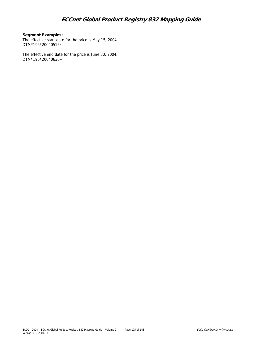## **Segment Examples:**

The effective start date for the price is May 15, 2004. DTM\*196\*20040515~

The effective end date for the price is June 30, 2004. DTM\*196\*20040630~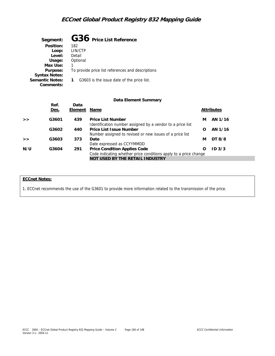| Segment:               | G36 Price List Reference                          |
|------------------------|---------------------------------------------------|
| Position:              | 182                                               |
| Loop:                  | LIN/CTP                                           |
| Level:                 | Detail                                            |
| Usage:                 | Optional                                          |
| Max Use:               |                                                   |
| Purpose:               | To provide price list references and descriptions |
| <b>Syntax Notes:</b>   |                                                   |
| <b>Semantic Notes:</b> | G3603 is the issue date of the price list.        |
| Comments:              |                                                   |

### **Data Element Summary**

|     | Ref.<br>Des. | Data<br>Element | Name                                                                                                    |   | <b>Attributes</b> |  |
|-----|--------------|-----------------|---------------------------------------------------------------------------------------------------------|---|-------------------|--|
| >   | G3601        | 439             | <b>Price List Number</b><br>Identification number assigned by a vendor to a price list                  | м | AN 1/16           |  |
|     | G3602        | 440             | Price List Issue Number<br>Number assigned to revised or new issues of a price list                     | Ω | AN 1/16           |  |
| >   | G3603        | 373             | Date<br>Date expressed as CCYYMMDD                                                                      | м | DT 8/8            |  |
| N/U | G3604        | 291             | <b>Price Condition Applies Code</b><br>Code indicating whether price conditions apply to a price change | Ω | ID <sub>3/3</sub> |  |
|     |              |                 | NOT USED BY THE RETAIL INDUSTRY                                                                         |   |                   |  |

## **ECCnet Notes:**

1. ECCnet recommends the use of the G3601 to provide more information related to the transmission of the price.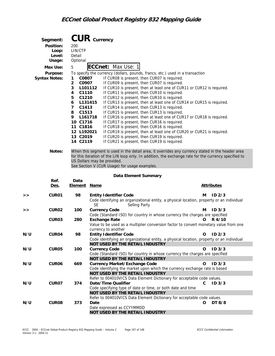|     | Segment:             | $CUR$ $Currency$                 |             |                                                                                                                       |              |                   |
|-----|----------------------|----------------------------------|-------------|-----------------------------------------------------------------------------------------------------------------------|--------------|-------------------|
|     | Position:            | 200                              |             |                                                                                                                       |              |                   |
|     | Loop:                | LIN/CTP                          |             |                                                                                                                       |              |                   |
|     | Level:               | Detail                           |             |                                                                                                                       |              |                   |
|     | Usage:               | Optional                         |             |                                                                                                                       |              |                   |
|     | Max Use:             | 5                                |             | <b>ECCnet: Max Use: 1</b>                                                                                             |              |                   |
|     | Purpose:             |                                  |             | To specify the currency (dollars, pounds, francs, etc.) used in a transaction                                         |              |                   |
|     | <b>Syntax Notes:</b> | C0807<br>1                       |             | If CUR08 is present, then CUR07 is required.                                                                          |              |                   |
|     |                      | $\overline{\mathbf{c}}$<br>C0907 |             | If CUR09 is present, then CUR07 is required.                                                                          |              |                   |
|     |                      | 3                                | L101112     | If CUR10 is present, then at least one of CUR11 or CUR12 is required.                                                 |              |                   |
|     |                      | 4<br>C1110                       |             | If CUR11 is present, then CUR10 is required.                                                                          |              |                   |
|     |                      | C1210<br>5<br>6                  | L131415     | If CUR12 is present, then CUR10 is required.<br>If CUR13 is present, then at least one of CUR14 or CUR15 is required. |              |                   |
|     |                      | 7<br>C1413                       |             | If CUR14 is present, then CUR13 is required.                                                                          |              |                   |
|     |                      | 8<br>C1513                       |             | If CUR15 is present, then CUR13 is required.                                                                          |              |                   |
|     |                      | 9.                               | L161718     | If CUR16 is present, then at least one of CUR17 or CUR18 is required.                                                 |              |                   |
|     |                      | 10 C1716                         |             | If CUR17 is present, then CUR16 is required.                                                                          |              |                   |
|     |                      | 11 C1816                         |             | If CUR18 is present, then CUR16 is required.                                                                          |              |                   |
|     |                      | 12 L192021                       |             | If CUR19 is present, then at least one of CUR20 or CUR21 is required.                                                 |              |                   |
|     |                      | 13 C2019                         |             | If CUR20 is present, then CUR19 is required.                                                                          |              |                   |
|     |                      | 14 C2119                         |             | If CUR21 is present, then CUR19 is required.                                                                          |              |                   |
|     | Notes:               |                                  |             | When this segment is used in the detail area, it overrides any currency stated in the header area                     |              |                   |
|     |                      |                                  |             | for this iteration of the LIN loop only. In addition, the exchange rate for the currency specified to                 |              |                   |
|     |                      |                                  |             | US Dollars may be provided.                                                                                           |              |                   |
|     |                      |                                  |             | See Section V (CUR Usage) for usage examples.                                                                         |              |                   |
|     |                      |                                  |             | Data Element Summary                                                                                                  |              |                   |
|     | Ref.                 | Data                             |             |                                                                                                                       |              |                   |
|     | Des.                 | <b>Element</b>                   | <u>Name</u> |                                                                                                                       |              | <b>Attributes</b> |
| >   | CUR01                | 98                               |             | <b>Entity Identifier Code</b>                                                                                         | м            | ID <sub>2/3</sub> |
|     |                      |                                  |             | Code identifying an organizational entity, a physical location, property or an individual                             |              |                   |
|     |                      |                                  | SE          | Selling Party                                                                                                         |              |                   |
| >   | CUR <sub>02</sub>    | 100                              |             | <b>Currency Code</b>                                                                                                  | м            | ID <sub>3/3</sub> |
|     |                      |                                  |             | Code (Standard ISO) for country in whose currency the charges are specified                                           |              |                   |
|     | CUR <sub>03</sub>    | 280                              |             | <b>Exchange Rate</b>                                                                                                  | O            | R 4/10            |
|     |                      |                                  |             | Value to be used as a multiplier conversion factor to convert monetary value from one<br>currency to another          |              |                   |
| N/U | CUR04                | 98                               |             | <b>Entity Identifier Code</b>                                                                                         | $\mathbf{o}$ | ID <sub>2/3</sub> |
|     |                      |                                  |             | Code identifying an organizational entity, a physical location, property or an individual                             |              |                   |
|     |                      |                                  |             | NOT USED BY THE RETAIL INDUSTRY                                                                                       |              |                   |
| N/U | CUR05                | 100                              |             | <b>Currency Code</b>                                                                                                  | $\Omega$     | ID <sub>3/3</sub> |
|     |                      |                                  |             | Code (Standard ISO) for country in whose currency the charges are specified                                           |              |                   |
|     |                      |                                  |             | NOT USED BY THE RETAIL INDUSTRY                                                                                       |              |                   |
| N/U | CUR06                | 669                              |             | <b>Currency Market/Exchange Code</b>                                                                                  | 0            | ID <sub>3/3</sub> |
|     |                      |                                  |             | Code identifying the market upon which the currency exchange rate is based                                            |              |                   |
|     |                      |                                  |             | NOT USED BY THE RETAIL INDUSTRY<br>Refer to 004010VICS Data Element Dictionary for acceptable code values.            |              |                   |
| N/U | CUR07                | 374                              |             | Date/Time Qualifier                                                                                                   | C            | ID <sub>3/3</sub> |
|     |                      |                                  |             | Code specifying type of date or time, or both date and time                                                           |              |                   |
|     |                      |                                  |             | NOT USED BY THE RETAIL INDUSTRY                                                                                       |              |                   |
|     |                      |                                  |             | Refer to 004010VICS Data Element Dictionary for acceptable code values.                                               |              |                   |
| N/U | CUR08                | 373                              | Date        |                                                                                                                       | O            | DT 8/8            |
|     |                      |                                  |             | Date expressed as CCYYMMDD                                                                                            |              |                   |
|     |                      |                                  |             | NOT USED BY THE RETAIL INDUSTRY                                                                                       |              |                   |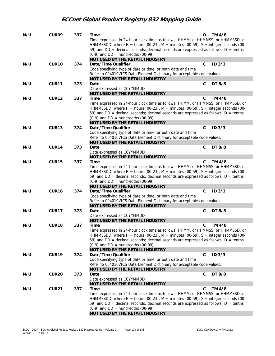| N/U | CUR09             | 337 | Time<br>Time expressed in 24-hour clock time as follows: HHMM, or HHMMSS, or HHMMSSD, or<br>HHMMSSDD, where H = hours (00-23), M = minutes (00-59), S = integer seconds (00- | 0 | TM 4/8            |
|-----|-------------------|-----|------------------------------------------------------------------------------------------------------------------------------------------------------------------------------|---|-------------------|
|     |                   |     | 59) and $DD =$ decimal seconds; decimal seconds are expressed as follows: $D =$ tenths<br>$(0-9)$ and DD = hundredths $(00-99)$                                              |   |                   |
|     |                   |     | NOT USED BY THE RETAIL INDUSTRY                                                                                                                                              |   |                   |
| N/U | CUR10             | 374 | Date/Time Qualifier                                                                                                                                                          | C | ID <sub>3/3</sub> |
|     |                   |     | Code specifying type of date or time, or both date and time<br>Refer to 004010VICS Data Element Dictionary for acceptable code values.                                       |   |                   |
|     |                   |     | NOT USED BY THE RETAIL INDUSTRY                                                                                                                                              |   |                   |
| N/U | CUR11             | 373 | Date                                                                                                                                                                         | C | DT 8/8            |
|     |                   |     | Date expressed as CCYYMMDD<br>NOT USED BY THE RETAIL INDUSTRY                                                                                                                |   |                   |
| N/U | <b>CUR12</b>      | 337 | Time                                                                                                                                                                         | C | TM 4/8            |
|     |                   |     | Time expressed in 24-hour clock time as follows: HHMM, or HHMMSS, or HHMMSSD, or                                                                                             |   |                   |
|     |                   |     | HHMMSSDD, where H = hours (00-23), M = minutes (00-59), S = integer seconds (00-                                                                                             |   |                   |
|     |                   |     | 59) and $DD =$ decimal seconds; decimal seconds are expressed as follows: $D =$ tenths                                                                                       |   |                   |
|     |                   |     | $(0-9)$ and DD = hundredths $(00-99)$                                                                                                                                        |   |                   |
|     |                   |     | NOT USED BY THE RETAIL INDUSTRY                                                                                                                                              |   |                   |
| N/U | CUR <sub>13</sub> | 374 | Date/Time Qualifier                                                                                                                                                          | C | ID <sub>3/3</sub> |
|     |                   |     | Code specifying type of date or time, or both date and time<br>Refer to 004010VICS Data Element Dictionary for acceptable code values.                                       |   |                   |
|     |                   |     | <b>NOT USED BY THE RETAIL INDUSTRY</b>                                                                                                                                       |   |                   |
| N/U | CUR14             | 373 | Date                                                                                                                                                                         | C | DT 8/8            |
|     |                   |     | Date expressed as CCYYMMDD                                                                                                                                                   |   |                   |
|     |                   |     | NOT USED BY THE RETAIL INDUSTRY                                                                                                                                              |   |                   |
| N/U | CUR15             | 337 | Time                                                                                                                                                                         | C | TM 4/8            |
|     |                   |     | Time expressed in 24-hour clock time as follows: HHMM, or HHMMSS, or HHMMSSD, or                                                                                             |   |                   |
|     |                   |     | HHMMSSDD, where H = hours (00-23), M = minutes (00-59), S = integer seconds (00-                                                                                             |   |                   |
|     |                   |     | 59) and $DD =$ decimal seconds; decimal seconds are expressed as follows: $D =$ tenths                                                                                       |   |                   |
|     |                   |     | $(0-9)$ and DD = hundredths $(00-99)$<br>NOT USED BY THE RETAIL INDUSTRY                                                                                                     |   |                   |
| N/U | CUR <sub>16</sub> | 374 | Date/Time Qualifier                                                                                                                                                          | C | ID <sub>3/3</sub> |
|     |                   |     | Code specifying type of date or time, or both date and time                                                                                                                  |   |                   |
|     |                   |     | Refer to 004010VICS Data Element Dictionary for acceptable code values.                                                                                                      |   |                   |
|     |                   |     | NOT USED BY THE RETAIL INDUSTRY                                                                                                                                              |   |                   |
| N/U | CUR17             | 373 | Date                                                                                                                                                                         | C | DT 8/8            |
|     |                   |     | Date expressed as CCYYMMDD                                                                                                                                                   |   |                   |
|     |                   |     | NOT USED BY THE RETAIL INDUSTRY                                                                                                                                              |   |                   |
| N/U | CUR18             | 337 | Time                                                                                                                                                                         | C | TM 4/8            |
|     |                   |     | Time expressed in 24-hour clock time as follows: HHMM, or HHMMSS, or HHMMSSD, or<br>HHMMSSDD, where H = hours (00-23), M = minutes (00-59), S = integer seconds (00-         |   |                   |
|     |                   |     | 59) and $DD =$ decimal seconds; decimal seconds are expressed as follows: $D =$ tenths                                                                                       |   |                   |
|     |                   |     | $(0-9)$ and DD = hundredths $(00-99)$                                                                                                                                        |   |                   |
|     |                   |     | NOT USED BY THE RETAIL INDUSTRY                                                                                                                                              |   |                   |
| N/U | CUR19             | 374 | Date/Time Qualifier                                                                                                                                                          | C | ID <sub>3/3</sub> |
|     |                   |     | Code specifying type of date or time, or both date and time                                                                                                                  |   |                   |
|     |                   |     | Refer to 004010VICS Data Element Dictionary for acceptable code values.                                                                                                      |   |                   |
|     |                   |     | NOT USED BY THE RETAIL INDUSTRY                                                                                                                                              |   |                   |
| N/U | CUR <sub>20</sub> | 373 | Date                                                                                                                                                                         | C | DT 8/8            |
|     |                   |     | Date expressed as CCYYMMDD<br>NOT USED BY THE RETAIL INDUSTRY                                                                                                                |   |                   |
| N/U | <b>CUR21</b>      | 337 | Time                                                                                                                                                                         | С | TM 4/8            |
|     |                   |     | Time expressed in 24-hour clock time as follows: HHMM, or HHMMSS, or HHMMSSD, or                                                                                             |   |                   |
|     |                   |     | HHMMSSDD, where H = hours (00-23), M = minutes (00-59), S = integer seconds (00-                                                                                             |   |                   |
|     |                   |     | 59) and $DD =$ decimal seconds; decimal seconds are expressed as follows: $D =$ tenths                                                                                       |   |                   |
|     |                   |     | $(0-9)$ and DD = hundredths $(00-99)$                                                                                                                                        |   |                   |
|     |                   |     | NOT USED BY THE RETAIL INDUSTRY                                                                                                                                              |   |                   |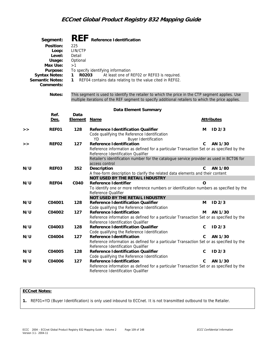|     | Segment:<br>Position:<br>Loop:<br>Level:<br>Usage:<br>Max Use:<br>Purpose:<br><b>Syntax Notes:</b><br><b>Semantic Notes:</b><br>Comments: | 225<br>LIN/CTP<br>Detail<br>Optional<br>>1<br>R0203<br>1.<br>1 | REF Reference Identification<br>To specify identifying information<br>At least one of REF02 or REF03 is required.<br>REF04 contains data relating to the value cited in REF02.                                                                                                        |   |                   |
|-----|-------------------------------------------------------------------------------------------------------------------------------------------|----------------------------------------------------------------|---------------------------------------------------------------------------------------------------------------------------------------------------------------------------------------------------------------------------------------------------------------------------------------|---|-------------------|
|     | Notes:                                                                                                                                    |                                                                | This segment is used to identify the retailer to which the price in the CTP segment applies. Use<br>multiple iterations of the REF segment to specify additional retailers to which the price applies.                                                                                |   |                   |
|     |                                                                                                                                           |                                                                | Data Element Summary                                                                                                                                                                                                                                                                  |   |                   |
|     | Ref.                                                                                                                                      | Data                                                           |                                                                                                                                                                                                                                                                                       |   |                   |
|     | <u>Des.</u>                                                                                                                               | <u>Element</u>                                                 | <u>Name</u>                                                                                                                                                                                                                                                                           |   | <b>Attributes</b> |
| >>  | REF01                                                                                                                                     | 128                                                            | <b>Reference Identification Qualifier</b><br>Code qualifying the Reference Identification<br>YD                                                                                                                                                                                       | м | ID <sub>2/3</sub> |
| >   | REF02                                                                                                                                     | 127                                                            | <b>Buyer Identification</b><br>Reference Identification<br>Reference information as defined for a particular Transaction Set or as specified by the<br>Reference Identification Qualifier<br>Retailer's identification number for the catalogue service provider as used in BCT06 for | C | AN 1/30           |
| N/U | REF03                                                                                                                                     | 352                                                            | access control<br>Description<br>A free-form description to clarify the related data elements and their content<br>NOT USED BY THE RETAIL INDUSTRY                                                                                                                                    | C | AN 1/80           |
| N/U | REF04                                                                                                                                     | C040                                                           | Reference Identifier<br>To identify one or more reference numbers or identification numbers as specified by the<br>Reference Qualifier                                                                                                                                                | O |                   |
|     |                                                                                                                                           |                                                                | NOT USED BY THE RETAIL INDUSTRY                                                                                                                                                                                                                                                       |   |                   |
| N/U | C04001                                                                                                                                    | 128                                                            | Reference Identification Qualifier<br>Code qualifying the Reference Identification                                                                                                                                                                                                    | M | ID <sub>2/3</sub> |
| N/U | C04002                                                                                                                                    | 127                                                            | <b>Reference Identification</b><br>Reference information as defined for a particular Transaction Set or as specified by the<br>Reference Identification Qualifier                                                                                                                     | м | AN 1/30           |
| N/U | C04003                                                                                                                                    | 128                                                            | <b>Reference Identification Qualifier</b><br>Code qualifying the Reference Identification                                                                                                                                                                                             | C | ID <sub>2/3</sub> |
| N/U | C04004                                                                                                                                    | 127                                                            | Reference Identification<br>Reference information as defined for a particular Transaction Set or as specified by the<br>Reference Identification Qualifier                                                                                                                            | С | AN 1/30           |
| N/U | C04005                                                                                                                                    | 128                                                            | <b>Reference Identification Qualifier</b><br>Code qualifying the Reference Identification                                                                                                                                                                                             | С | $ID$ $2/3$        |
| N/U | C04006                                                                                                                                    | 127                                                            | Reference Identification<br>Reference information as defined for a particular Transaction Set or as specified by the<br>Reference Identification Qualifier                                                                                                                            | С | AN 1/30           |

### **ECCnet Notes:**

**1.** REF01=YD (Buyer Identification) is only used inbound to ECCnet. It is not transmitted outbound to the Retailer.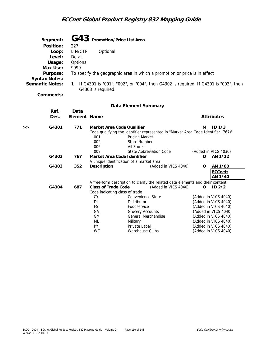|   | Segment:               |                                                                                          |                                                                           |          | G43 Promotion/Price List Area |  |                                                                                   |   |                   |  |
|---|------------------------|------------------------------------------------------------------------------------------|---------------------------------------------------------------------------|----------|-------------------------------|--|-----------------------------------------------------------------------------------|---|-------------------|--|
|   | Position:              | 227                                                                                      |                                                                           |          |                               |  |                                                                                   |   |                   |  |
|   | Loop:                  | LIN/CTP                                                                                  |                                                                           | Optional |                               |  |                                                                                   |   |                   |  |
|   | Level:                 | Detail                                                                                   |                                                                           |          |                               |  |                                                                                   |   |                   |  |
|   | Usage:                 | Optional                                                                                 |                                                                           |          |                               |  |                                                                                   |   |                   |  |
|   | Max Use:               | 9999                                                                                     |                                                                           |          |                               |  |                                                                                   |   |                   |  |
|   | Purpose:               |                                                                                          | To specify the geographic area in which a promotion or price is in effect |          |                               |  |                                                                                   |   |                   |  |
|   | <b>Syntax Notes:</b>   |                                                                                          |                                                                           |          |                               |  |                                                                                   |   |                   |  |
|   | <b>Semantic Notes:</b> | If G4301 is "001", "002", or "004", then G4302 is required. If G4301 is "003", then<br>1 |                                                                           |          |                               |  |                                                                                   |   |                   |  |
|   |                        |                                                                                          | G4303 is required.                                                        |          |                               |  |                                                                                   |   |                   |  |
|   | Comments:              |                                                                                          |                                                                           |          |                               |  |                                                                                   |   |                   |  |
|   |                        |                                                                                          |                                                                           |          | Data Element Summary          |  |                                                                                   |   |                   |  |
|   | Ref.                   | Data                                                                                     |                                                                           |          |                               |  |                                                                                   |   |                   |  |
|   | Des.                   | Element Name                                                                             |                                                                           |          |                               |  |                                                                                   |   | Attributes        |  |
| > | G4301                  | 771                                                                                      |                                                                           |          | Market Area Code Qualifier    |  |                                                                                   | м | ID <sub>1/3</sub> |  |
|   |                        |                                                                                          |                                                                           |          |                               |  | Code qualifying the identifier represented in "Market Area Code Identifier (767)" |   |                   |  |
|   |                        |                                                                                          | 001                                                                       |          | <b>Pricing Market</b>         |  |                                                                                   |   |                   |  |
|   |                        |                                                                                          | 002                                                                       |          | <b>Store Number</b>           |  |                                                                                   |   |                   |  |

|       |     | 002                                      | Store Number                                                                   |   |                      |
|-------|-----|------------------------------------------|--------------------------------------------------------------------------------|---|----------------------|
|       |     | 006                                      | All Stores                                                                     |   |                      |
|       |     | 009                                      | State Abbreviation Code                                                        |   | (Added in VICS 4030) |
| G4302 | 767 | Market Area Code Identifier              |                                                                                | O | AN 1/12              |
|       |     | A unique identification of a market area |                                                                                |   |                      |
| G4303 | 352 | Description                              | (Added in VICS 4040)                                                           | 0 | AN 1/80              |
|       |     |                                          |                                                                                |   | ECCnet:              |
|       |     |                                          |                                                                                |   | AN 1/40              |
|       |     |                                          | A free-form description to clarify the related data elements and their content |   |                      |
| G4304 | 687 | Class of Trade Code                      | (Added in VICS 4040)                                                           | O | ID2/2                |
|       |     | Code indicating class of trade           |                                                                                |   |                      |
|       |     | <b>CY</b>                                | Convenience Store                                                              |   | (Added in VICS 4040) |
|       |     | DI                                       | <b>Distributor</b>                                                             |   | (Added in VICS 4040) |
|       |     | <b>FS</b>                                | Foodservice                                                                    |   | (Added in VICS 4040) |
|       |     | GA                                       | Grocery Accounts                                                               |   | (Added in VICS 4040) |
|       |     | <b>GM</b>                                | General Merchandise                                                            |   | (Added in VICS 4040) |
|       |     | ML                                       | Military                                                                       |   | (Added in VICS 4040) |
|       |     | <b>PY</b>                                | Private Label                                                                  |   | (Added in VICS 4040) |
|       |     | <b>WC</b>                                | Warehouse Clubs                                                                |   | (Added in VICS 4040) |
|       |     |                                          |                                                                                |   |                      |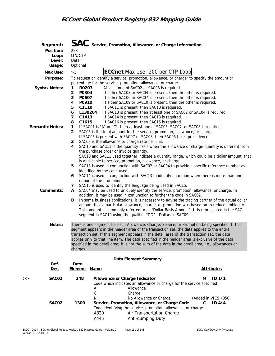| <b>Syntax Notes:</b>   | Segment:<br>Position:<br>Loop:<br>Level:<br>Usage:<br>Max Use:<br>Purpose: | 228<br>LIN/CTP<br>Detail<br>Optional<br>>1<br>R0203<br>1<br>$\overline{a}$<br>P0304<br>3<br>P0607       |                                                          | $\mathbf{SAC}\;$ Service, Promotion, Allowance, or Charge Information<br><b>ECCnet Max Use: 200 per CTP Loop</b><br>To request or identify a service, promotion, allowance, or charge; to specify the amount or<br>percentage for the service, promotion, allowance, or charge<br>At least one of SAC02 or SAC03 is required.<br>If either SAC03 or SAC04 is present, then the other is required.<br>If either SAC06 or SAC07 is present, then the other is required.                                                                                                                                                                                                                                                                                                                                                                                                                               |                                                                         |  |
|------------------------|----------------------------------------------------------------------------|---------------------------------------------------------------------------------------------------------|----------------------------------------------------------|-----------------------------------------------------------------------------------------------------------------------------------------------------------------------------------------------------------------------------------------------------------------------------------------------------------------------------------------------------------------------------------------------------------------------------------------------------------------------------------------------------------------------------------------------------------------------------------------------------------------------------------------------------------------------------------------------------------------------------------------------------------------------------------------------------------------------------------------------------------------------------------------------------|-------------------------------------------------------------------------|--|
| <b>Semantic Notes:</b> | 8<br>$\mathbf{1}$                                                          | P0910<br>4<br>C1110<br>5<br>6<br>L130204<br>7<br>C1413<br>C <sub>1615</sub><br>$\overline{2}$<br>3<br>4 |                                                          | If either SAC09 or SAC10 is present, then the other is required.<br>If SAC11 is present, then SAC10 is required.<br>If SAC13 is present, then at least one of SAC02 or SAC04 is required.<br>If SAC14 is present, then SAC13 is required.<br>If SAC16 is present, then SAC15 is required.<br>If SAC01 is "A" or "C", then at least one of SAC05, SAC07, or SAC08 is required.<br>SAC05 is the total amount for the service, promotion, allowance, or charge.<br>If SAC05 is present with SAC07 or SAC08, then SAC05 takes precedence.<br>SAC08 is the allowance or charge rate per unit.<br>SAC10 and SAC11 is the quantity basis when the allowance or charge quantity is different from<br>the purchase order or invoice quantity.<br>SAC10 and SAC11 used together indicate a quantity range, which could be a dollar amount, that<br>is applicable to service, promotion, allowance, or charge. |                                                                         |  |
|                        | Comments:                                                                  | 5<br>6<br>7<br>A<br>В                                                                                   | identified by the code used.<br>option of the promotion. | SAC13 is used in conjunction with SAC02 or SAC04 to provide a specific reference number as<br>SAC14 is used in conjunction with SAC13 to identify an option when there is more than one<br>SAC16 is used to identify the language being used in SAC15.<br>SAC04 may be used to uniquely identify the service, promotion, allowance, or charge. In<br>addition, it may be used in conjunction to further the code in SAC02.<br>In some business applications, it is necessary to advise the trading partner of the actual dollar<br>amount that a particular allowance, charge, or promotion was based on to reduce ambiguity.<br>This amount is commonly referred to as "Dollar Basis Amount". It is represented in the SAC<br>segment in SAC10 using the qualifier "DO" - Dollars in SAC09.                                                                                                        |                                                                         |  |
|                        | Notes:                                                                     | charges.                                                                                                |                                                          | There is one segment for each Allowance, Charge, Service, or Promotion being specified. If this<br>segment appears in the header area of the transaction set, the data applies to the entire<br>transaction set. If this segment appears in the detail area of the transaction set, the data<br>applies only to that line item. The data specified in the header area is exclusive of the data<br>specified in the detail area; it is not the sum of the data in the detail area, i.e., allowances or                                                                                                                                                                                                                                                                                                                                                                                               |                                                                         |  |
|                        | Ref.                                                                       | Data                                                                                                    |                                                          | Data Element Summary                                                                                                                                                                                                                                                                                                                                                                                                                                                                                                                                                                                                                                                                                                                                                                                                                                                                                |                                                                         |  |
|                        | Des.                                                                       | <b>Element</b>                                                                                          | <b>Name</b>                                              |                                                                                                                                                                                                                                                                                                                                                                                                                                                                                                                                                                                                                                                                                                                                                                                                                                                                                                     | <b>Attributes</b>                                                       |  |
| >>                     | SAC01<br>SAC02                                                             | 248<br>1300                                                                                             | Α<br>С<br>N                                              | Allowance or Charge Indicator<br>Code which indicates an allowance or charge for the service specified<br>Allowance<br>Charge<br>No Allowance or Charge<br>Service, Promotion, Allowance, or Charge Code                                                                                                                                                                                                                                                                                                                                                                                                                                                                                                                                                                                                                                                                                            | ID <sub>1/1</sub><br>м<br>(Added in VICS 4050)<br>$\mathbf{C}$<br>ID4/4 |  |
|                        |                                                                            |                                                                                                         | A320<br>A445                                             | Code identifying the service, promotion, allowance, or charge<br>Air Transportation Charge<br>Anti-dumping Duty                                                                                                                                                                                                                                                                                                                                                                                                                                                                                                                                                                                                                                                                                                                                                                                     |                                                                         |  |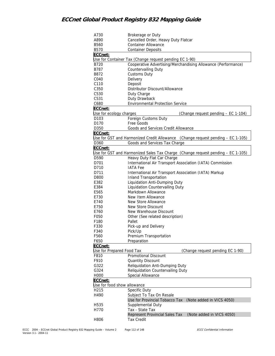| A730                        | Brokerage or Duty                                                               |
|-----------------------------|---------------------------------------------------------------------------------|
| A890                        | Cancelled Order, Heavy Duty Flatcar                                             |
| B560                        | <b>Container Allowance</b>                                                      |
| B570                        | <b>Container Deposits</b>                                                       |
| ECCnet:                     |                                                                                 |
|                             | Use for Container Tax (Change request pending EC 1-90)                          |
| B720                        | Cooperative Advertising/Merchandising Allowance (Performance)                   |
| B787                        | Countervailing Duty                                                             |
| B872                        | <b>Customs Duty</b>                                                             |
| C040                        |                                                                                 |
| C110                        | Delivery                                                                        |
|                             | Deposit                                                                         |
| C350                        | Distributor Discount/Allowance                                                  |
| C530                        | Duty Charge                                                                     |
| C531                        | Duty Drawback                                                                   |
| C680                        | <b>Environmental Protection Service</b>                                         |
| ECCnet:                     |                                                                                 |
| Use for ecology charges     | (Change request pending - EC 1-104)                                             |
| D <sub>103</sub>            | Foreign Customs Duty                                                            |
| D170                        | Free Goods                                                                      |
| D350                        | Goods and Services Credit Allowance                                             |
| ECCnet:                     |                                                                                 |
|                             | Use for GST and Harmonized Credit Allowance (Change request pending - EC 1-105) |
| D360                        | Goods and Services Tax Charge                                                   |
| ECCnet:                     |                                                                                 |
|                             | Use for GST and Harmonized Sales Tax Charge (Change request pending – EC 1-105) |
| D590                        | Heavy Duty Flat Car Charge                                                      |
| D701                        | International Air Transport Association (IATA) Commission                       |
| D710                        | <b>IATA Fee</b>                                                                 |
| D711                        | International Air Transport Association (IATA) Markup                           |
| D800                        | <b>Inland Transportation</b>                                                    |
| E382                        | Liquidation Anti-Dumping Duty                                                   |
| E384                        | Liquidation Countervailing Duty                                                 |
| E565                        | Markdown Allowance                                                              |
| E730                        | New Item Allowance                                                              |
| E740                        |                                                                                 |
|                             | New Store Allowance                                                             |
| E750                        | New Store Discount                                                              |
| E760                        | New Warehouse Discount                                                          |
| F050                        | Other (See related description)                                                 |
| F180                        | Pallet                                                                          |
| F330                        | Pick-up and Delivery                                                            |
| F340                        | Pick/Up                                                                         |
| F560                        | Premium Transportation                                                          |
| F650                        | Preparation                                                                     |
| ECCnet:                     |                                                                                 |
| Use for Prepared Food Tax   | (Change request pending EC 1-90)                                                |
| F810                        | Promotional Discount                                                            |
| F910                        | <b>Quantity Discount</b>                                                        |
| G322                        | Reliquidation Anti-Dumping Duty                                                 |
| G324                        | Reliquidation Countervailing Duty                                               |
| H000                        | Special Allowance                                                               |
| ECCnet:                     |                                                                                 |
| Use for food show allowance |                                                                                 |
| H215                        | Specific Duty                                                                   |
| H490                        | Subject To Tax On Resale                                                        |
|                             | Use for Provincial Tobacco Tax<br>(Note added in VICS 4050)                     |
| H <sub>535</sub>            | Supplemental Duty                                                               |
| H770                        | Tax - State Tax                                                                 |
|                             |                                                                                 |
|                             | Represent Provincial Sales Tax<br>(Note added in VICS 4050)                     |
| H806                        | <b>Tax Credit</b>                                                               |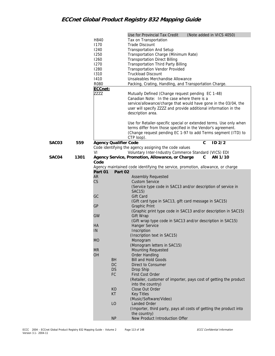|       |      | H840<br>1170<br>1240<br>1250<br>1260<br>1270<br>1280<br>1310<br>1410 |            | Use for Provincial Tax Credit<br>Tax on Transportation<br><b>Trade Discount</b><br><b>Transportation And Setup</b><br>Transportation Charge (Minimum Rate)<br><b>Transportation Direct Billing</b><br><b>Transportation Third Party Billing</b><br><b>Transportation Vendor Provided</b><br><b>Truckload Discount</b><br>Unsaleables Merchandise Allowance | (Note added in VICS 4050) |            |
|-------|------|----------------------------------------------------------------------|------------|------------------------------------------------------------------------------------------------------------------------------------------------------------------------------------------------------------------------------------------------------------------------------------------------------------------------------------------------------------|---------------------------|------------|
|       |      | R080                                                                 |            | Packing, Crating, Handling, and Transportation Charge.                                                                                                                                                                                                                                                                                                     |                           |            |
|       |      | ECCnet:<br>ZZZZ                                                      |            | Mutually Defined (Change request pending EC 1-48)<br>Canadian Note: In the case where there is a<br>service/allowance/charge that would have gone in the 03/04, the<br>user will specify ZZZZ and provide additional information in the<br>description area.                                                                                               |                           |            |
|       |      |                                                                      |            | Use for Retailer-specific special or extended terms. Use only when<br>terms differ from those specified in the Vendor's agreement.<br>(Change request pending EC 1-97 to add Terms segment (ITD) to<br>CTP loop).                                                                                                                                          |                           |            |
| SAC03 | 559  | <b>Agency Qualifier Code</b>                                         |            |                                                                                                                                                                                                                                                                                                                                                            | $\mathbf C$               | $ID$ $2/2$ |
|       |      |                                                                      |            | Code identifying the agency assigning the code values                                                                                                                                                                                                                                                                                                      |                           |            |
|       |      | VI                                                                   |            | Voluntary Inter-Industry Commerce Standard (VICS) EDI                                                                                                                                                                                                                                                                                                      |                           |            |
| SAC04 | 1301 | Code                                                                 |            | Agency Service, Promotion, Allowance, or Charge                                                                                                                                                                                                                                                                                                            | C                         | AN 1/10    |
|       |      |                                                                      |            | Agency maintained code identifying the service, promotion, allowance, or charge                                                                                                                                                                                                                                                                            |                           |            |
|       |      | Part 01                                                              | Part 02    |                                                                                                                                                                                                                                                                                                                                                            |                           |            |
|       |      | AR                                                                   |            | <b>Assembly Requested</b>                                                                                                                                                                                                                                                                                                                                  |                           |            |
|       |      | CS                                                                   |            | <b>Custom Service</b>                                                                                                                                                                                                                                                                                                                                      |                           |            |
|       |      |                                                                      |            | (Service type code in SAC13 and/or description of service in                                                                                                                                                                                                                                                                                               |                           |            |
|       |      |                                                                      |            | SAC15)                                                                                                                                                                                                                                                                                                                                                     |                           |            |
|       |      | GC                                                                   |            | <b>Gift Card</b>                                                                                                                                                                                                                                                                                                                                           |                           |            |
|       |      | <b>GP</b>                                                            |            | (Gift card type in SAC13, gift card message in SAC15)<br><b>Graphic Print</b>                                                                                                                                                                                                                                                                              |                           |            |
|       |      |                                                                      |            | (Graphic print type code in SAC13 and/or description in SAC15)                                                                                                                                                                                                                                                                                             |                           |            |
|       |      | GW                                                                   |            | Gift Wrap                                                                                                                                                                                                                                                                                                                                                  |                           |            |
|       |      |                                                                      |            | (Gift wrap type code in SAC13 and/or description in SAC15)                                                                                                                                                                                                                                                                                                 |                           |            |
|       |      | НA                                                                   |            | Hanger Service                                                                                                                                                                                                                                                                                                                                             |                           |            |
|       |      | IN                                                                   |            | Inscription                                                                                                                                                                                                                                                                                                                                                |                           |            |
|       |      |                                                                      |            | (Inscription text in SAC15)                                                                                                                                                                                                                                                                                                                                |                           |            |
|       |      | <b>MO</b>                                                            |            | Monogram<br>(Monogram letters in SAC15)                                                                                                                                                                                                                                                                                                                    |                           |            |
|       |      | <b>MR</b>                                                            |            | <b>Mounting Requested</b>                                                                                                                                                                                                                                                                                                                                  |                           |            |
|       |      | <b>OH</b>                                                            |            | <b>Order Handling</b>                                                                                                                                                                                                                                                                                                                                      |                           |            |
|       |      |                                                                      | <b>BH</b>  | <b>Bill and Hold Goods</b>                                                                                                                                                                                                                                                                                                                                 |                           |            |
|       |      |                                                                      | DC         | Direct to Consumer                                                                                                                                                                                                                                                                                                                                         |                           |            |
|       |      |                                                                      | <b>DS</b>  | Drop Ship                                                                                                                                                                                                                                                                                                                                                  |                           |            |
|       |      |                                                                      | ${\sf FC}$ | First Cost Order                                                                                                                                                                                                                                                                                                                                           |                           |            |
|       |      |                                                                      |            | (Retailer, customer of importer, pays cost of getting the product<br>into the country)                                                                                                                                                                                                                                                                     |                           |            |
|       |      |                                                                      | KO         | Close Out Order                                                                                                                                                                                                                                                                                                                                            |                           |            |
|       |      |                                                                      | <b>KT</b>  | <b>Key Titles</b>                                                                                                                                                                                                                                                                                                                                          |                           |            |
|       |      |                                                                      |            | (Music/Software/Video)                                                                                                                                                                                                                                                                                                                                     |                           |            |
|       |      |                                                                      | LO         | Landed Order                                                                                                                                                                                                                                                                                                                                               |                           |            |
|       |      |                                                                      |            | (Importer, third party, pays all costs of getting the product into                                                                                                                                                                                                                                                                                         |                           |            |
|       |      |                                                                      | <b>NP</b>  | the country)<br>New Product Introduction Offer                                                                                                                                                                                                                                                                                                             |                           |            |
|       |      |                                                                      |            |                                                                                                                                                                                                                                                                                                                                                            |                           |            |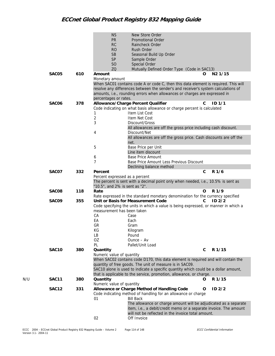|     |       |     | <b>NS</b>                      | New Store Order                                                                     |   |                     |
|-----|-------|-----|--------------------------------|-------------------------------------------------------------------------------------|---|---------------------|
|     |       |     | <b>PR</b>                      | Promotional Order                                                                   |   |                     |
|     |       |     | RC                             | Raincheck Order                                                                     |   |                     |
|     |       |     |                                |                                                                                     |   |                     |
|     |       |     | <b>RO</b>                      | Rush Order                                                                          |   |                     |
|     |       |     | <b>SB</b>                      | Seasonal Build Up Order                                                             |   |                     |
|     |       |     | <b>SP</b>                      | Sample Order                                                                        |   |                     |
|     |       |     | S <sub>O</sub>                 | Special Order                                                                       |   |                     |
|     |       |     | ZQ                             | Mutually Defined Order Type (Code in SAC13)                                         |   |                     |
|     | SAC05 | 610 | Amount                         |                                                                                     | O | N <sub>2</sub> 1/15 |
|     |       |     | Monetary amount                |                                                                                     |   |                     |
|     |       |     |                                | When SAC01 contains code A or code C, then this data element is required. This will |   |                     |
|     |       |     |                                | resolve any differences between the sender's and receiver's system calculations of  |   |                     |
|     |       |     |                                | amounts, i.e., rounding errors when allowances or charges are expressed in          |   |                     |
|     |       |     | percentages or rates.          |                                                                                     |   |                     |
|     | SAC06 | 378 |                                | Allowance/Charge Percent Qualifier                                                  | C | ID <sub>1/1</sub>   |
|     |       |     |                                | Code indicating on what basis allowance or charge percent is calculated             |   |                     |
|     |       |     | 1                              | Item List Cost                                                                      |   |                     |
|     |       |     | $\sqrt{2}$                     | Item Net Cost                                                                       |   |                     |
|     |       |     | 3                              | Discount/Gross                                                                      |   |                     |
|     |       |     |                                | All allowances are off the gross price including cash discount.                     |   |                     |
|     |       |     | 4                              | Discount/Net                                                                        |   |                     |
|     |       |     |                                | All allowances are off the gross price. Cash discounts are off the                  |   |                     |
|     |       |     |                                | net.                                                                                |   |                     |
|     |       |     |                                |                                                                                     |   |                     |
|     |       |     | 5                              | Base Price per Unit<br>Line item discount                                           |   |                     |
|     |       |     |                                | <b>Base Price Amount</b>                                                            |   |                     |
|     |       |     | 6                              |                                                                                     |   |                     |
|     |       |     | $\overline{7}$                 | Base Price Amount Less Previous Discount                                            |   |                     |
|     |       |     |                                | Declining balance method                                                            |   |                     |
|     | SAC07 | 332 | Percent                        |                                                                                     | С | R 1/6               |
|     |       |     | Percent expressed as a percent |                                                                                     |   |                     |
|     |       |     |                                | The percent is sent with a decimal point only when needed, i.e., 10.5% is sent as   |   |                     |
|     |       |     | "10.5", and 2% is sent as "2". |                                                                                     |   |                     |
|     | SAC08 | 118 | Rate                           |                                                                                     | O | R 1/9               |
|     |       |     |                                | Rate expressed in the standard monetary denomination for the currency specified     |   |                     |
|     | SAC09 | 355 |                                | Unit or Basis for Measurement Code                                                  | C | ID2/2               |
|     |       |     |                                | Code specifying the units in which a value is being expressed, or manner in which a |   |                     |
|     |       |     | measurement has been taken     |                                                                                     |   |                     |
|     |       |     | CA                             | Case                                                                                |   |                     |
|     |       |     | EA                             | Each                                                                                |   |                     |
|     |       |     | GR                             | Gram                                                                                |   |                     |
|     |       |     | KG                             | Kilogram                                                                            |   |                     |
|     |       |     | LB                             | Pound                                                                               |   |                     |
|     |       |     | OZ                             | $O$ unce $-$ Av                                                                     |   |                     |
|     |       |     | PL                             | Pallet/Unit Load                                                                    |   |                     |
|     | SAC10 | 380 | Quantity                       |                                                                                     | C | R 1/15              |
|     |       |     | Numeric value of quantity      |                                                                                     |   |                     |
|     |       |     |                                | When SAC02 contains code D170, this data element is required and will contain the   |   |                     |
|     |       |     |                                | quantity of free goods. The unit of measure is in SAC09.                            |   |                     |
|     |       |     |                                | SAC10 alone is used to indicate a specific quantity which could be a dollar amount, |   |                     |
|     |       |     |                                | that is applicable to the service, promotion, allowance, or charge.                 |   |                     |
| N/U | SAC11 | 380 | Quantity                       |                                                                                     | O | R 1/15              |
|     |       |     | Numeric value of quantity      |                                                                                     |   |                     |
|     | SAC12 | 331 |                                | Allowance or Charge Method of Handling Code                                         | O | ID <sub>2/2</sub>   |
|     |       |     |                                | Code indicating method of handling for an allowance or charge                       |   |                     |
|     |       |     | 01                             | <b>Bill Back</b>                                                                    |   |                     |
|     |       |     |                                | The allowance or charge amount will be adjudicated as a separate                    |   |                     |
|     |       |     |                                | item, i.e., a debit/credit memo or a separate invoice. The amount                   |   |                     |
|     |       |     |                                | will not be reflected in the invoice total amount.                                  |   |                     |
|     |       |     | 02                             | Off Invoice                                                                         |   |                     |
|     |       |     |                                |                                                                                     |   |                     |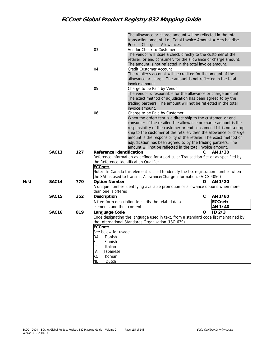|     |                   |     |                            | The allowance or charge amount will be reflected in the total                        |                        |  |
|-----|-------------------|-----|----------------------------|--------------------------------------------------------------------------------------|------------------------|--|
|     |                   |     |                            | transaction amount, i.e., Total Invoice Amount = Merchandise                         |                        |  |
|     |                   |     |                            | Price + Charges - Allowances.                                                        |                        |  |
|     |                   |     | 03                         | Vendor Check to Customer                                                             |                        |  |
|     |                   |     |                            | The vendor will issue a check directly to the customer of the                        |                        |  |
|     |                   |     |                            | retailer, or end consumer, for the allowance or charge amount.                       |                        |  |
|     |                   |     |                            | The amount is not reflected in the total invoice amount.                             |                        |  |
|     |                   |     | 04                         | Credit Customer Account                                                              |                        |  |
|     |                   |     |                            | The retailer's account will be credited for the amount of the                        |                        |  |
|     |                   |     |                            | allowance or charge. The amount is not reflected in the total                        |                        |  |
|     |                   |     |                            | invoice amount.                                                                      |                        |  |
|     |                   |     | 05                         | Charge to be Paid by Vendor                                                          |                        |  |
|     |                   |     |                            | The vendor is responsible for the allowance or charge amount.                        |                        |  |
|     |                   |     |                            | The exact method of adjudication has been agreed to by the                           |                        |  |
|     |                   |     |                            | trading partners. The amount will not be reflected in the total                      |                        |  |
|     |                   |     |                            | invoice amount.                                                                      |                        |  |
|     |                   |     | 06                         | Charge to be Paid by Customer                                                        |                        |  |
|     |                   |     |                            | When the order/item is a direct ship to the customer, or end                         |                        |  |
|     |                   |     |                            | consumer of the retailer, the allowance or charge amount is the                      |                        |  |
|     |                   |     |                            | responsibility of the customer or end consumer. If it is not a drop                  |                        |  |
|     |                   |     |                            | ship to the customer of the retailer, then the allowance or charge                   |                        |  |
|     |                   |     |                            | amount is the responsibility of the retailer. The exact method of                    |                        |  |
|     |                   |     |                            | adjudication has been agreed to by the trading partners. The                         |                        |  |
|     |                   |     |                            | amount will not be reflected in the total invoice amount.                            |                        |  |
|     | SAC13             | 127 | Reference Identification   |                                                                                      | AN 1/30<br>C.          |  |
|     |                   |     |                            | Reference information as defined for a particular Transaction Set or as specified by |                        |  |
|     |                   |     |                            | the Reference Identification Qualifier                                               |                        |  |
|     |                   |     | ECCnet:                    |                                                                                      |                        |  |
|     |                   |     |                            | Note: In Canada this element is used to identify the tax registration number when    |                        |  |
|     |                   |     |                            | the SAC is used to transmit Allowance/Charge information. (VICS 4050)                |                        |  |
| N/U | SAC14             | 770 | <b>Option Number</b>       |                                                                                      | O<br>AN 1/20           |  |
|     |                   |     |                            | A unique number identifying available promotion or allowance options when more       |                        |  |
|     |                   |     | than one is offered        |                                                                                      |                        |  |
|     | SAC <sub>15</sub> | 352 | Description                |                                                                                      | С<br>AN 1/80           |  |
|     |                   |     |                            | A free-form description to clarify the related data                                  | ECCnet:                |  |
|     |                   |     | elements and their content |                                                                                      | AN 1/40                |  |
|     | SAC <sub>16</sub> | 819 | Language Code              |                                                                                      | ID <sub>2/3</sub><br>O |  |
|     |                   |     |                            | Code designating the language used in text, from a standard code list maintained by  |                        |  |
|     |                   |     |                            | the International Standards Organization (ISO 639)                                   |                        |  |
|     |                   |     | ECCnet:                    |                                                                                      |                        |  |
|     |                   |     | See below for usage.       |                                                                                      |                        |  |
|     |                   |     | DA<br>Danish               |                                                                                      |                        |  |
|     |                   |     | FL<br>Finnish              |                                                                                      |                        |  |
|     |                   |     | ΙT<br>Italian              |                                                                                      |                        |  |
|     |                   |     | JA<br>Japanese             |                                                                                      |                        |  |
|     |                   |     | КO<br>Korean               |                                                                                      |                        |  |
|     |                   |     | NL<br>Dutch                |                                                                                      |                        |  |
|     |                   |     |                            |                                                                                      |                        |  |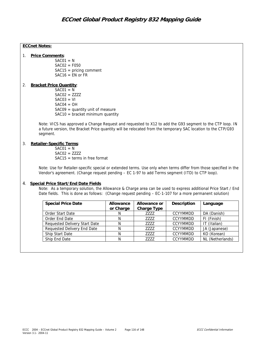### **ECCnet Notes:**

1. **Price Comments**:

 $SAC01 = N$  $SAC02 = F050$  SAC15 = pricing comment  $SAC16 = EN$  or FR

#### 2. **Bracket Price Quantity**:

 $SAC01 = N$  $SAC02 = ZZZ$  $SAC03 = VI$  $SAC04 = OH$  $SAC09 =$  quantity unit of measure  $SAC10 = bracket$  minimum quantity

Note: VICS has approved a Change Request and requested to X12 to add the G93 segment to the CTP loop. IN a future version, the Bracket Price quantity will be relocated from the temporary SAC location to the CTP/G93 segment.

### 3. **Retailer-Specific Terms**:

 $SAC01 = N$  $SAC02 = ZZZ$  $SAC15 =$  terms in free format

Note: Use for Retailer-specific special or extended terms. Use only when terms differ from those specified in the Vendor's agreement. (Change request pending – EC 1-97 to add Terms segment (ITD) to CTP loop).

### 4. **Special Price Start/End Date Fields**

Note: As a temporary solution, the Allowance & Charge area can be used to express additional Price Start / End Date fields. This is done as follows: (Change request pending – EC-1-107 for a more permanent solution)

| <b>Special Price Date</b>     | Allowance<br>or Charge | Allowance or<br>Charge Type | Description     | Language         |
|-------------------------------|------------------------|-----------------------------|-----------------|------------------|
| Order Start Date              | N                      | 7777                        | <b>CCYYMMDD</b> | DA (Danish)      |
| Order End Date                |                        | 7777                        | <b>CCYYMMDD</b> | FI (Finish)      |
| Requested Delivery Start Date |                        | 7777                        | <b>CCYYMMDD</b> | IT (Italian)     |
| Requested Delivery End Date   | Ν                      | 7777                        | <b>CCYYMMDD</b> | JA (Japanese)    |
| Ship Start Date               | N                      | 7777                        | <b>CCYYMMDD</b> | KO (Korean)      |
| Ship End Date                 | N                      | 7777                        | <b>CCYYMMDD</b> | NL (Netherlands) |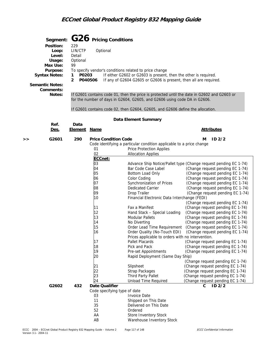|    | Segment:               |                                         |                | G26 Pricing Conditions                                                                                                                |                                                                                                      |  |  |  |  |
|----|------------------------|-----------------------------------------|----------------|---------------------------------------------------------------------------------------------------------------------------------------|------------------------------------------------------------------------------------------------------|--|--|--|--|
|    | Position:              | 229                                     |                |                                                                                                                                       |                                                                                                      |  |  |  |  |
|    | Loop:                  | LIN/CTP                                 | Optional       |                                                                                                                                       |                                                                                                      |  |  |  |  |
|    | Level:                 | Detail                                  |                |                                                                                                                                       |                                                                                                      |  |  |  |  |
|    | Usage:                 | Optional                                |                |                                                                                                                                       |                                                                                                      |  |  |  |  |
|    | Max Use:               | 99                                      |                |                                                                                                                                       |                                                                                                      |  |  |  |  |
|    | Purpose:               |                                         |                | To specify vendor's conditions related to price change                                                                                |                                                                                                      |  |  |  |  |
|    | <b>Syntax Notes:</b>   | P0203<br>1<br>$\overline{2}$<br>P040506 |                | If either G2602 or G2603 is present, then the other is required.<br>If any of G2604 G2605 or G2606 is present, then all are required. |                                                                                                      |  |  |  |  |
|    | <b>Semantic Notes:</b> |                                         |                |                                                                                                                                       |                                                                                                      |  |  |  |  |
|    | Comments:              |                                         |                |                                                                                                                                       |                                                                                                      |  |  |  |  |
|    | Notes:                 |                                         |                | If G2601 contains code 01, then the price is protected until the date in G2602 and G2603 or                                           |                                                                                                      |  |  |  |  |
|    |                        |                                         |                | for the number of days in G2604, G2605, and G2606 using code DA in G2606.                                                             |                                                                                                      |  |  |  |  |
|    |                        |                                         |                |                                                                                                                                       |                                                                                                      |  |  |  |  |
|    |                        |                                         |                | If G2601 contains code 02, then G2604, G2605, and G2606 define the allocation.                                                        |                                                                                                      |  |  |  |  |
|    |                        |                                         |                | Data Element Summary                                                                                                                  |                                                                                                      |  |  |  |  |
|    | Ref.                   | Data                                    |                |                                                                                                                                       |                                                                                                      |  |  |  |  |
|    | Des.                   | <b>Element</b>                          | <u>Name</u>    |                                                                                                                                       | <b>Attributes</b>                                                                                    |  |  |  |  |
| >> | G2601                  | 290                                     |                | <b>Price Condition Code</b>                                                                                                           | ID2/2<br>м                                                                                           |  |  |  |  |
|    |                        |                                         |                | Code identifying a particular condition applicable to a price change                                                                  |                                                                                                      |  |  |  |  |
|    |                        |                                         | 01             | Price Protection Applies                                                                                                              |                                                                                                      |  |  |  |  |
|    |                        |                                         | 02             | <b>Allocation Applies</b>                                                                                                             |                                                                                                      |  |  |  |  |
|    |                        |                                         | ECCnet:        |                                                                                                                                       |                                                                                                      |  |  |  |  |
|    |                        |                                         | 03<br>04       | Bar Code Case Label                                                                                                                   | Advance Ship Notice/Pallet type (Change request pending EC 1-74)<br>(Change request pending EC 1-74) |  |  |  |  |
|    |                        |                                         | 05             | Bottom Load Only                                                                                                                      | (Change request pending EC 1-74)                                                                     |  |  |  |  |
|    |                        |                                         | 06             | Color Coding                                                                                                                          | (Change request pending EC 1-74)                                                                     |  |  |  |  |
|    |                        |                                         | 07             | Synchronization of Prices                                                                                                             | (Change request pending EC 1-74)                                                                     |  |  |  |  |
|    |                        |                                         | 08             | Dedicated Carrier                                                                                                                     | (Change request pending EC 1-74)                                                                     |  |  |  |  |
|    |                        |                                         | 09             | Drop Trailer                                                                                                                          | (Change request pending EC 1-74)                                                                     |  |  |  |  |
|    |                        |                                         | 10             | Financial Electronic Data Interchange (FEDI)                                                                                          |                                                                                                      |  |  |  |  |
|    |                        |                                         |                |                                                                                                                                       | (Change request pending EC 1-74)                                                                     |  |  |  |  |
|    |                        |                                         | 11             | Fax a Manifest                                                                                                                        | (Change request pending EC 1-74)                                                                     |  |  |  |  |
|    |                        |                                         | 12             | Hand Stack - Special Loading                                                                                                          | (Change request pending EC 1-74)                                                                     |  |  |  |  |
|    |                        |                                         | 13             | <b>Modular Pallets</b>                                                                                                                | (Change request pending EC 1-74)                                                                     |  |  |  |  |
|    |                        |                                         | 14             | No Diverting                                                                                                                          | (Change request pending EC 1-74)                                                                     |  |  |  |  |
|    |                        |                                         | 15             | Order Lead Time Requirement                                                                                                           | (Change request pending EC 1-74)                                                                     |  |  |  |  |
|    |                        |                                         | 16             | Order Quality (No-Touch EDI)                                                                                                          | (Change request pending EC 1-74)                                                                     |  |  |  |  |
|    |                        |                                         | 17             | Prices applicable to orders with no intervention.<br>Pallet Placards                                                                  | (Change request pending EC 1-74)                                                                     |  |  |  |  |
|    |                        |                                         | 18             | Pick and Pack                                                                                                                         | (Change request pending EC 1-74)                                                                     |  |  |  |  |
|    |                        |                                         | 19             | Pre-set Appointments                                                                                                                  | (Change request pending EC 1-74)                                                                     |  |  |  |  |
|    |                        |                                         | 20             | Rapid Deployment (Same Day Ship)                                                                                                      |                                                                                                      |  |  |  |  |
|    |                        |                                         |                |                                                                                                                                       | (Change request pending EC 1-74)                                                                     |  |  |  |  |
|    |                        |                                         | 21             | Slipsheet                                                                                                                             | (Change request pending EC 1-74)                                                                     |  |  |  |  |
|    |                        |                                         | 22             | Strap Packages                                                                                                                        | (Change request pending EC 1-74)                                                                     |  |  |  |  |
|    |                        |                                         | 23             | Third Party Pallet                                                                                                                    | (Change request pending EC 1-74)                                                                     |  |  |  |  |
|    |                        |                                         | 24             | <b>Unload Time Required</b>                                                                                                           | (Change request pending EC 1-74)                                                                     |  |  |  |  |
|    | G2602                  | 432                                     | Date Qualifier |                                                                                                                                       | ID <sub>2/2</sub><br>C                                                                               |  |  |  |  |
|    |                        |                                         |                | Code specifying type of date                                                                                                          |                                                                                                      |  |  |  |  |
|    |                        |                                         | 03             | <b>Invoice Date</b>                                                                                                                   |                                                                                                      |  |  |  |  |
|    |                        |                                         | 11<br>35       | Shipped on This Date<br>Delivered on This Date                                                                                        |                                                                                                      |  |  |  |  |
|    |                        |                                         | 52             | Ordered                                                                                                                               |                                                                                                      |  |  |  |  |
|    |                        |                                         | AA             | Store Inventory Stock                                                                                                                 |                                                                                                      |  |  |  |  |
|    |                        |                                         | AB             | Warehouse Inventory Stock                                                                                                             |                                                                                                      |  |  |  |  |
|    |                        |                                         |                |                                                                                                                                       |                                                                                                      |  |  |  |  |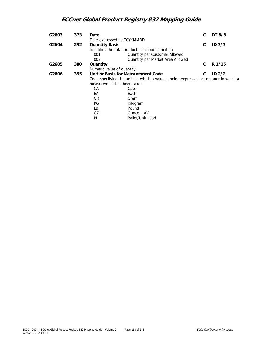| G2603 | 373 | Date                       |                                                                                     | C | DT 8/8            |
|-------|-----|----------------------------|-------------------------------------------------------------------------------------|---|-------------------|
|       |     | Date expressed as CCYYMMDD |                                                                                     |   |                   |
| G2604 | 292 | <b>Quantity Basis</b>      |                                                                                     | C | ID <sub>3/3</sub> |
|       |     |                            | Identifies the total product allocation condition                                   |   |                   |
|       |     | 001                        | Quantity per Customer Allowed                                                       |   |                   |
|       |     | 002                        | Quantity per Market Area Allowed                                                    |   |                   |
| G2605 | 380 | Quantity                   |                                                                                     | C | R 1/15            |
|       |     | Numeric value of quantity  |                                                                                     |   |                   |
| G2606 | 355 |                            | Unit or Basis for Measurement Code                                                  | C | ID <sub>2/2</sub> |
|       |     |                            | Code specifying the units in which a value is being expressed, or manner in which a |   |                   |
|       |     | measurement has been taken |                                                                                     |   |                   |
|       |     | СA                         | Case                                                                                |   |                   |
|       |     | EA                         | Each                                                                                |   |                   |
|       |     | GR                         | Gram                                                                                |   |                   |
|       |     | КG                         | Kilogram                                                                            |   |                   |
|       |     | LВ                         | Pound                                                                               |   |                   |
|       |     | OZ.                        | Ounce - AV                                                                          |   |                   |
|       |     | PL                         | Pallet/Unit Load                                                                    |   |                   |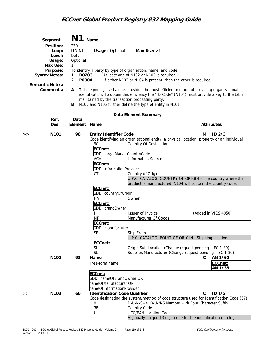| Segment:<br>Position:<br>Loop:<br>Level:<br>Usage:<br>Max Use:<br>Purpose:<br><b>Syntax Notes:</b><br><b>Semantic Notes:</b><br>Comments: | N1<br>230<br>LIN/N1<br>Detail<br>Optional<br>1<br>1<br>$\overline{2}$<br>A<br>В | Name<br>R0203<br>P0304                                                                                                                 | <b>Usage: Optional</b>                                                                                                                                             | Max Use: $>1$<br>To identify a party by type of organization, name, and code<br>At least one of N102 or N103 is required.<br>If either N103 or N104 is present, then the other is required.<br>This segment, used alone, provides the most efficient method of providing organizational<br>identification. To obtain this efficiency the "ID Code" (N104) must provide a key to the table<br>maintained by the transaction processing party.<br>N105 and N106 further define the type of entity in N101.                                    |                                                |  |
|-------------------------------------------------------------------------------------------------------------------------------------------|---------------------------------------------------------------------------------|----------------------------------------------------------------------------------------------------------------------------------------|--------------------------------------------------------------------------------------------------------------------------------------------------------------------|---------------------------------------------------------------------------------------------------------------------------------------------------------------------------------------------------------------------------------------------------------------------------------------------------------------------------------------------------------------------------------------------------------------------------------------------------------------------------------------------------------------------------------------------|------------------------------------------------|--|
|                                                                                                                                           |                                                                                 |                                                                                                                                        |                                                                                                                                                                    | Data Element Summary                                                                                                                                                                                                                                                                                                                                                                                                                                                                                                                        |                                                |  |
| Ref.<br>Des.                                                                                                                              | Data<br><b>Element Name</b>                                                     |                                                                                                                                        |                                                                                                                                                                    |                                                                                                                                                                                                                                                                                                                                                                                                                                                                                                                                             | <b>Attributes</b>                              |  |
| N <sub>101</sub><br>>>                                                                                                                    | 98                                                                              | 9C<br>ECCnet:<br><b>ACV</b><br>ECCnet:<br>СT<br>ECCnet:<br>HA<br>ECCnet:<br>$\mathbf{H}$<br>MF<br>ECCnet:<br>SF<br>ECCnet:<br>SL<br>SU | <b>Entity Identifier Code</b><br>GDD: targetMarketCountryCode<br>GDD: informationProvider<br>GDD: countryOfOrigin<br>Owner<br>GDD: brandOwner<br>GDD: manufacturer | Code identifying an organizational entity, a physical location, property or an individual<br>Country Of Destination<br><b>Information Source</b><br>Country of Origin<br>U.P.C. CATALOG: COUNTRY OF ORIGIN - The country where the<br>product is manufactured. N104 will contain the country code.<br>Issuer of Invoice<br>Manufacturer Of Goods<br>Ship From<br>U.P.C. CATALOG: POINT OF ORIGIN - Shipping location.<br>Origin Sub Location (Change request pending - EC 1-80)<br>Supplier/Manufacturer (Change request pending - EC 1-80) | ID <sub>2/3</sub><br>м<br>(Added in VICS 4050) |  |
| N <sub>102</sub>                                                                                                                          | 93                                                                              | Name<br>Free-form name<br>ECCnet:                                                                                                      | GDD: nameOfBrandOwner OR<br>nameOfManufacturer OR<br>nameOfInformationProvider                                                                                     |                                                                                                                                                                                                                                                                                                                                                                                                                                                                                                                                             | C<br>AN 1/60<br>ECCnet:<br>AN 1/35             |  |
| N103<br>>                                                                                                                                 | 66                                                                              | 9<br>38<br>UL                                                                                                                          | <b>Identification Code Qualifier</b>                                                                                                                               | Code designating the system/method of code structure used for Identification Code (67)<br>D-U-N-S+4, D-U-N-S Number with Four Character Suffix<br>Country Code<br><b>UCC/EAN Location Code</b><br>A globally unique 13 digit code for the identification of a legal,                                                                                                                                                                                                                                                                        | ID <sub>1/2</sub><br>C                         |  |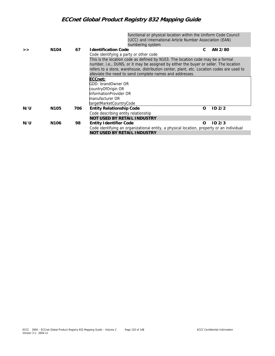functional or physical location within the Uniform Code Council (UCC) and International Article Number Association (EAN) numbering system

|     |                  |     | <b>TRITING ITIN SYSTEMIT</b>                                                              |          |                   |  |  |
|-----|------------------|-----|-------------------------------------------------------------------------------------------|----------|-------------------|--|--|
| >   | N <sub>104</sub> | 67  | <b>Identification Code</b>                                                                |          | AN 2/80           |  |  |
|     |                  |     | Code identifying a party or other code                                                    |          |                   |  |  |
|     |                  |     | This is the location code as defined by N103. The location code may be a formal           |          |                   |  |  |
|     |                  |     | number, i.e., DUNS, or it may be assigned by either the buyer or seller. The location     |          |                   |  |  |
|     |                  |     | refers to a store, warehouse, distribution center, plant, etc. Location codes are used to |          |                   |  |  |
|     |                  |     | alleviate the need to send complete names and addresses.                                  |          |                   |  |  |
|     |                  |     | ECCnet:                                                                                   |          |                   |  |  |
|     |                  |     | GDD: brandOwner OR                                                                        |          |                   |  |  |
|     |                  |     | countryOfOrigin OR                                                                        |          |                   |  |  |
|     |                  |     | informationProvider OR                                                                    |          |                   |  |  |
|     |                  |     | lmanufacturer OR                                                                          |          |                   |  |  |
|     |                  |     | targetMarketCountryCode                                                                   |          |                   |  |  |
| N/U | N <sub>105</sub> | 706 | <b>Entity Relationship Code</b>                                                           | $\Omega$ | ID <sub>2/2</sub> |  |  |
|     |                  |     | Code describing entity relationship                                                       |          |                   |  |  |
|     |                  |     | NOT USED BY RETAIL INDUSTRY                                                               |          |                   |  |  |
| N/U | N <sub>106</sub> | 98  | <b>Entity Identifier Code</b>                                                             | O        | ID2/3             |  |  |
|     |                  |     | Code identifying an organizational entity, a physical location, property or an individual |          |                   |  |  |
|     |                  |     | <b>NOT USED BY RETAIL INDUSTRY</b>                                                        |          |                   |  |  |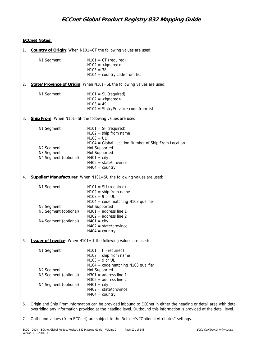|    | <b>ECCnet Notes:</b>                                           |                                                                                                                                                                                                                                             |  |  |  |  |  |  |
|----|----------------------------------------------------------------|---------------------------------------------------------------------------------------------------------------------------------------------------------------------------------------------------------------------------------------------|--|--|--|--|--|--|
| 1. | Country of Origin: When N101=CT the following values are used: |                                                                                                                                                                                                                                             |  |  |  |  |  |  |
|    | N1 Segment                                                     | $N101 = CT$ (required)<br>$N102 =$ <ignored><br/><math>N103 = 38</math><br/><math>N104 = \text{country code from list}</math></ignored>                                                                                                     |  |  |  |  |  |  |
| 2. |                                                                | State/Province of Origin: When N101=SL the following values are used:                                                                                                                                                                       |  |  |  |  |  |  |
|    | N1 Segment                                                     | $N101 = SL$ (required)<br>$N102 =$ <ignored><br/><math>N103 = 49</math><br/><math>N104 = State/Provide code from list</math></ignored>                                                                                                      |  |  |  |  |  |  |
| 3. |                                                                | Ship From: When N101=SF the following values are used:                                                                                                                                                                                      |  |  |  |  |  |  |
|    | N1 Segment                                                     | $N101 = SF$ (required)<br>$N102 =$ ship from name<br>$N103 = UL$<br>N104 = Global Location Number of Ship From Location                                                                                                                     |  |  |  |  |  |  |
|    | N <sub>2</sub> Segment<br>N3 Segment<br>N4 Segment (optional)  | Not Supported<br>Not Supported<br>$N401 = \text{city}$<br>$N402 = state/province$<br>$N404 = country$                                                                                                                                       |  |  |  |  |  |  |
| 4. |                                                                | Supplier/Manufacturer: When N101=SU the following values are used:                                                                                                                                                                          |  |  |  |  |  |  |
|    | N1 Segment                                                     | $N101 = SU (required)$<br>$N102 =$ ship from name<br>$N103 = 9$ or UL<br>$N104 = code matching N103 quality$                                                                                                                                |  |  |  |  |  |  |
|    | N <sub>2</sub> Segment                                         | Not Supported                                                                                                                                                                                                                               |  |  |  |  |  |  |
|    | N3 Segment (optional)                                          | $N301$ = address line 1<br>$N302$ = address line 2                                                                                                                                                                                          |  |  |  |  |  |  |
|    | N4 Segment (optional)                                          | $N401 = \text{city}$<br>$N402 = state/province$<br>$N404 = country$                                                                                                                                                                         |  |  |  |  |  |  |
| 5. |                                                                | <b>Issuer of Invoice:</b> When N101=II the following values are used:                                                                                                                                                                       |  |  |  |  |  |  |
|    | N1 Segment                                                     | $N101 = II$ (required)<br>$N102 =$ ship from name<br>$N103 = 9$ or UL<br>$N104 = code matching N103 quality$                                                                                                                                |  |  |  |  |  |  |
|    | N2 Segment<br>N3 Segment (optional)                            | Not Supported<br>$N301$ = address line 1                                                                                                                                                                                                    |  |  |  |  |  |  |
|    | N4 Segment (optional)                                          | $N302$ = address line 2<br>$N401 = \text{city}$<br>$N402 = state/province$<br>$N404 = country$                                                                                                                                              |  |  |  |  |  |  |
| 6. |                                                                | Origin and Ship From information can be provided inbound to ECCnet in either the heading or detail area with detail<br>overriding any information provided at the heading level. Outbound this information is provided at the detail level. |  |  |  |  |  |  |

7. Outbound values (from ECCnet) are subject to the Retailer's "Optional Attributes" settings.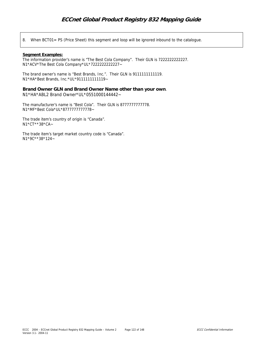8. When BCT01= PS (Price Sheet) this segment and loop will be ignored inbound to the catalogue.

#### **Segment Examples:**

The information provider's name is "The Best Cola Company". Their GLN is 7222222222227. N1\*ACV\*The Best Cola Company\*UL\*7222222222227~

The brand owner's name is "Best Brands, Inc.". Their GLN is 9111111111119. N1\*HA\*Best Brands, Inc.\*UL\*9111111111119~

**Brand Owner GLN and Brand Owner Name other than your own**. N1\*HA\*ABL2 Brand Owner\*UL\*0551000144442~

The manufacturer's name is "Best Cola". Their GLN is 8777777777778. N1\*MF\*Best Cola\*UL\*8777777777778~

The trade item's country of origin is "Canada". N1\*CT\*\*38\*CA~

The trade item's target market country code is "Canada". N1\*9C\*\*38\*124~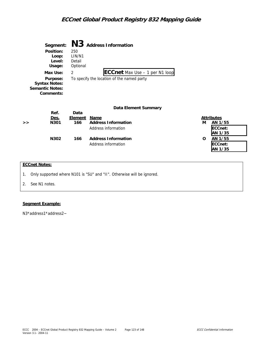|   | Segment:<br>Position:<br>Loop:<br>Level:<br>Usage:                                  | N <sub>3</sub><br>250<br>LIN/N1<br>Detail<br>Optional | <b>Address Information</b>                                                          |                                                         |
|---|-------------------------------------------------------------------------------------|-------------------------------------------------------|-------------------------------------------------------------------------------------|---------------------------------------------------------|
|   | Max Use:<br>Purpose:<br><b>Syntax Notes:</b><br><b>Semantic Notes:</b><br>Comments: | 2                                                     | <b>ECCnet</b> Max Use - 1 per N1 loop<br>To specify the location of the named party |                                                         |
| > | Ref.<br>Des.<br>N301                                                                | Data<br>Element<br>166                                | Data Element Summary<br>Name<br><b>Address Information</b><br>Address information   | <b>Attributes</b><br>м<br>AN 1/55<br>ECCnet:<br>AN 1/35 |

| Des. | Element | Name                       | <b>Attributes</b> |  |
|------|---------|----------------------------|-------------------|--|
| N301 | 166     | <b>Address Information</b> | AN 1/55<br>м      |  |
|      |         | Address information        | ECCnet:           |  |
|      |         |                            | AN 1/35           |  |
| N302 | 166     | <b>Address Information</b> | AN 1/55<br>O      |  |
|      |         | Address information        | ECCnet:           |  |
|      |         |                            | AN 1/35           |  |

### **ECCnet Notes:**

- 1. Only supported where N101 is "SU" and "II". Otherwise will be ignored.
- 2. See N1 notes.

#### **Segment Example:**

N3\*address1\*address2~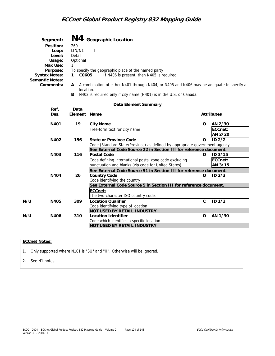| <b>Semantic Notes:</b>                                 | Segment:<br>Position:<br>Loop:<br>Level:<br>Usage:<br>Max Use:<br>Purpose:<br><b>Syntax Notes:</b><br>Comments: | 260<br>LIN/N1<br>Detail<br>Optional<br>1<br>C0605<br>1<br>A<br>B | N4 Geographic Location<br>To specify the geographic place of the named party<br>If N406 is present, then N405 is required.<br>A combination of either N401 through N404, or N405 and N406 may be adequate to specify a<br>location.<br>N402 is required only if city name (N401) is in the U.S. or Canada. |   |                               |  |  |
|--------------------------------------------------------|-----------------------------------------------------------------------------------------------------------------|------------------------------------------------------------------|------------------------------------------------------------------------------------------------------------------------------------------------------------------------------------------------------------------------------------------------------------------------------------------------------------|---|-------------------------------|--|--|
|                                                        |                                                                                                                 |                                                                  | Data Element Summary                                                                                                                                                                                                                                                                                       |   |                               |  |  |
| Ref.<br>Data<br><b>Element Name</b><br><u>Des.</u>     |                                                                                                                 |                                                                  |                                                                                                                                                                                                                                                                                                            |   | <b>Attributes</b>             |  |  |
| N401<br>19<br>N402<br>156<br>N403<br>116<br>N404<br>26 |                                                                                                                 |                                                                  | <b>City Name</b><br>Free-form text for city name                                                                                                                                                                                                                                                           |   | AN 2/30<br>ECCnet:<br>AN 2/20 |  |  |
|                                                        |                                                                                                                 |                                                                  | State or Province Code<br>Code (Standard State/Province) as defined by appropriate government agency                                                                                                                                                                                                       | O | ID <sub>2/2</sub>             |  |  |
|                                                        |                                                                                                                 |                                                                  | See External Code Source 22 in Section III for reference document.<br><b>Postal Code</b><br>Code defining international postal zone code excluding<br>punctuation and blanks (zip code for United States)                                                                                                  | O | ID 3/15<br>ECCnet:<br>AN 3/15 |  |  |
|                                                        |                                                                                                                 |                                                                  | See External Code Source 51 in Section III for reference document.<br><b>Country Code</b><br>Code identifying the country                                                                                                                                                                                  | Ω | ID <sub>2/3</sub>             |  |  |
|                                                        |                                                                                                                 |                                                                  | See External Code Source 5 in Section III for reference document.<br>ECCnet:<br>The two-character ISO country code.                                                                                                                                                                                        |   |                               |  |  |
| N/U                                                    | N405                                                                                                            | 309                                                              | Location Qualifier                                                                                                                                                                                                                                                                                         | C | ID <sub>1/2</sub>             |  |  |

|     |      |     | Code identifying type of location         |    |         |
|-----|------|-----|-------------------------------------------|----|---------|
|     |      |     | NOT USED BY RETAIL INDUSTRY               |    |         |
| N/U | N406 | 310 | Location Identifier                       | O. | AN 1/30 |
|     |      |     | Code which identifies a specific location |    |         |
|     |      |     | NOT USED BY RETAIL INDUSTRY               |    |         |
|     |      |     |                                           |    |         |

### **ECCnet Notes:**

1. Only supported where N101 is "SU" and "II". Otherwise will be ignored.

2. See N1 notes.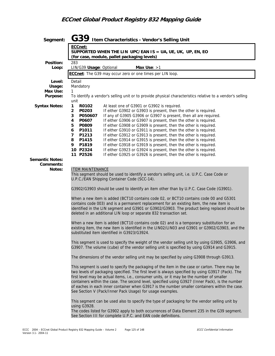| Segment:                                                                                                                                                                       | G39 Item Characteristics - Vendor's Selling Unit                                                                                                                                                                                                                                                                                                                                                                                                                                                                                                                  |  |  |  |  |  |  |
|--------------------------------------------------------------------------------------------------------------------------------------------------------------------------------|-------------------------------------------------------------------------------------------------------------------------------------------------------------------------------------------------------------------------------------------------------------------------------------------------------------------------------------------------------------------------------------------------------------------------------------------------------------------------------------------------------------------------------------------------------------------|--|--|--|--|--|--|
|                                                                                                                                                                                | ECCnet:<br>SUPPORTED WHEN THE LIN UPC/EAN IS = UA, UE, UK, UP, EN, EO<br>(for case, module, pallet packaging levels)                                                                                                                                                                                                                                                                                                                                                                                                                                              |  |  |  |  |  |  |
| Position:                                                                                                                                                                      | 283                                                                                                                                                                                                                                                                                                                                                                                                                                                                                                                                                               |  |  |  |  |  |  |
| Loop:                                                                                                                                                                          | LIN/G39 Usage: Optional<br>Max Use: $>1$<br>ECCnet: The G39 may occur zero or one times per LIN loop.                                                                                                                                                                                                                                                                                                                                                                                                                                                             |  |  |  |  |  |  |
|                                                                                                                                                                                |                                                                                                                                                                                                                                                                                                                                                                                                                                                                                                                                                                   |  |  |  |  |  |  |
| Level:<br>Usage:                                                                                                                                                               | Detail<br>Mandatory                                                                                                                                                                                                                                                                                                                                                                                                                                                                                                                                               |  |  |  |  |  |  |
| Max Use:                                                                                                                                                                       | 1                                                                                                                                                                                                                                                                                                                                                                                                                                                                                                                                                                 |  |  |  |  |  |  |
| Purpose:                                                                                                                                                                       | To identify a vendor's selling unit or to provide physical characteristics relative to a vendor's selling<br>unit                                                                                                                                                                                                                                                                                                                                                                                                                                                 |  |  |  |  |  |  |
| <b>Syntax Notes:</b>                                                                                                                                                           | $\mathbf{1}$<br>R0102<br>At least one of G3901 or G3902 is required.                                                                                                                                                                                                                                                                                                                                                                                                                                                                                              |  |  |  |  |  |  |
|                                                                                                                                                                                | If either G3902 or G3903 is present, then the other is required.<br>$\overline{2}$<br>P0203                                                                                                                                                                                                                                                                                                                                                                                                                                                                       |  |  |  |  |  |  |
|                                                                                                                                                                                | If any of G3905 G3906 or G3907 is present, then all are required.<br>P050607<br>3<br>P0607<br>If either G3906 or G3907 is present, then the other is required.<br>4                                                                                                                                                                                                                                                                                                                                                                                               |  |  |  |  |  |  |
|                                                                                                                                                                                | P0809<br>If either G3908 or G3909 is present, then the other is required.<br>5                                                                                                                                                                                                                                                                                                                                                                                                                                                                                    |  |  |  |  |  |  |
|                                                                                                                                                                                | 6<br>P1011<br>If either G3910 or G3911 is present, then the other is required.                                                                                                                                                                                                                                                                                                                                                                                                                                                                                    |  |  |  |  |  |  |
|                                                                                                                                                                                | P1213<br>$\overline{7}$<br>If either G3912 or G3913 is present, then the other is required.<br>P1415<br>If either G3914 or G3915 is present, then the other is required.<br>8                                                                                                                                                                                                                                                                                                                                                                                     |  |  |  |  |  |  |
|                                                                                                                                                                                | P1819<br>If either G3918 or G3919 is present, then the other is required.<br>9.                                                                                                                                                                                                                                                                                                                                                                                                                                                                                   |  |  |  |  |  |  |
|                                                                                                                                                                                | 10 P2324<br>If either G3923 or G3924 is present, then the other is required.                                                                                                                                                                                                                                                                                                                                                                                                                                                                                      |  |  |  |  |  |  |
| <b>Semantic Notes:</b>                                                                                                                                                         | 11 P2526<br>If either G3925 or G3926 is present, then the other is required.                                                                                                                                                                                                                                                                                                                                                                                                                                                                                      |  |  |  |  |  |  |
| Comments:                                                                                                                                                                      |                                                                                                                                                                                                                                                                                                                                                                                                                                                                                                                                                                   |  |  |  |  |  |  |
| <b>ITEM MAINTENANCE</b><br>Notes:<br>This segment should be used to identify a vendor's selling unit, i.e. U.P.C. Case Code or<br>U.P.C./EAN Shipping Container Code (SCC-14). |                                                                                                                                                                                                                                                                                                                                                                                                                                                                                                                                                                   |  |  |  |  |  |  |
|                                                                                                                                                                                | G3902/G3903 should be used to identify an item other than by U.P.C. Case Code (G3901).                                                                                                                                                                                                                                                                                                                                                                                                                                                                            |  |  |  |  |  |  |
|                                                                                                                                                                                | When a new item is added (BCT10 contains code 02, or BCT10 contains code 00 and G5301<br>contains code 003) and is a permanent replacement for an existing item, the new item is<br>identified in the LIN segment and G3901 or G3902/G3903. The product being replaced should be<br>deleted in an additional LIN loop or separate 832 transaction set.                                                                                                                                                                                                            |  |  |  |  |  |  |
|                                                                                                                                                                                | When a new item is added (BCT10 contains code 02) and is a temporary substitution for an<br>existing item, the new item is identified in the LIN02/LIN03 and G3901 or G3902/G3903, and the<br>substituted item identified in G3923/G3924.                                                                                                                                                                                                                                                                                                                         |  |  |  |  |  |  |
|                                                                                                                                                                                | This segment is used to specify the weight of the vendor selling unit by using G3905, G3906, and<br>G3907. The volume (cube) of the vendor selling unit is specified by using G3914 and G3915.                                                                                                                                                                                                                                                                                                                                                                    |  |  |  |  |  |  |
|                                                                                                                                                                                | The dimensions of the vendor selling unit may be specified by using G3908 through G3913.                                                                                                                                                                                                                                                                                                                                                                                                                                                                          |  |  |  |  |  |  |
|                                                                                                                                                                                | This segment is used to specify the packaging of the item in the case or carton. There may be<br>two levels of packaging specified. The first level is always specified by using G3917 (Pack). The<br>first level may be actual items, i.e., consumer units, or it may be the number of smaller<br>containers within the case. The second level, specified using G3927 (Inner Pack), is the number<br>of eaches in each inner container when G3917 is the number smaller containers within the case.<br>See Section V (Pack/Inner Pack Usage) for usage examples. |  |  |  |  |  |  |
|                                                                                                                                                                                | This segment can be used also to specify the type of packaging for the vendor selling unit by<br>using G3928.                                                                                                                                                                                                                                                                                                                                                                                                                                                     |  |  |  |  |  |  |
|                                                                                                                                                                                | The codes listed for G3902 apply to both occurrences of Data Element 235 in the G39 segment.<br>See Section III for complete U.P.C. and EAN code definitions.                                                                                                                                                                                                                                                                                                                                                                                                     |  |  |  |  |  |  |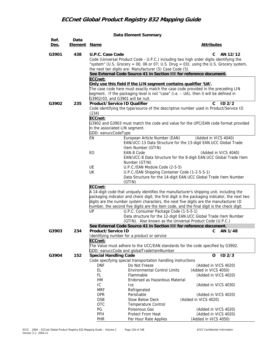**Data Element Summary** 

| Ref.  | Data         |                                                                                                                                                | $\alpha$ encritority surfiller                                                                                                                                                                                                                                                                                                                                                                                                                                                                                                                                                                                                                                                                                                        |                                                                                                                                                                                                                                                                                                                                                                                                                                                   |
|-------|--------------|------------------------------------------------------------------------------------------------------------------------------------------------|---------------------------------------------------------------------------------------------------------------------------------------------------------------------------------------------------------------------------------------------------------------------------------------------------------------------------------------------------------------------------------------------------------------------------------------------------------------------------------------------------------------------------------------------------------------------------------------------------------------------------------------------------------------------------------------------------------------------------------------|---------------------------------------------------------------------------------------------------------------------------------------------------------------------------------------------------------------------------------------------------------------------------------------------------------------------------------------------------------------------------------------------------------------------------------------------------|
| Des.  | Element Name |                                                                                                                                                |                                                                                                                                                                                                                                                                                                                                                                                                                                                                                                                                                                                                                                                                                                                                       | <b>Attributes</b>                                                                                                                                                                                                                                                                                                                                                                                                                                 |
| G3901 | 438          | U.P.C. Case Code<br>ECCnet:                                                                                                                    | Code (Universal Product Code - U.P.C.) including two high order digits identifying the<br>the next ten digits are: Manufacturer (5) Case Code (5).<br>See External Code Source 41 in Section III for reference document.<br>Only use this field if the LIN segment contains qualifier 'UA'.<br>The case code here must exactly match the case code provided in the preceding LIN<br>segment. If the packaging level is not "case" (i.e. - UA), then it will be defined in                                                                                                                                                                                                                                                             | C<br>AN 12/12<br>"system" (U.S. Grocery = 00, 06 or 07; U.S. Drug = 03); using the U.S. Grocery system,                                                                                                                                                                                                                                                                                                                                           |
| G3902 | 235          | G3902/03, and G3901 will be null.<br>Product/Service ID Qualifier                                                                              |                                                                                                                                                                                                                                                                                                                                                                                                                                                                                                                                                                                                                                                                                                                                       | C.<br>ID2/2                                                                                                                                                                                                                                                                                                                                                                                                                                       |
|       |              | (234)<br>ECCnet:<br>in the associated LIN segment.<br>GDD: eanuccCodeType<br>EN<br>EO<br>UE<br>UK<br>ECCnet:<br>UP                             | Code identifying the type/source of the descriptive number used in Product/Service ID<br>European Article Number (EAN)<br>EAN/UCC-13 Data Structure for the 13-digit EAN.UCC Global Trade<br>Item Number (GTIN)<br>EAN-8 Code<br>Number (GTIN)<br>U.P.C./EAN Module Code (2-5-5)<br>U.P.C./EAN Shipping Container Code (1-2-5-5-1)<br>(GTIN)<br>A 14-digit code that uniquely identifies the manufacturer's shipping unit, including the<br>digits are the number system characters, the next five digits are the manufacturer ID<br>number, the second five digits are the item code, and the final digit is the check digit.<br>U.P.C. Consumer Package Code (1-5-5-1)<br>(GTIN). Also known as the Universal Product Code (U.P.C.) | G3902 and G3903 must match the code and value for the UPC/EAN code format provided<br>(Added in VICS 4040)<br>(Added in VICS 4040)<br>EAN/UCC-8 Data Structure for the 8-digit EAN.UCC Global Trade Item<br>Data Structure for the 14-digit EAN.UCC Global Trade Item Number<br>packaging indicator and check digit; the first digit is the packaging indicator, the next two<br>Data structure for the 12-digit EAN.UCC Global Trade Item Number |
|       |              |                                                                                                                                                | See External Code Source 41 in Section III for reference document.                                                                                                                                                                                                                                                                                                                                                                                                                                                                                                                                                                                                                                                                    |                                                                                                                                                                                                                                                                                                                                                                                                                                                   |
| G3903 | 234          | Product/Service ID<br>ECCnet:                                                                                                                  | Identifying number for a product or service<br>The Value must adhere to the UCC/EAN standards for the code specified by G3902.<br>GDD: eanuccCode and globalTradeItemNumber                                                                                                                                                                                                                                                                                                                                                                                                                                                                                                                                                           | AN 1/48<br>С                                                                                                                                                                                                                                                                                                                                                                                                                                      |
| G3904 | 152          | <b>Special Handling Code</b><br><b>DNF</b><br>EL<br>FL<br>HM<br>IC<br><b>MRF</b><br><b>OPR</b><br>OSB<br><b>OTC</b><br>PG<br>PFH<br><b>PHR</b> | Code specifying special transportation handling instructions<br>Do Not Freeze<br><b>Environmental Control Limits</b><br>Flammable<br>Endorsed as Hazardous Material<br>Ice<br>Refrigerated<br>Perishable<br><b>Stow Below Deck</b><br>Temperature Control<br>Poisonous Gas<br>Protect From Heat<br>Per Hour Rate Applies                                                                                                                                                                                                                                                                                                                                                                                                              | $ID$ $2/3$<br>0<br>(Added in VICS 4020)<br>(Added in VICS 4050)<br>(Added in VICS 4020)<br>(Added in VICS 4030)<br>(Added in VICS 4020)<br>(Added in VICS 4020)<br>(Added in VICS 4020)<br>(Added in VICS 4020)<br>(Added in VICS 4050)                                                                                                                                                                                                           |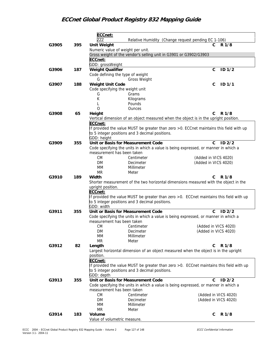|       |     | ECCnet:                                                                                  |                                   |
|-------|-----|------------------------------------------------------------------------------------------|-----------------------------------|
|       |     | <b>ZZZ</b><br>Relative Humidity (Change request pending EC 1-106)                        |                                   |
| G3905 | 395 | <b>Unit Weight</b>                                                                       | R 1/8<br>$\mathsf{C}$             |
|       |     | Numeric value of weight per unit.                                                        |                                   |
|       |     | Gross weight of the vendor's selling unit in G3901 or G3902/G3903                        |                                   |
|       |     | ECCnet:                                                                                  |                                   |
|       |     | GDD: grossWeight                                                                         |                                   |
| G3906 | 187 | <b>Weight Qualifier</b>                                                                  | $\mathsf{C}$<br>ID <sub>1/2</sub> |
|       |     | Code defining the type of weight                                                         |                                   |
|       |     | G<br><b>Gross Weight</b>                                                                 |                                   |
| G3907 | 188 | Weight Unit Code                                                                         | С<br>ID <sub>1/1</sub>            |
|       |     | Code specifying the weight unit                                                          |                                   |
|       |     | Grams<br>G                                                                               |                                   |
|       |     | К<br>Kilograms                                                                           |                                   |
|       |     | Pounds                                                                                   |                                   |
|       |     | O<br>Ounces                                                                              |                                   |
| G3908 | 65  | Height                                                                                   | C<br>R 1/8                        |
|       |     | Vertical dimension of an object measured when the object is in the upright position.     |                                   |
|       |     | ECCnet:                                                                                  |                                   |
|       |     | If provided the value MUST be greater than zero > 0. ECCnet maintains this field with up |                                   |
|       |     | to 5 integer positions and 3 decimal positions.                                          |                                   |
|       |     | GDD: height                                                                              |                                   |
| G3909 | 355 | Unit or Basis for Measurement Code                                                       | ID <sub>2/2</sub><br>C            |
|       |     | Code specifying the units in which a value is being expressed, or manner in which a      |                                   |
|       |     | measurement has been taken                                                               |                                   |
|       |     | <b>CM</b><br>Centimeter                                                                  | (Added in VICS 4020)              |
|       |     | DM<br>Decimeter                                                                          | (Added in VICS 4020)              |
|       |     | MМ<br>Millimeter                                                                         |                                   |
|       |     | <b>MR</b><br>Meter                                                                       |                                   |
| G3910 | 189 | Width                                                                                    | C<br>R 1/8                        |
|       |     | Shorter measurement of the two horizontal dimensions measured with the object in the     |                                   |
|       |     | upright position.                                                                        |                                   |
|       |     | ECCnet:                                                                                  |                                   |
|       |     | If provided the value MUST be greater than zero >0. ECCnet maintains this field with up  |                                   |
|       |     | to 5 integer positions and 3 decimal positions.                                          |                                   |
|       |     | GDD: width                                                                               |                                   |
| G3911 | 355 | Unit or Basis for Measurement Code                                                       | ID <sub>2/2</sub><br>C            |
|       |     | Code specifying the units in which a value is being expressed, or manner in which a      |                                   |
|       |     | measurement has been taken                                                               |                                   |
|       |     | <b>CM</b><br>Centimeter                                                                  | (Added in VICS 4020)              |
|       |     | DM<br>Decimeter                                                                          | (Added in VICS 4020)              |
|       |     | MM<br>Millimeter                                                                         |                                   |
|       |     | <b>MR</b><br>Meter                                                                       |                                   |
| G3912 | 82  | Length                                                                                   | R 1/8<br>C                        |
|       |     | Largest horizontal dimension of an object measured when the object is in the upright     |                                   |
|       |     | position.                                                                                |                                   |
|       |     | ECCnet:                                                                                  |                                   |
|       |     | If provided the value MUST be greater than zero >0. ECCnet maintains this field with up  |                                   |
|       |     | to 5 integer positions and 3 decimal positions.                                          |                                   |
|       |     | GDD: depth                                                                               |                                   |
| G3913 | 355 | Unit or Basis for Measurement Code                                                       | $ID$ $2/2$<br>C                   |
|       |     | Code specifying the units in which a value is being expressed, or manner in which a      |                                   |
|       |     | measurement has been taken                                                               |                                   |
|       |     | <b>CM</b><br>Centimeter                                                                  | (Added in VICS 4020)              |
|       |     | DM<br>Decimeter                                                                          | (Added in VICS 4020)              |
|       |     | MM<br>Millimeter                                                                         |                                   |
|       |     | MR<br>Meter                                                                              |                                   |
| G3914 | 183 | Volume                                                                                   | R 1/8<br>C                        |
|       |     | Value of volumetric measure.                                                             |                                   |
|       |     |                                                                                          |                                   |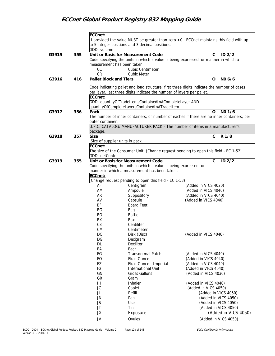|       |     | ECCnet:                       | to 5 integer positions and 3 decimal positions.                                                         | If provided the value MUST be greater than zero >0. ECCnet maintains this field with up    |
|-------|-----|-------------------------------|---------------------------------------------------------------------------------------------------------|--------------------------------------------------------------------------------------------|
|       |     | GDD: volume                   |                                                                                                         |                                                                                            |
| G3915 | 355 |                               | Unit or Basis for Measurement Code                                                                      | $\mathbf{C}$<br>ID <sub>2/2</sub>                                                          |
|       |     |                               |                                                                                                         | Code specifying the units in which a value is being expressed, or manner in which a        |
|       |     | measurement has been taken    |                                                                                                         |                                                                                            |
|       |     | CC                            | <b>Cubic Centimeter</b>                                                                                 |                                                                                            |
|       |     | <b>CR</b>                     | Cubic Meter                                                                                             |                                                                                            |
| G3916 | 416 | <b>Pallet Block and Tiers</b> |                                                                                                         | NO 6/6<br>O                                                                                |
|       |     | ECCnet:                       | per layer, last three digits indicate the number of layers per pallet.                                  | Code indicating pallet and load structure; first three digits indicate the number of cases |
|       |     |                               | GDD: quantityOfTradeItemsContainedInACompleteLayer AND<br>quantityOfCompleteLayersContainedInATradeItem |                                                                                            |
| G3917 | 356 | Pack                          |                                                                                                         | NO 1/6<br>O                                                                                |
|       |     |                               |                                                                                                         | The number of inner containers, or number of eaches if there are no inner containers, per  |
|       |     | outer container.              |                                                                                                         |                                                                                            |
|       |     | package.                      |                                                                                                         | U.P.C. CATALOG: MANUFACTURER PACK - The number of items in a manufacturer's                |
| G3918 | 357 | <b>Size</b>                   |                                                                                                         | R 1/8<br>C                                                                                 |
|       |     |                               | Size of supplier units in pack.                                                                         |                                                                                            |
|       |     | ECCnet:<br>GDD: netContent    |                                                                                                         | The size of the Consumer Unit. (Change request pending to open this field - EC 1-52).      |
| G3919 | 355 |                               | Unit or Basis for Measurement Code                                                                      | ID2/2<br>$\mathsf{C}$                                                                      |
|       |     |                               | Code specifying the units in which a value is being expressed, or                                       |                                                                                            |
|       |     |                               | manner in which a measurement has been taken.                                                           |                                                                                            |
|       |     | ECCnet:                       |                                                                                                         |                                                                                            |
|       |     |                               | (Change request pending to open this field - EC 1-53)                                                   |                                                                                            |
|       |     | AF                            | Centigram                                                                                               | (Added in VICS 4020)                                                                       |
|       |     | AM                            | Ampoule                                                                                                 | (Added in VICS 4040)                                                                       |
|       |     | AR                            | Suppository                                                                                             | (Added in VICS 4040)                                                                       |
|       |     | AV                            | Capsule                                                                                                 | (Added in VICS 4040)                                                                       |
|       |     | BF                            | <b>Board Feet</b>                                                                                       |                                                                                            |
|       |     | BG                            | Bag                                                                                                     |                                                                                            |
|       |     | <b>BO</b><br>BX               | <b>Bottle</b><br>Box                                                                                    |                                                                                            |
|       |     | C <sub>3</sub>                | Centiliter                                                                                              |                                                                                            |
|       |     | <b>CM</b>                     | Centimeter                                                                                              |                                                                                            |
|       |     | DC                            | Disk (Disc)                                                                                             | (Added in VICS 4040)                                                                       |
|       |     | DG                            | Decigram                                                                                                |                                                                                            |
|       |     | DL                            | Deciliter                                                                                               |                                                                                            |
|       |     | EA                            | Each                                                                                                    |                                                                                            |
|       |     | FG                            | <b>Transdermal Patch</b>                                                                                | (Added in VICS 4040)                                                                       |
|       |     | <b>FO</b>                     | Fluid Ounce                                                                                             | (Added in VICS 4040)                                                                       |
|       |     | FZ                            | Fluid Ounce - Imperial                                                                                  | (Added in VICS 4040)                                                                       |
|       |     | F <sub>2</sub>                | International Unit                                                                                      | (Added in VICS 4040)                                                                       |
|       |     | GN                            | <b>Gross Gallons</b>                                                                                    | (Added in VICS 4030)                                                                       |
|       |     | GR                            | Gram                                                                                                    |                                                                                            |
|       |     | IH                            | Inhaler                                                                                                 | (Added in VICS 4040)                                                                       |
|       |     | JC                            | Caplet                                                                                                  | (Added in VICS 4050)                                                                       |
|       |     | JL                            | Refill                                                                                                  | (Added in VICS 4050)                                                                       |
|       |     | JN                            | Pan                                                                                                     | (Added in VICS 4050)                                                                       |
|       |     | JS                            | Use                                                                                                     | (Added in VICS 4050)<br>(Added in VICS 4050)                                               |
|       |     | JT                            | Tin                                                                                                     |                                                                                            |
|       |     | JХ                            | Exposure                                                                                                | (Added in VICS 4050)                                                                       |
|       |     | JV                            | Ovules                                                                                                  | (Added in VICS 4050)                                                                       |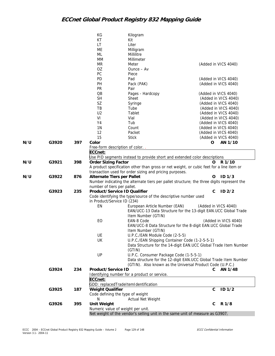|     |       |     | KG                          | Kilogram                                                                                 |                                                                                            |
|-----|-------|-----|-----------------------------|------------------------------------------------------------------------------------------|--------------------------------------------------------------------------------------------|
|     |       |     | KT                          | Kit                                                                                      |                                                                                            |
|     |       |     | LT                          | Liter                                                                                    |                                                                                            |
|     |       |     | ME                          | Milligram                                                                                |                                                                                            |
|     |       |     | ML                          | Millilitre                                                                               |                                                                                            |
|     |       |     | MM                          | Millimeter                                                                               |                                                                                            |
|     |       |     | MR                          | Meter                                                                                    | (Added in VICS 4040)                                                                       |
|     |       |     | OZ                          | $O$ unce $-$ Av                                                                          |                                                                                            |
|     |       |     | PC                          | Piece                                                                                    |                                                                                            |
|     |       |     | PD                          | Pad                                                                                      | (Added in VICS 4040)                                                                       |
|     |       |     | PH                          | Pack (PAK)                                                                               | (Added in VICS 4040)                                                                       |
|     |       |     | <b>PR</b>                   | Pair                                                                                     |                                                                                            |
|     |       |     | QB                          | Pages - Hardcopy                                                                         | (Added in VICS 4040)                                                                       |
|     |       |     | <b>SH</b>                   | Sheet                                                                                    | (Added in VICS 4040)                                                                       |
|     |       |     | SZ                          | Syringe                                                                                  | (Added in VICS 4040)                                                                       |
|     |       |     | TB                          | Tube                                                                                     | (Added in VICS 4040)                                                                       |
|     |       |     | U <sub>2</sub>              | Tablet                                                                                   | (Added in VICS 4040)                                                                       |
|     |       |     | VI                          | Vial                                                                                     | (Added in VICS 4040)                                                                       |
|     |       |     | Y4                          | Tub                                                                                      | (Added in VICS 4040)                                                                       |
|     |       |     | 1 <sub>N</sub>              | Count                                                                                    | (Added in VICS 4040)                                                                       |
|     |       |     | 12                          | Packet                                                                                   | (Added in VICS 4040)                                                                       |
|     |       |     | 15                          | <b>Stick</b>                                                                             | (Added in VICS 4040)                                                                       |
| N/U | G3920 | 397 | Color                       |                                                                                          | AN 1/10<br>0                                                                               |
|     |       |     |                             | Free-form description of color                                                           |                                                                                            |
|     |       |     | ECCnet:                     |                                                                                          |                                                                                            |
|     |       |     |                             | Use PID segments instead to provide short and extended color descriptions                |                                                                                            |
| N/U | G3921 | 398 | <b>Order Sizing Factor</b>  |                                                                                          | R 1/10<br>O                                                                                |
|     |       |     |                             | A product specification other than gross or net weight, or cubic feet for a line item or |                                                                                            |
|     |       |     |                             | transaction used for order sizing and pricing purposes.                                  |                                                                                            |
| N/U | G3922 | 876 | Alternate Tiers per Pallet  |                                                                                          | ID <sub>1/3</sub><br>O                                                                     |
|     |       |     |                             |                                                                                          | Number indicating the alternate tiers per pallet structure; the three digits represent the |
|     |       |     | number of tiers per pallet. |                                                                                          |                                                                                            |
|     | G3923 | 235 |                             | Product/Service ID Qualifier                                                             | C<br>ID <sub>2/2</sub>                                                                     |
|     |       |     |                             | Code identifying the type/source of the descriptive number used                          |                                                                                            |
|     |       |     | in Product/Service ID (234) |                                                                                          |                                                                                            |
|     |       |     | EN                          | European Article Number (EAN)                                                            | (Added in VICS 4040)                                                                       |
|     |       |     |                             |                                                                                          | EAN/UCC-13 Data Structure for the 13-digit EAN.UCC Global Trade                            |
|     |       |     |                             | Item Number (GTIN)                                                                       |                                                                                            |
|     |       |     | EO                          | EAN-8 Code                                                                               | (Added in VICS 4040)                                                                       |
|     |       |     |                             |                                                                                          | EAN/UCC-8 Data Structure for the 8-digit EAN.UCC Global Trade                              |
|     |       |     |                             | Item Number (GTIN)                                                                       |                                                                                            |
|     |       |     | UE                          | U.P.C./EAN Module Code (2-5-5)                                                           |                                                                                            |
|     |       |     | UK                          | U.P.C./EAN Shipping Container Code (1-2-5-5-1)                                           |                                                                                            |
|     |       |     |                             |                                                                                          | Data Structure for the 14-digit EAN.UCC Global Trade Item Number                           |
|     |       |     |                             | (GTIN)                                                                                   |                                                                                            |
|     |       |     | UP                          | U.P.C. Consumer Package Code (1-5-5-1)                                                   |                                                                                            |
|     |       |     |                             |                                                                                          | Data structure for the 12-digit EAN.UCC Global Trade Item Number                           |
|     |       |     |                             |                                                                                          | (GTIN). Also known as the Universal Product Code (U.P.C.)                                  |
|     | G3924 | 234 | Product/Service ID          |                                                                                          | C AN 1/48                                                                                  |
|     |       |     |                             | Identifying number for a product or service.                                             |                                                                                            |
|     |       |     | ECCnet:                     |                                                                                          |                                                                                            |
|     |       |     |                             | GDD: replacedTradeItemIdentification                                                     |                                                                                            |
|     | G3925 | 187 | <b>Weight Qualifier</b>     |                                                                                          | ID <sub>1/2</sub><br>$\mathbf C$                                                           |
|     |       |     |                             | Code defining the type of weight                                                         |                                                                                            |
|     |       |     | N                           | Actual Net Weight                                                                        |                                                                                            |
|     | G3926 | 395 | <b>Unit Weight</b>          |                                                                                          | R 1/8<br>C                                                                                 |
|     |       |     |                             | Numeric value of weight per unit.                                                        |                                                                                            |
|     |       |     |                             | Net weight of the vendor's selling unit in the same unit of measure as G3907.            |                                                                                            |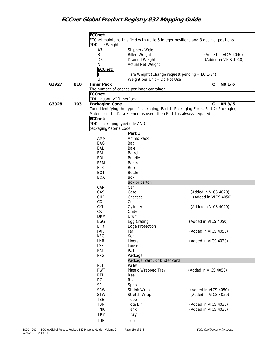|       |     | ECCnet:                    |                                                                       |                                                                                     |
|-------|-----|----------------------------|-----------------------------------------------------------------------|-------------------------------------------------------------------------------------|
|       |     |                            |                                                                       | ECCnet maintains this field with up to 5 integer positions and 3 decimal positions. |
|       |     | GDD: netWeight             |                                                                       |                                                                                     |
|       |     | A <sub>3</sub>             | Shippers Weight                                                       |                                                                                     |
|       |     | Β                          | <b>Billed Weight</b>                                                  | (Added in VICS 4040)                                                                |
|       |     |                            |                                                                       |                                                                                     |
|       |     | DR                         | Drained Weight                                                        | (Added in VICS 4040)                                                                |
|       |     | N                          | Actual Net Weight                                                     |                                                                                     |
|       |     | ECCnet:                    |                                                                       |                                                                                     |
|       |     | Т                          | Tare Weight (Change request pending - EC 1-84)                        |                                                                                     |
|       |     | U                          | Weight per Unit - Do Not Use                                          |                                                                                     |
| G3927 | 810 | <b>Inner Pack</b>          |                                                                       | NO 1/6<br>0                                                                         |
|       |     |                            | The number of eaches per inner container.                             |                                                                                     |
|       |     | ECCnet:                    |                                                                       |                                                                                     |
|       |     | GDD: quantityOfInnerPack   |                                                                       |                                                                                     |
| G3928 | 103 | Packaging Code             |                                                                       | AN 3/5<br>$\mathbf O$                                                               |
|       |     |                            |                                                                       | Code identifying the type of packaging; Part 1: Packaging Form, Part 2: Packaging   |
|       |     |                            | Material; if the Data Element is used, then Part 1 is always required |                                                                                     |
|       |     | ECCnet:                    |                                                                       |                                                                                     |
|       |     | GDD: packagingTypeCode AND |                                                                       |                                                                                     |
|       |     | packagingMaterialCode      |                                                                       |                                                                                     |
|       |     |                            | Part 1                                                                |                                                                                     |
|       |     |                            |                                                                       |                                                                                     |
|       |     | AMM                        | Ammo Pack                                                             |                                                                                     |
|       |     | <b>BAG</b>                 | Bag                                                                   |                                                                                     |
|       |     | BAL                        | Bale                                                                  |                                                                                     |
|       |     | <b>BBL</b>                 | Barrel                                                                |                                                                                     |
|       |     | <b>BDL</b>                 | <b>Bundle</b>                                                         |                                                                                     |
|       |     | BEM                        | Beam                                                                  |                                                                                     |
|       |     | <b>BLK</b>                 | <b>Bulk</b>                                                           |                                                                                     |
|       |     | <b>BOT</b>                 | <b>Bottle</b>                                                         |                                                                                     |
|       |     | <b>BOX</b>                 | Box                                                                   |                                                                                     |
|       |     |                            | Box or carton                                                         |                                                                                     |
|       |     | CAN                        | Can                                                                   |                                                                                     |
|       |     | CAS                        | Case                                                                  | (Added in VICS 4020)                                                                |
|       |     | CHE                        | Cheeses                                                               | (Added in VICS 4050)                                                                |
|       |     | COL                        | Coil                                                                  |                                                                                     |
|       |     | CYL                        | Cylinder                                                              | (Added in VICS 4020)                                                                |
|       |     | CRT                        | Crate                                                                 |                                                                                     |
|       |     | <b>DRM</b>                 | Drum                                                                  |                                                                                     |
|       |     | EGG                        | Egg Crating                                                           | (Added in VICS 4050)                                                                |
|       |     | EPR                        | <b>Edge Protection</b>                                                |                                                                                     |
|       |     | <b>JAR</b>                 | Jar                                                                   | (Added in VICS 4050)                                                                |
|       |     | KEG                        | Keg                                                                   |                                                                                     |
|       |     | LNR                        | Liners                                                                | (Added in VICS 4020)                                                                |
|       |     | <b>LSE</b>                 | Loose                                                                 |                                                                                     |
|       |     | PAL                        | Pail                                                                  |                                                                                     |
|       |     | <b>PKG</b>                 | Package                                                               |                                                                                     |
|       |     |                            | Package, card, or blister card                                        |                                                                                     |
|       |     | PLT                        | Pallet                                                                |                                                                                     |
|       |     | <b>PWT</b>                 | Plastic Wrapped Tray                                                  | (Added in VICS 4050)                                                                |
|       |     | REL                        | Reel                                                                  |                                                                                     |
|       |     | ROL                        | Roll                                                                  |                                                                                     |
|       |     | <b>SPL</b>                 |                                                                       |                                                                                     |
|       |     |                            | Spool                                                                 |                                                                                     |
|       |     | <b>SRW</b>                 | Shrink Wrap                                                           | (Added in VICS 4050)                                                                |
|       |     | <b>STW</b>                 | Stretch Wrap                                                          | (Added in VICS 4050)                                                                |
|       |     | TBE                        | Tube                                                                  |                                                                                     |
|       |     | TBN                        | Tote Bin                                                              | (Added in VICS 4020)                                                                |
|       |     | <b>TNK</b>                 | Tank                                                                  | (Added in VICS 4020)                                                                |
|       |     | <b>TRY</b>                 | <b>Tray</b>                                                           |                                                                                     |
|       |     | TUB                        | Tub                                                                   |                                                                                     |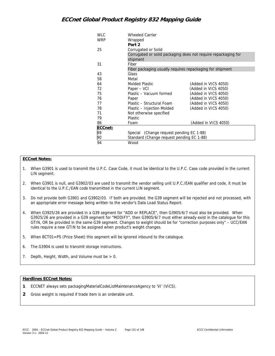| <b>WLC</b> | <b>Wheeled Carrier</b>                                    |                                                                |
|------------|-----------------------------------------------------------|----------------------------------------------------------------|
| <b>WRP</b> | Wrapped                                                   |                                                                |
|            | Part 2                                                    |                                                                |
| 25         | Corrugated or Solid                                       |                                                                |
|            | shipment                                                  | Corrugated or solid packaging does not require repackaging for |
| 31         | Fiber                                                     |                                                                |
|            | Fiber packaging usually requires repackaging for shipment |                                                                |
| 43         | Glass                                                     |                                                                |
| 58         | Metal                                                     |                                                                |
| 64         | <b>Molded Plastic</b>                                     | (Added in VICS 4050)                                           |
| 72         | Paper – VCI                                               | (Added in VICS 4050)                                           |
| 75         | Plastic - Vacuum formed                                   | (Added in VICS 4050)                                           |
| 76         | Paper                                                     | (Added in VICS 4050)                                           |
| 77         | Plastic - Structural Foam                                 | (Added in VICS 4050)                                           |
| 78         | Plastic - Injection Molded                                | (Added in VICS 4050)                                           |
| 71         | Not otherwise specified                                   |                                                                |
| 79         | <b>Plastic</b>                                            |                                                                |
| 86         | Foam                                                      | (Added in VICS 4050)                                           |
| ECCnet:    |                                                           |                                                                |
| 89         | Special (Change request pending EC 1-88)                  |                                                                |
| 90         | Standard (Change request pending EC 1-88)                 |                                                                |
| 94         | Wood                                                      |                                                                |

#### **ECCnet Notes:**

- 1. When G3901 is used to transmit the U.P.C. Case Code, it must be identical to the U.P.C. Case code provided in the current LIN segment.
- 2. When G3901 is null, and G3902/03 are used to transmit the vendor selling unit U.P.C./EAN qualifier and code, it must be identical to the U.P.C./EAN code transmitted in the current LIN segment.
- 3. Do not provide both G3901 and G3902/03. If both are provided, the G39 segment will be rejected and not processed, with an appropriate error message being written to the vendor's Data Load Status Report.
- 4. When G3925/26 are provided in a G39 segment for "ADD or REPLACE", then G3905/6/7 must also be provided. When G3925/26 are provided in a G39 segment for "MODIFY", then G3905/6/7 must either already exist in the catalogue for this GTIN, OR be provided in the same G39 segment. Changes to weight should be for "correction purposes only" – UCC/EAN rules require a new GTIN to be assigned when product's weight changes.
- 5. When BCT01=PS (Price Sheet) this segment will be ignored inbound to the catalogue.
- 6. The G3904 is used to transmit storage instructions.
- 7. Depth, Height, Width, and Volume must be  $> 0$ .

#### **Hardlines ECCnet Notes:**

- **1** ECCNET always sets packagingMaterialCodeListMaintenanceAgency to 'VI' (VICS).
- **2** Gross weight is required if trade item is an orderable unit.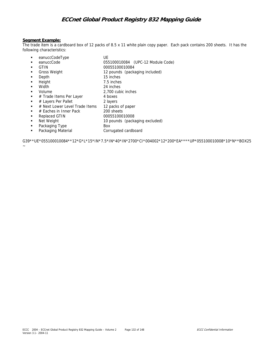#### **Segment Example:**

The trade item is a cardboard box of 12 packs of 8.5 x 11 white plain copy paper. Each pack contains 200 sheets. It has the following characteristics:

- eanuccCodeType UE
- eanuccCode 055100010084 (UPC-12 Module Code)

7.5 inches

2,700 cubic inches

- ! GTIN 00055100010084
- ! Gross Weight 12 pounds (packaging included)
- 15 inches<br>
Height 15 inches<br>
7.5 inches
- 
- 
- ! Width 24 inches
- 
- # Trade Items Per Layer 4 boxes
- 
- # Layers Per Pallet 2 layers<br>■ # Next Lower Level Trade Items 2 packs of paper  $\blacksquare$  # Next Lower Level Trade Items
- # Eaches in Inner Pack 200 sheets
- **Replaced GTIN** 00055100010008
- **If** Net Weight 10 pounds (packaging excluded)
- 
- **Packaging Type** Box **.** Packaging Material **Corrugated cardboard**

G39\*\*UE\*055100010084\*\*12\*G\*L\*15\*IN\*7.5\*IN\*40\*IN\*2700\*CI\*004002\*12\*200\*EA\*\*\*\*UP\*055100010008\*10\*N\*\*BOX25

 $\sim$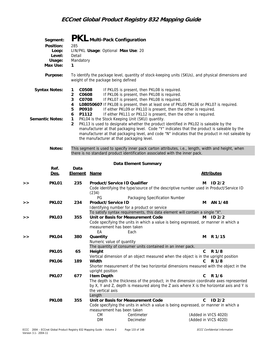|                        | Segment:          |                          |             | PKL Multi-Pack Configuration                    |                      |                                |                                                                                                                                      |   |                                                                                                    |  |
|------------------------|-------------------|--------------------------|-------------|-------------------------------------------------|----------------------|--------------------------------|--------------------------------------------------------------------------------------------------------------------------------------|---|----------------------------------------------------------------------------------------------------|--|
|                        | Position:         | 285                      |             |                                                 |                      |                                |                                                                                                                                      |   |                                                                                                    |  |
|                        | Loop:             |                          |             | LIN/PKL Usage: Optional Max Use: 20             |                      |                                |                                                                                                                                      |   |                                                                                                    |  |
|                        | Level:            | Detail                   |             |                                                 |                      |                                |                                                                                                                                      |   |                                                                                                    |  |
|                        | Usage:            | Mandatory                |             |                                                 |                      |                                |                                                                                                                                      |   |                                                                                                    |  |
|                        | Max Use:          | 1                        |             |                                                 |                      |                                |                                                                                                                                      |   |                                                                                                    |  |
|                        | Purpose:          |                          |             | weight of the package being defined             |                      |                                |                                                                                                                                      |   | To identify the package level, quantity of stock-keeping units (SKUs), and physical dimensions and |  |
| <b>Syntax Notes:</b>   |                   | C0508<br>1               |             | If PKL05 is present, then PKL08 is required.    |                      |                                |                                                                                                                                      |   |                                                                                                    |  |
|                        |                   | C0608<br>2               |             | If PKL06 is present, then PKL08 is required.    |                      |                                |                                                                                                                                      |   |                                                                                                    |  |
|                        |                   | 3<br>C0708               |             | If PKL07 is present, then PKL08 is required.    |                      |                                |                                                                                                                                      |   |                                                                                                    |  |
|                        |                   | 4                        |             |                                                 |                      |                                |                                                                                                                                      |   | LO8050607 If PKL08 is present, then at least one of PKL05 PKL06 or PKL07 is required.              |  |
|                        |                   | P0910<br>5<br>P1112<br>6 |             |                                                 |                      |                                | If either PKL09 or PKL10 is present, then the other is required.<br>If either PKL11 or PKL12 is present, then the other is required. |   |                                                                                                    |  |
| <b>Semantic Notes:</b> |                   | $\mathbf{1}$             |             | PKL04 is the Stock Keeping Unit (SKU) quantity. |                      |                                |                                                                                                                                      |   |                                                                                                    |  |
|                        |                   | $\overline{2}$           |             |                                                 |                      |                                |                                                                                                                                      |   | PKL13 is used to designate whether the product identified in PKL02 is saleable by the              |  |
|                        |                   |                          |             |                                                 |                      |                                |                                                                                                                                      |   | manufacturer at that packaging level. Code "Y" indicates that the product is saleable by the       |  |
|                        |                   |                          |             |                                                 |                      |                                |                                                                                                                                      |   | manufacturer at that packaging level, and code "N" indicates that the product in not saleable by   |  |
|                        |                   |                          |             | the manufacturer at that packaging level.       |                      |                                |                                                                                                                                      |   |                                                                                                    |  |
|                        | Notes:            |                          |             |                                                 |                      |                                |                                                                                                                                      |   | This segment is used to specify inner pack carton attributes, i.e., length, width and height, when |  |
|                        |                   |                          |             |                                                 |                      |                                | there is no standard product identification associated with the inner pack.                                                          |   |                                                                                                    |  |
|                        |                   |                          |             |                                                 | Data Element Summary |                                |                                                                                                                                      |   |                                                                                                    |  |
|                        | Ref.              | Data                     |             |                                                 |                      |                                |                                                                                                                                      |   |                                                                                                    |  |
|                        | Des.              | <b>Element</b>           | <u>Name</u> |                                                 |                      |                                |                                                                                                                                      |   | <b>Attributes</b>                                                                                  |  |
| >                      | PKL <sub>01</sub> | 235                      |             | Product/Service ID Qualifier                    |                      |                                |                                                                                                                                      | м | ID2/2                                                                                              |  |
|                        |                   |                          |             |                                                 |                      |                                |                                                                                                                                      |   | Code identifying the type/source of the descriptive number used in Product/Service ID              |  |
|                        |                   |                          | (234)       |                                                 |                      |                                |                                                                                                                                      |   |                                                                                                    |  |
|                        |                   |                          | PG.         |                                                 |                      | Packaging Specification Number |                                                                                                                                      |   |                                                                                                    |  |

|   |                   |     | PG                        | Packaging Specification Number                                                            |              |                      |
|---|-------------------|-----|---------------------------|-------------------------------------------------------------------------------------------|--------------|----------------------|
| > | PKL <sub>02</sub> | 234 | Product/Service ID        |                                                                                           | м            | AN 1/48              |
|   |                   |     |                           | Identifying number for a product or service                                               |              |                      |
|   |                   |     |                           | To satisfy syntax requirements, this data element will contain a single "X".              |              |                      |
| > | PKL03             | 355 |                           | Unit or Basis for Measurement Code                                                        | М            | ID <sub>2/2</sub>    |
|   |                   |     |                           | Code specifying the units in which a value is being expressed, or manner in which a       |              |                      |
|   |                   |     |                           | measurement has been taken                                                                |              |                      |
|   |                   |     | EA                        | Each                                                                                      |              |                      |
| > | PKL04             | 380 | Quantity                  |                                                                                           | М            | R 1/15               |
|   |                   |     | Numeric value of quantity |                                                                                           |              |                      |
|   |                   |     |                           | The quantity of consumer units contained in an inner pack.                                |              |                      |
|   | PKL05             | 65  | Height                    |                                                                                           | $\mathsf{C}$ | R 1/8                |
|   |                   |     |                           | Vertical dimension of an object measured when the object is in the upright position       |              |                      |
|   | PKL <sub>06</sub> | 189 | Width                     |                                                                                           |              | $C$ R $1/8$          |
|   |                   |     |                           | Shorter measurement of the two horizontal dimensions measured with the object in the      |              |                      |
|   |                   |     | upright position          |                                                                                           |              |                      |
|   | PKL07             | 677 | <b>Item Depth</b>         |                                                                                           | C.           | R 1/6                |
|   |                   |     |                           | The depth is the thickness of the product; in the dimension coordinate axes represented   |              |                      |
|   |                   |     |                           | by X, Y and Z, depth is measured along the Z axis where X is the horizontal axis and Y is |              |                      |
|   |                   |     | the vertical axis         |                                                                                           |              |                      |
|   |                   |     | Length                    |                                                                                           |              |                      |
|   | PKL08             | 355 |                           | Unit or Basis for Measurement Code                                                        | C.           | ID2/2                |
|   |                   |     |                           | Code specifying the units in which a value is being expressed, or manner in which a       |              |                      |
|   |                   |     |                           | measurement has been taken                                                                |              |                      |
|   |                   |     | <b>CM</b>                 | Centimeter                                                                                |              | (Added in VICS 4020) |
|   |                   |     | <b>DM</b>                 | Decimeter                                                                                 |              | (Added in VICS 4020) |
|   |                   |     |                           |                                                                                           |              |                      |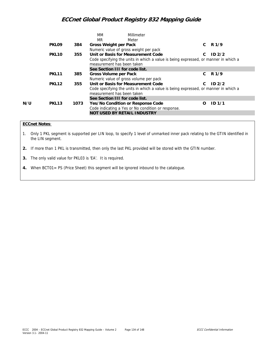|     |                   |      | MМ<br>Millimeter                                                                                                  |    |                   |
|-----|-------------------|------|-------------------------------------------------------------------------------------------------------------------|----|-------------------|
|     |                   |      | MR.<br>Meter                                                                                                      |    |                   |
|     | PKL <sub>09</sub> | 384  | Gross Weight per Pack                                                                                             | C. | R 1/9             |
|     |                   |      | Numeric value of gross weight per pack                                                                            |    |                   |
|     | PKL <sub>10</sub> | 355  | Unit or Basis for Measurement Code                                                                                | C. | ID2/2             |
|     |                   |      | Code specifying the units in which a value is being expressed, or manner in which a<br>measurement has been taken |    |                   |
|     |                   |      | See Section III for code list.                                                                                    |    |                   |
|     | <b>PKL11</b>      | 385  | Gross Volume per Pack                                                                                             | C. | R <sub>1/9</sub>  |
|     |                   |      | Numeric value of gross volume per pack                                                                            |    |                   |
|     | <b>PKL12</b>      | 355  | Unit or Basis for Measurement Code                                                                                | C. | ID2/2             |
|     |                   |      | Code specifying the units in which a value is being expressed, or manner in which a<br>measurement has been taken |    |                   |
|     |                   |      | See Section III for code list.                                                                                    |    |                   |
| N/U | PKL <sub>13</sub> | 1073 | Yes/No Condition or Response Code                                                                                 | Ω  | ID <sub>1/1</sub> |
|     |                   |      | Code indicating a Yes or No condition or response.                                                                |    |                   |
|     |                   |      | NOT USED BY RETAIL INDUSTRY                                                                                       |    |                   |

### **ECCnet Notes**:

1. Only 1 PKL segment is supported per LIN loop, to specify 1 level of unmarked inner pack relating to the GTIN identified in the LIN segment.

**2.** If more than 1 PKL is transmitted, then only the last PKL provided will be stored with the GTIN number.

**3.** The only valid value for PKL03 is 'EA'. It is required.

**4.** When BCT01= PS (Price Sheet) this segment will be ignored inbound to the catalogue.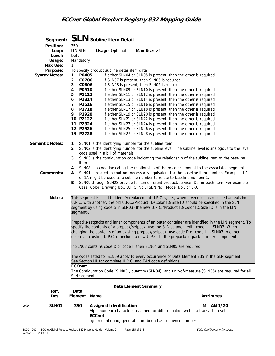|                                        |                                                                                                                                                               | Segment: SLN Subline I tem Detail                                                          |                                                                                                                                                                                                                                                                                                                                                                                                                                                                                                                                                                                                                                                                                                                                  |
|----------------------------------------|---------------------------------------------------------------------------------------------------------------------------------------------------------------|--------------------------------------------------------------------------------------------|----------------------------------------------------------------------------------------------------------------------------------------------------------------------------------------------------------------------------------------------------------------------------------------------------------------------------------------------------------------------------------------------------------------------------------------------------------------------------------------------------------------------------------------------------------------------------------------------------------------------------------------------------------------------------------------------------------------------------------|
| Position:<br>Loop:<br>Level:<br>Usage: | 350<br>LIN/SLN<br>Detail<br>Mandatory                                                                                                                         | <b>Usage: Optional</b>                                                                     | Max Use: $>1$                                                                                                                                                                                                                                                                                                                                                                                                                                                                                                                                                                                                                                                                                                                    |
| Max Use:<br>Purpose:                   | $\mathbf{1}$                                                                                                                                                  | To specify product subline detail item data                                                |                                                                                                                                                                                                                                                                                                                                                                                                                                                                                                                                                                                                                                                                                                                                  |
| <b>Syntax Notes:</b>                   | P0405<br>1                                                                                                                                                    |                                                                                            | If either SLN04 or SLN05 is present, then the other is required.                                                                                                                                                                                                                                                                                                                                                                                                                                                                                                                                                                                                                                                                 |
|                                        | $\overline{2}$<br>C0706<br>3<br>C0806<br>4<br>P0910<br>P1112<br>5<br>P1314<br>6<br>P1516<br>7<br>8<br>P1718<br>9<br>P1920<br>10 P2122<br>11 P2324<br>12 P2526 |                                                                                            | If SLN07 is present, then SLN06 is required.<br>If SLN08 is present, then SLN06 is required.<br>If either SLN09 or SLN10 is present, then the other is required.<br>If either SLN11 or SLN12 is present, then the other is required.<br>If either SLN13 or SLN14 is present, then the other is required.<br>If either SLN15 or SLN16 is present, then the other is required.<br>If either SLN17 or SLN18 is present, then the other is required.<br>If either SLN19 or SLN20 is present, then the other is required.<br>If either SLN21 or SLN22 is present, then the other is required.<br>If either SLN23 or SLN24 is present, then the other is required.<br>If either SLN25 or SLN26 is present, then the other is required. |
|                                        | 13 P2728                                                                                                                                                      |                                                                                            | If either SLN27 or SLN28 is present, then the other is required.                                                                                                                                                                                                                                                                                                                                                                                                                                                                                                                                                                                                                                                                 |
| <b>Semantic Notes:</b>                 | $\mathbf{1}$<br>$\overline{2}$<br>3<br>item.                                                                                                                  | SLN01 is the identifying number for the subline item.<br>code used in a bill of materials. | SLN02 is the identifying number for the subline level. The subline level is analogous to the level<br>SLN03 is the configuration code indicating the relationship of the subline item to the baseline                                                                                                                                                                                                                                                                                                                                                                                                                                                                                                                            |
| Comments:                              | 4<br>A<br>в                                                                                                                                                   |                                                                                            | SLN08 is a code indicating the relationship of the price or amount to the associated segment.<br>SLN01 is related to (but not necessarily equivalent to) the baseline item number. Example: 1.1<br>or 1A might be used as a subline number to relate to baseline number 1.<br>SLN09 through SLN28 provide for ten different product/service IDs for each item. For example:                                                                                                                                                                                                                                                                                                                                                      |
|                                        |                                                                                                                                                               |                                                                                            | Case, Color, Drawing No., U.P.C. No., ISBN No., Model No., or SKU.                                                                                                                                                                                                                                                                                                                                                                                                                                                                                                                                                                                                                                                               |
| Notes:                                 | segment).                                                                                                                                                     |                                                                                            | This segment is used to identify replacement U.P.C.'s, i.e., when a vendor has replaced an existing<br>U.P.C. with another, the old U.P.C./Product ID/Color ID/Size ID should be specified in the SLN<br>segment by using code S in SLN03 (the new U.P.C./Product ID/Color ID/Size ID is in the LIN                                                                                                                                                                                                                                                                                                                                                                                                                              |
|                                        |                                                                                                                                                               |                                                                                            | Prepacks/setpacks and inner components of an outer container are identified in the LIN segment. To<br>specify the contents of a prepack/setpack, use the SLN segment with code I in SLN03. When<br>changing the contents of an existing prepack/setpack, use code D or code I in SLN03 to either<br>delete an existing U.P.C. or include a new U.P.C. to the prepack/setpack or inner component.                                                                                                                                                                                                                                                                                                                                 |
|                                        |                                                                                                                                                               |                                                                                            | If SLN03 contains code D or code I, then SLN04 and SLN05 are required.                                                                                                                                                                                                                                                                                                                                                                                                                                                                                                                                                                                                                                                           |
|                                        |                                                                                                                                                               |                                                                                            | The codes listed for SLN09 apply to every occurrence of Data Element 235 in the SLN segment.<br>See Section III for complete U.P.C. and EAN code definitions.                                                                                                                                                                                                                                                                                                                                                                                                                                                                                                                                                                    |
|                                        | ECCnet:<br>SLN segments.                                                                                                                                      |                                                                                            | The Configuration Code (SLN03), quantity (SLN04), and unit-of-measure (SLN05) are required for all                                                                                                                                                                                                                                                                                                                                                                                                                                                                                                                                                                                                                               |
|                                        |                                                                                                                                                               |                                                                                            | Data Element Summary                                                                                                                                                                                                                                                                                                                                                                                                                                                                                                                                                                                                                                                                                                             |
| Ref.<br><u>Des.</u>                    | Data<br><b>Element</b>                                                                                                                                        | <u>Name</u>                                                                                | <b>Attributes</b>                                                                                                                                                                                                                                                                                                                                                                                                                                                                                                                                                                                                                                                                                                                |
| SLN01<br>>>                            | 350                                                                                                                                                           | <b>Assigned Identification</b><br>ECCnet:                                                  | AN 1/20<br>м<br>Alphanumeric characters assigned for differentiation within a transaction set.<br>Ignored inbound, generated outbound as sequence number.                                                                                                                                                                                                                                                                                                                                                                                                                                                                                                                                                                        |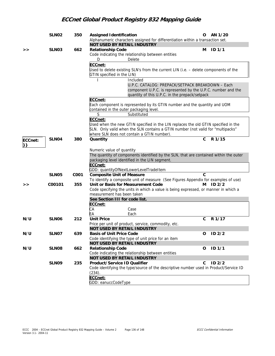|         | SLN <sub>02</sub> | 350  | <b>Assigned Identification</b>                                                                                                          | O            | AN 1/20           |
|---------|-------------------|------|-----------------------------------------------------------------------------------------------------------------------------------------|--------------|-------------------|
|         |                   |      | Alphanumeric characters assigned for differentiation within a transaction set.                                                          |              |                   |
|         | SLN <sub>03</sub> | 662  | NOT USED BY RETAIL INDUSTRY<br><b>Relationship Code</b>                                                                                 | м            | <b>ID 1/1</b>     |
| >       |                   |      | Code indicating the relationship between entities                                                                                       |              |                   |
|         |                   |      | D<br>Delete                                                                                                                             |              |                   |
|         |                   |      |                                                                                                                                         |              |                   |
|         |                   |      | ECCnet:                                                                                                                                 |              |                   |
|         |                   |      | Used to delete existing SLN's from the current LIN (i.e. - delete components of the<br>GTIN specified in the LIN)                       |              |                   |
|         |                   |      | Included                                                                                                                                |              |                   |
|         |                   |      | U.P.C. CATALOG: PREPACK/SETPACK BREAKDOWN - Each                                                                                        |              |                   |
|         |                   |      | component U.P.C. is represented by the U.P.C. number and the                                                                            |              |                   |
|         |                   |      | quantity of this U.P.C. in the prepack/setpack                                                                                          |              |                   |
|         |                   |      | ECCnet:                                                                                                                                 |              |                   |
|         |                   |      | Each component is represented by its GTIN number and the quantity and UOM                                                               |              |                   |
|         |                   |      | contained in the outer packaging level.                                                                                                 |              |                   |
|         |                   |      | S<br>Substituted                                                                                                                        |              |                   |
|         |                   |      | ECCnet:                                                                                                                                 |              |                   |
|         |                   |      | Used when the new GTIN specified in the LIN replaces the old GTIN specified in the                                                      |              |                   |
|         |                   |      | SLN. Only valid when the SLN contains a GTIN number (not valid for "multipacks"                                                         |              |                   |
|         |                   |      | where SLN does not contain a GTIN number).                                                                                              |              |                   |
| ECCnet: | SLN <sub>04</sub> | 380  | Quantity                                                                                                                                | C            | R 1/15            |
| }}      |                   |      |                                                                                                                                         |              |                   |
|         |                   |      | Numeric value of quantity                                                                                                               |              |                   |
|         |                   |      | The quantity of components identified by the SLN, that are contained within the outer<br>packaging level identified in the LIN segment. |              |                   |
|         |                   |      | ECCnet:                                                                                                                                 |              |                   |
|         |                   |      | GDD: quantityOfNextLowerLevelTradeItem                                                                                                  |              |                   |
|         | SLN <sub>05</sub> | C001 | <b>Composite Unit of Measure</b>                                                                                                        | $\mathsf{C}$ |                   |
|         |                   |      | To identify a composite unit of measure (See Figures Appendix for examples of use)                                                      |              |                   |
| >       | C00101            | 355  | Unit or Basis for Measurement Code                                                                                                      | м            | ID2/2             |
|         |                   |      | Code specifying the units in which a value is being expressed, or manner in which a                                                     |              |                   |
|         |                   |      | measurement has been taken                                                                                                              |              |                   |
|         |                   |      | See Section III for code list.                                                                                                          |              |                   |
|         |                   |      | ECCnet:                                                                                                                                 |              |                   |
|         |                   |      | СA<br>Case                                                                                                                              |              |                   |
|         |                   |      | Each<br>EА                                                                                                                              |              |                   |
| N/U     | SLN <sub>06</sub> | 212  | <b>Unit Price</b>                                                                                                                       | C            | R 1/17            |
|         |                   |      | Price per unit of product, service, commodity, etc.                                                                                     |              |                   |
|         |                   |      | <b>NOT USED BY RETAIL INDUSTRY</b>                                                                                                      |              |                   |
| N/U     | SLN07             | 639  | <b>Basis of Unit Price Code</b>                                                                                                         |              | ID 2/2            |
|         |                   |      | Code identifying the type of unit price for an item                                                                                     |              |                   |
|         |                   |      | <b>NOT USED BY RETAIL INDUSTRY</b>                                                                                                      |              |                   |
| N/U     | SLN <sub>08</sub> | 662  | <b>Relationship Code</b>                                                                                                                | O            | ID 1/1            |
|         |                   |      | Code indicating the relationship between entities                                                                                       |              |                   |
|         |                   |      | NOT USED BY RETAIL INDUSTRY                                                                                                             |              |                   |
|         | SLN09             | 235  | Product/Service ID Qualifier                                                                                                            | С            | ID <sub>2/2</sub> |
|         |                   |      | Code identifying the type/source of the descriptive number used in Product/Service ID                                                   |              |                   |
|         |                   |      | (234).                                                                                                                                  |              |                   |
|         |                   |      | ECCnet:                                                                                                                                 |              |                   |
|         |                   |      | GDD: eanuccCodeType                                                                                                                     |              |                   |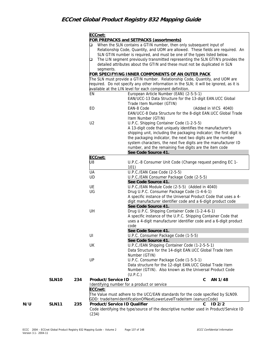|     |              |     | ECCnet:                      |                                                                                         |
|-----|--------------|-----|------------------------------|-----------------------------------------------------------------------------------------|
|     |              |     |                              | <b>FOR PREPACKS and SETPACKS (assortments)</b>                                          |
|     |              |     | □                            | When the SLN contains a GTIN number, then only subsequent input of                      |
|     |              |     |                              | Relationship Code, Quantity, and UOM are allowed. These fields are required. An         |
|     |              |     |                              | SLN GTIN number is required, and must be one of the types listed below.                 |
|     |              |     | □                            | The LIN segment previously transmitted representing the SLN GTIN's provides the         |
|     |              |     |                              | detailed attributes about the GTIN and these must not be duplicated in SLN              |
|     |              |     | segments.                    |                                                                                         |
|     |              |     |                              | FOR SPECIFYING INNER COMPONENTS OF AN OUTER PACK                                        |
|     |              |     |                              | The SLN must provide a GTIN number. Relationship Code, Quantity, and UOM are            |
|     |              |     |                              | required. Do not specify any other information in the SLN; it will be ignored, as it is |
|     |              |     |                              | available at the LIN level for each component definition.                               |
|     |              |     | EN                           | European Article Number (EAN) (2-5-5-1)                                                 |
|     |              |     |                              | EAN/UCC-13 Data Structure for the 13-digit EAN.UCC Global                               |
|     |              |     |                              | Trade Item Number (GTIN)                                                                |
|     |              |     | EO                           | (Added in VICS 4040)<br>EAN-8 Code                                                      |
|     |              |     |                              | EAN/UCC-8 Data Structure for the 8-digit EAN.UCC Global Trade                           |
|     |              |     |                              | Item Number (GTIN)                                                                      |
|     |              |     | U <sub>2</sub>               | U.P.C. Shipping Container Code (1-2-5-5)                                                |
|     |              |     |                              | A 13-digit code that uniquely identifies the manufacturer's                             |
|     |              |     |                              | shipping unit, including the packaging indicator; the first digit is                    |
|     |              |     |                              | the packaging indicator, the next two digits are the number                             |
|     |              |     |                              | system characters, the next five digits are the manufacturer ID                         |
|     |              |     |                              | number, and the remaining five digits are the item code                                 |
|     |              |     |                              | See Code Source 41.                                                                     |
|     |              |     | ECCnet:                      |                                                                                         |
|     |              |     | U8                           | U.P.C.-8 Consumer Unit Code (Change request pending EC 1-                               |
|     |              |     |                              | 101)                                                                                    |
|     |              |     | UA                           | U.P.C./EAN Case Code (2-5-5)                                                            |
|     |              |     | UD                           | U.P.C./EAN Consumer Package Code (2-5-5)                                                |
|     |              |     |                              | See Code Source 41.                                                                     |
|     |              |     | UE                           | U.P.C./EAN Module Code (2-5-5) (Added in 4040)                                          |
|     |              |     | UG                           | Drug U.P.C. Consumer Package Code (1-4-6-1)                                             |
|     |              |     |                              | A specific instance of the Universal Product Code that uses a 4-                        |
|     |              |     |                              | digit manufacturer identifier code and a 6-digit product code                           |
|     |              |     |                              | See Code Source 41.                                                                     |
|     |              |     | UH                           | Drug U.P.C. Shipping Container Code (1-2-4-6-1)                                         |
|     |              |     |                              | A specific instance of the U.P.C. Shipping Container Code that                          |
|     |              |     |                              | uses a 4-digit manufacturer identifier code and a 6-digit product                       |
|     |              |     |                              | code                                                                                    |
|     |              |     |                              | See Code Source 41.                                                                     |
|     |              |     | UI                           | U.P.C. Consumer Package Code (1-5-5)                                                    |
|     |              |     |                              | See Code Source 41.                                                                     |
|     |              |     | UK                           | U.P.C./EAN Shipping Container Code (1-2-5-5-1)                                          |
|     |              |     |                              | Data Structure for the 14-digit EAN.UCC Global Trade Item                               |
|     |              |     |                              | Number (GTIN)                                                                           |
|     |              |     | UP                           | U.P.C. Consumer Package Code (1-5-5-1)                                                  |
|     |              |     |                              | Data structure for the 12-digit EAN.UCC Global Trade Item                               |
|     |              |     |                              | Number (GTIN). Also known as the Universal Product Code                                 |
|     |              |     |                              | (U.P.C.)                                                                                |
|     | <b>SLN10</b> | 234 | Product/Service ID           | AN 1/48<br>C                                                                            |
|     |              |     |                              | Identifying number for a product or service                                             |
|     |              |     | ECCnet:                      |                                                                                         |
|     |              |     |                              | The Value must adhere to the UCC/EAN standards for the code specified by SLN09.         |
|     |              |     |                              | GDD: tradeItemIdentificationOfNextLowerLevelTradeItem (eanuccCode)                      |
| N/U | <b>SLN11</b> | 235 | Product/Service ID Qualifier | ID2/2<br>C.                                                                             |
|     |              |     |                              | Code identifying the type/source of the descriptive number used in Product/Service ID   |
|     |              |     | (234)                        |                                                                                         |
|     |              |     |                              |                                                                                         |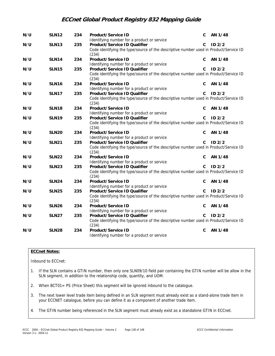| N/U | <b>SLN12</b> | 234 | Product/Service ID                                                                             | C            | AN 1/48           |
|-----|--------------|-----|------------------------------------------------------------------------------------------------|--------------|-------------------|
|     |              |     | Identifying number for a product or service                                                    |              |                   |
| N/U | <b>SLN13</b> | 235 | Product/Service ID Qualifier                                                                   | C            | ID <sub>2/2</sub> |
|     |              |     | Code identifying the type/source of the descriptive number used in Product/Service ID<br>(234) |              |                   |
| N/U | <b>SLN14</b> | 234 | Product/Service ID                                                                             | C            | AN 1/48           |
|     |              |     | Identifying number for a product or service                                                    |              |                   |
| N/U | <b>SLN15</b> | 235 | Product/Service ID Qualifier                                                                   | C.           | ID2/2             |
|     |              |     | Code identifying the type/source of the descriptive number used in Product/Service ID<br>(234) |              |                   |
| N/U | <b>SLN16</b> | 234 | Product/Service ID                                                                             | C            | AN 1/48           |
|     |              |     | Identifying number for a product or service                                                    |              |                   |
| N/U | <b>SLN17</b> | 235 | Product/Service ID Qualifier                                                                   | C.           | ID <sub>2/2</sub> |
|     |              |     | Code identifying the type/source of the descriptive number used in Product/Service ID<br>(234) |              |                   |
| N/U | <b>SLN18</b> | 234 | Product/Service ID                                                                             | C            | AN 1/48           |
|     |              |     | Identifying number for a product or service                                                    |              |                   |
| N/U | <b>SLN19</b> | 235 | Product/Service ID Qualifier                                                                   | C            | ID <sub>2/2</sub> |
|     |              |     | Code identifying the type/source of the descriptive number used in Product/Service ID<br>(234) |              |                   |
| N/U | <b>SLN20</b> | 234 | Product/Service ID                                                                             | C.           | AN 1/48           |
|     |              |     | Identifying number for a product or service                                                    |              |                   |
| N/U | <b>SLN21</b> | 235 | Product/Service ID Qualifier                                                                   | C.           | ID <sub>2/2</sub> |
|     |              |     | Code identifying the type/source of the descriptive number used in Product/Service ID<br>(234) |              |                   |
| N/U | <b>SLN22</b> | 234 | Product/Service ID                                                                             | C            | AN 1/48           |
|     |              |     | Identifying number for a product or service                                                    |              |                   |
| N/U | <b>SLN23</b> | 235 | Product/Service ID Qualifier                                                                   | C.           | ID <sub>2/2</sub> |
|     |              |     | Code identifying the type/source of the descriptive number used in Product/Service ID<br>(234) |              |                   |
| N/U | <b>SLN24</b> | 234 | Product/Service ID                                                                             | C            | AN 1/48           |
|     |              |     | Identifying number for a product or service                                                    |              |                   |
| N/U | <b>SLN25</b> | 235 | Product/Service ID Qualifier                                                                   | $\mathsf{C}$ | ID <sub>2/2</sub> |
|     |              |     | Code identifying the type/source of the descriptive number used in Product/Service ID<br>(234) |              |                   |
| N/U | <b>SLN26</b> | 234 | Product/Service ID                                                                             | C            | AN 1/48           |
|     |              |     | Identifying number for a product or service                                                    |              |                   |
| N/U | <b>SLN27</b> | 235 | Product/Service ID Qualifier                                                                   | C.           | $ID$ $2/2$        |
|     |              |     | Code identifying the type/source of the descriptive number used in Product/Service ID<br>(234) |              |                   |
| N/U | <b>SLN28</b> | 234 | Product/Service ID                                                                             | C            | AN 1/48           |
|     |              |     | Identifying number for a product or service                                                    |              |                   |

### **ECCnet Notes:**

Inbound to ECCnet:

- 1. If the SLN contains a GTIN number, then only one SLN09/10 field pair containing the GTIN number will be allow in the SLN segment, in addition to the relationship code, quantity, and UOM.
- 2. When BCT01= PS (Price Sheet) this segment will be ignored inbound to the catalogue.
- 3. The next lower level trade item being defined in an SLN segment must already exist as a stand-alone trade item in your ECCNET catalogue, before you can define it as a component of another trade item.
- 4. The GTIN number being referenced in the SLN segment must already exist as a standalone GTIN in ECCnet.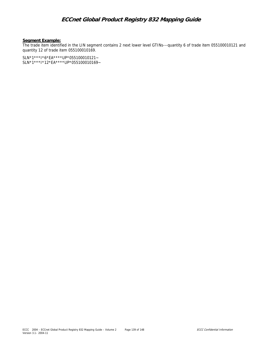#### **Segment Example:**

The trade item identified in the LIN segment contains 2 next lower level GTINs---quantity 6 of trade item 055100010121 and quantity 12 of trade item 055100010169.

SLN\*1\*\*\*I\*6\*EA\*\*\*\*UP\*055100010121~ SLN\*1\*\*\*I\*12\*EA\*\*\*\*UP\*055100010169~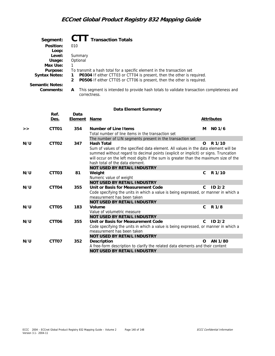| Segment:               | <b>CTT</b> Transaction Totals                                                                                 |
|------------------------|---------------------------------------------------------------------------------------------------------------|
| Position:              | 010                                                                                                           |
| Loop:                  |                                                                                                               |
| Level:                 | Summary                                                                                                       |
| Usage:                 | Optional                                                                                                      |
| Max Use:               |                                                                                                               |
| Purpose:               | To transmit a hash total for a specific element in the transaction set                                        |
| <b>Syntax Notes:</b>   | <b>P0304</b> If either CTT03 or CTT04 is present, then the other is required.                                 |
|                        | P0506 If either CTT05 or CTT06 is present, then the other is required.<br>2                                   |
| <b>Semantic Notes:</b> |                                                                                                               |
| Comments:              | This segment is intended to provide hash totals to validate transaction completeness and<br>A<br>correctness. |

#### **Data Element Summary**

|     | Ref.<br>Des.      | Data<br><b>Element</b> | <b>Name</b>                                                                                                       |              | <b>Attributes</b> |
|-----|-------------------|------------------------|-------------------------------------------------------------------------------------------------------------------|--------------|-------------------|
|     |                   |                        |                                                                                                                   |              |                   |
| >   | CTT <sub>01</sub> | 354                    | Number of Line I tems                                                                                             | м            | NO 1/6            |
|     |                   |                        | Total number of line items in the transaction set                                                                 |              |                   |
|     |                   |                        | The number of LIN segments present in the transaction set                                                         |              |                   |
| N/U | CTT <sub>02</sub> | 347                    | Hash Total                                                                                                        | Ω            | R <sub>1/10</sub> |
|     |                   |                        | Sum of values of the specified data element. All values in the data element will be                               |              |                   |
|     |                   |                        | summed without regard to decimal points (explicit or implicit) or signs. Truncation                               |              |                   |
|     |                   |                        | will occur on the left most digits if the sum is greater than the maximum size of the                             |              |                   |
|     |                   |                        | hash total of the data element.                                                                                   |              |                   |
|     |                   |                        | <b>NOT USED BY RETAIL INDUSTRY</b>                                                                                |              |                   |
| N/U | CTT <sub>03</sub> | 81                     | Weight                                                                                                            | C.           | R 1/10            |
|     |                   |                        | Numeric value of weight                                                                                           |              |                   |
|     |                   |                        | <b>NOT USED BY RETAIL INDUSTRY</b>                                                                                |              |                   |
| N/U | CTT04             | 355                    | Unit or Basis for Measurement Code                                                                                | C.           | ID <sub>2/2</sub> |
|     |                   |                        | Code specifying the units in which a value is being expressed, or manner in which a<br>measurement has been taken |              |                   |
|     |                   |                        | <b>NOT USED BY RETAIL INDUSTRY</b>                                                                                |              |                   |
| N/U | CTT <sub>05</sub> | 183                    | Volume                                                                                                            | $\mathsf{C}$ | R 1/8             |
|     |                   |                        | Value of volumetric measure                                                                                       |              |                   |
|     |                   |                        | <b>NOT USED BY RETAIL INDUSTRY</b>                                                                                |              |                   |
| N/U | CTT <sub>06</sub> | 355                    | Unit or Basis for Measurement Code                                                                                | C.           | ID2/2             |
|     |                   |                        | Code specifying the units in which a value is being expressed, or manner in which a                               |              |                   |
|     |                   |                        | measurement has been taken                                                                                        |              |                   |
|     |                   |                        | <b>NOT USED BY RETAIL INDUSTRY</b>                                                                                |              |                   |
| N/U | CTT <sub>07</sub> | 352                    | Description                                                                                                       | $\Omega$     | AN 1/80           |
|     |                   |                        | A free-form description to clarify the related data elements and their content                                    |              |                   |
|     |                   |                        | <b>NOT USED BY RETAIL INDUSTRY</b>                                                                                |              |                   |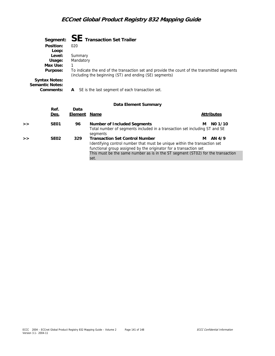|   |                      |                      | Segment: $SE$ Transaction Set Trailer                                                        |   |                   |
|---|----------------------|----------------------|----------------------------------------------------------------------------------------------|---|-------------------|
|   | Position:            | 020                  |                                                                                              |   |                   |
|   | Loop:<br>Level:      |                      |                                                                                              |   |                   |
|   | Usage:               | Summary<br>Mandatory |                                                                                              |   |                   |
|   | Max Use:             | 1                    |                                                                                              |   |                   |
|   | Purpose:             |                      | To indicate the end of the transaction set and provide the count of the transmitted segments |   |                   |
|   |                      |                      | (including the beginning (ST) and ending (SE) segments)                                      |   |                   |
|   | <b>Syntax Notes:</b> |                      |                                                                                              |   |                   |
|   | Semantic Notes:      |                      |                                                                                              |   |                   |
|   | Comments:            | A                    | SE is the last segment of each transaction set.                                              |   |                   |
|   |                      |                      |                                                                                              |   |                   |
|   |                      |                      | Data Element Summary                                                                         |   |                   |
|   | Ref.                 | Data                 |                                                                                              |   |                   |
|   | <u>Des.</u>          | <b>Element</b>       | <u>Name</u>                                                                                  |   | <b>Attributes</b> |
| > | <b>SE01</b>          | 96                   | Number of Included Segments                                                                  | м | NO 1/10           |
|   |                      |                      | Total number of segments included in a transaction set including ST and SE<br>segments       |   |                   |
| > | SE <sub>02</sub>     | 329                  | <b>Transaction Set Control Number</b>                                                        | м | AN 4/9            |
|   |                      |                      | Identifying control number that must be unique within the transaction set                    |   |                   |
|   |                      |                      | functional group assigned by the originator for a transaction set                            |   |                   |
|   |                      |                      | This must be the same number as is in the ST segment (ST02) for the transaction              |   |                   |
|   |                      |                      | set.                                                                                         |   |                   |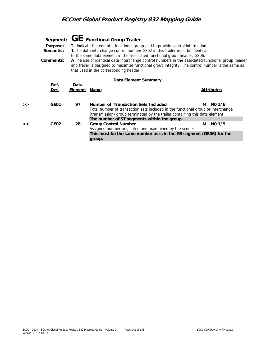|   | Purpose:<br>Semantic:<br>Comments: |                        | Segment: $GE$ Functional Group Trailer<br>To indicate the end of a functional group and to provide control information<br>1 The data interchange control number GE02 in this trailer must be identical<br>to the same data element in the associated functional group header, GS06.<br>A The use of identical data interchange control numbers in the associated functional group header<br>and trailer is designed to maximize functional group integrity. The control number is the same as<br>that used in the corresponding header. |   |                   |  |  |  |
|---|------------------------------------|------------------------|-----------------------------------------------------------------------------------------------------------------------------------------------------------------------------------------------------------------------------------------------------------------------------------------------------------------------------------------------------------------------------------------------------------------------------------------------------------------------------------------------------------------------------------------|---|-------------------|--|--|--|
|   | Data Element Summary               |                        |                                                                                                                                                                                                                                                                                                                                                                                                                                                                                                                                         |   |                   |  |  |  |
|   | Ref.<br><u>Des.</u>                | Data<br><u>Element</u> | <u>Name</u>                                                                                                                                                                                                                                                                                                                                                                                                                                                                                                                             |   | <b>Attributes</b> |  |  |  |
| > | GE01                               | 97                     | Number of Transaction Sets Included<br>Total number of transaction sets included in the functional group or interchange<br>(transmission) group terminated by the trailer containing this data element                                                                                                                                                                                                                                                                                                                                  | М | NO 1/6            |  |  |  |
| > | GE <sub>02</sub>                   | 28                     | The number of ST segments within the group.<br><b>Group Control Number</b><br>Assigned number originated and maintained by the sender<br>This must be the same number as is in the GS segment (GS06) for the<br>group.                                                                                                                                                                                                                                                                                                                  | м | $NO$ 1/9          |  |  |  |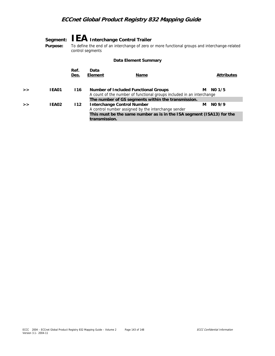|   | Purpose:             | Segment: I EA Interchange Control Trailer<br>To define the end of an interchange of zero or more functional groups and interchange-related<br>control segments |                                                                                                           |                                                                                                                             |   |                   |  |
|---|----------------------|----------------------------------------------------------------------------------------------------------------------------------------------------------------|-----------------------------------------------------------------------------------------------------------|-----------------------------------------------------------------------------------------------------------------------------|---|-------------------|--|
|   | Data Element Summary |                                                                                                                                                                |                                                                                                           |                                                                                                                             |   |                   |  |
|   |                      | Ref.<br>Des.                                                                                                                                                   | Data<br>Element                                                                                           | Name                                                                                                                        |   | <b>Attributes</b> |  |
| > | IEA01                | 116                                                                                                                                                            | Number of Included Functional Groups                                                                      | A count of the number of functional groups included in an interchange<br>The number of GS segments within the transmission. | м | NO <sub>1/5</sub> |  |
| > | IEA02                | 112                                                                                                                                                            | <b>Interchange Control Number</b><br>A control number assigned by the interchange sender<br>transmission. | This must be the same number as is in the ISA segment (ISA13) for the                                                       | м | $NQ$ 9/9          |  |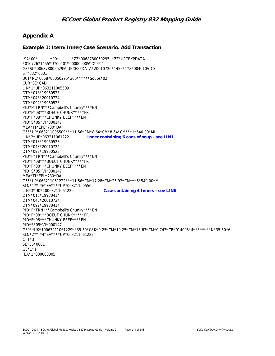## **Appendix A**

### **Example 1: Item/Inner/Case Scenario. Add Transaction**

ISA\*00\* \*00\* \*ZZ\*0068780050295 \*ZZ\*UPCEXPDATA \*010726\*1455\*U\*00401\*000000005\*O\*P\*^ GS\*SC\*0068780050295\*UPCEXPDATA\*20010726\*1455\*1\*X\*004010VICS ST\*832\*0001 BCT\*RC\*0068780050295\*200\*\*\*\*\*\*Soups\*02 CUR\*SE\*CAD LIN\*1\*UP\*063211005509 DTM\*018\*19960523 DTM\*043\*20010724 DTM\*092\*19960523 PID\*F\*TRN\*\*\*Campbell's Chunky\*\*\*\*EN PID\*F\*08\*\*\*BOEUF CHUNKY\*\*\*\*FR PID\*F\*08\*\*\*CHUNKY BEEF\*\*\*\*EN PID\*S\*05\*VI\*000147 MEA\*TI\*EPL\*730\*DA G55\*UP\*063211005509\*\*\*11.56\*CM\*8.64\*CM\*8.64\*CM\*\*\*1\*540.00\*ML LIN\*2\*UP\*063211061222 **Inner containing 6 cans of soup - see LIN1**  DTM\*018\*19960523 DTM\*043\*20010724 DTM\*092\*19960523 PID\*F\*TRN\*\*\*Campbell's Chunky\*\*\*\*EN PID\*F\*08\*\*\*BOEUF CHUNKY\*\*\*\*FR PID\*F\*08\*\*\*CHUNKY BEEF\*\*\*\*EN PID\*S\*05\*VI\*000147 MEA\*TI\*EPL\*730\*DA G55\*UP\*063211061222\*\*\*11.56\*CM\*17.28\*CM\*25.92\*CM\*\*\*6\*540.00\*ML SLN\*1\*\*I\*6\*EA\*\*\*\*UP\*063211005509 LIN\*3\*UK\*10063211061229 **Case containing 4 Inners - see LIN6** DTM\*018\*19980414 DTM\*043\*20010724 DTM\*092\*19980414 PID\*F\*TRN\*\*\*Campbell's Chunky\*\*\*\*EN PID\*F\*08\*\*\*BOEUF CHUNKY\*\*\*\*FR PID\*F\*08\*\*\*CHUNKY BEEF\*\*\*\*EN PID\*S\*05\*VI\*000147 G39\*\*UK\*10063211061229\*\*35.50\*G\*K\*9.25\*CM\*10.25\*CM\*13.63\*CM\*0.747\*CR\*014005\*4\*\*\*\*\*\*\*\*N\*35.50\*6 SLN\*2\*\*I\*4\*EA\*\*\*\*UP\*063211061222 CTT\*3 SE\*36\*0001 GE\*1\*1 IEA\*1\*000000005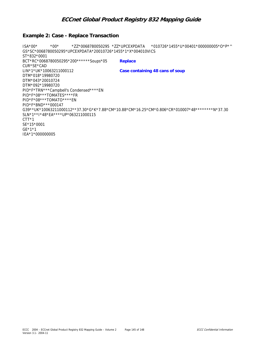### **Example 2: Case - Replace Transaction**

ISA\*00\* \*00\* \*ZZ\*0068780050295 \*ZZ\*UPCEXPDATA \*010726\*1455\*U\*00401\*000000005\*O\*P\*^ GS\*SC\*0068780050295\*UPCEXPDATA\*20010726\*1455\*1\*X\*004010VICS ST\*832\*0001 BCT\*RC\*0068780050295\*200\*\*\*\*\*\*Soups\*05 **Replace**  CUR\*SE\*CAD LIN\*1\*UK\*10063211000112 **Case containing 48 cans of soup**  DTM\*018\*19980720 DTM\*043\*20010724 DTM\*092\*19980720 PID\*F\*TRN\*\*\*Campbell's Condensed\*\*\*\*EN PID\*F\*08\*\*\*TOMATES\*\*\*\*FR PID\*F\*08\*\*\*TOMATO\*\*\*\*EN PID\*F\*BND\*\*\*000147 G39\*\*UK\*10063211000112\*\*37.30\*G\*K\*7.88\*CM\*10.88\*CM\*16.25\*CM\*0.806\*CR\*010007\*48\*\*\*\*\*\*\*\*N\*37.30 SLN\*1\*\*I\*48\*EA\*\*\*\*UP\*063211000115 CTT\*1 SE\*15\*0001 GE\*1\*1 IEA\*1\*000000005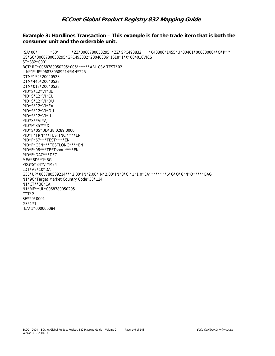# **ECCnet Global Product Registry 832 Mapping Guide**

#### Example 3: Hardlines Transaction - This example is for the trade item that is both the consumer unit and the orderable unit.

 $ISA*00*$  $*00*$ \*ZZ\*0068780050295 \*ZZ\*GPC493832 \*040806\*1455\*U\*00401\*000000084\*O\*P\*^ GS\*SC\*0068780050295\*GPC493832\*20040806\*1618\*1\*X\*004010VICS ST\*832\*0001 BCT\*RC\*0068780050295\*006\*\*\*\*\*\*ABL CSV TEST\*02 LIN\*1\*UP\*068780589214\*MN\*225 DTM\*152\*20040528 DTM\*440\*20040528 DTM\*018\*20040528 PID\*S\*12\*VI\*BU PID\*S\*12\*VI\*CU PID\*S\*12\*VI\*DU PID\*S\*12\*VI\*EA PID\*S\*12\*VI\*OU PID\*S\*12\*VI\*IU PID\*S\*\*VI\*AJ PID\*F\*35\*\*\*X PID\*S\*05\*UD\*38.0289.0000 PID\*F\*TRN\*\*\*TESTINC \*\*\*\*EN PID\*F\*67\*\*\*TEST\*\*\*\*\*EN PID\*F\*GEN\*\*\*TESTLONG\*\*\*\*EN PID\*F\*08\*\*\*TESTshort\*\*\*\*EN PID\*F\*DAC\*\*\*DFC MEA\*BD\*\*1\*BG PKG\*S\*34\*VI\*M34 LDT\*AE\*10\*DA G55\*UP\*068780589214\*\*\*2.00\*IN\*2.00\*IN\*2.00\*IN\*8\*Cl\*1\*1.0\*EA\*\*\*\*\*\*\*\*6\*G\*0\*6\*N\*O\*\*\*\*\*BAG N1\*9C\*Target Market Country Code\*38\*124 N1\*CT\*\*38\*CA N1\*MF\*\*UL\*0068780050295  $CTT*2$ SE\*29\*0001  $GE*1*1$ IEA\*1\*000000084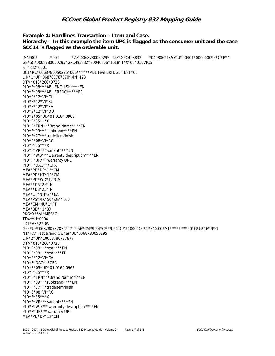## **ECCnet Global Product Registry 832 Mapping Guide**

#### Example 4: Hardlines Transaction - I tem and Case. Hierarchy – In this example the item UPC is flagged as the consumer unit and the case SCC14 is flagged as the orderable unit.

```
*040806*1455*U*00401*000000095*O*P*^
ISA*00**00**ZZ*0068780050295 *ZZ*GPC493832
GS*SC*0068780050295*GPC493832*20040806*1618*1*X*004010VICS
ST*832*0001
BCT*RC*0068780050295*006******ABL Five BRIDGE TEST*05
LIN*1*UP*068780787870*MN*123
DTM*018*20040728
PID*F*08***ABL ENGLISH****EN
PID*F*08***ABL FRENCH****FR
PID*S*12*VI*CU
PID*S*12*VI*BU
PID*S*12*VI*EA
PID*S*12*VI*OU
PID*S*05*UD*01.0164.0965
PID*F*35***X
PID*F*TRN***Brand Name****EN
PID*F*09***subbrand****EN
PID*F*77***tradeitemfinish
PID*S*08*VI*RC
PID*F*35***X
PID*F*VR***variant****EN
PID*F*WD***warranty description****EN
PID*F*UR***warranty URL
PID*F*DAC***CFA
MFA*PD*DP*12*CMMEA*PD*HT*12*CM
MEA*PD*WD*12*CM
MEA**D6*25*IN
MEA**D8*25*IN
MEA*CT*NH*24*EA
MEA*PS*MX*50*KG**100
MEA*CM*NU*1*FT
MEA*BD**1*BX
PKG*X**VI*MES*O
TD4**U*0004
LDT*AE*2*DW
G55*UP*068780787870***12.56*CM*9.64*CM*9.64*CM*1000*CC*1*540.00*ML********20*G*G*16*N*G
N1*HA*Test Brand Owner*UL*0068780050295
LIN*2*UK*10068780787877
DTM*018*20040725
PID*F*08***test*****EN
PID*F*08***test****FR
PID*S*12*VI*CA
PID*F*DAC***CFA
PID*S*05*UD*01.0164.0965
PID*F*35***X
PID*F*TRN***Brand Name****EN
PID*F*09***subbrand****EN
PID*F*77***tradeitemfinish
PID*S*08*VI*RC
PID*F*35***XPID*F*VR***variant****EN
PID*F*WD***warranty description****EN
PID*F*UR***warranty URL
MEA*PD*DP*12*CM
```